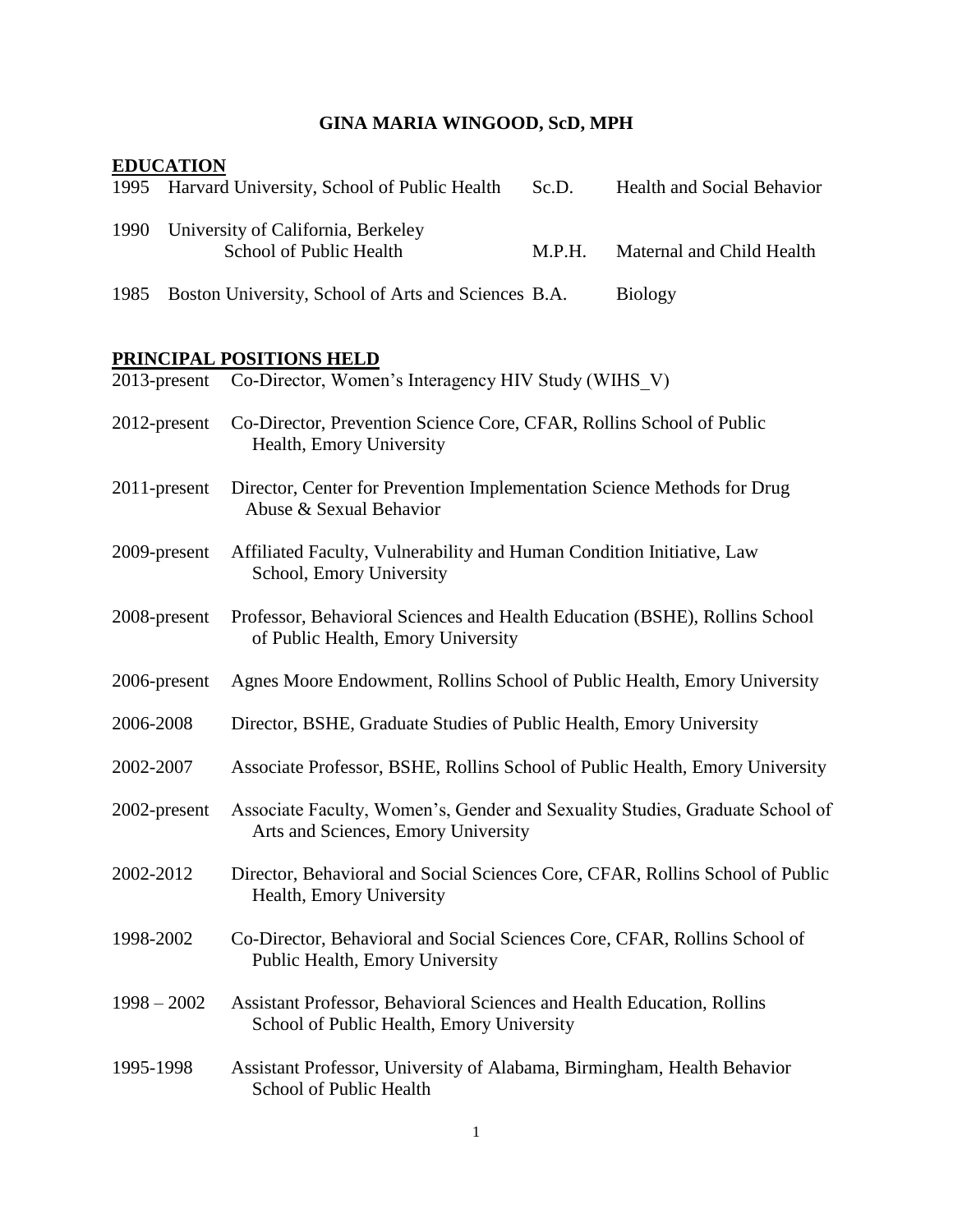# **GINA MARIA WINGOOD, ScD, MPH**

## **EDUCATION**

| 1995          |              | Harvard University, School of Public Health                                                                         | Sc.D.  | <b>Health and Social Behavior</b> |
|---------------|--------------|---------------------------------------------------------------------------------------------------------------------|--------|-----------------------------------|
| 1990          |              | University of California, Berkeley<br>School of Public Health                                                       | M.P.H. | Maternal and Child Health         |
| 1985          |              | Boston University, School of Arts and Sciences B.A.                                                                 |        | <b>Biology</b>                    |
|               |              | PRINCIPAL POSITIONS HELD                                                                                            |        |                                   |
|               | 2013-present | Co-Director, Women's Interagency HIV Study (WIHS V)                                                                 |        |                                   |
|               | 2012-present | Co-Director, Prevention Science Core, CFAR, Rollins School of Public<br>Health, Emory University                    |        |                                   |
|               | 2011-present | Director, Center for Prevention Implementation Science Methods for Drug<br>Abuse & Sexual Behavior                  |        |                                   |
|               | 2009-present | Affiliated Faculty, Vulnerability and Human Condition Initiative, Law<br>School, Emory University                   |        |                                   |
|               | 2008-present | Professor, Behavioral Sciences and Health Education (BSHE), Rollins School<br>of Public Health, Emory University    |        |                                   |
|               | 2006-present | Agnes Moore Endowment, Rollins School of Public Health, Emory University                                            |        |                                   |
| 2006-2008     |              | Director, BSHE, Graduate Studies of Public Health, Emory University                                                 |        |                                   |
| 2002-2007     |              | Associate Professor, BSHE, Rollins School of Public Health, Emory University                                        |        |                                   |
|               | 2002-present | Associate Faculty, Women's, Gender and Sexuality Studies, Graduate School of<br>Arts and Sciences, Emory University |        |                                   |
| 2002-2012     |              | Director, Behavioral and Social Sciences Core, CFAR, Rollins School of Public<br>Health, Emory University           |        |                                   |
| 1998-2002     |              | Co-Director, Behavioral and Social Sciences Core, CFAR, Rollins School of<br>Public Health, Emory University        |        |                                   |
| $1998 - 2002$ |              | Assistant Professor, Behavioral Sciences and Health Education, Rollins<br>School of Public Health, Emory University |        |                                   |
| 1995-1998     |              | Assistant Professor, University of Alabama, Birmingham, Health Behavior<br>School of Public Health                  |        |                                   |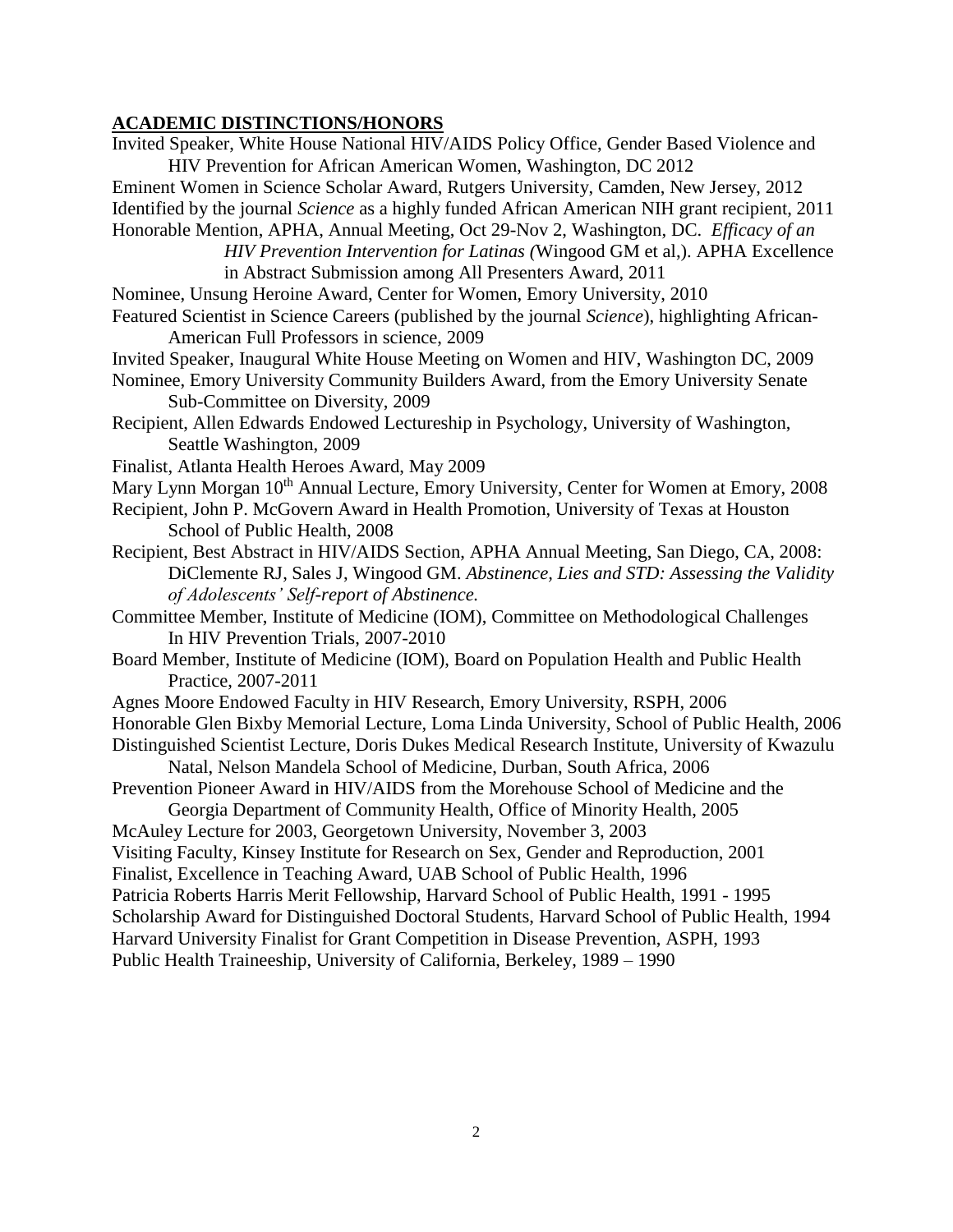## **ACADEMIC DISTINCTIONS/HONORS**

| Invited Speaker, White House National HIV/AIDS Policy Office, Gender Based Violence and             |
|-----------------------------------------------------------------------------------------------------|
| HIV Prevention for African American Women, Washington, DC 2012                                      |
| Eminent Women in Science Scholar Award, Rutgers University, Camden, New Jersey, 2012                |
| Identified by the journal Science as a highly funded African American NIH grant recipient, 2011     |
| Honorable Mention, APHA, Annual Meeting, Oct 29-Nov 2, Washington, DC. Efficacy of an               |
| HIV Prevention Intervention for Latinas (Wingood GM et al.). APHA Excellence                        |
| in Abstract Submission among All Presenters Award, 2011                                             |
| Nominee, Unsung Heroine Award, Center for Women, Emory University, 2010                             |
| Featured Scientist in Science Careers (published by the journal Science), highlighting African-     |
| American Full Professors in science, 2009                                                           |
| Invited Speaker, Inaugural White House Meeting on Women and HIV, Washington DC, 2009                |
| Nominee, Emory University Community Builders Award, from the Emory University Senate                |
| Sub-Committee on Diversity, 2009                                                                    |
| Recipient, Allen Edwards Endowed Lectureship in Psychology, University of Washington,               |
| Seattle Washington, 2009                                                                            |
| Finalist, Atlanta Health Heroes Award, May 2009                                                     |
| Mary Lynn Morgan 10 <sup>th</sup> Annual Lecture, Emory University, Center for Women at Emory, 2008 |
| Recipient, John P. McGovern Award in Health Promotion, University of Texas at Houston               |
| School of Public Health, 2008                                                                       |
| Recipient, Best Abstract in HIV/AIDS Section, APHA Annual Meeting, San Diego, CA, 2008:             |
| DiClemente RJ, Sales J, Wingood GM. Abstinence, Lies and STD: Assessing the Validity                |
| of Adolescents' Self-report of Abstinence.                                                          |
| Committee Member, Institute of Medicine (IOM), Committee on Methodological Challenges               |
| In HIV Prevention Trials, 2007-2010                                                                 |
| Board Member, Institute of Medicine (IOM), Board on Population Health and Public Health             |
| Practice, 2007-2011                                                                                 |
| Agnes Moore Endowed Faculty in HIV Research, Emory University, RSPH, 2006                           |
| Honorable Glen Bixby Memorial Lecture, Loma Linda University, School of Public Health, 2006         |
| Distinguished Scientist Lecture, Doris Dukes Medical Research Institute, University of Kwazulu      |
| Natal, Nelson Mandela School of Medicine, Durban, South Africa, 2006                                |
| Prevention Pioneer Award in HIV/AIDS from the Morehouse School of Medicine and the                  |
| Georgia Department of Community Health, Office of Minority Health, 2005                             |
| McAuley Lecture for 2003, Georgetown University, November 3, 2003                                   |
| Visiting Faculty, Kinsey Institute for Research on Sex, Gender and Reproduction, 2001               |
| Finalist, Excellence in Teaching Award, UAB School of Public Health, 1996                           |
| Patricia Roberts Harris Merit Fellowship, Harvard School of Public Health, 1991 - 1995              |
| Scholarship Award for Distinguished Doctoral Students, Harvard School of Public Health, 1994        |
| Harvard University Finalist for Grant Competition in Disease Prevention, ASPH, 1993                 |
| Public Health Traineeship, University of California, Berkeley, 1989 - 1990                          |
|                                                                                                     |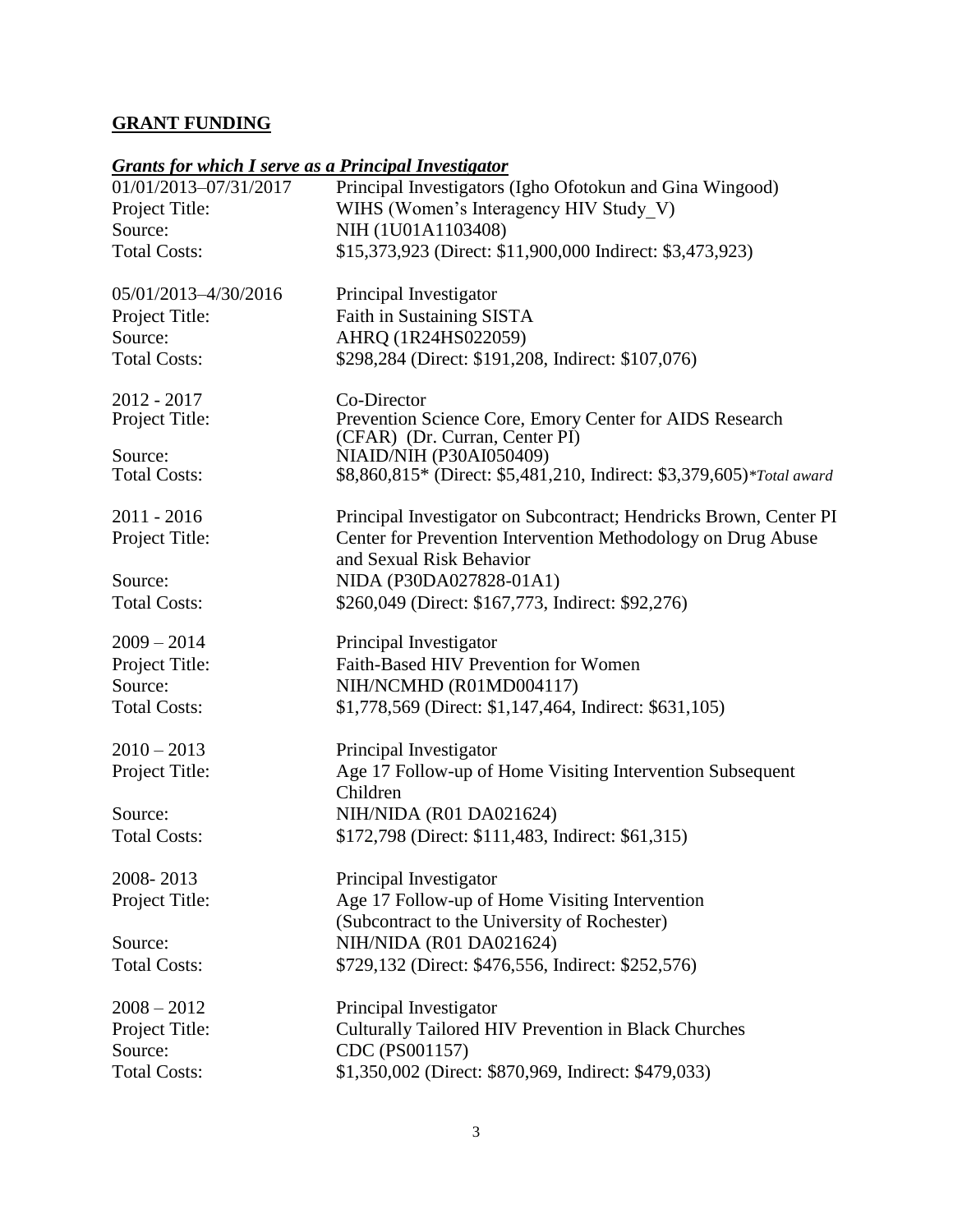## **GRANT FUNDING**

#### *Grants for which I serve as a Principal Investigator*

| <u> Grants for which i serve as a i rincipal investigator</u> |                                                                       |
|---------------------------------------------------------------|-----------------------------------------------------------------------|
| 01/01/2013-07/31/2017                                         | Principal Investigators (Igho Ofotokun and Gina Wingood)              |
| Project Title:                                                | WIHS (Women's Interagency HIV Study V)                                |
| Source:                                                       | NIH (1U01A1103408)                                                    |
| <b>Total Costs:</b>                                           | \$15,373,923 (Direct: \$11,900,000 Indirect: \$3,473,923)             |
|                                                               |                                                                       |
| 05/01/2013-4/30/2016                                          | Principal Investigator                                                |
| Project Title:                                                | Faith in Sustaining SISTA                                             |
| Source:                                                       | AHRQ (1R24HS022059)                                                   |
| <b>Total Costs:</b>                                           | \$298,284 (Direct: \$191,208, Indirect: \$107,076)                    |
| 2012 - 2017                                                   | Co-Director                                                           |
| Project Title:                                                | Prevention Science Core, Emory Center for AIDS Research               |
|                                                               | (CFAR) (Dr. Curran, Center PI)                                        |
| Source:                                                       | NIAID/NIH (P30AI050409)                                               |
| <b>Total Costs:</b>                                           | \$8,860,815* (Direct: \$5,481,210, Indirect: \$3,379,605)*Total award |
| $2011 - 2016$                                                 | Principal Investigator on Subcontract; Hendricks Brown, Center PI     |
| Project Title:                                                | Center for Prevention Intervention Methodology on Drug Abuse          |
|                                                               | and Sexual Risk Behavior                                              |
| Source:                                                       | NIDA (P30DA027828-01A1)                                               |
| <b>Total Costs:</b>                                           | \$260,049 (Direct: \$167,773, Indirect: \$92,276)                     |
|                                                               |                                                                       |
| $2009 - 2014$                                                 | Principal Investigator                                                |
| Project Title:                                                | Faith-Based HIV Prevention for Women                                  |
| Source:                                                       | NIH/NCMHD (R01MD004117)                                               |
| <b>Total Costs:</b>                                           | \$1,778,569 (Direct: \$1,147,464, Indirect: \$631,105)                |
|                                                               |                                                                       |
| $2010 - 2013$                                                 | Principal Investigator                                                |
| Project Title:                                                | Age 17 Follow-up of Home Visiting Intervention Subsequent             |
|                                                               | Children                                                              |
| Source:                                                       | NIH/NIDA (R01 DA021624)                                               |
| <b>Total Costs:</b>                                           | \$172,798 (Direct: \$111,483, Indirect: \$61,315)                     |
| 2008-2013                                                     | Principal Investigator                                                |
|                                                               |                                                                       |
| Project Title:                                                | Age 17 Follow-up of Home Visiting Intervention                        |
|                                                               | (Subcontract to the University of Rochester)                          |
| Source:                                                       | NIH/NIDA (R01 DA021624)                                               |
| <b>Total Costs:</b>                                           | \$729,132 (Direct: \$476,556, Indirect: \$252,576)                    |
| $2008 - 2012$                                                 | Principal Investigator                                                |
| Project Title:                                                | Culturally Tailored HIV Prevention in Black Churches                  |
| Source:                                                       | CDC (PS001157)                                                        |
| <b>Total Costs:</b>                                           | \$1,350,002 (Direct: \$870,969, Indirect: \$479,033)                  |
|                                                               |                                                                       |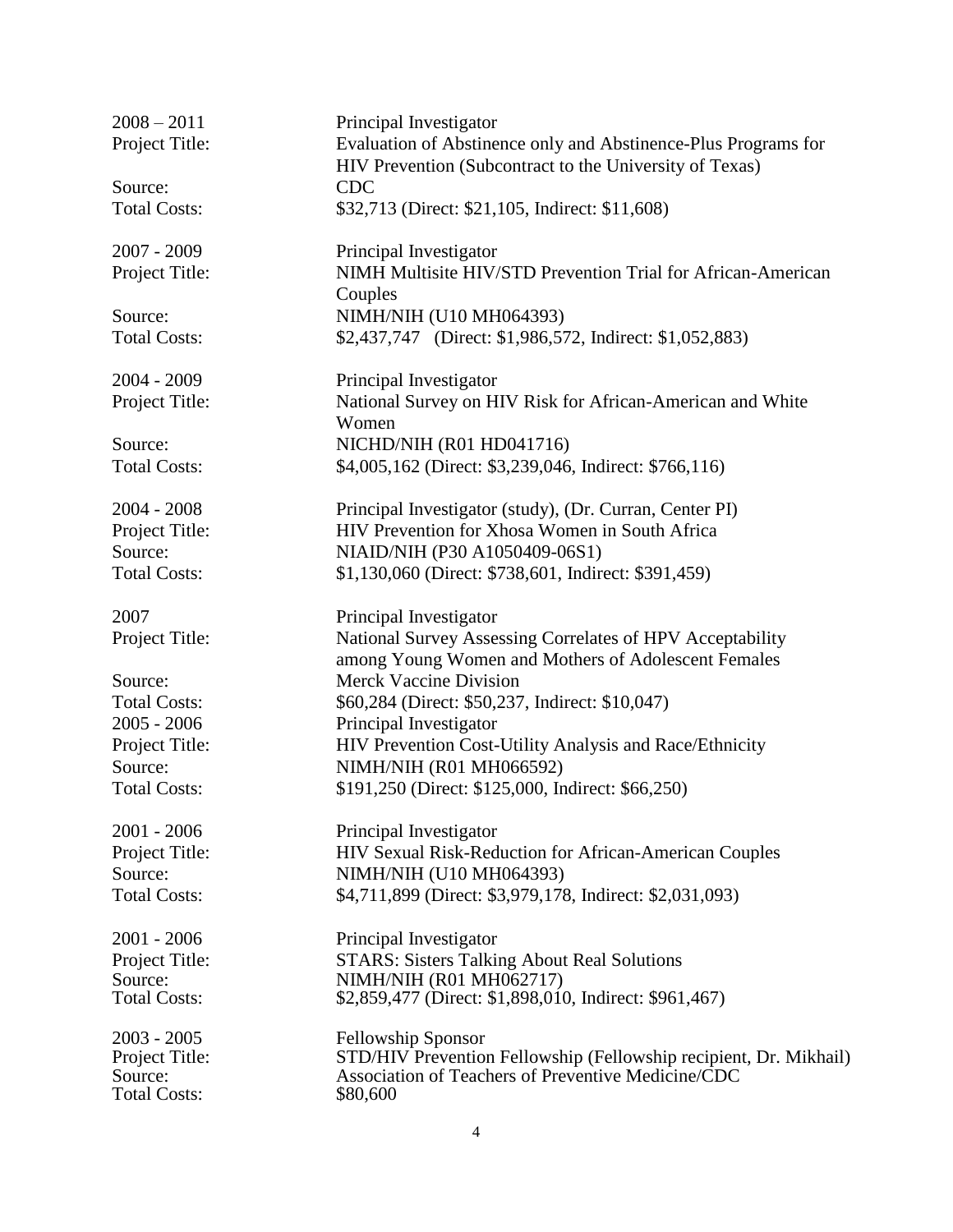| $2008 - 2011$             | Principal Investigator                                                                                                  |
|---------------------------|-------------------------------------------------------------------------------------------------------------------------|
| Project Title:            | Evaluation of Abstinence only and Abstinence-Plus Programs for                                                          |
|                           | HIV Prevention (Subcontract to the University of Texas)                                                                 |
| Source:                   | <b>CDC</b>                                                                                                              |
| <b>Total Costs:</b>       | \$32,713 (Direct: \$21,105, Indirect: \$11,608)                                                                         |
| $2007 - 2009$             | Principal Investigator                                                                                                  |
| Project Title:            | NIMH Multisite HIV/STD Prevention Trial for African-American<br>Couples                                                 |
| Source:                   | NIMH/NIH (U10 MH064393)                                                                                                 |
| <b>Total Costs:</b>       | \$2,437,747 (Direct: \$1,986,572, Indirect: \$1,052,883)                                                                |
| 2004 - 2009               | Principal Investigator                                                                                                  |
| Project Title:            | National Survey on HIV Risk for African-American and White                                                              |
|                           | Women                                                                                                                   |
| Source:                   | NICHD/NIH (R01 HD041716)                                                                                                |
| <b>Total Costs:</b>       | \$4,005,162 (Direct: \$3,239,046, Indirect: \$766,116)                                                                  |
| $2004 - 2008$             | Principal Investigator (study), (Dr. Curran, Center PI)                                                                 |
| Project Title:            | HIV Prevention for Xhosa Women in South Africa                                                                          |
| Source:                   | NIAID/NIH (P30 A1050409-06S1)                                                                                           |
| <b>Total Costs:</b>       | \$1,130,060 (Direct: \$738,601, Indirect: \$391,459)                                                                    |
| 2007                      | Principal Investigator                                                                                                  |
| Project Title:            | National Survey Assessing Correlates of HPV Acceptability<br>among Young Women and Mothers of Adolescent Females        |
| Source:                   | <b>Merck Vaccine Division</b>                                                                                           |
| <b>Total Costs:</b>       | \$60,284 (Direct: \$50,237, Indirect: \$10,047)                                                                         |
| $2005 - 2006$             | Principal Investigator                                                                                                  |
| Project Title:            | HIV Prevention Cost-Utility Analysis and Race/Ethnicity                                                                 |
| Source:                   | NIMH/NIH (R01 MH066592)                                                                                                 |
| <b>Total Costs:</b>       | \$191,250 (Direct: \$125,000, Indirect: \$66,250)                                                                       |
| $2001 - 2006$             | Principal Investigator                                                                                                  |
| Project Title:            | HIV Sexual Risk-Reduction for African-American Couples                                                                  |
| Source:                   | NIMH/NIH (U10 MH064393)                                                                                                 |
| <b>Total Costs:</b>       | \$4,711,899 (Direct: \$3,979,178, Indirect: \$2,031,093)                                                                |
| $2001 - 2006$             | Principal Investigator                                                                                                  |
| Project Title:            | <b>STARS: Sisters Talking About Real Solutions</b>                                                                      |
| Source:                   | NIMH/NIH (R01 MH062717)                                                                                                 |
| <b>Total Costs:</b>       | \$2,859,477 (Direct: \$1,898,010, Indirect: \$961,467)                                                                  |
| $2003 - 2005$             | Fellowship Sponsor                                                                                                      |
| Project Title:<br>Source: | STD/HIV Prevention Fellowship (Fellowship recipient, Dr. Mikhail)<br>Association of Teachers of Preventive Medicine/CDC |
| <b>Total Costs:</b>       | \$80,600                                                                                                                |
|                           |                                                                                                                         |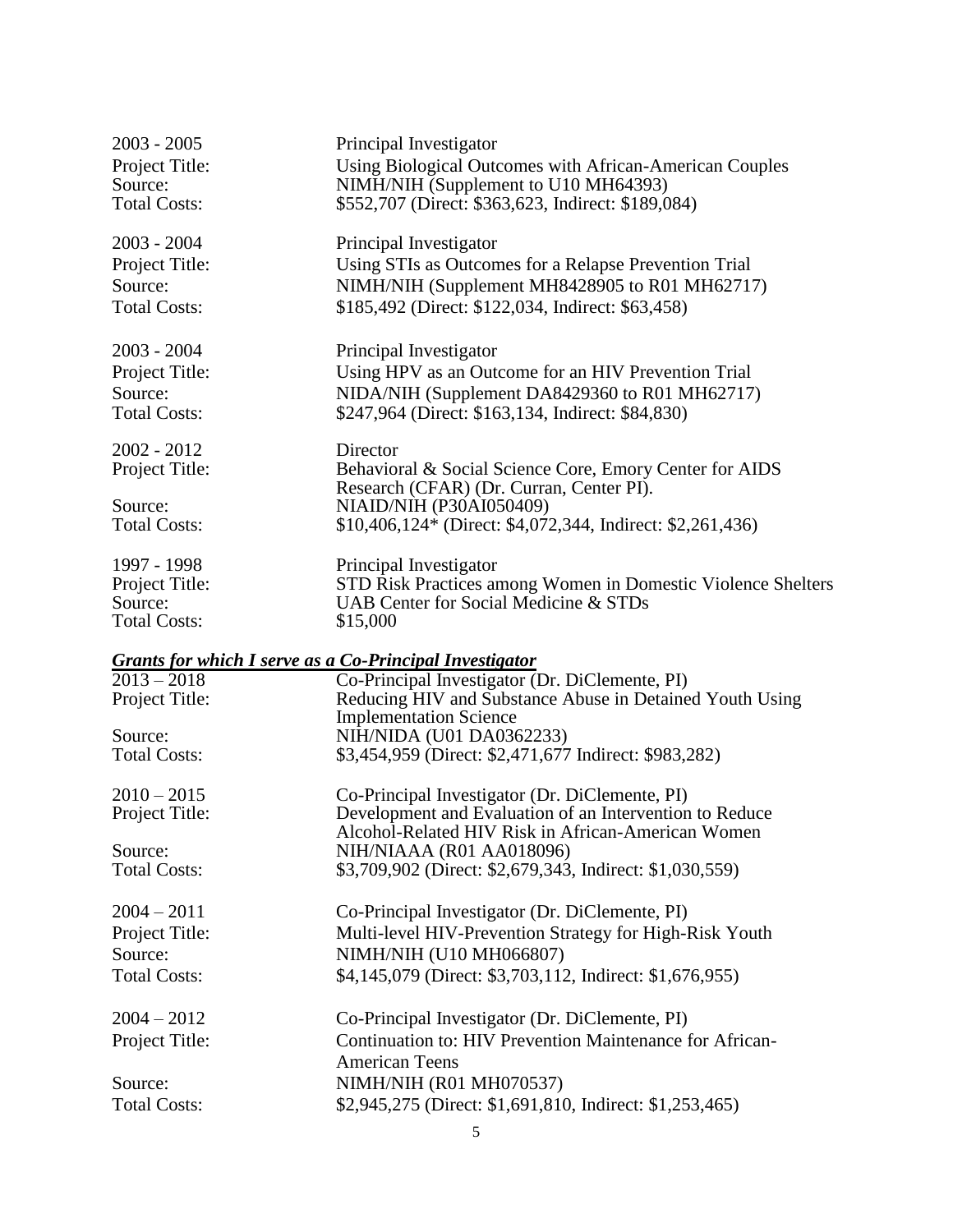| $2003 - 2005$<br>Project Title:<br>Source: | Principal Investigator<br>Using Biological Outcomes with African-American Couples<br>NIMH/NIH (Supplement to U10 MH64393) |
|--------------------------------------------|---------------------------------------------------------------------------------------------------------------------------|
| <b>Total Costs:</b>                        | \$552,707 (Direct: \$363,623, Indirect: \$189,084)                                                                        |
| $2003 - 2004$                              | Principal Investigator                                                                                                    |
| Project Title:                             | Using STIs as Outcomes for a Relapse Prevention Trial                                                                     |
| Source:                                    | NIMH/NIH (Supplement MH8428905 to R01 MH62717)                                                                            |
| <b>Total Costs:</b>                        | \$185,492 (Direct: \$122,034, Indirect: \$63,458)                                                                         |
| $2003 - 2004$                              | Principal Investigator                                                                                                    |
| Project Title:                             | Using HPV as an Outcome for an HIV Prevention Trial                                                                       |
| Source:                                    | NIDA/NIH (Supplement DA8429360 to R01 MH62717)                                                                            |
| <b>Total Costs:</b>                        | \$247,964 (Direct: \$163,134, Indirect: \$84,830)                                                                         |
| 2002 - 2012                                | Director                                                                                                                  |
| Project Title:                             | Behavioral & Social Science Core, Emory Center for AIDS<br>Research (CFAR) (Dr. Curran, Center PI).                       |
| Source:                                    | NIAID/NIH (P30AI050409)                                                                                                   |
| <b>Total Costs:</b>                        | \$10,406,124* (Direct: \$4,072,344, Indirect: \$2,261,436)                                                                |
| 1997 - 1998                                | Principal Investigator                                                                                                    |
| Project Title:                             | STD Risk Practices among Women in Domestic Violence Shelters                                                              |
| Source:                                    | UAB Center for Social Medicine & STDs                                                                                     |
| <b>Total Costs:</b>                        | \$15,000                                                                                                                  |
|                                            | <b>Grants for which I serve as a Co-Principal Investigator</b>                                                            |
| $2013 - 2018$                              | Co-Principal Investigator (Dr. DiClemente, PI)                                                                            |
| Project Title:                             | Reducing HIV and Substance Abuse in Detained Youth Using                                                                  |
| Source:                                    | <b>Implementation Science</b><br>NIH/NIDA (U01 DA0362233)                                                                 |
| <b>Total Costs:</b>                        | \$3,454,959 (Direct: \$2,471,677 Indirect: \$983,282)                                                                     |
|                                            |                                                                                                                           |
| $2010 - 2015$                              | Co-Principal Investigator (Dr. DiClemente, PI)                                                                            |
| Project Title:                             | Development and Evaluation of an Intervention to Reduce<br>Alcohol-Related HIV Risk in African-American Women             |
| Source:                                    | NIH/NIAAA (R01 AA018096)                                                                                                  |
| <b>Total Costs:</b>                        | \$3,709,902 (Direct: \$2,679,343, Indirect: \$1,030,559)                                                                  |
| $2004 - 2011$                              | Co-Principal Investigator (Dr. DiClemente, PI)                                                                            |
| Project Title:                             | Multi-level HIV-Prevention Strategy for High-Risk Youth                                                                   |
| Source:                                    | NIMH/NIH (U10 MH066807)                                                                                                   |
| <b>Total Costs:</b>                        | \$4,145,079 (Direct: \$3,703,112, Indirect: \$1,676,955)                                                                  |
| $2004 - 2012$                              | Co-Principal Investigator (Dr. DiClemente, PI)                                                                            |
| Project Title:                             | Continuation to: HIV Prevention Maintenance for African-                                                                  |
|                                            | <b>American Teens</b>                                                                                                     |
| Source:                                    | NIMH/NIH (R01 MH070537)                                                                                                   |
| <b>Total Costs:</b>                        | \$2,945,275 (Direct: \$1,691,810, Indirect: \$1,253,465)                                                                  |
|                                            |                                                                                                                           |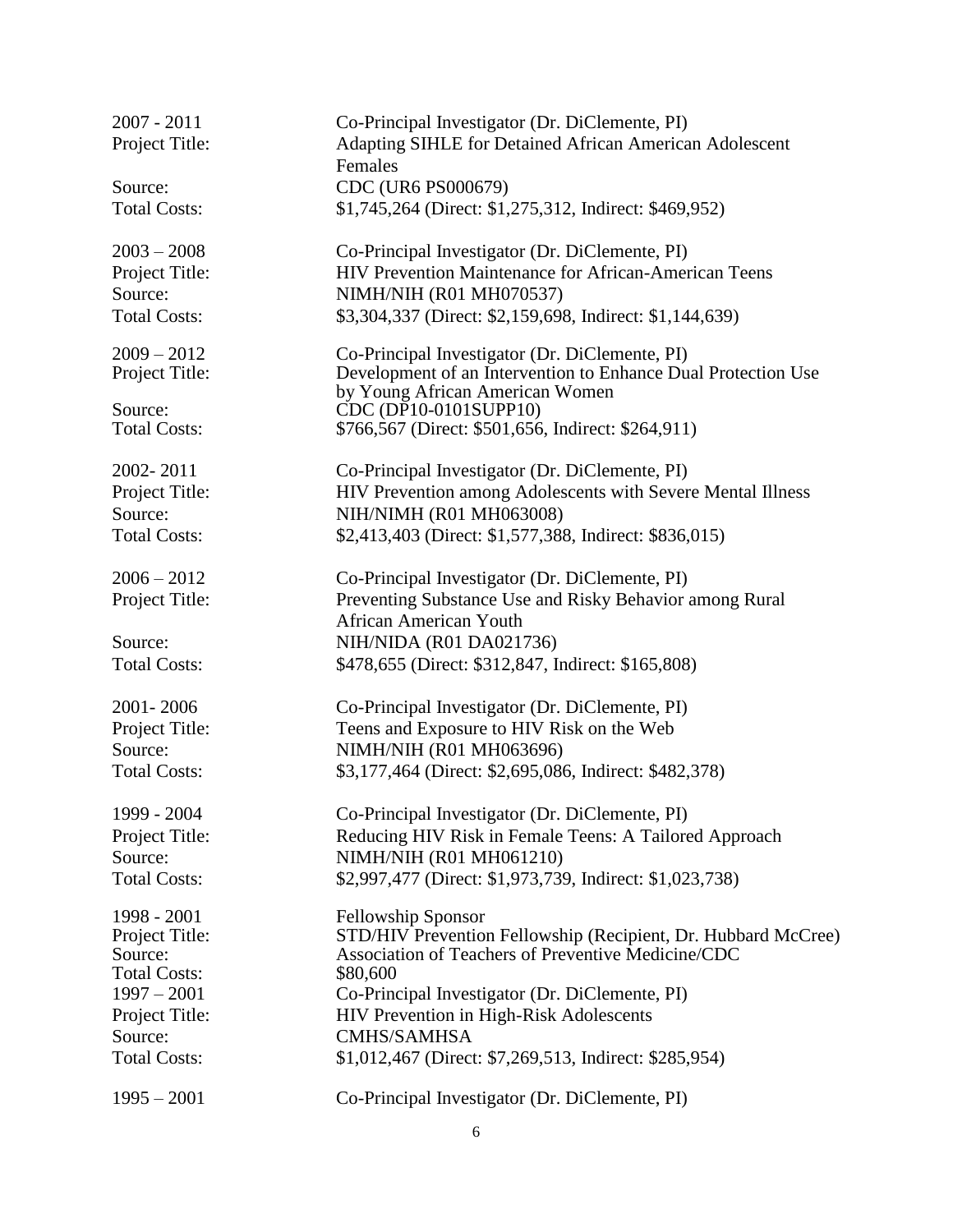| $2007 - 2011$                  | Co-Principal Investigator (Dr. DiClemente, PI)                                                   |
|--------------------------------|--------------------------------------------------------------------------------------------------|
| Project Title:                 | Adapting SIHLE for Detained African American Adolescent<br>Females                               |
| Source:                        | CDC (UR6 PS000679)                                                                               |
| <b>Total Costs:</b>            | \$1,745,264 (Direct: \$1,275,312, Indirect: \$469,952)                                           |
| $2003 - 2008$                  | Co-Principal Investigator (Dr. DiClemente, PI)                                                   |
| Project Title:                 | HIV Prevention Maintenance for African-American Teens                                            |
| Source:                        | NIMH/NIH (R01 MH070537)                                                                          |
| <b>Total Costs:</b>            | \$3,304,337 (Direct: \$2,159,698, Indirect: \$1,144,639)                                         |
| $2009 - 2012$                  | Co-Principal Investigator (Dr. DiClemente, PI)                                                   |
| Project Title:                 | Development of an Intervention to Enhance Dual Protection Use<br>by Young African American Women |
| Source:                        | CDC (DP10-0101SUPP10)                                                                            |
| <b>Total Costs:</b>            | \$766,567 (Direct: \$501,656, Indirect: \$264,911)                                               |
| 2002-2011                      | Co-Principal Investigator (Dr. DiClemente, PI)                                                   |
| Project Title:                 | HIV Prevention among Adolescents with Severe Mental Illness                                      |
| Source:                        | NIH/NIMH (R01 MH063008)                                                                          |
| <b>Total Costs:</b>            | \$2,413,403 (Direct: \$1,577,388, Indirect: \$836,015)                                           |
| $2006 - 2012$                  | Co-Principal Investigator (Dr. DiClemente, PI)                                                   |
| Project Title:                 | Preventing Substance Use and Risky Behavior among Rural<br><b>African American Youth</b>         |
| Source:                        | NIH/NIDA (R01 DA021736)                                                                          |
| <b>Total Costs:</b>            | \$478,655 (Direct: \$312,847, Indirect: \$165,808)                                               |
| 2001-2006                      | Co-Principal Investigator (Dr. DiClemente, PI)                                                   |
| Project Title:                 | Teens and Exposure to HIV Risk on the Web                                                        |
| Source:                        | NIMH/NIH (R01 MH063696)                                                                          |
| <b>Total Costs:</b>            | \$3,177,464 (Direct: \$2,695,086, Indirect: \$482,378)                                           |
| 1999 - 2004                    | Co-Principal Investigator (Dr. DiClemente, PI)                                                   |
| Project Title:                 | Reducing HIV Risk in Female Teens: A Tailored Approach                                           |
| Source:                        | NIMH/NIH (R01 MH061210)                                                                          |
| <b>Total Costs:</b>            | \$2,997,477 (Direct: \$1,973,739, Indirect: \$1,023,738)                                         |
| 1998 - 2001                    | <b>Fellowship Sponsor</b>                                                                        |
| Project Title:                 | STD/HIV Prevention Fellowship (Recipient, Dr. Hubbard McCree)                                    |
| Source:<br><b>Total Costs:</b> | Association of Teachers of Preventive Medicine/CDC<br>\$80,600                                   |
| $1997 - 2001$                  | Co-Principal Investigator (Dr. DiClemente, PI)                                                   |
| Project Title:                 | HIV Prevention in High-Risk Adolescents                                                          |
| Source:                        | <b>CMHS/SAMHSA</b>                                                                               |
| <b>Total Costs:</b>            | \$1,012,467 (Direct: \$7,269,513, Indirect: \$285,954)                                           |
| $1995 - 2001$                  | Co-Principal Investigator (Dr. DiClemente, PI)                                                   |
|                                |                                                                                                  |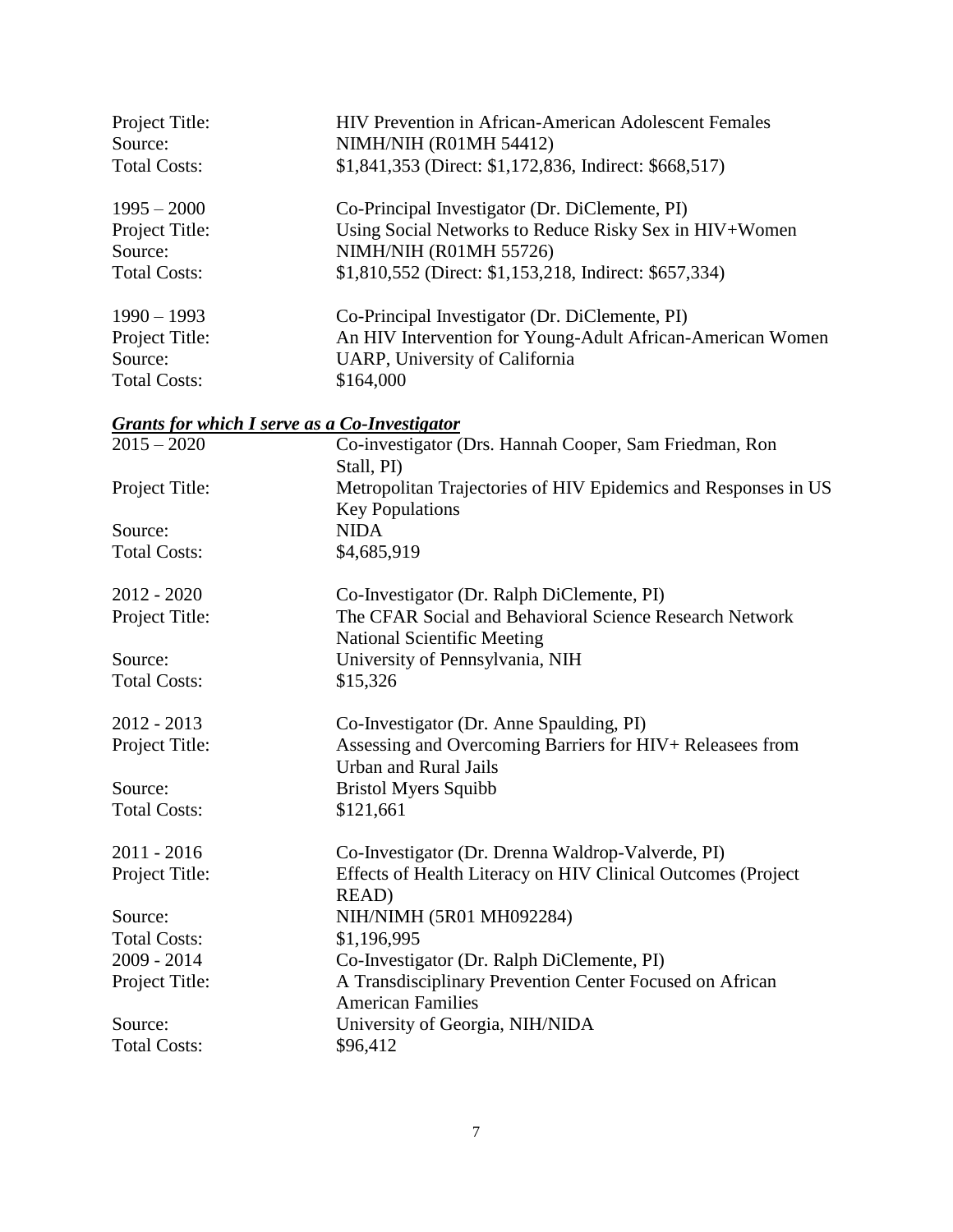| Project Title:<br>Source: | <b>HIV Prevention in African-American Adolescent Females</b><br>NIMH/NIH (R01MH 54412)        |
|---------------------------|-----------------------------------------------------------------------------------------------|
| <b>Total Costs:</b>       | \$1,841,353 (Direct: \$1,172,836, Indirect: \$668,517)                                        |
| $1995 - 2000$             | Co-Principal Investigator (Dr. DiClemente, PI)                                                |
| Project Title:            | Using Social Networks to Reduce Risky Sex in HIV+Women                                        |
| Source:                   | NIMH/NIH (R01MH 55726)                                                                        |
| <b>Total Costs:</b>       | \$1,810,552 (Direct: \$1,153,218, Indirect: \$657,334)                                        |
| $1990 - 1993$             | Co-Principal Investigator (Dr. DiClemente, PI)                                                |
| Project Title:            | An HIV Intervention for Young-Adult African-American Women                                    |
| Source:                   | UARP, University of California                                                                |
| <b>Total Costs:</b>       | \$164,000                                                                                     |
|                           | <b>Grants for which I serve as a Co-Investigator</b>                                          |
| $2015 - 2020$             | Co-investigator (Drs. Hannah Cooper, Sam Friedman, Ron                                        |
|                           | Stall, PI)                                                                                    |
| Project Title:            | Metropolitan Trajectories of HIV Epidemics and Responses in US<br><b>Key Populations</b>      |
| Source:                   | <b>NIDA</b>                                                                                   |
| <b>Total Costs:</b>       | \$4,685,919                                                                                   |
| $2012 - 2020$             | Co-Investigator (Dr. Ralph DiClemente, PI)                                                    |
| Project Title:            | The CFAR Social and Behavioral Science Research Network<br><b>National Scientific Meeting</b> |
| Source:                   | University of Pennsylvania, NIH                                                               |
| <b>Total Costs:</b>       | \$15,326                                                                                      |
| 2012 - 2013               | Co-Investigator (Dr. Anne Spaulding, PI)                                                      |
| Project Title:            | Assessing and Overcoming Barriers for HIV+ Releasees from<br><b>Urban and Rural Jails</b>     |
| Source:                   | <b>Bristol Myers Squibb</b>                                                                   |
| <b>Total Costs:</b>       | \$121,661                                                                                     |
| 2011 - 2016               | Co-Investigator (Dr. Drenna Waldrop-Valverde, PI)                                             |
| Project Title:            | Effects of Health Literacy on HIV Clinical Outcomes (Project<br>READ)                         |
| Source:                   | NIH/NIMH (5R01 MH092284)                                                                      |
| <b>Total Costs:</b>       | \$1,196,995                                                                                   |
| 2009 - 2014               | Co-Investigator (Dr. Ralph DiClemente, PI)                                                    |
| Project Title:            | A Transdisciplinary Prevention Center Focused on African<br><b>American Families</b>          |
| Source:                   | University of Georgia, NIH/NIDA                                                               |
| <b>Total Costs:</b>       | \$96,412                                                                                      |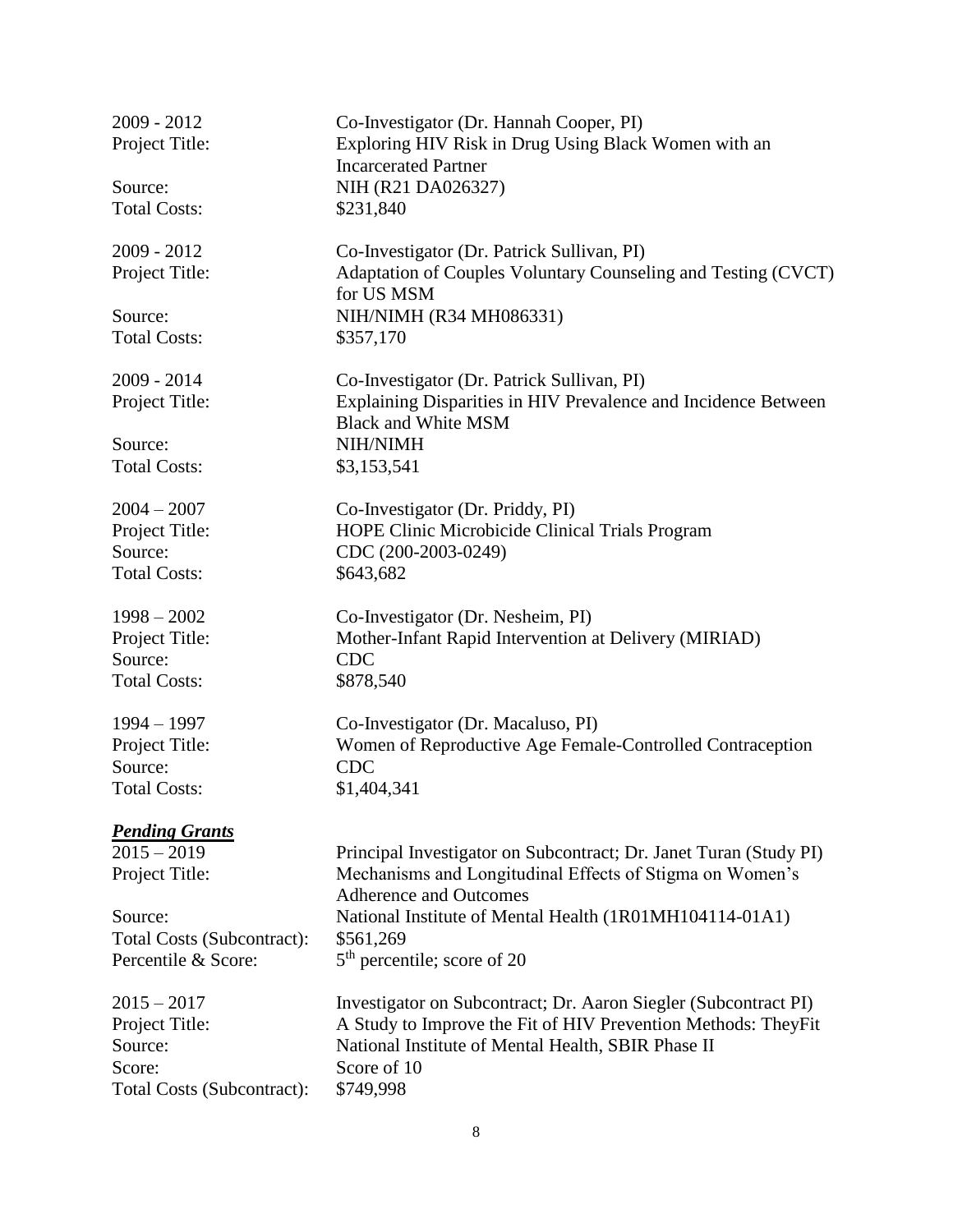| 2009 - 2012                | Co-Investigator (Dr. Hannah Cooper, PI)                                                   |
|----------------------------|-------------------------------------------------------------------------------------------|
| Project Title:             | Exploring HIV Risk in Drug Using Black Women with an                                      |
|                            | <b>Incarcerated Partner</b>                                                               |
| Source:                    | NIH (R21 DA026327)                                                                        |
| <b>Total Costs:</b>        | \$231,840                                                                                 |
| 2009 - 2012                | Co-Investigator (Dr. Patrick Sullivan, PI)                                                |
| Project Title:             | Adaptation of Couples Voluntary Counseling and Testing (CVCT)                             |
|                            | for US MSM                                                                                |
| Source:                    | NIH/NIMH (R34 MH086331)                                                                   |
| <b>Total Costs:</b>        | \$357,170                                                                                 |
| 2009 - 2014                | Co-Investigator (Dr. Patrick Sullivan, PI)                                                |
| Project Title:             | Explaining Disparities in HIV Prevalence and Incidence Between                            |
|                            | <b>Black and White MSM</b>                                                                |
| Source:                    | NIH/NIMH                                                                                  |
| <b>Total Costs:</b>        | \$3,153,541                                                                               |
| $2004 - 2007$              | Co-Investigator (Dr. Priddy, PI)                                                          |
| Project Title:             | HOPE Clinic Microbicide Clinical Trials Program                                           |
| Source:                    | CDC (200-2003-0249)                                                                       |
| <b>Total Costs:</b>        | \$643,682                                                                                 |
| $1998 - 2002$              | Co-Investigator (Dr. Nesheim, PI)                                                         |
| Project Title:             | Mother-Infant Rapid Intervention at Delivery (MIRIAD)                                     |
| Source:                    | <b>CDC</b>                                                                                |
| <b>Total Costs:</b>        | \$878,540                                                                                 |
| $1994 - 1997$              | Co-Investigator (Dr. Macaluso, PI)                                                        |
| Project Title:             | Women of Reproductive Age Female-Controlled Contraception                                 |
| Source:                    | <b>CDC</b>                                                                                |
| <b>Total Costs:</b>        | \$1,404,341                                                                               |
| <b>Pending Grants</b>      |                                                                                           |
| $2015 - 2019$              | Principal Investigator on Subcontract; Dr. Janet Turan (Study PI)                         |
| Project Title:             | Mechanisms and Longitudinal Effects of Stigma on Women's<br><b>Adherence and Outcomes</b> |
| Source:                    | National Institute of Mental Health (1R01MH104114-01A1)                                   |
| Total Costs (Subcontract): | \$561,269                                                                                 |
| Percentile & Score:        | $5th$ percentile; score of 20                                                             |
| $2015 - 2017$              | Investigator on Subcontract; Dr. Aaron Siegler (Subcontract PI)                           |
| Project Title:             | A Study to Improve the Fit of HIV Prevention Methods: TheyFit                             |
| Source:                    | National Institute of Mental Health, SBIR Phase II                                        |
| Score:                     | Score of 10                                                                               |
| Total Costs (Subcontract): | \$749,998                                                                                 |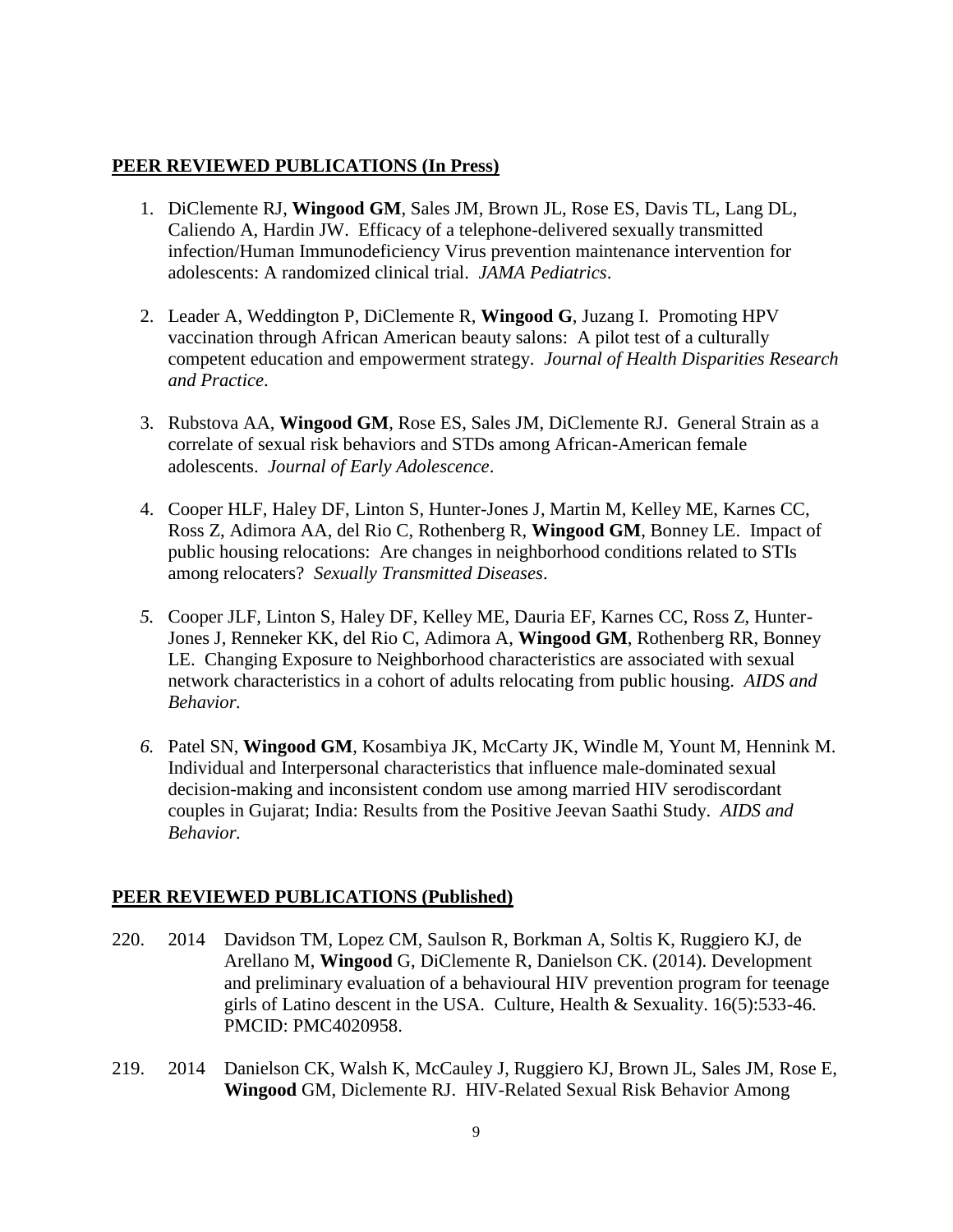#### **PEER REVIEWED PUBLICATIONS (In Press)**

- 1. DiClemente RJ, **Wingood GM**, Sales JM, Brown JL, Rose ES, Davis TL, Lang DL, Caliendo A, Hardin JW. Efficacy of a telephone-delivered sexually transmitted infection/Human Immunodeficiency Virus prevention maintenance intervention for adolescents: A randomized clinical trial. *JAMA Pediatrics*.
- 2. Leader A, Weddington P, DiClemente R, **Wingood G**, Juzang I. Promoting HPV vaccination through African American beauty salons: A pilot test of a culturally competent education and empowerment strategy. *Journal of Health Disparities Research and Practice*.
- 3. Rubstova AA, **Wingood GM**, Rose ES, Sales JM, DiClemente RJ. General Strain as a correlate of sexual risk behaviors and STDs among African-American female adolescents. *Journal of Early Adolescence*.
- 4. Cooper HLF, Haley DF, Linton S, Hunter-Jones J, Martin M, Kelley ME, Karnes CC, Ross Z, Adimora AA, del Rio C, Rothenberg R, **Wingood GM**, Bonney LE. Impact of public housing relocations: Are changes in neighborhood conditions related to STIs among relocaters? *Sexually Transmitted Diseases*.
- *5.* Cooper JLF, Linton S, Haley DF, Kelley ME, Dauria EF, Karnes CC, Ross Z, Hunter-Jones J, Renneker KK, del Rio C, Adimora A, **Wingood GM**, Rothenberg RR, Bonney LE. Changing Exposure to Neighborhood characteristics are associated with sexual network characteristics in a cohort of adults relocating from public housing. *AIDS and Behavior.*
- *6.* Patel SN, **Wingood GM**, Kosambiya JK, McCarty JK, Windle M, Yount M, Hennink M. Individual and Interpersonal characteristics that influence male-dominated sexual decision-making and inconsistent condom use among married HIV serodiscordant couples in Gujarat; India: Results from the Positive Jeevan Saathi Study. *AIDS and Behavior.*

#### **PEER REVIEWED PUBLICATIONS (Published)**

- 220. 2014 Davidson TM, Lopez CM, Saulson R, Borkman A, Soltis K, Ruggiero KJ, de Arellano M, **Wingood** G, DiClemente R, Danielson CK. (2014). Development and preliminary evaluation of a behavioural HIV prevention program for teenage girls of Latino descent in the USA. Culture, Health & Sexuality. 16(5):533-46. PMCID: PMC4020958.
- 219. 2014 Danielson CK, Walsh K, McCauley J, Ruggiero KJ, Brown JL, Sales JM, Rose E, **Wingood** GM, Diclemente RJ. HIV-Related Sexual Risk Behavior Among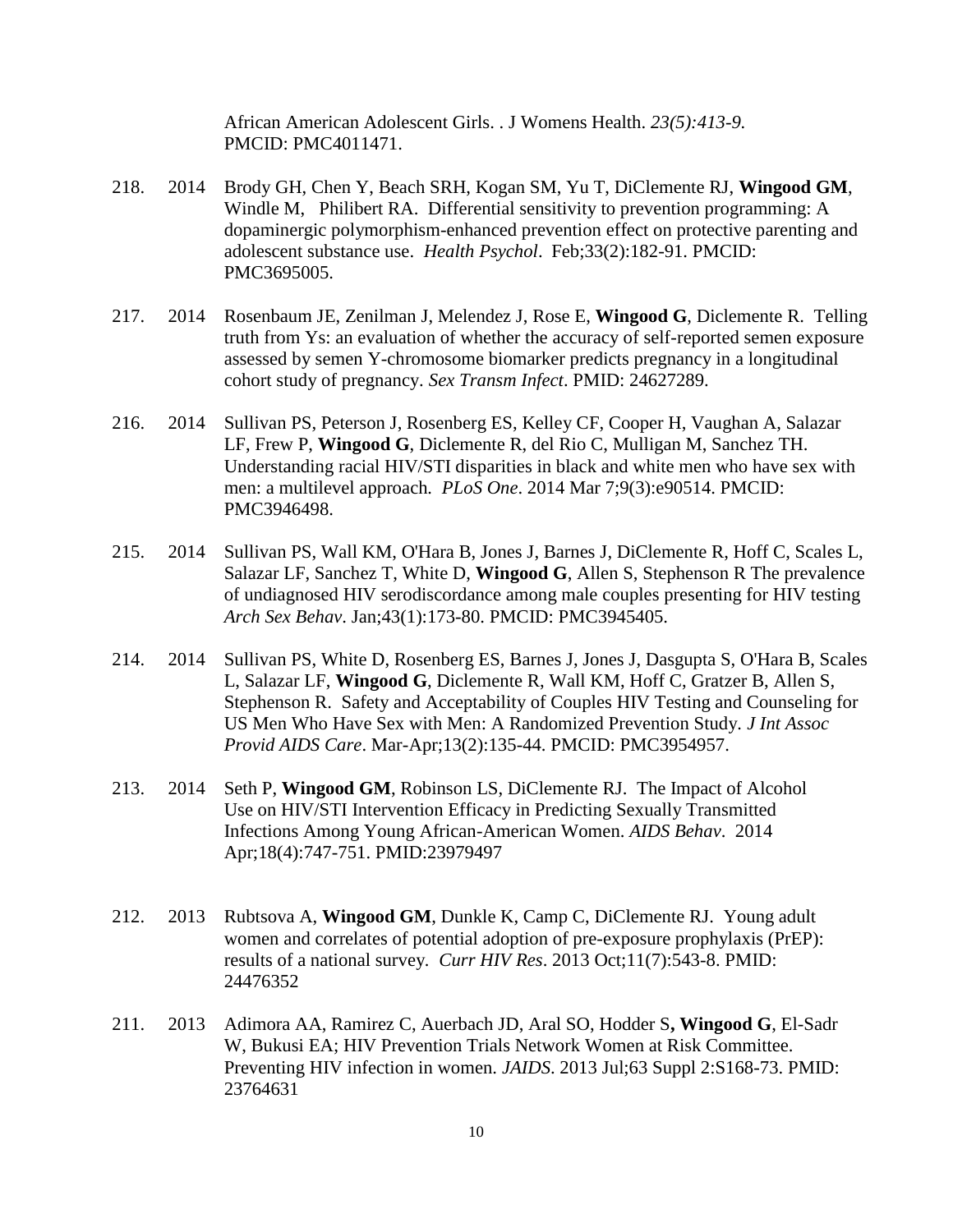African American Adolescent Girls. . J Womens Health. *23(5):413-9.*  PMCID: PMC4011471.

- 218. 2014 Brody GH, Chen Y, Beach SRH, Kogan SM, Yu T, DiClemente RJ, **Wingood GM**, Windle M, Philibert RA. Differential sensitivity to prevention programming: A dopaminergic polymorphism-enhanced prevention effect on protective parenting and adolescent substance use. *Health Psychol*. Feb;33(2):182-91. PMCID: PMC3695005.
- 217. 2014 Rosenbaum JE, Zenilman J, Melendez J, Rose E, **Wingood G**, Diclemente R. Telling truth from Ys: an evaluation of whether the accuracy of self-reported semen exposure assessed by semen Y-chromosome biomarker predicts pregnancy in a longitudinal cohort study of pregnancy. *Sex Transm Infect*. PMID: 24627289.
- 216. 2014 Sullivan PS, Peterson J, Rosenberg ES, Kelley CF, Cooper H, Vaughan A, Salazar LF, Frew P, **Wingood G**, Diclemente R, del Rio C, Mulligan M, Sanchez TH. Understanding racial HIV/STI disparities in black and white men who have sex with men: a multilevel approach*. PLoS One*. 2014 Mar 7;9(3):e90514. PMCID: PMC3946498.
- 215. 2014 Sullivan PS, Wall KM, O'Hara B, Jones J, Barnes J, DiClemente R, Hoff C, Scales L, Salazar LF, Sanchez T, White D, **Wingood G**, Allen S, Stephenson R The prevalence of undiagnosed HIV serodiscordance among male couples presenting for HIV testing *Arch Sex Behav*. Jan;43(1):173-80. PMCID: PMC3945405.
- 214. 2014 Sullivan PS, White D, Rosenberg ES, Barnes J, Jones J, Dasgupta S, O'Hara B, Scales L, Salazar LF, **Wingood G**, Diclemente R, Wall KM, Hoff C, Gratzer B, Allen S, Stephenson R. Safety and Acceptability of Couples HIV Testing and Counseling for US Men Who Have Sex with Men: A Randomized Prevention Study*. J Int Assoc Provid AIDS Care*. Mar-Apr;13(2):135-44. PMCID: PMC3954957.
- 213. 2014 Seth P, **Wingood GM**, Robinson LS, DiClemente RJ. The Impact of Alcohol Use on HIV/STI Intervention Efficacy in Predicting Sexually Transmitted Infections Among Young African-American Women. *AIDS Behav*. 2014 Apr;18(4):747-751. PMID:23979497
- 212. 2013 Rubtsova A, **Wingood GM**, Dunkle K, Camp C, DiClemente RJ. Young adult women and correlates of potential adoption of pre-exposure prophylaxis (PrEP): results of a national survey*. Curr HIV Res*. 2013 Oct;11(7):543-8. PMID: 24476352
- 211. 2013 Adimora AA, Ramirez C, Auerbach JD, Aral SO, Hodder S**, Wingood G**, El-Sadr W, Bukusi EA; HIV Prevention Trials Network Women at Risk Committee. Preventing HIV infection in women. *JAIDS*. 2013 Jul;63 Suppl 2:S168-73. PMID: 23764631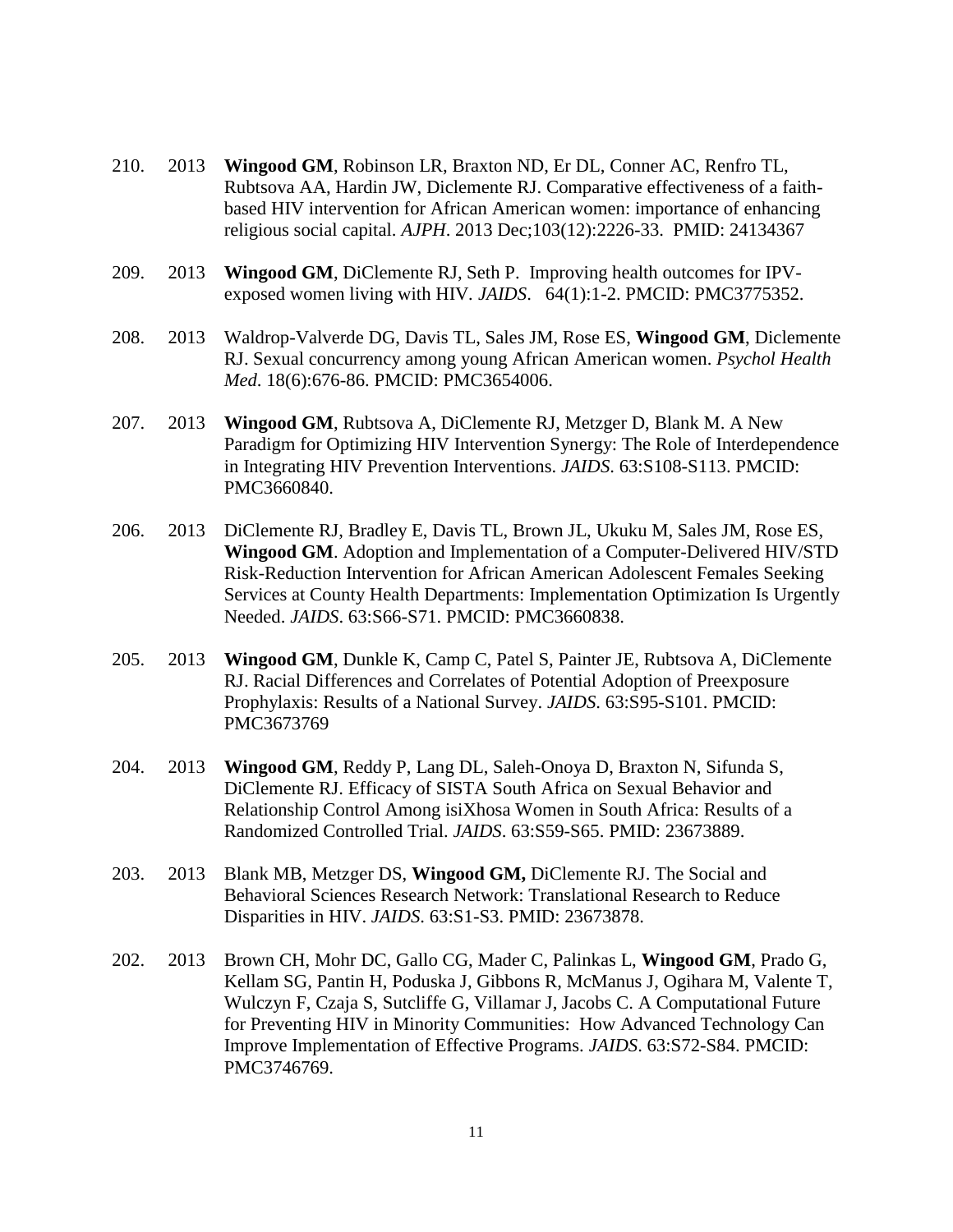- 210. 2013 **Wingood GM**, Robinson LR, Braxton ND, Er DL, Conner AC, Renfro TL, Rubtsova AA, Hardin JW, Diclemente RJ. Comparative effectiveness of a faithbased HIV intervention for African American women: importance of enhancing religious social capital. *AJPH*. 2013 Dec;103(12):2226-33. PMID: 24134367
- 209. 2013 **Wingood GM**, DiClemente RJ, Seth P. Improving health outcomes for IPVexposed women living with HIV*. JAIDS*. 64(1):1-2. PMCID: PMC3775352.
- 208. 2013 Waldrop-Valverde DG, Davis TL, Sales JM, Rose ES, **Wingood GM**, Diclemente RJ. Sexual concurrency among young African American women. *Psychol Health Med*. 18(6):676-86. PMCID: PMC3654006.
- 207. 2013 **Wingood GM**, Rubtsova A, DiClemente RJ, Metzger D, Blank M. A New Paradigm for Optimizing HIV Intervention Synergy: The Role of Interdependence in Integrating HIV Prevention Interventions. *JAIDS*. 63:S108-S113. PMCID: PMC3660840.
- 206. 2013 DiClemente RJ, Bradley E, Davis TL, Brown JL, Ukuku M, Sales JM, Rose ES, **Wingood GM**. Adoption and Implementation of a Computer-Delivered HIV/STD Risk-Reduction Intervention for African American Adolescent Females Seeking Services at County Health Departments: Implementation Optimization Is Urgently Needed. *JAIDS*. 63:S66-S71. PMCID: PMC3660838.
- 205. 2013 **Wingood GM**, Dunkle K, Camp C, Patel S, Painter JE, Rubtsova A, DiClemente RJ. Racial Differences and Correlates of Potential Adoption of Preexposure Prophylaxis: Results of a National Survey. *JAIDS*. 63:S95-S101. PMCID: PMC3673769
- 204. 2013 **Wingood GM**, Reddy P, Lang DL, Saleh-Onoya D, Braxton N, Sifunda S, DiClemente RJ. Efficacy of SISTA South Africa on Sexual Behavior and Relationship Control Among isiXhosa Women in South Africa: Results of a Randomized Controlled Trial. *JAIDS*. 63:S59-S65. PMID: 23673889.
- 203. 2013 Blank MB, Metzger DS, **Wingood GM,** DiClemente RJ. The Social and Behavioral Sciences Research Network: Translational Research to Reduce Disparities in HIV. *JAIDS*. 63:S1-S3. PMID: 23673878.
- 202. 2013 Brown CH, Mohr DC, Gallo CG, Mader C, Palinkas L, **Wingood GM**, Prado G, Kellam SG, Pantin H, Poduska J, Gibbons R, McManus J, Ogihara M, Valente T, Wulczyn F, Czaja S, Sutcliffe G, Villamar J, Jacobs C. A Computational Future for Preventing HIV in Minority Communities: How Advanced Technology Can Improve Implementation of Effective Programs. *JAIDS*. 63:S72-S84. PMCID: PMC3746769.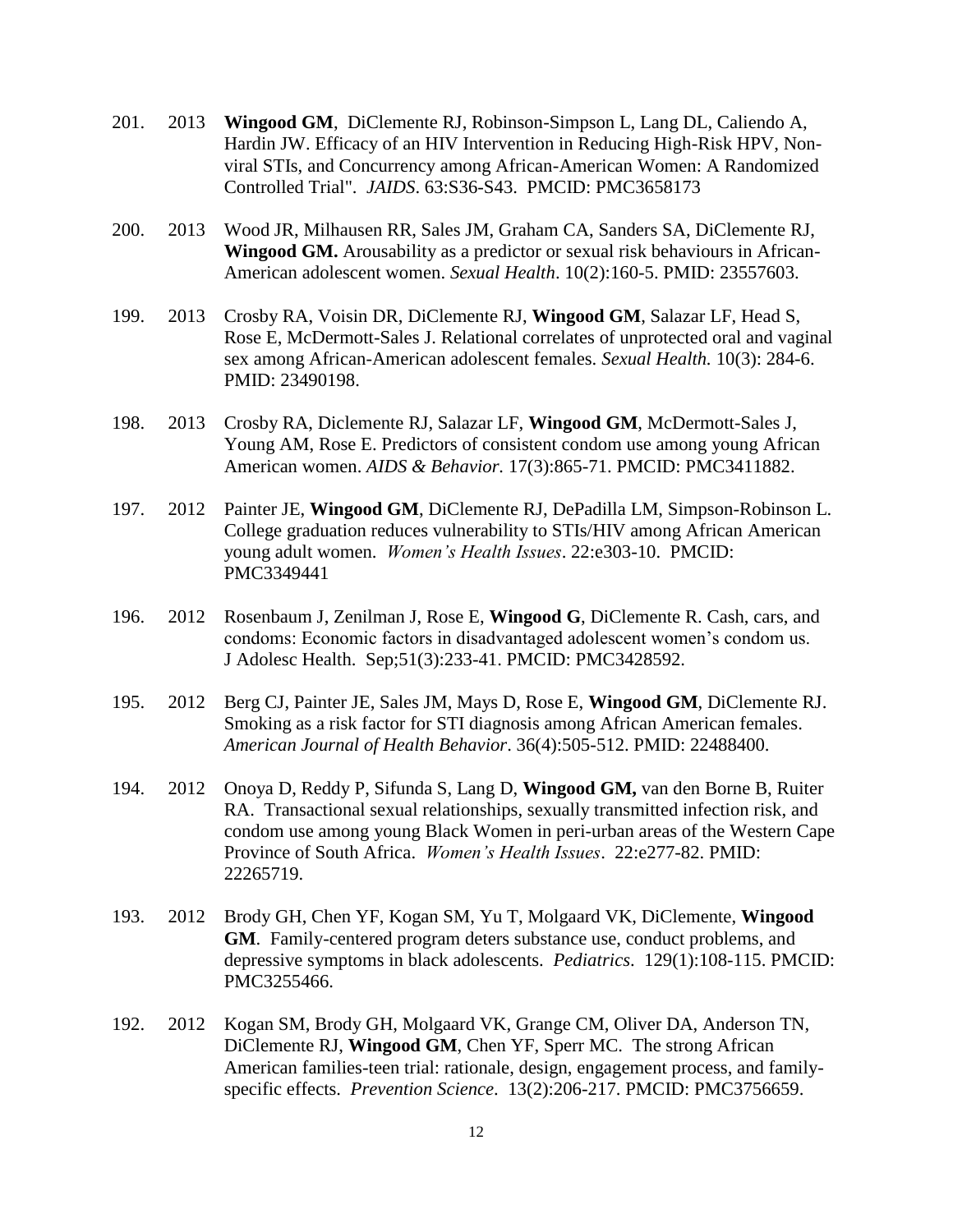- 201. 2013 **Wingood GM**, DiClemente RJ, Robinson-Simpson L, Lang DL, Caliendo A, Hardin JW. Efficacy of an HIV Intervention in Reducing High-Risk HPV, Nonviral STIs, and Concurrency among African-American Women: A Randomized Controlled Trial". *JAIDS*. 63:S36-S43. PMCID: PMC3658173
- 200. 2013 Wood JR, Milhausen RR, Sales JM, Graham CA, Sanders SA, DiClemente RJ, **Wingood GM.** Arousability as a predictor or sexual risk behaviours in African-American adolescent women. *Sexual Health*. 10(2):160-5. PMID: 23557603.
- 199. 2013 Crosby RA, Voisin DR, DiClemente RJ, **Wingood GM**, Salazar LF, Head S, Rose E, McDermott-Sales J. Relational correlates of unprotected oral and vaginal sex among African-American adolescent females. *Sexual Health.* 10(3): 284-6. PMID: 23490198.
- 198. 2013 Crosby RA, Diclemente RJ, Salazar LF, **Wingood GM**, McDermott-Sales J, Young AM, Rose E. Predictors of consistent condom use among young African American women. *AIDS & Behavior.* 17(3):865-71. PMCID: PMC3411882.
- 197. 2012 Painter JE, **Wingood GM**, DiClemente RJ, DePadilla LM, Simpson-Robinson L. College graduation reduces vulnerability to STIs/HIV among African American young adult women. *Women's Health Issues*. 22:e303-10. PMCID: PMC3349441
- 196. 2012 Rosenbaum J, Zenilman J, Rose E, **Wingood G**, DiClemente R. Cash, cars, and condoms: Economic factors in disadvantaged adolescent women's condom us. J Adolesc Health. Sep;51(3):233-41. PMCID: PMC3428592.
- 195. 2012 Berg CJ, Painter JE, Sales JM, Mays D, Rose E, **Wingood GM**, DiClemente RJ. Smoking as a risk factor for STI diagnosis among African American females. *American Journal of Health Behavior*. 36(4):505-512. PMID: 22488400.
- 194. 2012 Onoya D, Reddy P, Sifunda S, Lang D, **Wingood GM,** van den Borne B, Ruiter RA. Transactional sexual relationships, sexually transmitted infection risk, and condom use among young Black Women in peri-urban areas of the Western Cape Province of South Africa. *Women's Health Issues*. 22:e277-82. PMID: 22265719.
- 193. 2012 Brody GH, Chen YF, Kogan SM, Yu T, Molgaard VK, DiClemente, **Wingood GM**. Family-centered program deters substance use, conduct problems, and depressive symptoms in black adolescents. *Pediatrics*. 129(1):108-115. PMCID: PMC3255466.
- 192. 2012 Kogan SM, Brody GH, Molgaard VK, Grange CM, Oliver DA, Anderson TN, DiClemente RJ, **Wingood GM**, Chen YF, Sperr MC. The strong African American families-teen trial: rationale, design, engagement process, and familyspecific effects. *Prevention Science*. 13(2):206-217. PMCID: PMC3756659.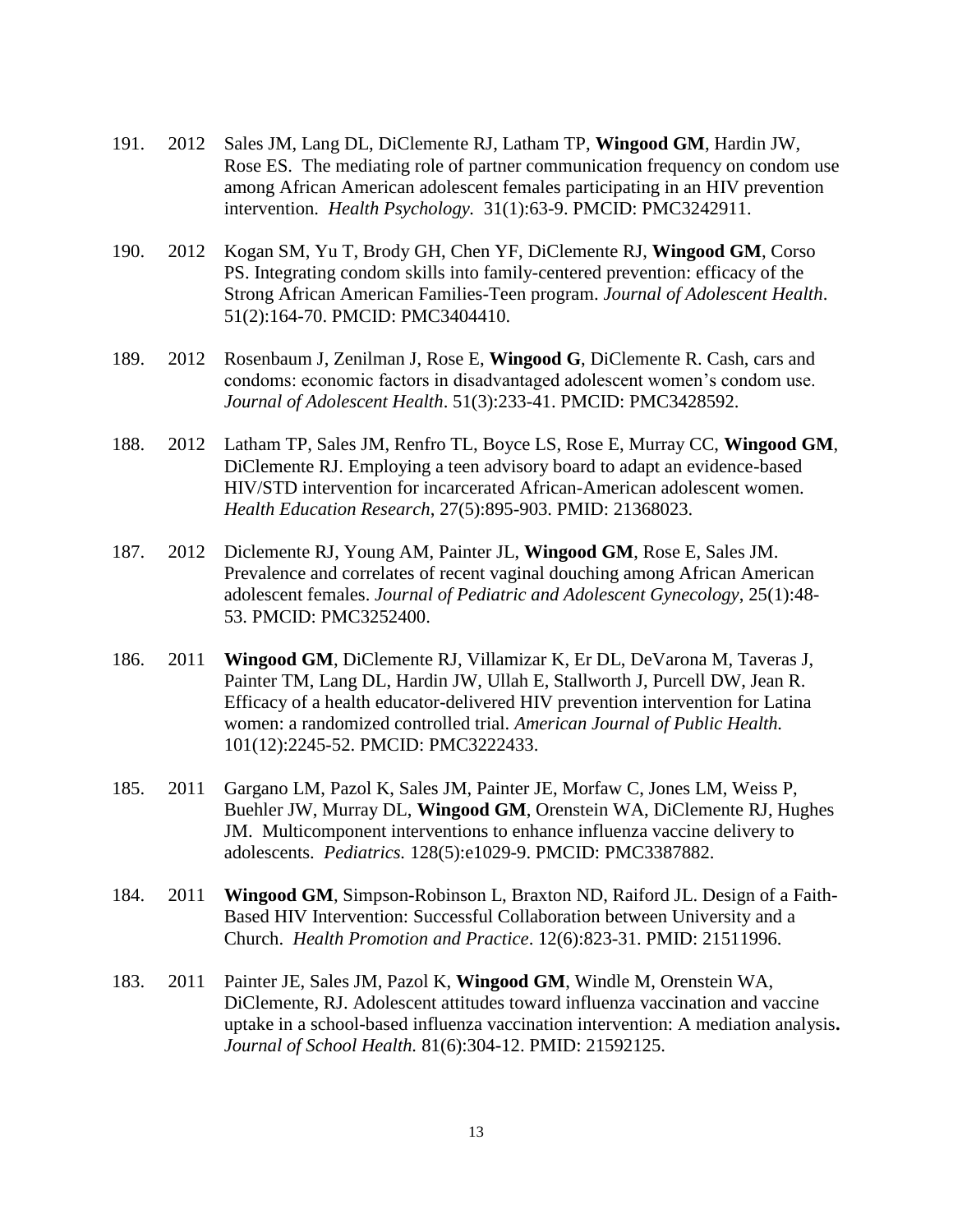- 191. 2012 Sales JM, Lang DL, DiClemente RJ, Latham TP, **Wingood GM**, Hardin JW, Rose ES. The mediating role of partner communication frequency on condom use among African American adolescent females participating in an HIV prevention intervention. *Health Psychology.* 31(1):63-9. PMCID: PMC3242911.
- 190. 2012 Kogan SM, Yu T, Brody GH, Chen YF, DiClemente RJ, **Wingood GM**, Corso PS. Integrating condom skills into family-centered prevention: efficacy of the Strong African American Families-Teen program. *Journal of Adolescent Health*. 51(2):164-70. PMCID: PMC3404410.
- 189. 2012 Rosenbaum J, Zenilman J, Rose E, **Wingood G**, DiClemente R. Cash, cars and condoms: economic factors in disadvantaged adolescent women's condom use. *Journal of Adolescent Health*. 51(3):233-41. PMCID: PMC3428592.
- 188. 2012 Latham TP, Sales JM, Renfro TL, Boyce LS, Rose E, Murray CC, **Wingood GM**, DiClemente RJ. Employing a teen advisory board to adapt an evidence-based HIV/STD intervention for incarcerated African-American adolescent women. *Health Education Research*, 27(5):895-903. PMID: 21368023.
- 187. 2012 Diclemente RJ, Young AM, Painter JL, **Wingood GM**, Rose E, Sales JM. Prevalence and correlates of recent vaginal douching among African American adolescent females. *Journal of Pediatric and Adolescent Gynecology*, 25(1):48- 53. PMCID: PMC3252400.
- 186. 2011 **Wingood GM**, DiClemente RJ, Villamizar K, Er DL, DeVarona M, Taveras J, Painter TM, Lang DL, Hardin JW, Ullah E, Stallworth J, Purcell DW, Jean R. Efficacy of a health educator-delivered HIV prevention intervention for Latina women: a randomized controlled trial. *American Journal of Public Health.* 101(12):2245-52. PMCID: PMC3222433.
- 185. 2011 Gargano LM, Pazol K, Sales JM, Painter JE, Morfaw C, Jones LM, Weiss P, Buehler JW, Murray DL, **Wingood GM**, Orenstein WA, DiClemente RJ, Hughes JM. Multicomponent interventions to enhance influenza vaccine delivery to adolescents. *Pediatrics.* 128(5):e1029-9. PMCID: PMC3387882.
- 184. 2011 **Wingood GM**, Simpson-Robinson L, Braxton ND, Raiford JL. Design of a Faith-Based HIV Intervention: Successful Collaboration between University and a Church. *Health Promotion and Practice*. 12(6):823-31. PMID: 21511996.
- 183. 2011 Painter JE, Sales JM, Pazol K, **Wingood GM**, Windle M, Orenstein WA, DiClemente, RJ. Adolescent attitudes toward influenza vaccination and vaccine uptake in a school-based influenza vaccination intervention: A mediation analysis**.**  *Journal of School Health.* 81(6):304-12. PMID: 21592125.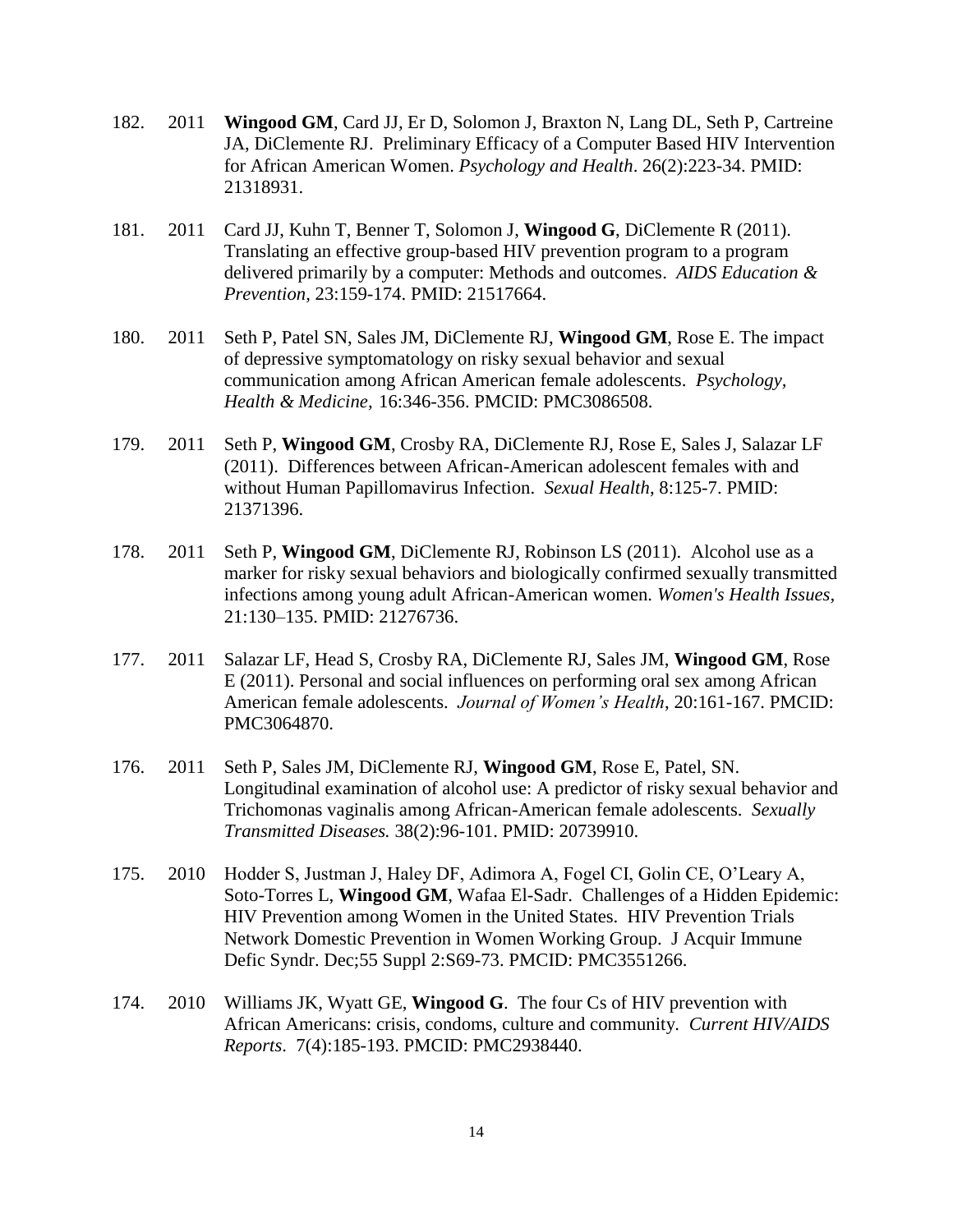- 182. 2011 **Wingood GM**, Card JJ, Er D, Solomon J, Braxton N, Lang DL, Seth P, Cartreine JA, DiClemente RJ. Preliminary Efficacy of a Computer Based HIV Intervention for African American Women. *Psychology and Health*. 26(2):223-34. PMID: 21318931.
- 181. 2011 Card JJ, Kuhn T, Benner T, Solomon J, **Wingood G**, DiClemente R (2011). Translating an effective group-based HIV prevention program to a program delivered primarily by a computer: Methods and outcomes. *AIDS Education & Prevention,* 23:159-174. PMID: 21517664.
- 180. 2011 Seth P, Patel SN, Sales JM, DiClemente RJ, **Wingood GM**, Rose E. The impact of depressive symptomatology on risky sexual behavior and sexual communication among African American female adolescents. *Psychology, Health & Medicine,* 16:346-356. PMCID: PMC3086508.
- 179. 2011 Seth P, **Wingood GM**, Crosby RA, DiClemente RJ, Rose E, Sales J, Salazar LF (2011). Differences between African-American adolescent females with and without Human Papillomavirus Infection. *Sexual Health*, 8:125-7. PMID: 21371396.
- 178. 2011 Seth P, **Wingood GM**, DiClemente RJ, Robinson LS (2011). Alcohol use as a marker for risky sexual behaviors and biologically confirmed sexually transmitted infections among young adult African-American women. *Women's Health Issues,* 21:130–135. PMID: 21276736.
- 177. 2011 Salazar LF, Head S, Crosby RA, DiClemente RJ, Sales JM, **Wingood GM**, Rose E (2011). Personal and social influences on performing oral sex among African American female adolescents. *Journal of Women's Health*, 20:161-167. PMCID: PMC3064870.
- 176. 2011 Seth P, Sales JM, DiClemente RJ, **Wingood GM**, Rose E, Patel, SN. Longitudinal examination of alcohol use: A predictor of risky sexual behavior and Trichomonas vaginalis among African-American female adolescents. *Sexually Transmitted Diseases.* 38(2):96-101. PMID: 20739910.
- 175. 2010 Hodder S, Justman J, Haley DF, Adimora A, Fogel CI, Golin CE, O'Leary A, Soto-Torres L, **Wingood GM**, Wafaa El-Sadr. Challenges of a Hidden Epidemic: HIV Prevention among Women in the United States. HIV Prevention Trials Network Domestic Prevention in Women Working Group. J Acquir Immune Defic Syndr. Dec;55 Suppl 2:S69-73. PMCID: PMC3551266.
- 174. 2010 Williams JK, Wyatt GE, **Wingood G**. The four Cs of HIV prevention with African Americans: crisis, condoms, culture and community. *Current HIV/AIDS Reports*. 7(4):185-193. PMCID: PMC2938440.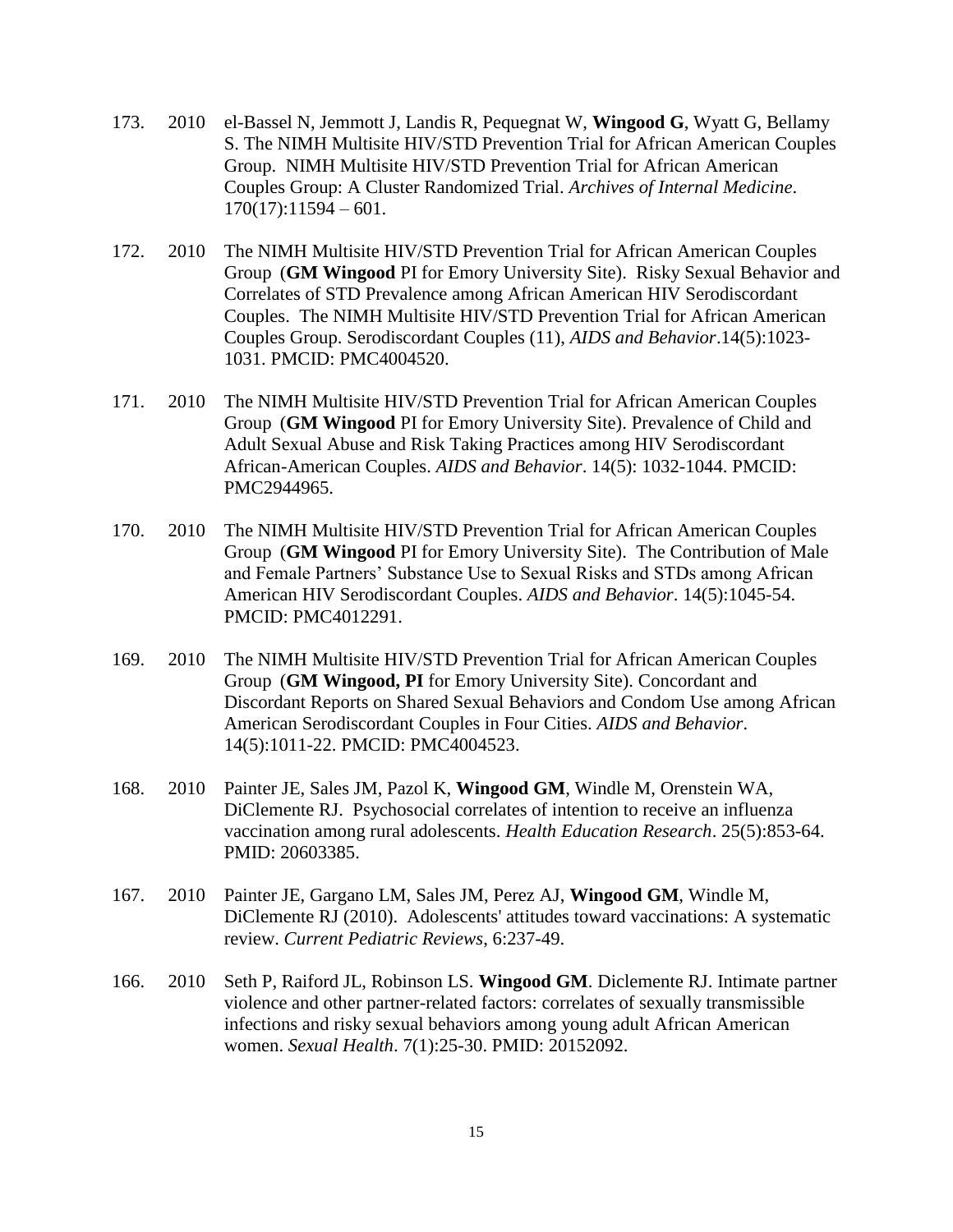- 173. 2010 el-Bassel N, Jemmott J, Landis R, Pequegnat W, **Wingood G**, Wyatt G, Bellamy S. The NIMH Multisite HIV/STD Prevention Trial for African American Couples Group. NIMH Multisite HIV/STD Prevention Trial for African American Couples Group: A Cluster Randomized Trial. *Archives of Internal Medicine*.  $170(17):11594 - 601.$
- 172. 2010 The NIMH Multisite HIV/STD Prevention Trial for African American Couples Group (**GM Wingood** PI for Emory University Site). Risky Sexual Behavior and Correlates of STD Prevalence among African American HIV Serodiscordant Couples. The NIMH Multisite HIV/STD Prevention Trial for African American Couples Group. Serodiscordant Couples (11), *AIDS and Behavior*.14(5):1023- 1031. PMCID: PMC4004520.
- 171. 2010 The NIMH Multisite HIV/STD Prevention Trial for African American Couples Group (**GM Wingood** PI for Emory University Site). Prevalence of Child and Adult Sexual Abuse and Risk Taking Practices among HIV Serodiscordant African-American Couples. *AIDS and Behavior*. 14(5): 1032-1044. PMCID: PMC2944965.
- 170. 2010 The NIMH Multisite HIV/STD Prevention Trial for African American Couples Group (**GM Wingood** PI for Emory University Site). The Contribution of Male and Female Partners' Substance Use to Sexual Risks and STDs among African American HIV Serodiscordant Couples. *AIDS and Behavior*. 14(5):1045-54. PMCID: PMC4012291.
- 169. 2010 The NIMH Multisite HIV/STD Prevention Trial for African American Couples Group (**GM Wingood, PI** for Emory University Site). Concordant and Discordant Reports on Shared Sexual Behaviors and Condom Use among African American Serodiscordant Couples in Four Cities. *AIDS and Behavior*. 14(5):1011-22. PMCID: PMC4004523.
- 168. 2010 Painter JE, Sales JM, Pazol K, **Wingood GM**, Windle M, Orenstein WA, DiClemente RJ. Psychosocial correlates of intention to receive an influenza vaccination among rural adolescents. *Health Education Research*. 25(5):853-64. PMID: 20603385.
- 167. 2010 Painter JE, Gargano LM, Sales JM, Perez AJ, **Wingood GM**, Windle M, DiClemente RJ (2010). Adolescents' attitudes toward vaccinations: A systematic review. *Current Pediatric Reviews*, 6:237-49.
- 166. 2010 Seth P, Raiford JL, Robinson LS. **Wingood GM**. Diclemente RJ. Intimate partner violence and other partner-related factors: correlates of sexually transmissible infections and risky sexual behaviors among young adult African American women. *Sexual Health*. 7(1):25-30. PMID: 20152092.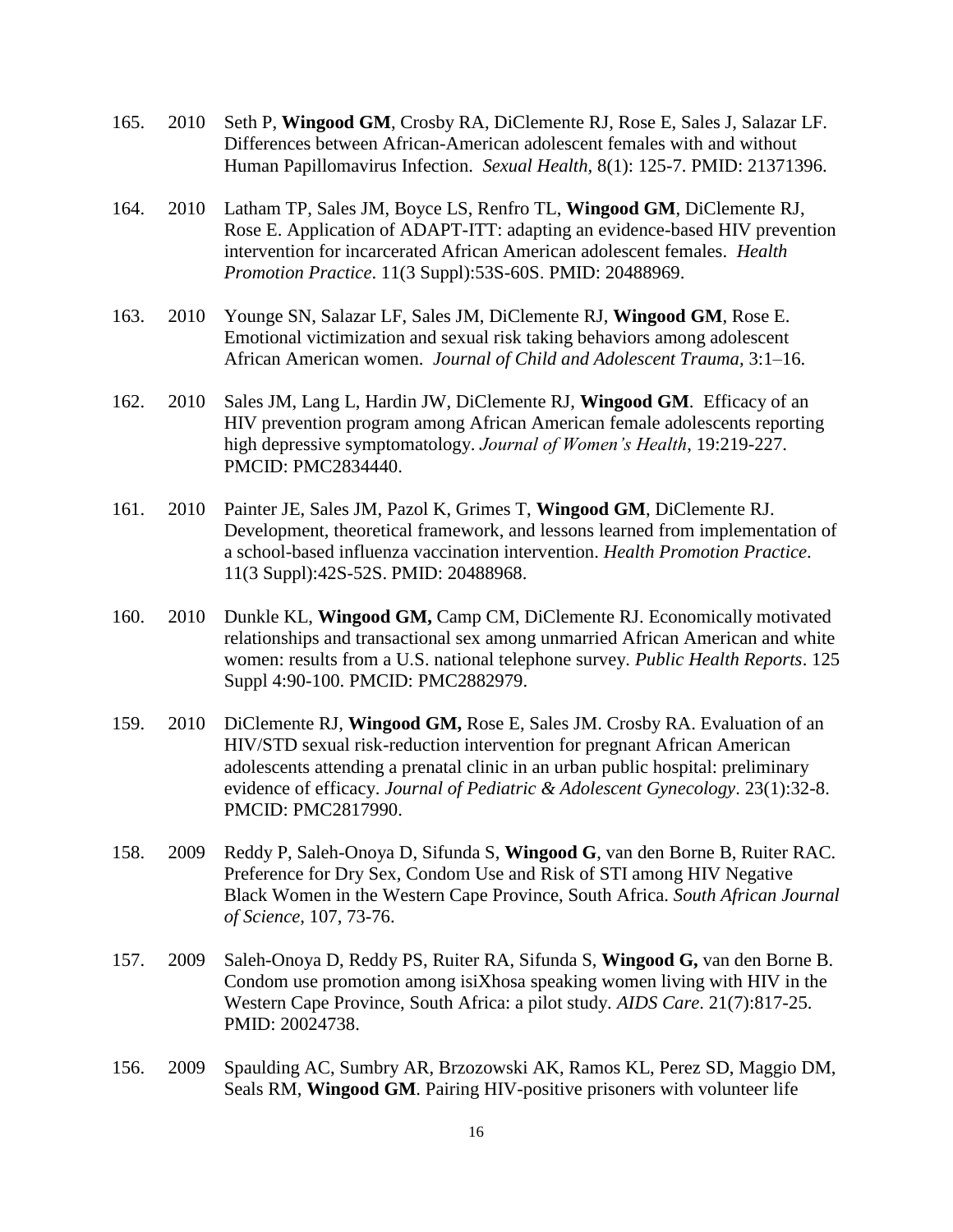- 165. 2010 Seth P, **Wingood GM**, Crosby RA, DiClemente RJ, Rose E, Sales J, Salazar LF. Differences between African-American adolescent females with and without Human Papillomavirus Infection. *Sexual Health,* 8(1): 125-7. PMID: 21371396.
- 164. 2010 Latham TP, Sales JM, Boyce LS, Renfro TL, **Wingood GM**, DiClemente RJ, Rose E. Application of ADAPT-ITT: adapting an evidence-based HIV prevention intervention for incarcerated African American adolescent females. *Health Promotion Practice*. 11(3 Suppl):53S-60S. PMID: 20488969.
- 163. 2010 Younge SN, Salazar LF, Sales JM, DiClemente RJ, **Wingood GM**, Rose E. Emotional victimization and sexual risk taking behaviors among adolescent African American women. *Journal of Child and Adolescent Trauma,* 3:1–16.
- 162. 2010 Sales JM, Lang L, Hardin JW, DiClemente RJ, **Wingood GM**. Efficacy of an HIV prevention program among African American female adolescents reporting high depressive symptomatology. *Journal of Women's Health*, 19:219-227. PMCID: PMC2834440.
- 161. 2010 Painter JE, Sales JM, Pazol K, Grimes T, **Wingood GM**, DiClemente RJ. Development, theoretical framework, and lessons learned from implementation of a school-based influenza vaccination intervention. *Health Promotion Practice*. 11(3 Suppl):42S-52S. PMID: 20488968.
- 160. 2010 Dunkle KL, **Wingood GM,** Camp CM, DiClemente RJ. Economically motivated relationships and transactional sex among unmarried African American and white women: results from a U.S. national telephone survey. *Public Health Reports*. 125 Suppl 4:90-100. PMCID: PMC2882979.
- 159. 2010 DiClemente RJ, **Wingood GM,** Rose E, Sales JM. Crosby RA. Evaluation of an HIV/STD sexual risk-reduction intervention for pregnant African American adolescents attending a prenatal clinic in an urban public hospital: preliminary evidence of efficacy. *Journal of Pediatric & Adolescent Gynecology*. 23(1):32-8. PMCID: PMC2817990.
- 158. 2009 Reddy P, Saleh-Onoya D, Sifunda S, **Wingood G**, van den Borne B, Ruiter RAC. Preference for Dry Sex, Condom Use and Risk of STI among HIV Negative Black Women in the Western Cape Province, South Africa. *South African Journal of Science,* 107, 73-76.
- 157. 2009 Saleh-Onoya D, Reddy PS, Ruiter RA, Sifunda S, **Wingood G,** van den Borne B. Condom use promotion among isiXhosa speaking women living with HIV in the Western Cape Province, South Africa: a pilot study. *AIDS Care*. 21(7):817-25. PMID: 20024738.
- 156. 2009 Spaulding AC, Sumbry AR, Brzozowski AK, Ramos KL, Perez SD, Maggio DM, Seals RM, **Wingood GM**. Pairing HIV-positive prisoners with volunteer life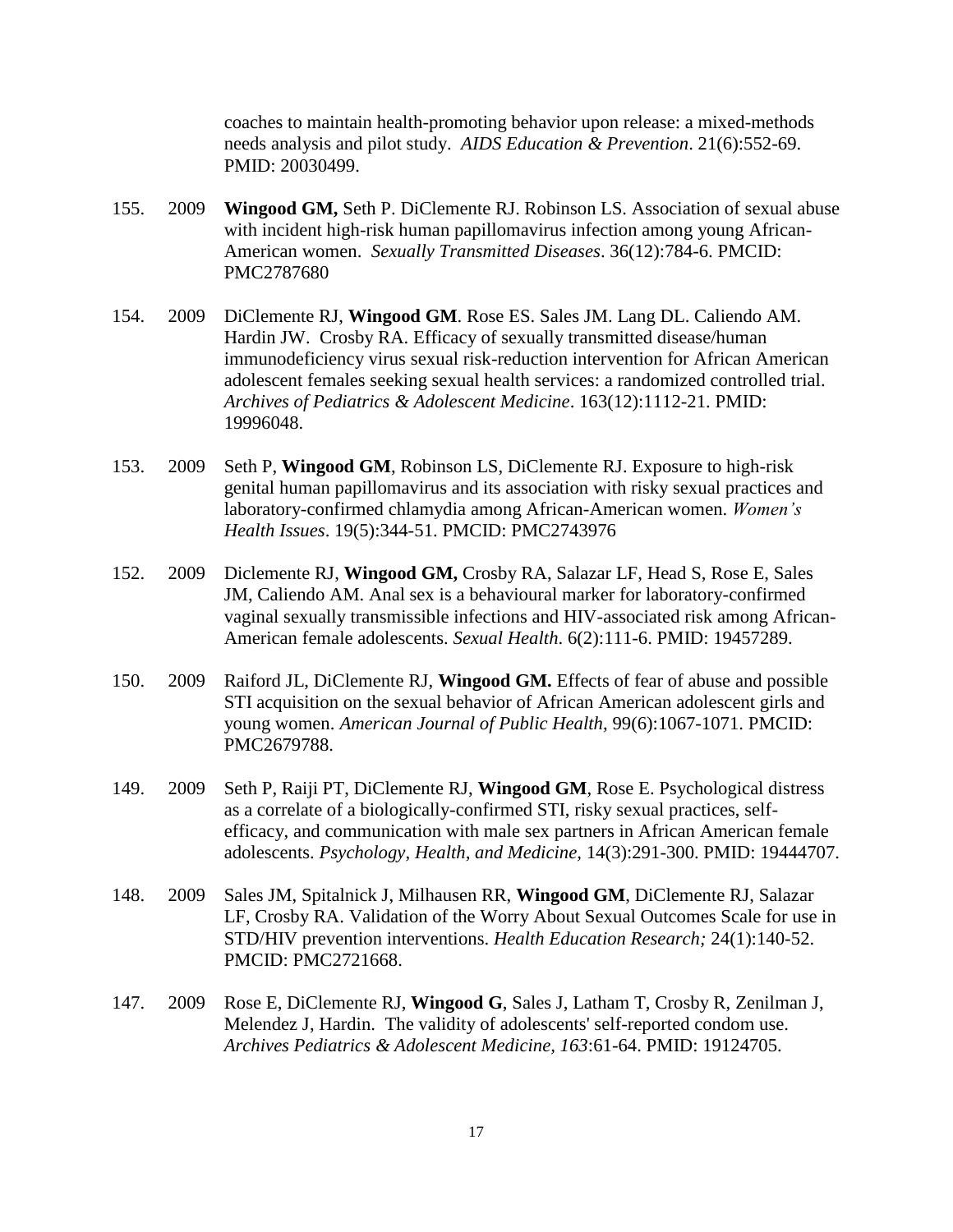coaches to maintain health-promoting behavior upon release: a mixed-methods needs analysis and pilot study. *AIDS Education & Prevention*. 21(6):552-69. PMID: 20030499.

- 155. 2009 **Wingood GM,** Seth P. DiClemente RJ. Robinson LS. Association of sexual abuse with incident high-risk human papillomavirus infection among young African-American women. *Sexually Transmitted Diseases*. 36(12):784-6. PMCID: PMC2787680
- 154. 2009 DiClemente RJ, **Wingood GM**. Rose ES. Sales JM. Lang DL. Caliendo AM. Hardin JW. Crosby RA. Efficacy of sexually transmitted disease/human immunodeficiency virus sexual risk-reduction intervention for African American adolescent females seeking sexual health services: a randomized controlled trial. *Archives of Pediatrics & Adolescent Medicine*. 163(12):1112-21. PMID: 19996048.
- 153. 2009 Seth P, **Wingood GM**, Robinson LS, DiClemente RJ. Exposure to high-risk genital human papillomavirus and its association with risky sexual practices and laboratory-confirmed chlamydia among African-American women. *Women's Health Issues*. 19(5):344-51. PMCID: PMC2743976
- 152. 2009 Diclemente RJ, **Wingood GM,** Crosby RA, Salazar LF, Head S, Rose E, Sales JM, Caliendo AM. Anal sex is a behavioural marker for laboratory-confirmed vaginal sexually transmissible infections and HIV-associated risk among African-American female adolescents. *Sexual Health*. 6(2):111-6. PMID: 19457289.
- 150. 2009 Raiford JL, DiClemente RJ, **Wingood GM.** Effects of fear of abuse and possible STI acquisition on the sexual behavior of African American adolescent girls and young women. *American Journal of Public Health*, 99(6):1067-1071. PMCID: PMC2679788.
- 149. 2009 Seth P, Raiji PT, DiClemente RJ, **Wingood GM**, Rose E. Psychological distress as a correlate of a biologically-confirmed STI, risky sexual practices, selfefficacy, and communication with male sex partners in African American female adolescents. *Psychology, Health, and Medicine,* 14(3):291-300. PMID: 19444707.
- 148. 2009 Sales JM, Spitalnick J, Milhausen RR, **Wingood GM**, DiClemente RJ, Salazar LF, Crosby RA. Validation of the Worry About Sexual Outcomes Scale for use in STD/HIV prevention interventions. *Health Education Research;* 24(1):140-52. PMCID: PMC2721668.
- 147. 2009 Rose E, DiClemente RJ, **Wingood G**, Sales J, Latham T, Crosby R, Zenilman J, Melendez J, Hardin. The validity of adolescents' self-reported condom use. *Archives Pediatrics & Adolescent Medicine, 163*:61-64. PMID: 19124705.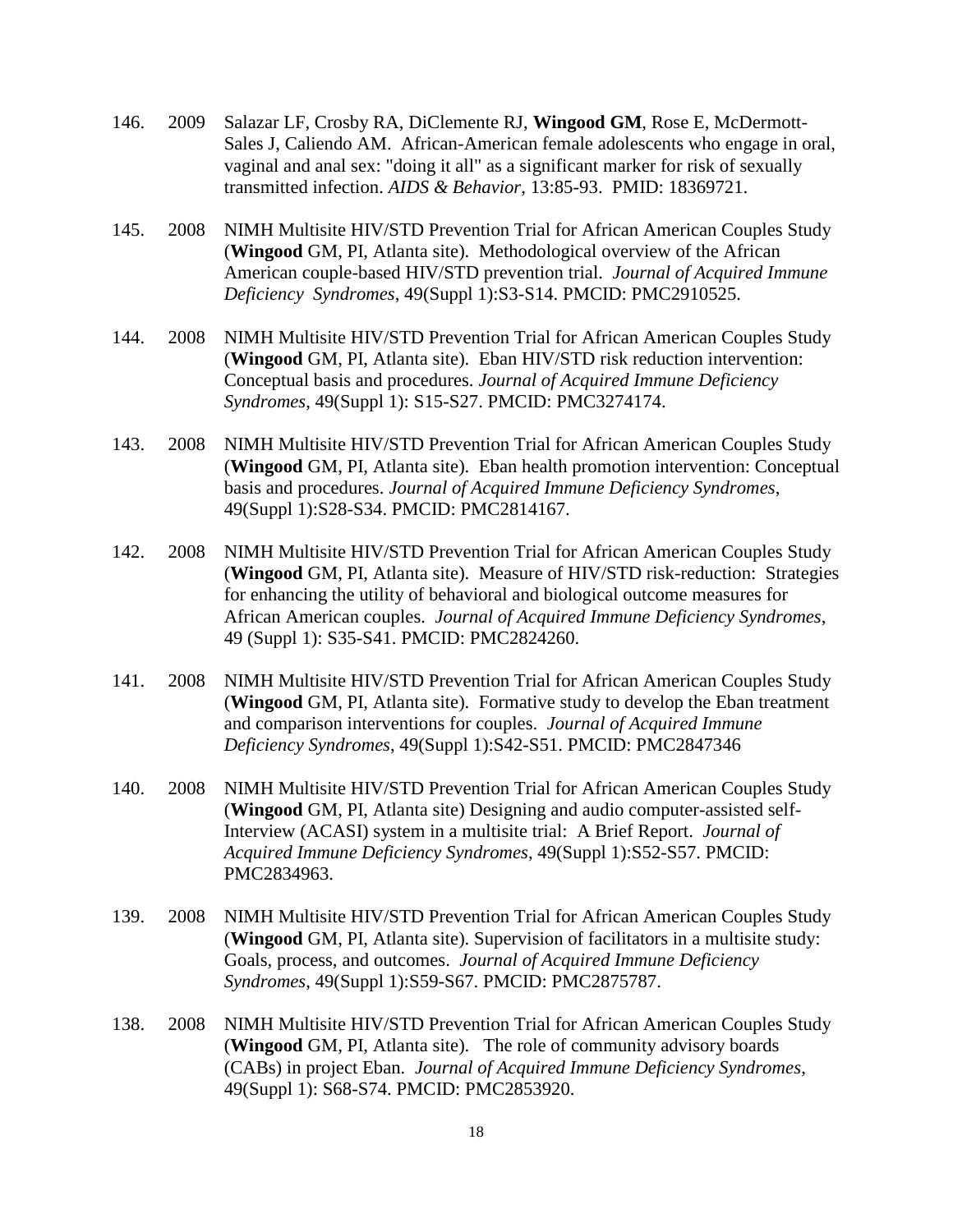- 146. 2009 Salazar LF, Crosby RA, DiClemente RJ, **Wingood GM**, Rose E, McDermott-Sales J, Caliendo AM. African-American female adolescents who engage in oral, vaginal and anal sex: "doing it all" as a significant marker for risk of sexually transmitted infection. *AIDS & Behavior*, 13:85-93. PMID: 18369721.
- 145. 2008 NIMH Multisite HIV/STD Prevention Trial for African American Couples Study (**Wingood** GM, PI, Atlanta site). Methodological overview of the African American couple-based HIV/STD prevention trial. *Journal of Acquired Immune Deficiency Syndromes*, 49(Suppl 1):S3-S14. PMCID: PMC2910525.
- 144. 2008 NIMH Multisite HIV/STD Prevention Trial for African American Couples Study (**Wingood** GM, PI, Atlanta site). Eban HIV/STD risk reduction intervention: Conceptual basis and procedures. *Journal of Acquired Immune Deficiency Syndromes*, 49(Suppl 1): S15-S27. PMCID: PMC3274174.
- 143. 2008 NIMH Multisite HIV/STD Prevention Trial for African American Couples Study (**Wingood** GM, PI, Atlanta site). Eban health promotion intervention: Conceptual basis and procedures. *Journal of Acquired Immune Deficiency Syndromes*, 49(Suppl 1):S28-S34. PMCID: PMC2814167.
- 142. 2008 NIMH Multisite HIV/STD Prevention Trial for African American Couples Study (**Wingood** GM, PI, Atlanta site). Measure of HIV/STD risk-reduction: Strategies for enhancing the utility of behavioral and biological outcome measures for African American couples. *Journal of Acquired Immune Deficiency Syndromes*, 49 (Suppl 1): S35-S41. PMCID: PMC2824260.
- 141. 2008 NIMH Multisite HIV/STD Prevention Trial for African American Couples Study (**Wingood** GM, PI, Atlanta site). Formative study to develop the Eban treatment and comparison interventions for couples. *Journal of Acquired Immune Deficiency Syndromes*, 49(Suppl 1):S42-S51. PMCID: PMC2847346
- 140. 2008 NIMH Multisite HIV/STD Prevention Trial for African American Couples Study (**Wingood** GM, PI, Atlanta site) Designing and audio computer-assisted self-Interview (ACASI) system in a multisite trial: A Brief Report. *Journal of Acquired Immune Deficiency Syndromes*, 49(Suppl 1):S52-S57. PMCID: PMC2834963.
- 139. 2008 NIMH Multisite HIV/STD Prevention Trial for African American Couples Study (**Wingood** GM, PI, Atlanta site). Supervision of facilitators in a multisite study: Goals, process, and outcomes. *Journal of Acquired Immune Deficiency Syndromes*, 49(Suppl 1):S59-S67. PMCID: PMC2875787.
- 138. 2008 NIMH Multisite HIV/STD Prevention Trial for African American Couples Study (**Wingood** GM, PI, Atlanta site). The role of community advisory boards (CABs) in project Eban. *Journal of Acquired Immune Deficiency Syndromes*, 49(Suppl 1): S68-S74. PMCID: PMC2853920.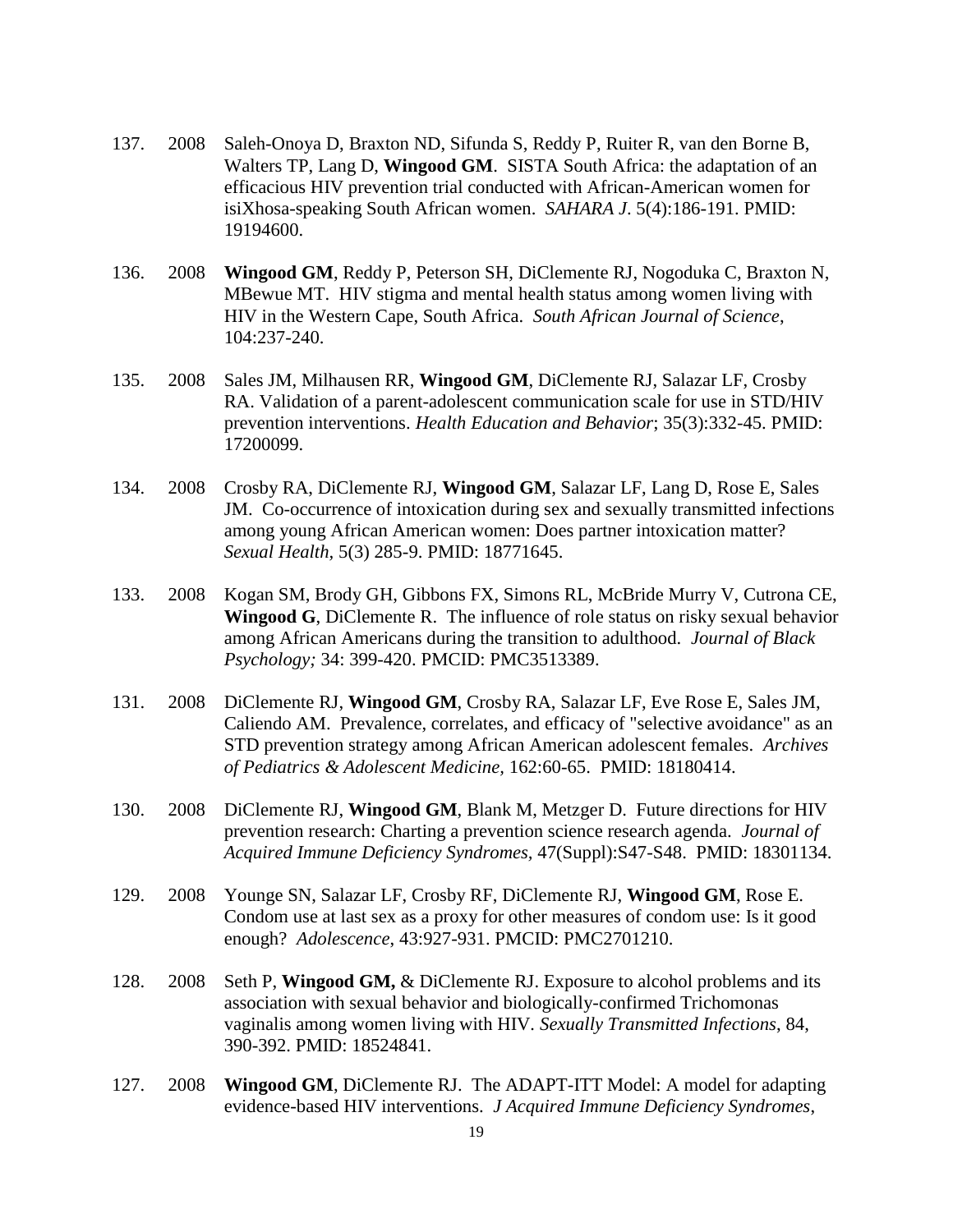- 137. 2008 Saleh-Onoya D, Braxton ND, Sifunda S, Reddy P, Ruiter R, van den Borne B, Walters TP, Lang D, **Wingood GM**. SISTA South Africa: the adaptation of an efficacious HIV prevention trial conducted with African-American women for isiXhosa-speaking South African women. *SAHARA J*. 5(4):186-191. PMID: 19194600.
- 136. 2008 **Wingood GM**, Reddy P, Peterson SH, DiClemente RJ, Nogoduka C, Braxton N, MBewue MT. HIV stigma and mental health status among women living with HIV in the Western Cape, South Africa. *South African Journal of Science*, 104:237-240.
- 135. 2008 Sales JM, Milhausen RR, **Wingood GM**, DiClemente RJ, Salazar LF, Crosby RA. Validation of a parent-adolescent communication scale for use in STD/HIV prevention interventions. *Health Education and Behavior*; 35(3):332-45. PMID: 17200099.
- 134. 2008 Crosby RA, DiClemente RJ, **Wingood GM**, Salazar LF, Lang D, Rose E, Sales JM. Co-occurrence of intoxication during sex and sexually transmitted infections among young African American women: Does partner intoxication matter? *Sexual Health,* 5(3) 285-9. PMID: 18771645.
- 133. 2008 Kogan SM, Brody GH, Gibbons FX, Simons RL, McBride Murry V, Cutrona CE, **Wingood G**, DiClemente R. The influence of role status on risky sexual behavior among African Americans during the transition to adulthood. *Journal of Black Psychology;* 34: 399-420. PMCID: PMC3513389.
- 131. 2008 DiClemente RJ, **Wingood GM**, Crosby RA, Salazar LF, Eve Rose E, Sales JM, Caliendo AM. Prevalence, correlates, and efficacy of "selective avoidance" as an STD prevention strategy among African American adolescent females. *Archives of Pediatrics & Adolescent Medicine,* 162:60-65. PMID: 18180414.
- 130. 2008 DiClemente RJ, **Wingood GM**, Blank M, Metzger D. Future directions for HIV prevention research: Charting a prevention science research agenda. *Journal of Acquired Immune Deficiency Syndromes,* 47(Suppl):S47-S48. PMID: 18301134.
- 129. 2008 Younge SN, Salazar LF, Crosby RF, DiClemente RJ, **Wingood GM**, Rose E. Condom use at last sex as a proxy for other measures of condom use: Is it good enough? *Adolescence*, 43:927-931. PMCID: PMC2701210.
- 128. 2008 Seth P, **Wingood GM,** & DiClemente RJ. Exposure to alcohol problems and its association with sexual behavior and biologically-confirmed Trichomonas vaginalis among women living with HIV*. Sexually Transmitted Infections*, 84, 390-392. PMID: 18524841.
- 127. 2008 **Wingood GM**, DiClemente RJ. The ADAPT-ITT Model: A model for adapting evidence-based HIV interventions. *J Acquired Immune Deficiency Syndromes*,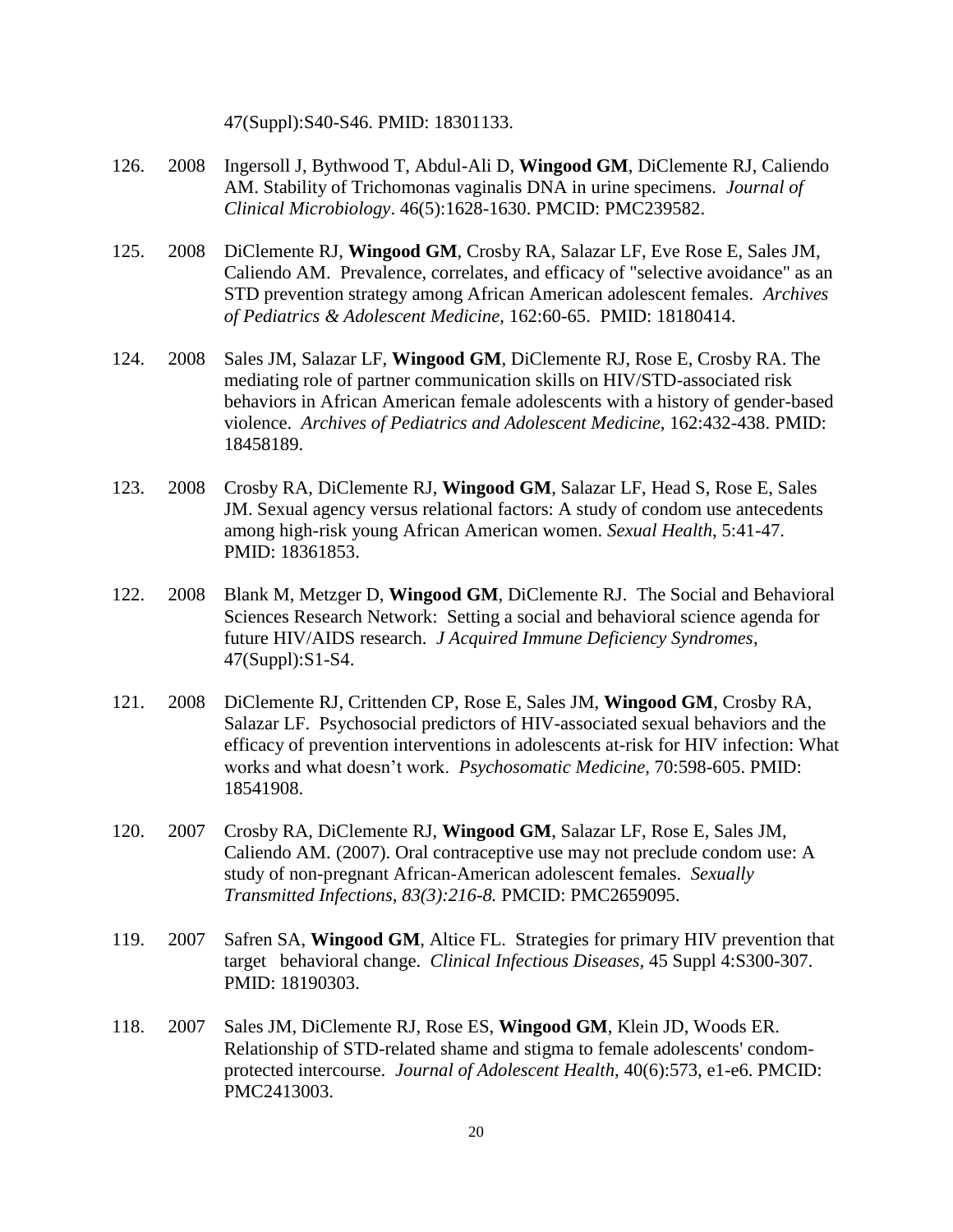47(Suppl):S40-S46. PMID: 18301133.

- 126. 2008 Ingersoll J, Bythwood T, Abdul-Ali D, **Wingood GM**, DiClemente RJ, Caliendo AM. Stability of Trichomonas vaginalis DNA in urine specimens. *Journal of Clinical Microbiology*. 46(5):1628-1630. PMCID: PMC239582.
- 125. 2008 DiClemente RJ, **Wingood GM**, Crosby RA, Salazar LF, Eve Rose E, Sales JM, Caliendo AM. Prevalence, correlates, and efficacy of "selective avoidance" as an STD prevention strategy among African American adolescent females. *Archives of Pediatrics & Adolescent Medicine,* 162:60-65. PMID: 18180414.
- 124. 2008 Sales JM, Salazar LF, **Wingood GM**, DiClemente RJ, Rose E, Crosby RA. The mediating role of partner communication skills on HIV/STD-associated risk behaviors in African American female adolescents with a history of gender-based violence. *Archives of Pediatrics and Adolescent Medicine*, 162:432-438. PMID: 18458189.
- 123. 2008 Crosby RA, DiClemente RJ, **Wingood GM**, Salazar LF, Head S, Rose E, Sales JM. Sexual agency versus relational factors: A study of condom use antecedents among high-risk young African American women. *Sexual Health*, 5:41-47. PMID: 18361853.
- 122. 2008 Blank M, Metzger D, **Wingood GM**, DiClemente RJ. The Social and Behavioral Sciences Research Network: Setting a social and behavioral science agenda for future HIV/AIDS research. *J Acquired Immune Deficiency Syndromes*, 47(Suppl):S1-S4.
- 121. 2008 DiClemente RJ, Crittenden CP, Rose E, Sales JM, **Wingood GM**, Crosby RA, Salazar LF. Psychosocial predictors of HIV-associated sexual behaviors and the efficacy of prevention interventions in adolescents at-risk for HIV infection: What works and what doesn't work. *Psychosomatic Medicine,* 70:598-605. PMID: 18541908.
- 120. 2007 Crosby RA, DiClemente RJ, **Wingood GM**, Salazar LF, Rose E, Sales JM, Caliendo AM. (2007). Oral contraceptive use may not preclude condom use: A study of non-pregnant African-American adolescent females. *Sexually Transmitted Infections, 83(3):216-8.* PMCID: PMC2659095.
- 119. 2007 Safren SA, **Wingood GM**, Altice FL. Strategies for primary HIV prevention that target behavioral change. *Clinical Infectious Diseases,* 45 Suppl 4:S300-307. PMID: 18190303.
- 118. 2007 Sales JM, DiClemente RJ, Rose ES, **Wingood GM**, Klein JD, Woods ER. Relationship of STD-related shame and stigma to female adolescents' condomprotected intercourse. *Journal of Adolescent Health,* 40(6):573, e1-e6. PMCID: PMC2413003.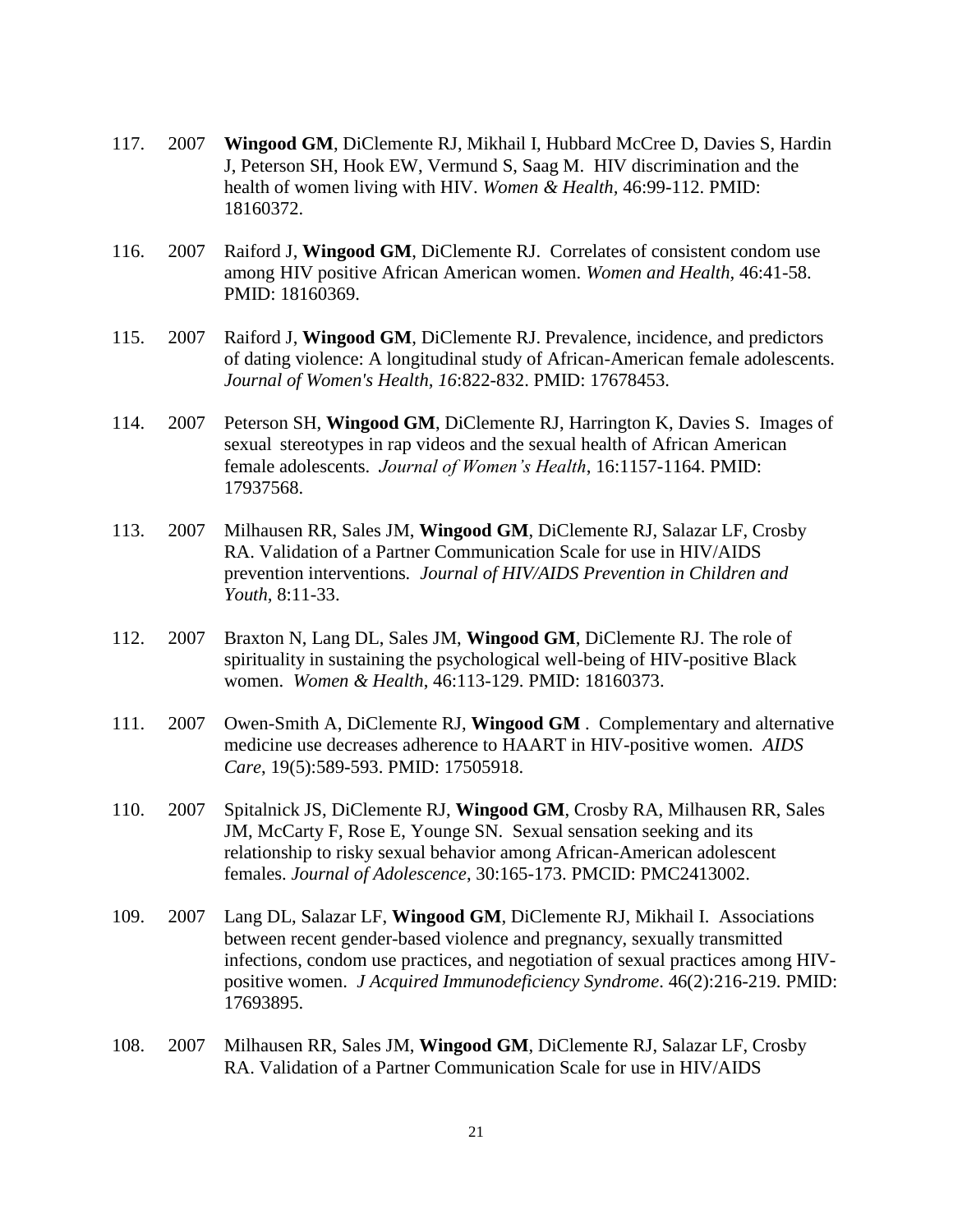- 117. 2007 **Wingood GM**, DiClemente RJ, Mikhail I, Hubbard McCree D, Davies S, Hardin J, Peterson SH, Hook EW, Vermund S, Saag M. HIV discrimination and the health of women living with HIV. *Women & Health,* 46:99-112. PMID: 18160372.
- 116. 2007 Raiford J, **Wingood GM**, DiClemente RJ. Correlates of consistent condom use among HIV positive African American women. *Women and Health,* 46:41-58. PMID: 18160369.
- 115. 2007 Raiford J, **Wingood GM**, DiClemente RJ. Prevalence, incidence, and predictors of dating violence: A longitudinal study of African-American female adolescents. *Journal of Women's Health, 16*:822-832. PMID: 17678453.
- 114. 2007 Peterson SH, **Wingood GM**, DiClemente RJ, Harrington K, Davies S. Images of sexual stereotypes in rap videos and the sexual health of African American female adolescents. *Journal of Women's Health*, 16:1157-1164. PMID: 17937568.
- 113. 2007 Milhausen RR, Sales JM, **Wingood GM**, DiClemente RJ, Salazar LF, Crosby RA. Validation of a Partner Communication Scale for use in HIV/AIDS prevention interventions*. Journal of HIV/AIDS Prevention in Children and Youth,* 8:11-33.
- 112. 2007 Braxton N, Lang DL, Sales JM, **Wingood GM**, DiClemente RJ. The role of spirituality in sustaining the psychological well-being of HIV-positive Black women. *Women & Health*, 46:113-129. PMID: 18160373.
- 111. 2007 Owen-Smith A, DiClemente RJ, **Wingood GM** . Complementary and alternative medicine use decreases adherence to HAART in HIV-positive women. *AIDS Care*, 19(5):589-593. PMID: 17505918.
- 110. 2007 Spitalnick JS, DiClemente RJ, **Wingood GM**, Crosby RA, Milhausen RR, Sales JM, McCarty F, Rose E, Younge SN. Sexual sensation seeking and its relationship to risky sexual behavior among African-American adolescent females. *Journal of Adolescence*, 30:165-173. PMCID: PMC2413002.
- 109. 2007 Lang DL, Salazar LF, **Wingood GM**, DiClemente RJ, Mikhail I. Associations between recent gender-based violence and pregnancy, sexually transmitted infections, condom use practices, and negotiation of sexual practices among HIVpositive women. *J Acquired Immunodeficiency Syndrome*. 46(2):216-219. PMID: 17693895.
- 108. 2007 Milhausen RR, Sales JM, **Wingood GM**, DiClemente RJ, Salazar LF, Crosby RA. Validation of a Partner Communication Scale for use in HIV/AIDS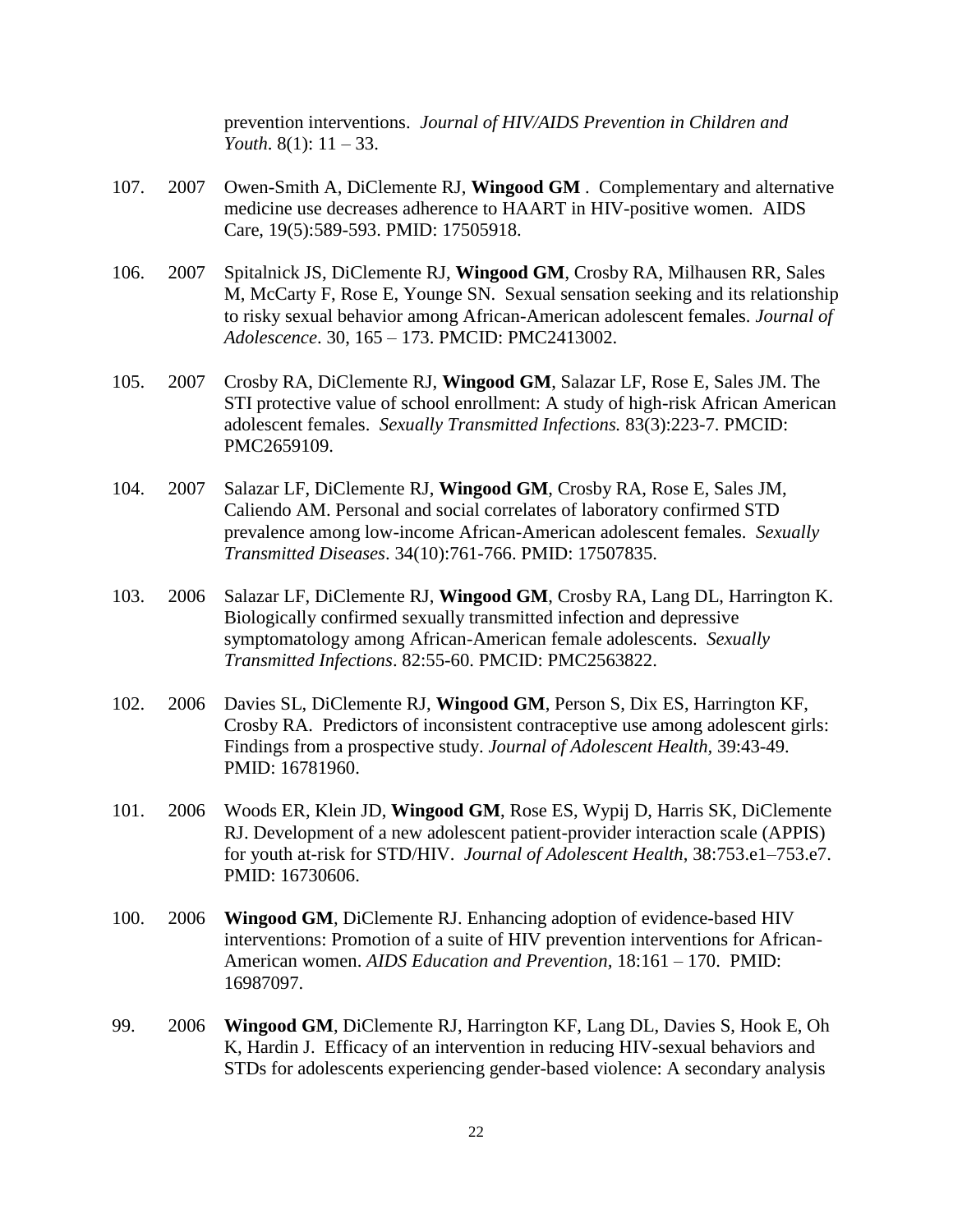prevention interventions. *Journal of HIV/AIDS Prevention in Children and Youth*. 8(1): 11 – 33.

- 107. 2007 Owen-Smith A, DiClemente RJ, **Wingood GM** . Complementary and alternative medicine use decreases adherence to HAART in HIV-positive women. AIDS Care, 19(5):589-593. PMID: 17505918.
- 106. 2007 Spitalnick JS, DiClemente RJ, **Wingood GM**, Crosby RA, Milhausen RR, Sales M, McCarty F, Rose E, Younge SN. Sexual sensation seeking and its relationship to risky sexual behavior among African-American adolescent females. *Journal of Adolescence*. 30, 165 – 173. PMCID: PMC2413002.
- 105. 2007 Crosby RA, DiClemente RJ, **Wingood GM**, Salazar LF, Rose E, Sales JM. The STI protective value of school enrollment: A study of high-risk African American adolescent females. *Sexually Transmitted Infections.* 83(3):223-7. PMCID: PMC2659109.
- 104. 2007 Salazar LF, DiClemente RJ, **Wingood GM**, Crosby RA, Rose E, Sales JM, Caliendo AM. Personal and social correlates of laboratory confirmed STD prevalence among low-income African-American adolescent females. *Sexually Transmitted Diseases*. 34(10):761-766. PMID: 17507835.
- 103. 2006 Salazar LF, DiClemente RJ, **Wingood GM**, Crosby RA, Lang DL, Harrington K. Biologically confirmed sexually transmitted infection and depressive symptomatology among African-American female adolescents. *Sexually Transmitted Infections*. 82:55-60. PMCID: PMC2563822.
- 102. 2006 Davies SL, DiClemente RJ, **Wingood GM**, Person S, Dix ES, Harrington KF, Crosby RA. Predictors of inconsistent contraceptive use among adolescent girls: Findings from a prospective study. *Journal of Adolescent Health,* 39:43-49. PMID: 16781960.
- 101. 2006 Woods ER, Klein JD, **Wingood GM**, Rose ES, Wypij D, Harris SK, DiClemente RJ. Development of a new adolescent patient-provider interaction scale (APPIS) for youth at-risk for STD/HIV. *Journal of Adolescent Health*, 38:753.e1–753.e7. PMID: 16730606.
- 100. 2006 **Wingood GM**, DiClemente RJ. Enhancing adoption of evidence-based HIV interventions: Promotion of a suite of HIV prevention interventions for African-American women. *AIDS Education and Prevention,* 18:161 – 170. PMID: 16987097.
- 99. 2006 **Wingood GM**, DiClemente RJ, Harrington KF, Lang DL, Davies S, Hook E, Oh K, Hardin J. Efficacy of an intervention in reducing HIV-sexual behaviors and STDs for adolescents experiencing gender-based violence: A secondary analysis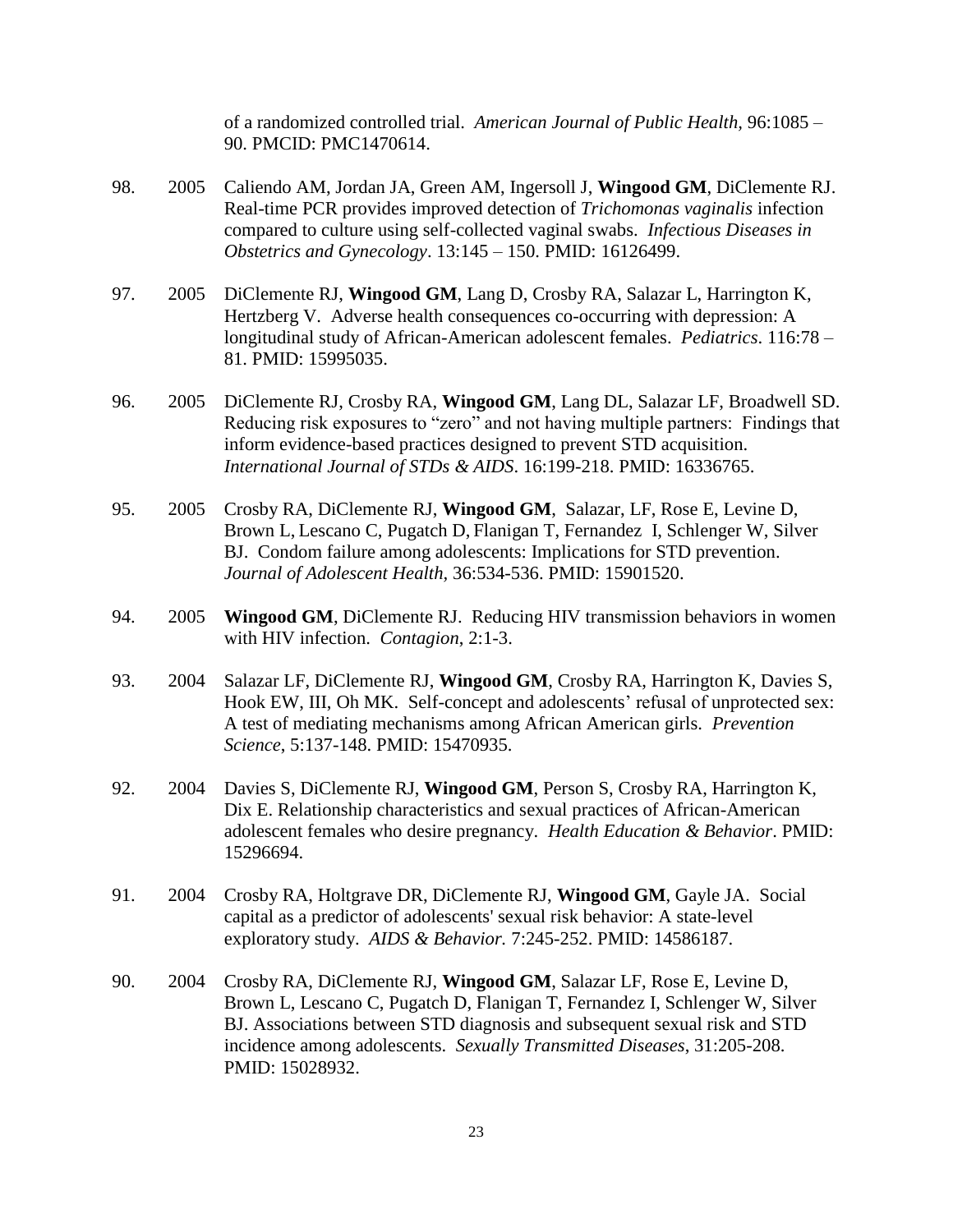of a randomized controlled trial. *American Journal of Public Health,* 96:1085 – 90. PMCID: PMC1470614.

- 98. 2005 Caliendo AM, Jordan JA, Green AM, Ingersoll J, **Wingood GM**, DiClemente RJ. Real-time PCR provides improved detection of *Trichomonas vaginalis* infection compared to culture using self-collected vaginal swabs. *Infectious Diseases in Obstetrics and Gynecology*. 13:145 – 150. PMID: 16126499.
- 97. 2005 DiClemente RJ, **Wingood GM**, Lang D, Crosby RA, Salazar L, Harrington K, Hertzberg V. Adverse health consequences co-occurring with depression: A longitudinal study of African-American adolescent females. *Pediatrics*. 116:78 – 81. PMID: 15995035.
- 96. 2005 DiClemente RJ, Crosby RA, **Wingood GM**, Lang DL, Salazar LF, Broadwell SD. Reducing risk exposures to "zero" and not having multiple partners: Findings that inform evidence-based practices designed to prevent STD acquisition. *International Journal of STDs & AIDS*. 16:199-218. PMID: 16336765.
- 95. 2005 Crosby RA, DiClemente RJ, **Wingood GM**, Salazar, LF, Rose E, Levine D, Brown L, Lescano C, Pugatch D, Flanigan T, Fernandez I, Schlenger W, Silver BJ. Condom failure among adolescents: Implications for STD prevention. *Journal of Adolescent Health,* 36:534-536. PMID: 15901520.
- 94. 2005 **Wingood GM**, DiClemente RJ. Reducing HIV transmission behaviors in women with HIV infection. *Contagion*, 2:1-3.
- 93. 2004 Salazar LF, DiClemente RJ, **Wingood GM**, Crosby RA, Harrington K, Davies S, Hook EW, III, Oh MK. Self-concept and adolescents' refusal of unprotected sex: A test of mediating mechanisms among African American girls. *Prevention Science*, 5:137-148. PMID: 15470935.
- 92. 2004 Davies S, DiClemente RJ, **Wingood GM**, Person S, Crosby RA, Harrington K, Dix E. Relationship characteristics and sexual practices of African-American adolescent females who desire pregnancy. *Health Education & Behavior*. PMID: 15296694.
- 91. 2004 Crosby RA, Holtgrave DR, DiClemente RJ, **Wingood GM**, Gayle JA. Social capital as a predictor of adolescents' sexual risk behavior: A state-level exploratory study. *AIDS & Behavior.* 7:245-252. PMID: 14586187.
- 90. 2004 Crosby RA, DiClemente RJ, **Wingood GM**, Salazar LF, Rose E, Levine D, Brown L, Lescano C, Pugatch D, Flanigan T, Fernandez I, Schlenger W, Silver BJ. Associations between STD diagnosis and subsequent sexual risk and STD incidence among adolescents. *Sexually Transmitted Diseases*, 31:205-208. PMID: 15028932.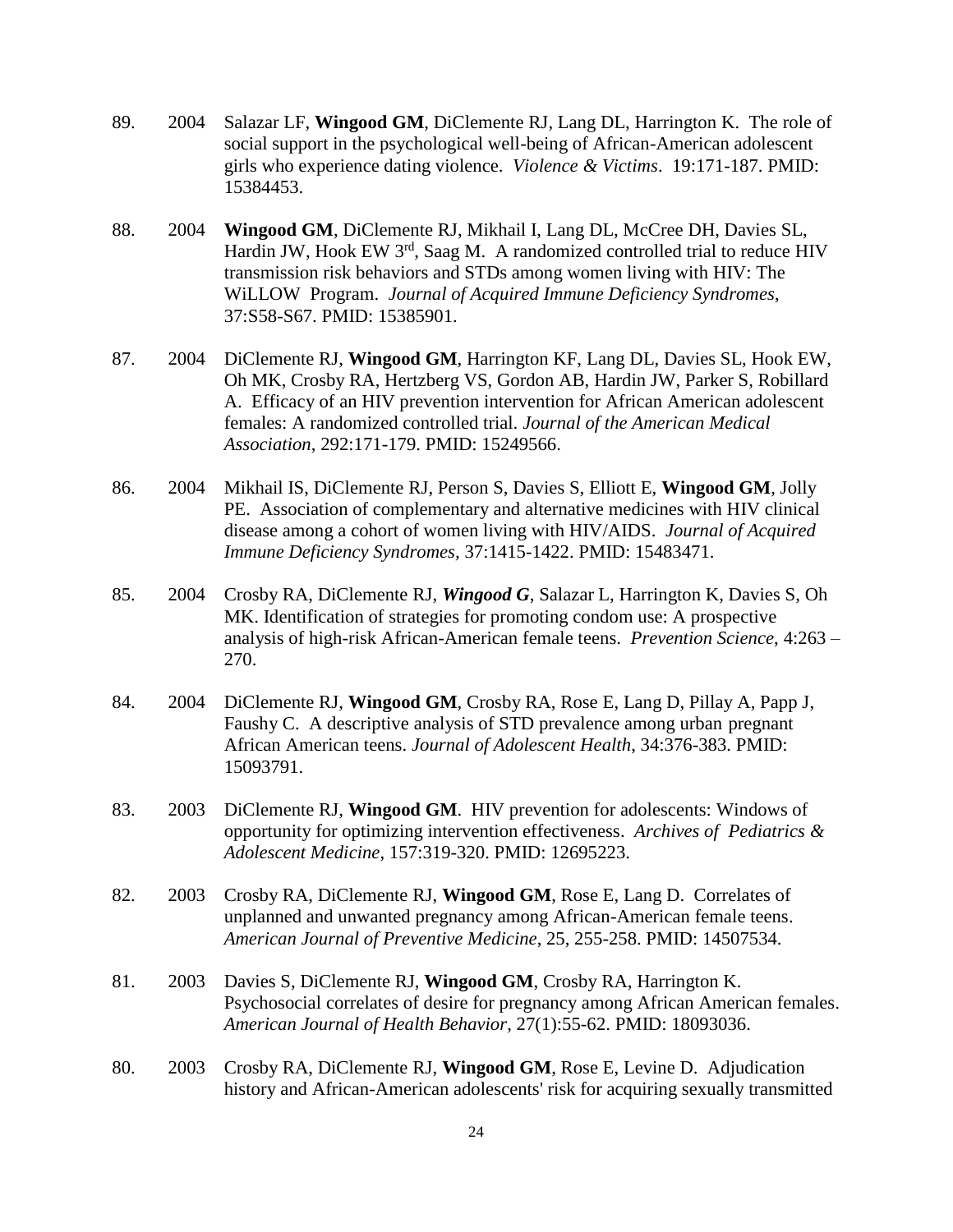- 89. 2004 Salazar LF, **Wingood GM**, DiClemente RJ, Lang DL, Harrington K. The role of social support in the psychological well-being of African-American adolescent girls who experience dating violence. *Violence & Victims*. 19:171-187. PMID: 15384453.
- 88. 2004 **Wingood GM**, DiClemente RJ, Mikhail I, Lang DL, McCree DH, Davies SL, Hardin JW, Hook EW 3<sup>rd</sup>, Saag M. A randomized controlled trial to reduce HIV transmission risk behaviors and STDs among women living with HIV: The WiLLOW Program. *Journal of Acquired Immune Deficiency Syndromes*, 37:S58-S67. PMID: 15385901.
- 87. 2004 DiClemente RJ, **Wingood GM**, Harrington KF, Lang DL, Davies SL, Hook EW, Oh MK, Crosby RA, Hertzberg VS, Gordon AB, Hardin JW, Parker S, Robillard A. Efficacy of an HIV prevention intervention for African American adolescent females: A randomized controlled trial. *Journal of the American Medical Association*, 292:171-179. PMID: 15249566.
- 86. 2004 Mikhail IS, DiClemente RJ, Person S, Davies S, Elliott E, **Wingood GM**, Jolly PE. Association of complementary and alternative medicines with HIV clinical disease among a cohort of women living with HIV/AIDS. *Journal of Acquired Immune Deficiency Syndromes,* 37:1415-1422. PMID: 15483471.
- 85. 2004 Crosby RA, DiClemente RJ, *Wingood G*, Salazar L, Harrington K, Davies S, Oh MK. Identification of strategies for promoting condom use: A prospective analysis of high-risk African-American female teens. *Prevention Science*, 4:263 – 270.
- 84. 2004 DiClemente RJ, **Wingood GM**, Crosby RA, Rose E, Lang D, Pillay A, Papp J, Faushy C. A descriptive analysis of STD prevalence among urban pregnant African American teens. *Journal of Adolescent Health*, 34:376-383. PMID: 15093791.
- 83. 2003 DiClemente RJ, **Wingood GM**. HIV prevention for adolescents: Windows of opportunity for optimizing intervention effectiveness. *Archives of Pediatrics & Adolescent Medicine*, 157:319-320. PMID: 12695223.
- 82. 2003 Crosby RA, DiClemente RJ, **Wingood GM**, Rose E, Lang D. Correlates of unplanned and unwanted pregnancy among African-American female teens. *American Journal of Preventive Medicine*, 25, 255-258. PMID: 14507534.
- 81. 2003 Davies S, DiClemente RJ, **Wingood GM**, Crosby RA, Harrington K. Psychosocial correlates of desire for pregnancy among African American females. *American Journal of Health Behavior*, 27(1):55-62. PMID: 18093036.
- 80. 2003 Crosby RA, DiClemente RJ, **Wingood GM**, Rose E, Levine D. Adjudication history and African-American adolescents' risk for acquiring sexually transmitted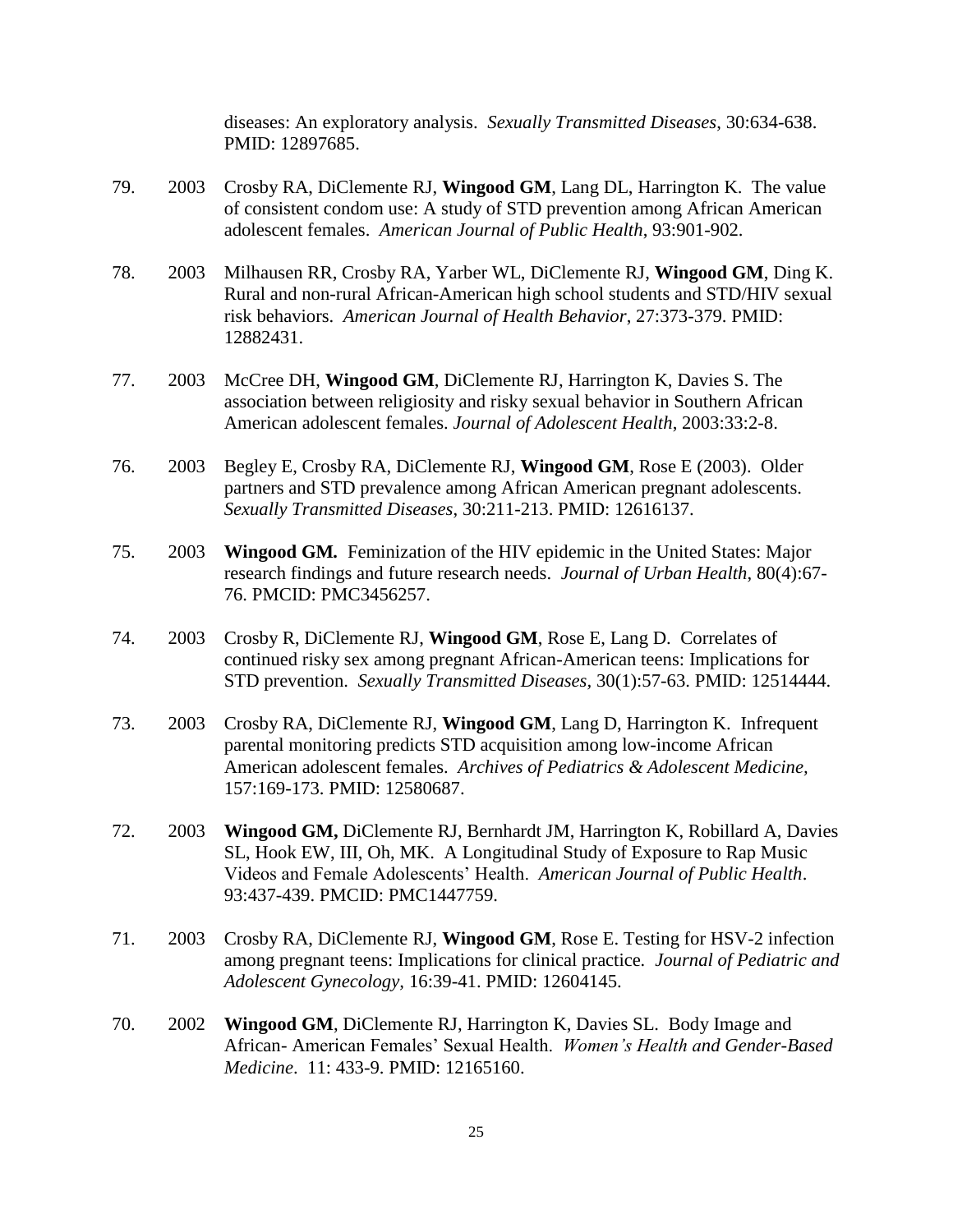diseases: An exploratory analysis. *Sexually Transmitted Diseases*, 30:634-638. PMID: 12897685.

- 79. 2003 Crosby RA, DiClemente RJ, **Wingood GM**, Lang DL, Harrington K. The value of consistent condom use: A study of STD prevention among African American adolescent females. *American Journal of Public Health*, 93:901-902.
- 78. 2003 Milhausen RR, Crosby RA, Yarber WL, DiClemente RJ, **Wingood GM**, Ding K. Rural and non-rural African-American high school students and STD/HIV sexual risk behaviors. *American Journal of Health Behavior*, 27:373-379. PMID: 12882431.
- 77. 2003 McCree DH, **Wingood GM**, DiClemente RJ, Harrington K, Davies S. The association between religiosity and risky sexual behavior in Southern African American adolescent females. *Journal of Adolescent Health*, 2003:33:2-8.
- 76. 2003 Begley E, Crosby RA, DiClemente RJ, **Wingood GM**, Rose E (2003). Older partners and STD prevalence among African American pregnant adolescents. *Sexually Transmitted Diseases*, 30:211-213. PMID: 12616137.
- 75. 2003 **Wingood GM***.* Feminization of the HIV epidemic in the United States: Major research findings and future research needs. *Journal of Urban Health*, 80(4):67- 76. PMCID: PMC3456257.
- 74. 2003 Crosby R, DiClemente RJ, **Wingood GM**, Rose E, Lang D. Correlates of continued risky sex among pregnant African-American teens: Implications for STD prevention. *Sexually Transmitted Diseases,* 30(1):57-63. PMID: 12514444.
- 73. 2003 Crosby RA, DiClemente RJ, **Wingood GM**, Lang D, Harrington K. Infrequent parental monitoring predicts STD acquisition among low-income African American adolescent females. *Archives of Pediatrics & Adolescent Medicine,*  157:169-173. PMID: 12580687.
- 72. 2003 **Wingood GM,** DiClemente RJ, Bernhardt JM, Harrington K, Robillard A, Davies SL, Hook EW, III, Oh, MK. A Longitudinal Study of Exposure to Rap Music Videos and Female Adolescents' Health. *American Journal of Public Health*. 93:437-439. PMCID: PMC1447759.
- 71. 2003 Crosby RA, DiClemente RJ, **Wingood GM**, Rose E. Testing for HSV-2 infection among pregnant teens: Implications for clinical practice*. Journal of Pediatric and Adolescent Gynecology,* 16:39-41. PMID: 12604145.
- 70. 2002 **Wingood GM**, DiClemente RJ, Harrington K, Davies SL. Body Image and African- American Females' Sexual Health. *Women's Health and Gender-Based Medicine*. 11: 433-9. PMID: 12165160.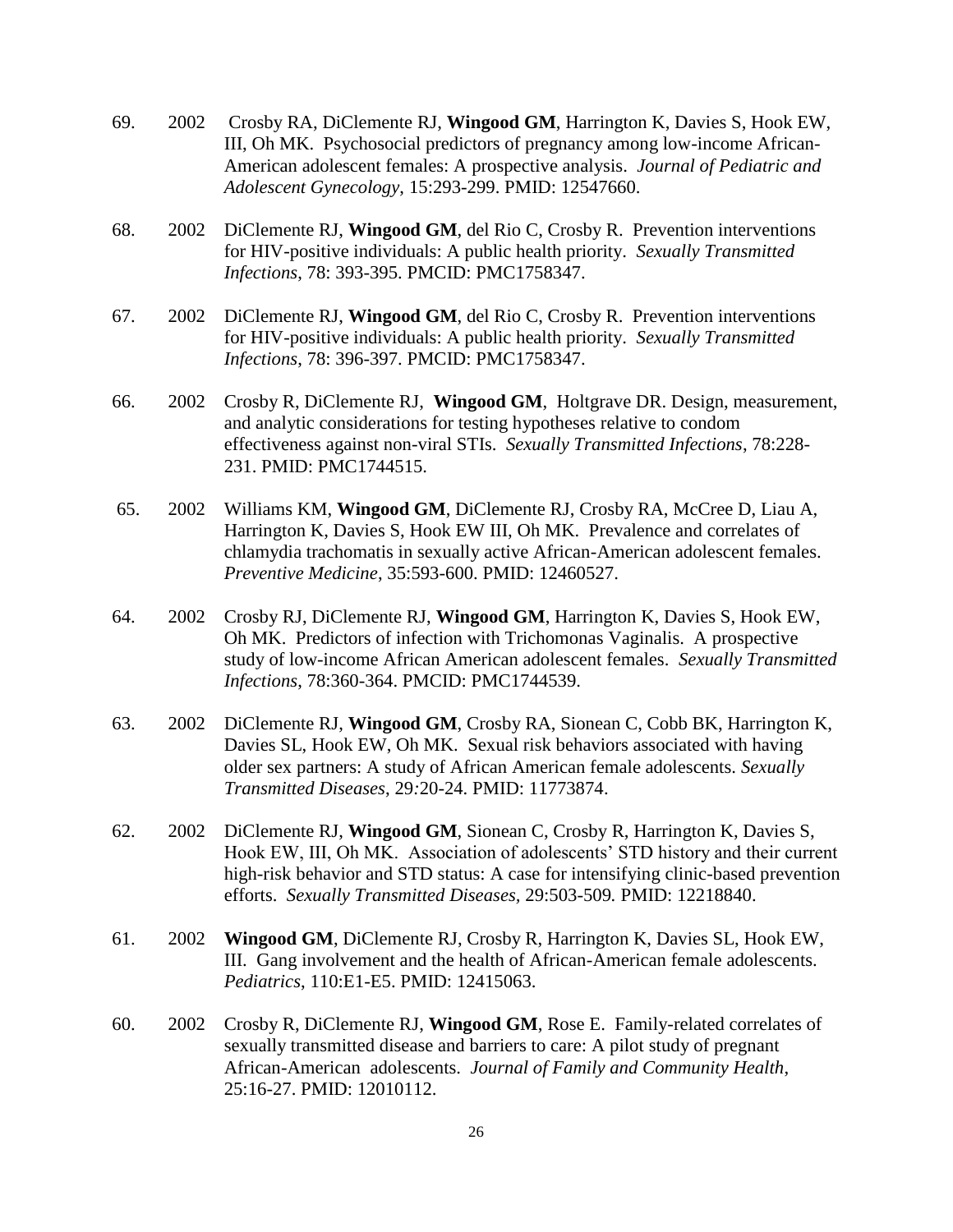- 69. 2002 Crosby RA, DiClemente RJ, **Wingood GM**, Harrington K, Davies S, Hook EW, III, Oh MK. Psychosocial predictors of pregnancy among low-income African-American adolescent females: A prospective analysis. *Journal of Pediatric and Adolescent Gynecology*, 15:293-299. PMID: 12547660.
- 68. 2002 DiClemente RJ, **Wingood GM**, del Rio C, Crosby R. Prevention interventions for HIV-positive individuals: A public health priority. *Sexually Transmitted Infections*, 78: 393-395. PMCID: PMC1758347.
- 67. 2002 DiClemente RJ, **Wingood GM**, del Rio C, Crosby R. Prevention interventions for HIV-positive individuals: A public health priority. *Sexually Transmitted Infections*, 78: 396-397. PMCID: PMC1758347.
- 66. 2002 Crosby R, DiClemente RJ, **Wingood GM**, Holtgrave DR. Design, measurement, and analytic considerations for testing hypotheses relative to condom effectiveness against non-viral STIs. *Sexually Transmitted Infections*, 78:228- 231. PMID: PMC1744515.
- 65. 2002 Williams KM, **Wingood GM**, DiClemente RJ, Crosby RA, McCree D, Liau A, Harrington K, Davies S, Hook EW III, Oh MK. Prevalence and correlates of chlamydia trachomatis in sexually active African-American adolescent females. *Preventive Medicine*, 35:593-600. PMID: 12460527.
- 64. 2002 Crosby RJ, DiClemente RJ, **Wingood GM**, Harrington K, Davies S, Hook EW, Oh MK. Predictors of infection with Trichomonas Vaginalis. A prospective study of low-income African American adolescent females. *Sexually Transmitted Infections*, 78:360-364. PMCID: PMC1744539.
- 63. 2002 DiClemente RJ, **Wingood GM**, Crosby RA, Sionean C, Cobb BK, Harrington K, Davies SL, Hook EW, Oh MK. Sexual risk behaviors associated with having older sex partners: A study of African American female adolescents. *Sexually Transmitted Diseases*, 29*:*20-24. PMID: 11773874.
- 62. 2002 DiClemente RJ, **Wingood GM**, Sionean C, Crosby R, Harrington K, Davies S, Hook EW, III, Oh MK. Association of adolescents' STD history and their current high-risk behavior and STD status: A case for intensifying clinic-based prevention efforts. *Sexually Transmitted Diseases,* 29:503-509*.* PMID: 12218840.
- 61. 2002 **Wingood GM**, DiClemente RJ, Crosby R, Harrington K, Davies SL, Hook EW, III. Gang involvement and the health of African-American female adolescents. *Pediatrics*, 110:E1-E5. PMID: 12415063.
- 60. 2002 Crosby R, DiClemente RJ, **Wingood GM**, Rose E. Family-related correlates of sexually transmitted disease and barriers to care: A pilot study of pregnant African-American adolescents. *Journal of Family and Community Health*, 25:16-27. PMID: 12010112.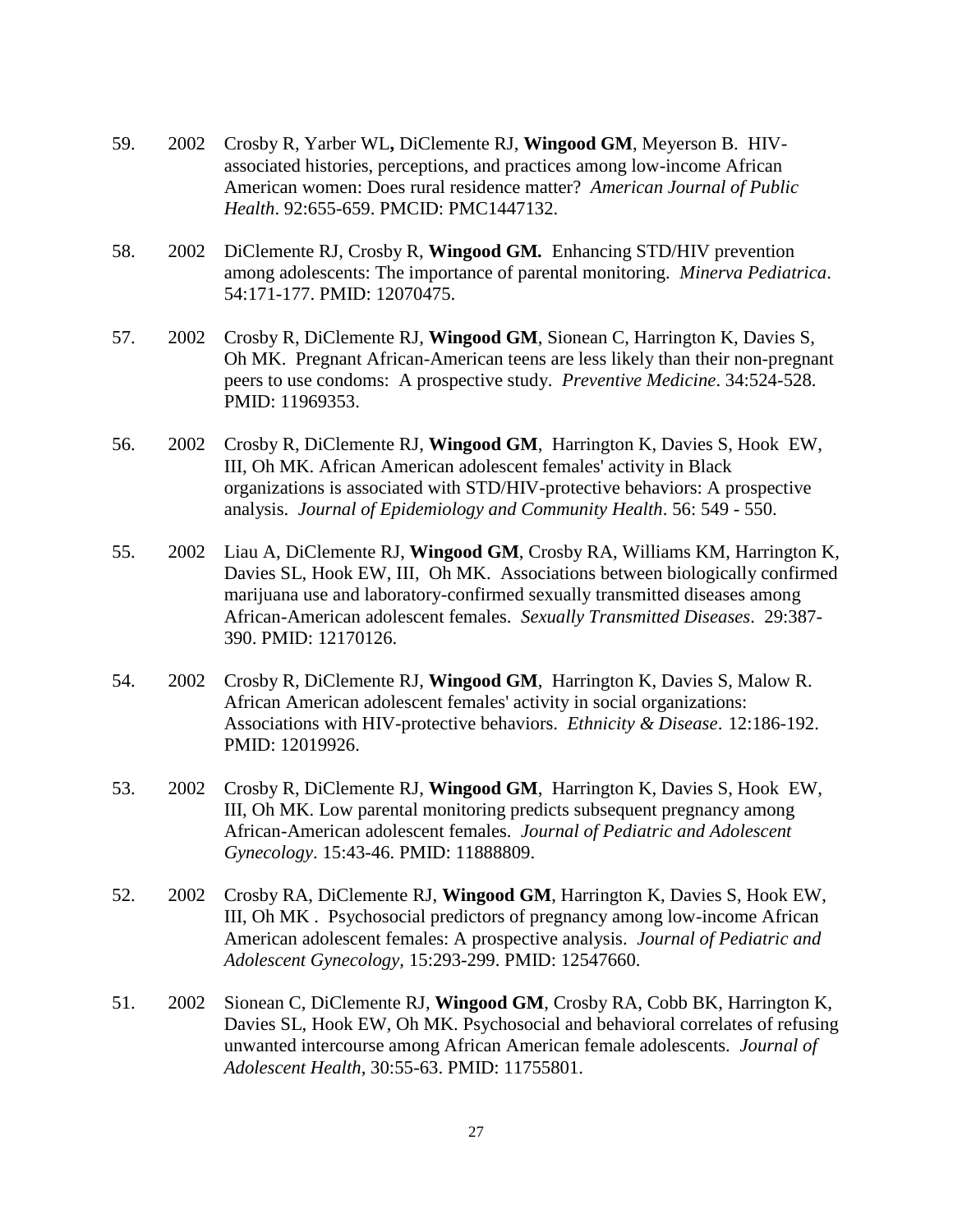- 59. 2002 Crosby R, Yarber WL**,** DiClemente RJ, **Wingood GM**, Meyerson B. HIVassociated histories, perceptions, and practices among low-income African American women: Does rural residence matter? *American Journal of Public Health*. 92:655-659. PMCID: PMC1447132.
- 58. 2002 DiClemente RJ, Crosby R, **Wingood GM***.* Enhancing STD/HIV prevention among adolescents: The importance of parental monitoring. *Minerva Pediatrica*. 54:171-177. PMID: 12070475.
- 57. 2002 Crosby R, DiClemente RJ, **Wingood GM**, Sionean C, Harrington K, Davies S, Oh MK. Pregnant African-American teens are less likely than their non-pregnant peers to use condoms: A prospective study. *Preventive Medicine*. 34:524-528. PMID: 11969353.
- 56. 2002 Crosby R, DiClemente RJ, **Wingood GM**, Harrington K, Davies S, Hook EW, III, Oh MK. African American adolescent females' activity in Black organizations is associated with STD/HIV-protective behaviors: A prospective analysis. *Journal of Epidemiology and Community Health*. 56: 549 - 550.
- 55. 2002 Liau A, DiClemente RJ, **Wingood GM**, Crosby RA, Williams KM, Harrington K, Davies SL, Hook EW, III, Oh MK. Associations between biologically confirmed marijuana use and laboratory-confirmed sexually transmitted diseases among African-American adolescent females. *Sexually Transmitted Diseases*. 29:387- 390. PMID: 12170126.
- 54. 2002 Crosby R, DiClemente RJ, **Wingood GM**, Harrington K, Davies S, Malow R. African American adolescent females' activity in social organizations: Associations with HIV-protective behaviors. *Ethnicity & Disease*. 12:186-192. PMID: 12019926.
- 53. 2002 Crosby R, DiClemente RJ, **Wingood GM**, Harrington K, Davies S, Hook EW, III, Oh MK. Low parental monitoring predicts subsequent pregnancy among African-American adolescent females. *Journal of Pediatric and Adolescent Gynecology*. 15:43-46. PMID: 11888809.
- 52. 2002 Crosby RA, DiClemente RJ, **Wingood GM**, Harrington K, Davies S, Hook EW, III, Oh MK . Psychosocial predictors of pregnancy among low-income African American adolescent females: A prospective analysis. *Journal of Pediatric and Adolescent Gynecology,* 15:293-299. PMID: 12547660.
- 51. 2002 Sionean C, DiClemente RJ, **Wingood GM**, Crosby RA, Cobb BK, Harrington K, Davies SL, Hook EW, Oh MK. Psychosocial and behavioral correlates of refusing unwanted intercourse among African American female adolescents. *Journal of Adolescent Health*, 30:55-63. PMID: 11755801.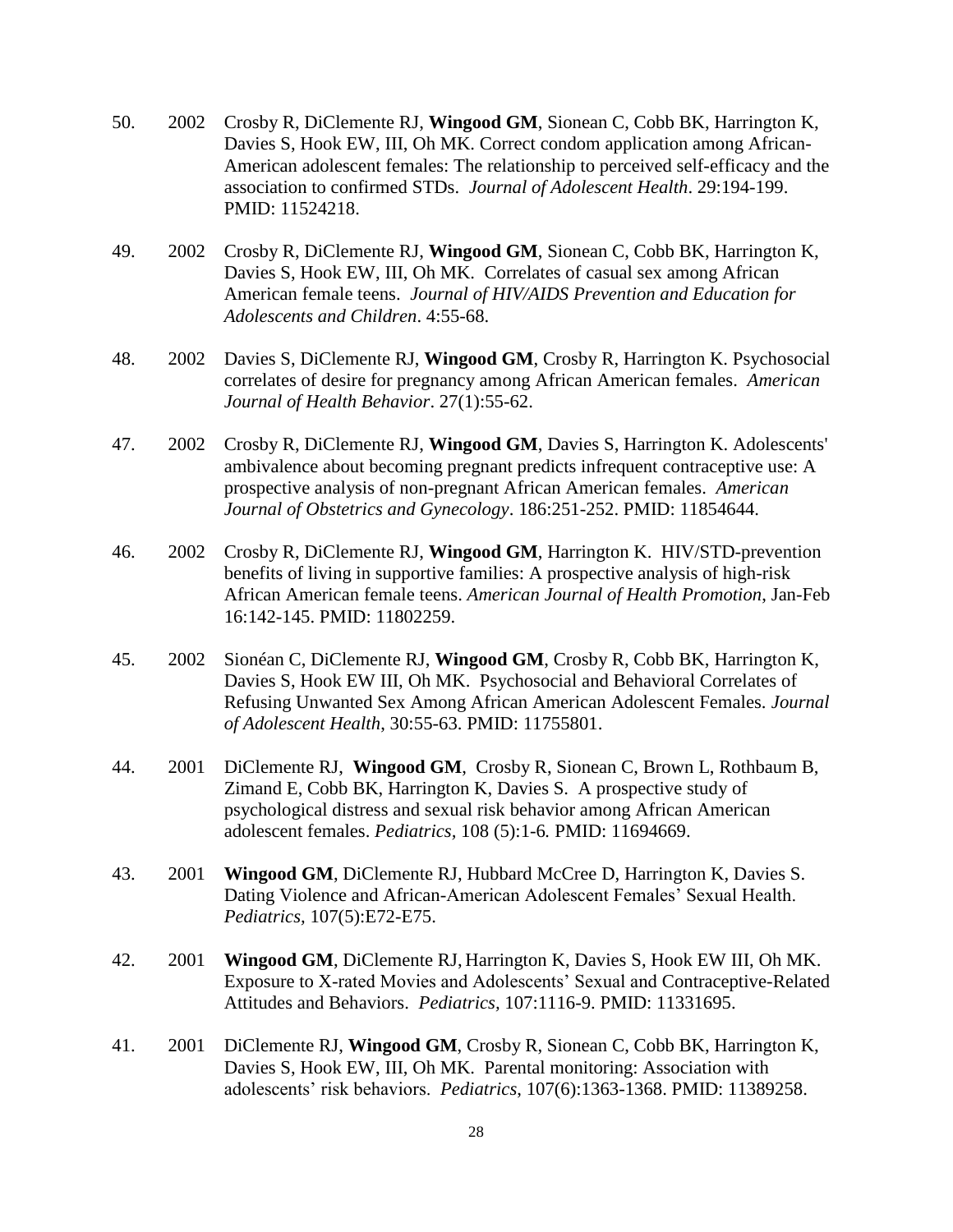- 50. 2002 Crosby R, DiClemente RJ, **Wingood GM**, Sionean C, Cobb BK, Harrington K, Davies S, Hook EW, III, Oh MK. Correct condom application among African-American adolescent females: The relationship to perceived self-efficacy and the association to confirmed STDs. *Journal of Adolescent Health*. 29:194-199. PMID: 11524218.
- 49. 2002 Crosby R, DiClemente RJ, **Wingood GM**, Sionean C, Cobb BK, Harrington K, Davies S, Hook EW, III, Oh MK. Correlates of casual sex among African American female teens. *Journal of HIV/AIDS Prevention and Education for Adolescents and Children*. 4:55-68.
- 48. 2002 Davies S, DiClemente RJ, **Wingood GM**, Crosby R, Harrington K. Psychosocial correlates of desire for pregnancy among African American females. *American Journal of Health Behavior*. 27(1):55-62.
- 47. 2002 Crosby R, DiClemente RJ, **Wingood GM**, Davies S, Harrington K. Adolescents' ambivalence about becoming pregnant predicts infrequent contraceptive use: A prospective analysis of non-pregnant African American females. *American Journal of Obstetrics and Gynecology*. 186:251-252. PMID: 11854644.
- 46. 2002 Crosby R, DiClemente RJ, **Wingood GM**, Harrington K. HIV/STD-prevention benefits of living in supportive families: A prospective analysis of high-risk African American female teens. *American Journal of Health Promotion*, Jan-Feb 16:142-145. PMID: 11802259.
- 45. 2002 Sionéan C, DiClemente RJ, **Wingood GM**, Crosby R, Cobb BK, Harrington K, Davies S, Hook EW III, Oh MK. Psychosocial and Behavioral Correlates of Refusing Unwanted Sex Among African American Adolescent Females. *Journal of Adolescent Health*, 30:55-63. PMID: 11755801.
- 44. 2001 DiClemente RJ, **Wingood GM**, Crosby R, Sionean C, Brown L, Rothbaum B, Zimand E, Cobb BK, Harrington K, Davies S. A prospective study of psychological distress and sexual risk behavior among African American adolescent females. *Pediatrics,* 108 (5):1-6*.* PMID: 11694669.
- 43. 2001 **Wingood GM**, DiClemente RJ, Hubbard McCree D, Harrington K, Davies S. Dating Violence and African-American Adolescent Females' Sexual Health. *Pediatrics,* 107(5):E72-E75.
- 42. 2001 **Wingood GM**, DiClemente RJ, Harrington K, Davies S, Hook EW III, Oh MK. Exposure to X-rated Movies and Adolescents' Sexual and Contraceptive-Related Attitudes and Behaviors. *Pediatrics,* 107:1116-9. PMID: 11331695.
- 41. 2001 DiClemente RJ, **Wingood GM**, Crosby R, Sionean C, Cobb BK, Harrington K, Davies S, Hook EW, III, Oh MK. Parental monitoring: Association with adolescents' risk behaviors. *Pediatrics*, 107(6):1363-1368. PMID: 11389258.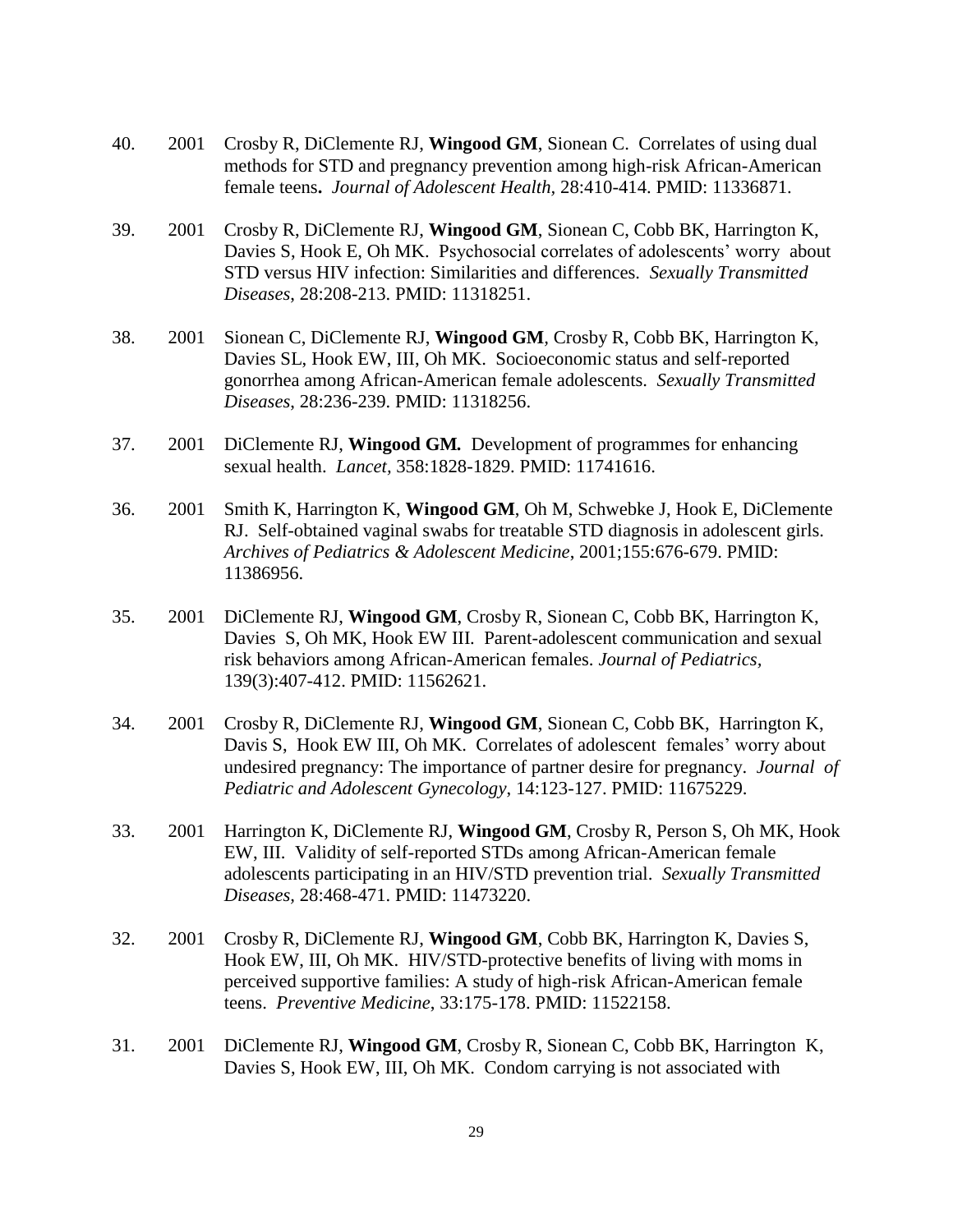- 40. 2001 Crosby R, DiClemente RJ, **Wingood GM**, Sionean C. Correlates of using dual methods for STD and pregnancy prevention among high-risk African-American female teens**.** *Journal of Adolescent Health,* 28:410-414. PMID: 11336871.
- 39. 2001 Crosby R, DiClemente RJ, **Wingood GM**, Sionean C, Cobb BK, Harrington K, Davies S, Hook E, Oh MK. Psychosocial correlates of adolescents' worry about STD versus HIV infection: Similarities and differences. *Sexually Transmitted Diseases*, 28:208-213. PMID: 11318251.
- 38. 2001 Sionean C, DiClemente RJ, **Wingood GM***,* Crosby R, Cobb BK, Harrington K, Davies SL, Hook EW, III, Oh MK. Socioeconomic status and self-reported gonorrhea among African-American female adolescents. *Sexually Transmitted Diseases*, 28:236-239. PMID: 11318256.
- 37. 2001 DiClemente RJ, **Wingood GM***.* Development of programmes for enhancing sexual health. *Lancet,* 358:1828-1829. PMID: 11741616.
- 36. 2001 Smith K, Harrington K, **Wingood GM**, Oh M, Schwebke J, Hook E, DiClemente RJ. Self-obtained vaginal swabs for treatable STD diagnosis in adolescent girls. *Archives of Pediatrics & Adolescent Medicine*, 2001;155:676-679. PMID: 11386956.
- 35. 2001 DiClemente RJ, **Wingood GM**, Crosby R, Sionean C, Cobb BK, Harrington K, Davies S, Oh MK, Hook EW III. Parent-adolescent communication and sexual risk behaviors among African-American females. *Journal of Pediatrics,* 139(3):407-412. PMID: 11562621.
- 34. 2001 Crosby R, DiClemente RJ, **Wingood GM**, Sionean C, Cobb BK, Harrington K, Davis S, Hook EW III, Oh MK. Correlates of adolescent females' worry about undesired pregnancy: The importance of partner desire for pregnancy. *Journal of Pediatric and Adolescent Gynecology*, 14:123-127. PMID: 11675229.
- 33. 2001 Harrington K, DiClemente RJ, **Wingood GM**, Crosby R, Person S, Oh MK, Hook EW, III. Validity of self-reported STDs among African-American female adolescents participating in an HIV/STD prevention trial. *Sexually Transmitted Diseases,* 28:468-471. PMID: 11473220.
- 32. 2001 Crosby R, DiClemente RJ, **Wingood GM**, Cobb BK, Harrington K, Davies S, Hook EW, III, Oh MK. HIV/STD-protective benefits of living with moms in perceived supportive families: A study of high-risk African-American female teens. *Preventive Medicine*, 33:175-178. PMID: 11522158.
- 31. 2001 DiClemente RJ, **Wingood GM**, Crosby R, Sionean C, Cobb BK, Harrington K, Davies S, Hook EW, III, Oh MK. Condom carrying is not associated with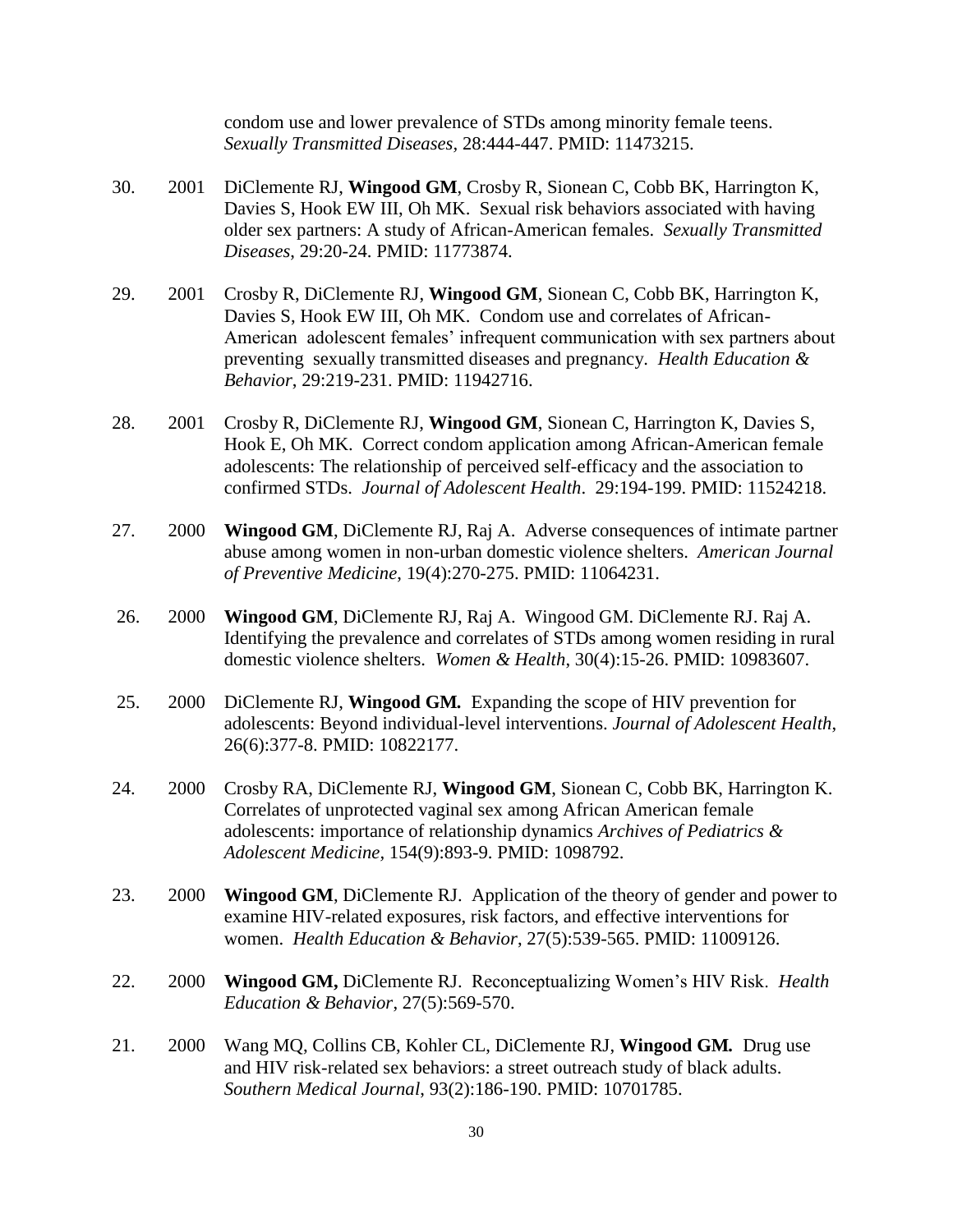condom use and lower prevalence of STDs among minority female teens. *Sexually Transmitted Diseases,* 28:444-447. PMID: 11473215.

- 30. 2001 DiClemente RJ, **Wingood GM**, Crosby R, Sionean C, Cobb BK, Harrington K, Davies S, Hook EW III, Oh MK. Sexual risk behaviors associated with having older sex partners: A study of African-American females. *Sexually Transmitted Diseases*, 29:20-24. PMID: 11773874.
- 29. 2001 Crosby R, DiClemente RJ, **Wingood GM**, Sionean C, Cobb BK, Harrington K, Davies S, Hook EW III, Oh MK. Condom use and correlates of African-American adolescent females' infrequent communication with sex partners about preventing sexually transmitted diseases and pregnancy. *Health Education & Behavior*, 29:219-231. PMID: 11942716.
- 28. 2001 Crosby R, DiClemente RJ, **Wingood GM**, Sionean C, Harrington K, Davies S, Hook E, Oh MK. Correct condom application among African-American female adolescents: The relationship of perceived self-efficacy and the association to confirmed STDs. *Journal of Adolescent Health*. 29:194-199. PMID: 11524218.
- 27. 2000 **Wingood GM**, DiClemente RJ, Raj A. Adverse consequences of intimate partner abuse among women in non-urban domestic violence shelters. *American Journal of Preventive Medicine*, 19(4):270-275. PMID: 11064231.
- 26. 2000 **Wingood GM**, DiClemente RJ, Raj A. Wingood GM. DiClemente RJ. Raj A. Identifying the prevalence and correlates of STDs among women residing in rural domestic violence shelters. *Women & Health*, 30(4):15-26. PMID: 10983607.
- 25. 2000 DiClemente RJ, **Wingood GM***.* Expanding the scope of HIV prevention for adolescents: Beyond individual-level interventions. *Journal of Adolescent Health*, 26(6):377-8. PMID: 10822177.
- 24. 2000 Crosby RA, DiClemente RJ, **Wingood GM**, Sionean C, Cobb BK, Harrington K. Correlates of unprotected vaginal sex among African American female adolescents: importance of relationship dynamics *Archives of Pediatrics & Adolescent Medicine,* 154(9):893-9. PMID: 1098792.
- 23. 2000 **Wingood GM**, DiClemente RJ. Application of the theory of gender and power to examine HIV-related exposures, risk factors, and effective interventions for women. *Health Education & Behavior*, 27(5):539-565. PMID: 11009126.
- 22. 2000 **Wingood GM,** DiClemente RJ.Reconceptualizing Women's HIV Risk. *Health Education & Behavior*, 27(5):569-570.
- 21. 2000 Wang MQ, Collins CB, Kohler CL, DiClemente RJ, **Wingood GM***.* Drug use and HIV risk-related sex behaviors: a street outreach study of black adults. *Southern Medical Journal*, 93(2):186-190. PMID: 10701785.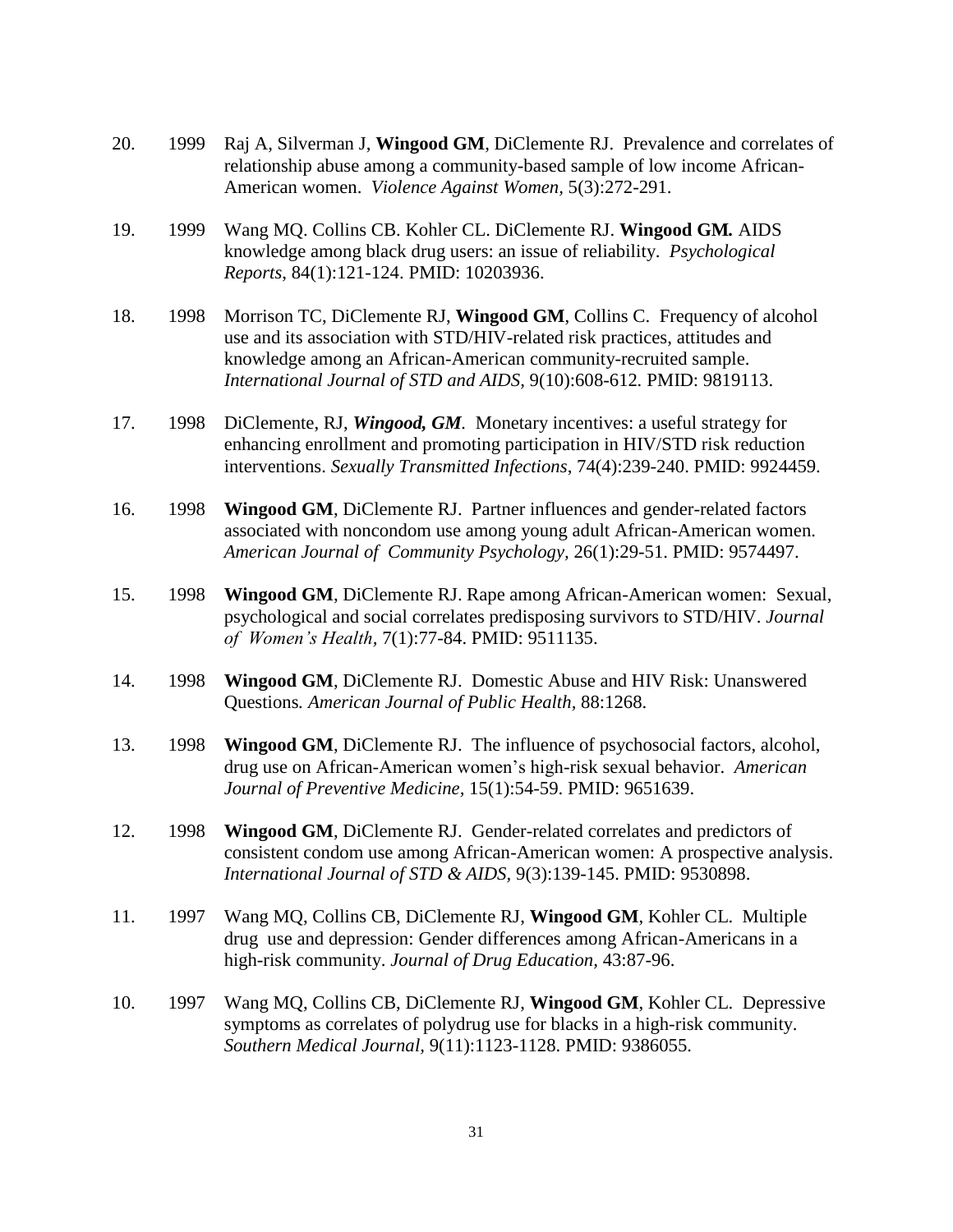- 20. 1999 Raj A, Silverman J, **Wingood GM**, DiClemente RJ. Prevalence and correlates of relationship abuse among a community-based sample of low income African-American women. *Violence Against Women,* 5(3):272-291.
- 19. 1999 Wang MQ. Collins CB. Kohler CL. DiClemente RJ. **Wingood GM***.* AIDS knowledge among black drug users: an issue of reliability. *Psychological Reports*, 84(1):121-124. PMID: 10203936.
- 18. 1998 Morrison TC, DiClemente RJ, **Wingood GM**, Collins C. Frequency of alcohol use and its association with STD/HIV-related risk practices, attitudes and knowledge among an African-American community-recruited sample. *International Journal of STD and AIDS,* 9(10):608-612*.* PMID: 9819113.
- 17. 1998 DiClemente, RJ, *Wingood, GM.* Monetary incentives: a useful strategy for enhancing enrollment and promoting participation in HIV/STD risk reduction interventions. *Sexually Transmitted Infections*, 74(4):239-240. PMID: 9924459.
- 16. 1998 **Wingood GM**, DiClemente RJ. Partner influences and gender-related factors associated with noncondom use among young adult African-American women. *American Journal of Community Psychology,* 26(1):29-51. PMID: 9574497.
- 15. 1998 **Wingood GM**, DiClemente RJ. Rape among African-American women: Sexual, psychological and social correlates predisposing survivors to STD/HIV. *Journal of Women's Health,* 7(1):77-84. PMID: 9511135.
- 14. 1998 **Wingood GM**, DiClemente RJ.Domestic Abuse and HIV Risk: Unanswered Questions*. American Journal of Public Health,* 88:1268.
- 13. 1998 **Wingood GM**, DiClemente RJ. The influence of psychosocial factors, alcohol, drug use on African-American women's high-risk sexual behavior. *American Journal of Preventive Medicine,* 15(1):54-59. PMID: 9651639.
- 12. 1998 **Wingood GM**, DiClemente RJ. Gender-related correlates and predictors of consistent condom use among African-American women: A prospective analysis. *International Journal of STD & AIDS,* 9(3):139-145. PMID: 9530898.
- 11. 1997 Wang MQ, Collins CB, DiClemente RJ, **Wingood GM**, Kohler CL. Multiple drug use and depression: Gender differences among African-Americans in a high-risk community. *Journal of Drug Education,* 43:87-96.
- 10. 1997 Wang MQ, Collins CB, DiClemente RJ, **Wingood GM**, Kohler CL. Depressive symptoms as correlates of polydrug use for blacks in a high-risk community. *Southern Medical Journal,* 9(11):1123-1128. PMID: 9386055.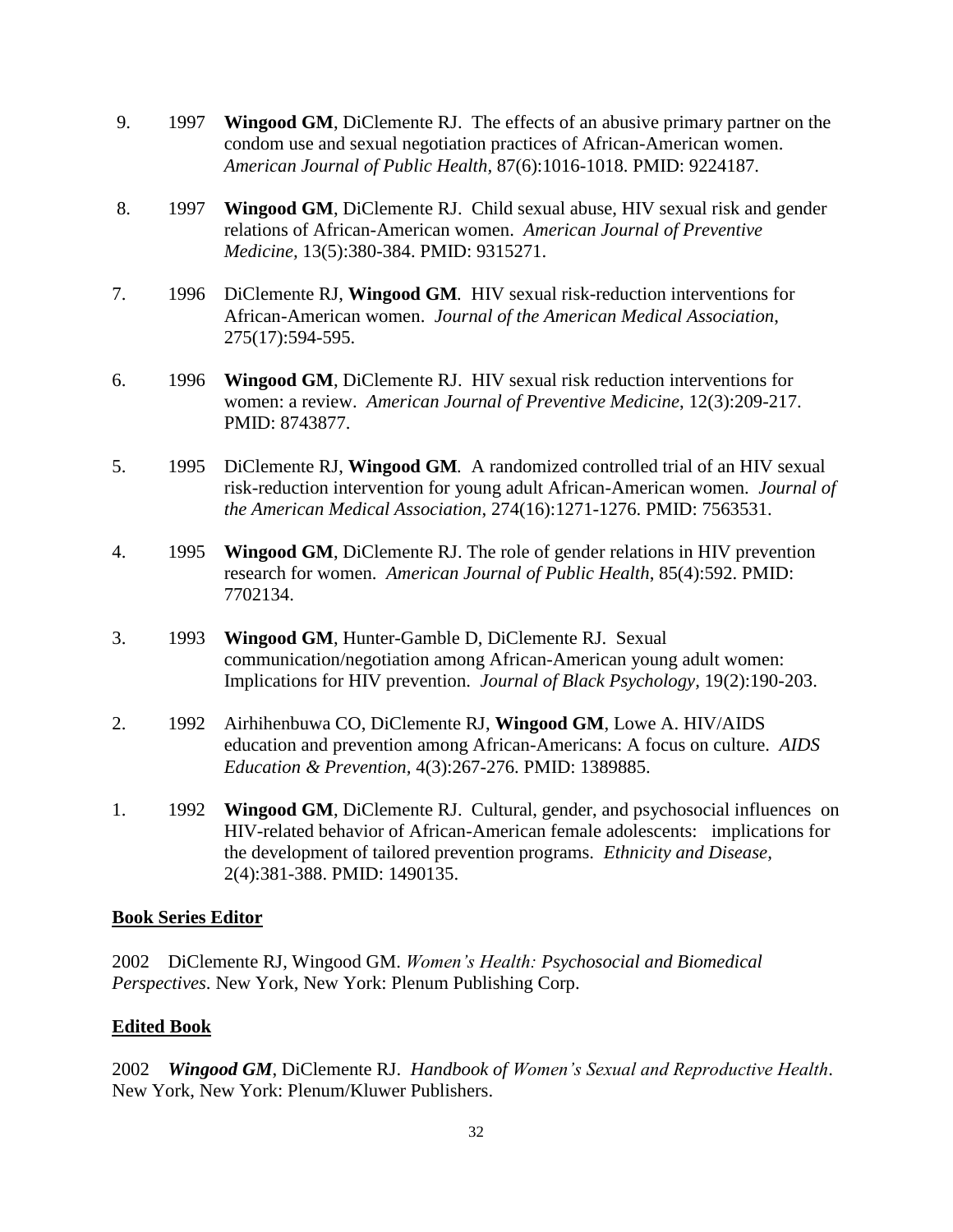- 9. 1997 **Wingood GM**, DiClemente RJ. The effects of an abusive primary partner on the condom use and sexual negotiation practices of African-American women. *American Journal of Public Health,* 87(6):1016-1018. PMID: 9224187.
- 8. 1997 **Wingood GM**, DiClemente RJ. Child sexual abuse, HIV sexual risk and gender relations of African-American women. *American Journal of Preventive Medicine,* 13(5):380-384. PMID: 9315271.
- 7. 1996 DiClemente RJ, **Wingood GM***.* HIV sexual risk-reduction interventions for African-American women. *Journal of the American Medical Association*, 275(17):594-595.
- 6. 1996 **Wingood GM**, DiClemente RJ. HIV sexual risk reduction interventions for women: a review. *American Journal of Preventive Medicine*, 12(3):209-217. PMID: 8743877.
- 5. 1995 DiClemente RJ, **Wingood GM***.* A randomized controlled trial of an HIV sexual risk-reduction intervention for young adult African-American women. *Journal of the American Medical Association*, 274(16):1271-1276. PMID: 7563531.
- 4. 1995 **Wingood GM**, DiClemente RJ. The role of gender relations in HIV prevention research for women. *American Journal of Public Health*, 85(4):592. PMID: 7702134.
- 3. 1993 **Wingood GM**, Hunter-Gamble D, DiClemente RJ. Sexual communication/negotiation among African-American young adult women: Implications for HIV prevention. *Journal of Black Psychology,* 19(2):190-203.
- 2. 1992 Airhihenbuwa CO, DiClemente RJ, **Wingood GM**, Lowe A. HIV/AIDS education and prevention among African-Americans: A focus on culture. *AIDS Education & Prevention,* 4(3):267-276. PMID: 1389885.
- 1. 1992 **Wingood GM**, DiClemente RJ. Cultural, gender, and psychosocial influences on HIV-related behavior of African-American female adolescents: implications for the development of tailored prevention programs. *Ethnicity and Disease,* 2(4):381-388. PMID: 1490135.

#### **Book Series Editor**

2002 DiClemente RJ, Wingood GM. *Women's Health: Psychosocial and Biomedical Perspectives*. New York, New York: Plenum Publishing Corp.

### **Edited Book**

2002 *Wingood GM*, DiClemente RJ. *Handbook of Women's Sexual and Reproductive Health*. New York, New York: Plenum/Kluwer Publishers.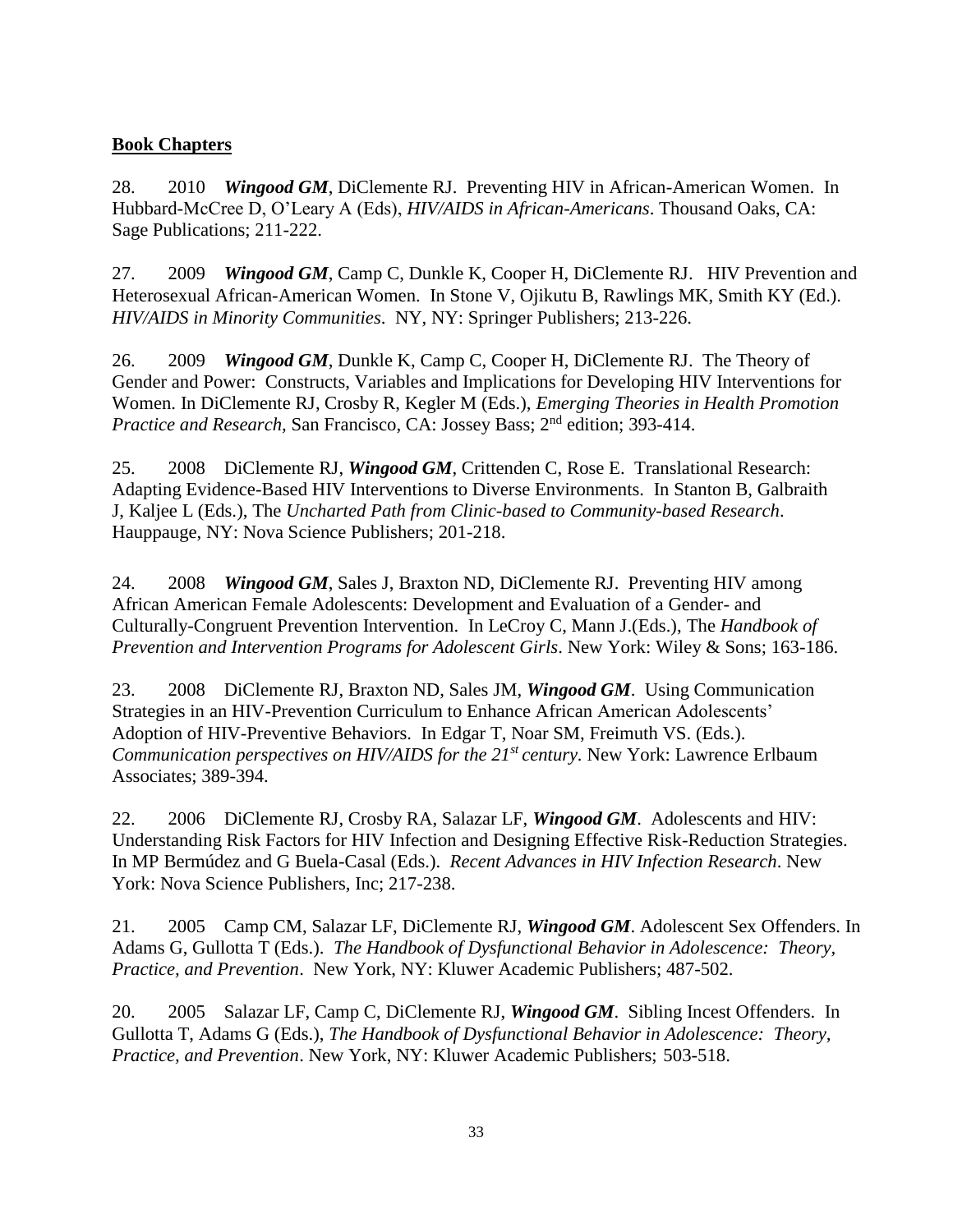#### **Book Chapters**

28. 2010 *Wingood GM*, DiClemente RJ. Preventing HIV in African-American Women. In Hubbard-McCree D, O'Leary A (Eds), *HIV/AIDS in African-Americans*. Thousand Oaks, CA: Sage Publications; 211-222.

27. 2009 *Wingood GM*, Camp C, Dunkle K, Cooper H, DiClemente RJ. HIV Prevention and Heterosexual African-American Women. In Stone V, Ojikutu B, Rawlings MK, Smith KY (Ed.). *HIV/AIDS in Minority Communities*. NY, NY: Springer Publishers; 213-226.

26. 2009 *Wingood GM*, Dunkle K, Camp C, Cooper H, DiClemente RJ. The Theory of Gender and Power: Constructs, Variables and Implications for Developing HIV Interventions for Women. In DiClemente RJ, Crosby R, Kegler M (Eds.), *Emerging Theories in Health Promotion*  Practice and Research, San Francisco, CA: Jossey Bass; 2<sup>nd</sup> edition; 393-414.

25. 2008 DiClemente RJ, *Wingood GM*, Crittenden C, Rose E. Translational Research: Adapting Evidence-Based HIV Interventions to Diverse Environments. In Stanton B, Galbraith J, Kaljee L (Eds.), The *Uncharted Path from Clinic-based to Community-based Research*. Hauppauge, NY: Nova Science Publishers; 201-218.

24. 2008 *Wingood GM*, Sales J, Braxton ND, DiClemente RJ. Preventing HIV among African American Female Adolescents: Development and Evaluation of a Gender- and Culturally-Congruent Prevention Intervention. In LeCroy C, Mann J.(Eds.), The *Handbook of Prevention and Intervention Programs for Adolescent Girls*. New York: Wiley & Sons; 163-186.

23. 2008 DiClemente RJ, Braxton ND, Sales JM, *Wingood GM*. Using Communication Strategies in an HIV-Prevention Curriculum to Enhance African American Adolescents' Adoption of HIV-Preventive Behaviors. In Edgar T, Noar SM, Freimuth VS. (Eds.). *Communication perspectives on HIV/AIDS for the 21st century.* New York: Lawrence Erlbaum Associates; 389-394.

22. 2006 DiClemente RJ, Crosby RA, Salazar LF, *Wingood GM*. Adolescents and HIV: Understanding Risk Factors for HIV Infection and Designing Effective Risk-Reduction Strategies. In MP Bermúdez and G Buela-Casal (Eds.). *Recent Advances in HIV Infection Research*. New York: Nova Science Publishers, Inc; 217-238.

21. 2005 Camp CM, Salazar LF, DiClemente RJ, *Wingood GM*. Adolescent Sex Offenders. In Adams G, Gullotta T (Eds.). *The Handbook of Dysfunctional Behavior in Adolescence: Theory, Practice, and Prevention*. New York, NY: Kluwer Academic Publishers; 487-502.

20. 2005 Salazar LF, Camp C, DiClemente RJ, *Wingood GM*. Sibling Incest Offenders. In Gullotta T, Adams G (Eds.), *The Handbook of Dysfunctional Behavior in Adolescence: Theory, Practice, and Prevention*. New York, NY: Kluwer Academic Publishers; 503-518.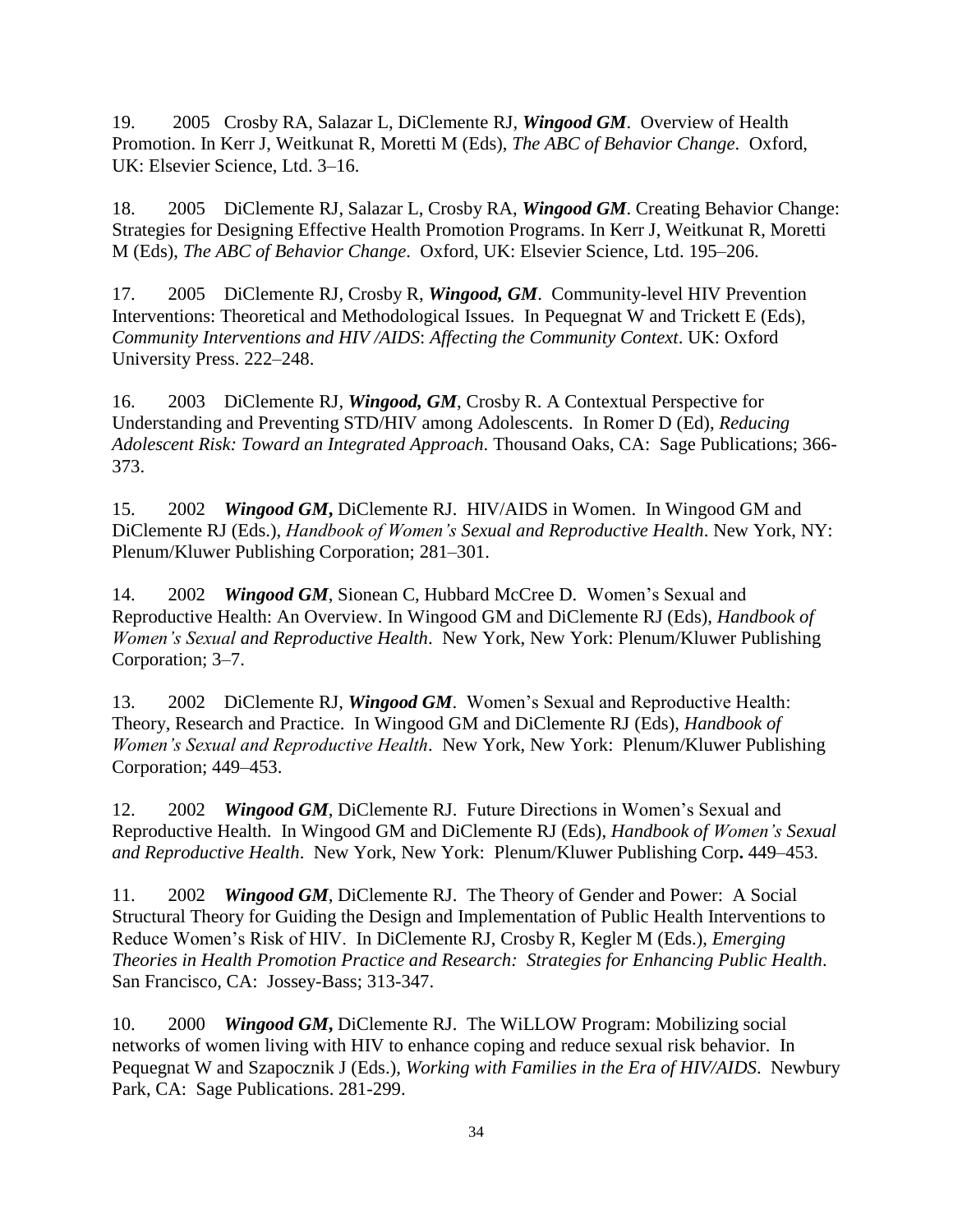19. 2005 Crosby RA, Salazar L, DiClemente RJ, *Wingood GM*.Overview of Health Promotion. In Kerr J, Weitkunat R, Moretti M (Eds), *The ABC of Behavior Change*. Oxford, UK: Elsevier Science, Ltd. 3–16.

18. 2005 DiClemente RJ, Salazar L, Crosby RA, *Wingood GM*. Creating Behavior Change: Strategies for Designing Effective Health Promotion Programs. In Kerr J, Weitkunat R, Moretti M (Eds), *The ABC of Behavior Change*. Oxford, UK: Elsevier Science, Ltd. 195–206.

17. 2005 DiClemente RJ, Crosby R, *Wingood, GM*. Community-level HIV Prevention Interventions: Theoretical and Methodological Issues. In Pequegnat W and Trickett E (Eds), *Community Interventions and HIV /AIDS*: *Affecting the Community Context*. UK: Oxford University Press. 222–248.

16. 2003 DiClemente RJ, *Wingood, GM*, Crosby R. A Contextual Perspective for Understanding and Preventing STD/HIV among Adolescents. In Romer D (Ed), *Reducing Adolescent Risk: Toward an Integrated Approach*. Thousand Oaks, CA: Sage Publications; 366- 373.

15. 2002 *Wingood GM***,** DiClemente RJ. HIV/AIDS in Women. In Wingood GM and DiClemente RJ (Eds.), *Handbook of Women's Sexual and Reproductive Health*. New York, NY: Plenum/Kluwer Publishing Corporation; 281–301.

14. 2002 *Wingood GM*, Sionean C, Hubbard McCree D.Women's Sexual and Reproductive Health: An Overview. In Wingood GM and DiClemente RJ (Eds), *Handbook of Women's Sexual and Reproductive Health*. New York, New York: Plenum/Kluwer Publishing Corporation; 3–7.

13. 2002 DiClemente RJ, *Wingood GM*.Women's Sexual and Reproductive Health: Theory, Research and Practice.In Wingood GM and DiClemente RJ (Eds), *Handbook of Women's Sexual and Reproductive Health*. New York, New York: Plenum/Kluwer Publishing Corporation; 449–453.

12. 2002 *Wingood GM*, DiClemente RJ. Future Directions in Women's Sexual and Reproductive Health.In Wingood GM and DiClemente RJ (Eds), *Handbook of Women's Sexual and Reproductive Health*. New York, New York: Plenum/Kluwer Publishing Corp**.** 449–453.

11. 2002 *Wingood GM*, DiClemente RJ. The Theory of Gender and Power: A Social Structural Theory for Guiding the Design and Implementation of Public Health Interventions to Reduce Women's Risk of HIV. In DiClemente RJ, Crosby R, Kegler M (Eds.), *Emerging Theories in Health Promotion Practice and Research: Strategies for Enhancing Public Health*. San Francisco, CA: Jossey-Bass; 313-347.

10. 2000 *Wingood GM***,** DiClemente RJ. The WiLLOW Program: Mobilizing social networks of women living with HIV to enhance coping and reduce sexual risk behavior. In Pequegnat W and Szapocznik J (Eds.), *Working with Families in the Era of HIV/AIDS*. Newbury Park, CA: Sage Publications. 281-299.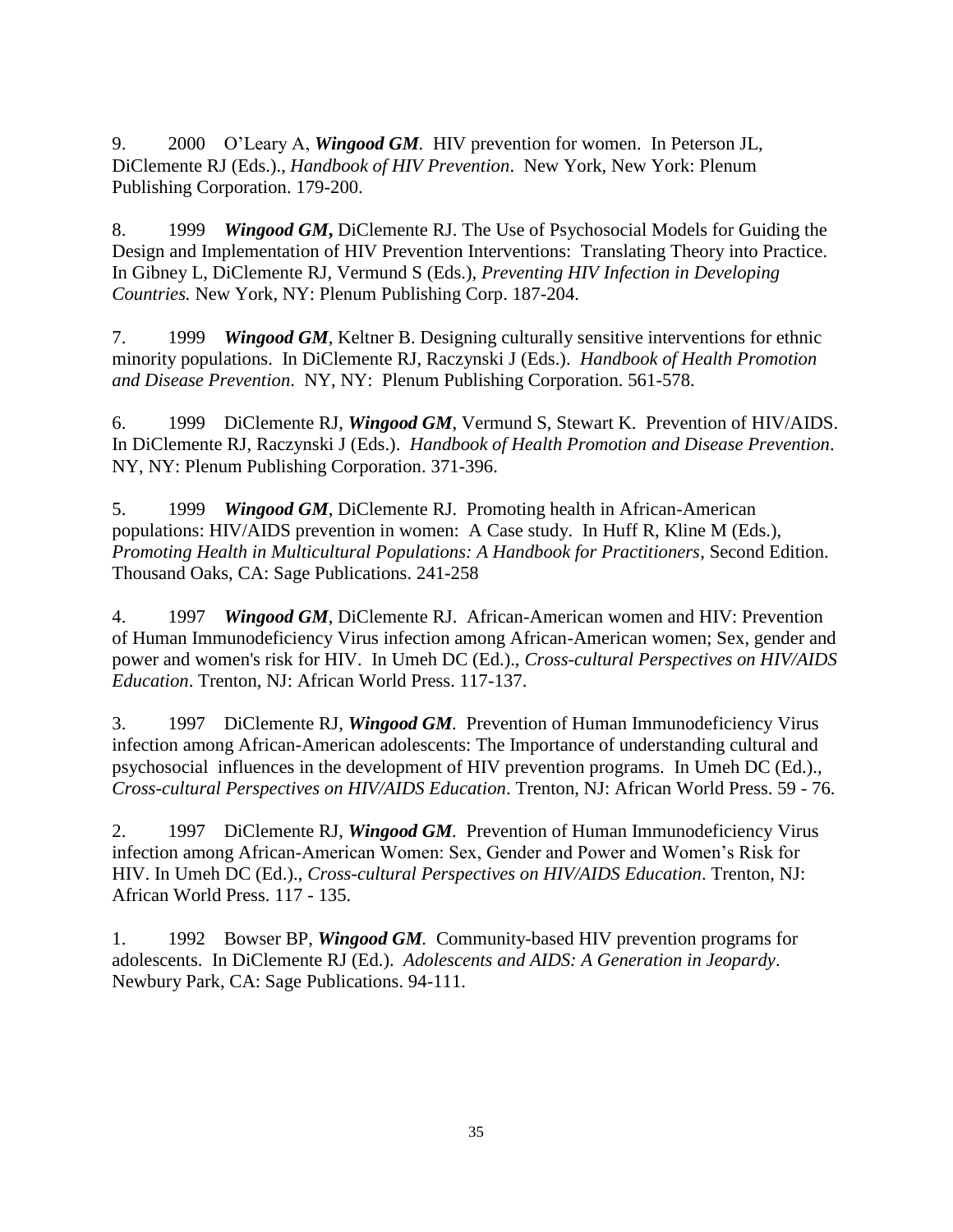9. 2000 O'Leary A, *Wingood GM.* HIV prevention for women. In Peterson JL, DiClemente RJ (Eds.)., *Handbook of HIV Prevention*. New York, New York: Plenum Publishing Corporation. 179-200.

8. 1999 *Wingood GM***,** DiClemente RJ. The Use of Psychosocial Models for Guiding the Design and Implementation of HIV Prevention Interventions: Translating Theory into Practice. In Gibney L, DiClemente RJ, Vermund S (Eds.), *Preventing HIV Infection in Developing Countries.* New York, NY: Plenum Publishing Corp. 187-204.

7. 1999 *Wingood GM*, Keltner B. Designing culturally sensitive interventions for ethnic minority populations. In DiClemente RJ, Raczynski J (Eds.). *Handbook of Health Promotion and Disease Prevention*. NY, NY: Plenum Publishing Corporation. 561-578.

6. 1999 DiClemente RJ, *Wingood GM*, Vermund S, Stewart K. Prevention of HIV/AIDS. In DiClemente RJ, Raczynski J (Eds.). *Handbook of Health Promotion and Disease Prevention*. NY, NY: Plenum Publishing Corporation. 371-396.

5. 1999 *Wingood GM*, DiClemente RJ*.* Promoting health in African-American populations: HIV/AIDS prevention in women: A Case study. In Huff R, Kline M (Eds.), *Promoting Health in Multicultural Populations: A Handbook for Practitioners*, Second Edition. Thousand Oaks, CA: Sage Publications. 241-258

4. 1997 *Wingood GM*, DiClemente RJ. African-American women and HIV: Prevention of Human Immunodeficiency Virus infection among African-American women; Sex, gender and power and women's risk for HIV. In Umeh DC (Ed.)., *Cross-cultural Perspectives on HIV/AIDS Education*. Trenton, NJ: African World Press. 117-137.

3. 1997 DiClemente RJ, *Wingood GM.* Prevention of Human Immunodeficiency Virus infection among African-American adolescents: The Importance of understanding cultural and psychosocial influences in the development of HIV prevention programs. In Umeh DC (Ed.)., *Cross-cultural Perspectives on HIV/AIDS Education*. Trenton, NJ: African World Press. 59 - 76.

2. 1997 DiClemente RJ, *Wingood GM.* Prevention of Human Immunodeficiency Virus infection among African-American Women: Sex, Gender and Power and Women's Risk for HIV. In Umeh DC (Ed.)., *Cross-cultural Perspectives on HIV/AIDS Education*. Trenton, NJ: African World Press. 117 - 135.

1. 1992 Bowser BP, *Wingood GM.* Community-based HIV prevention programs for adolescents. In DiClemente RJ (Ed.). *Adolescents and AIDS: A Generation in Jeopardy*. Newbury Park, CA: Sage Publications. 94-111.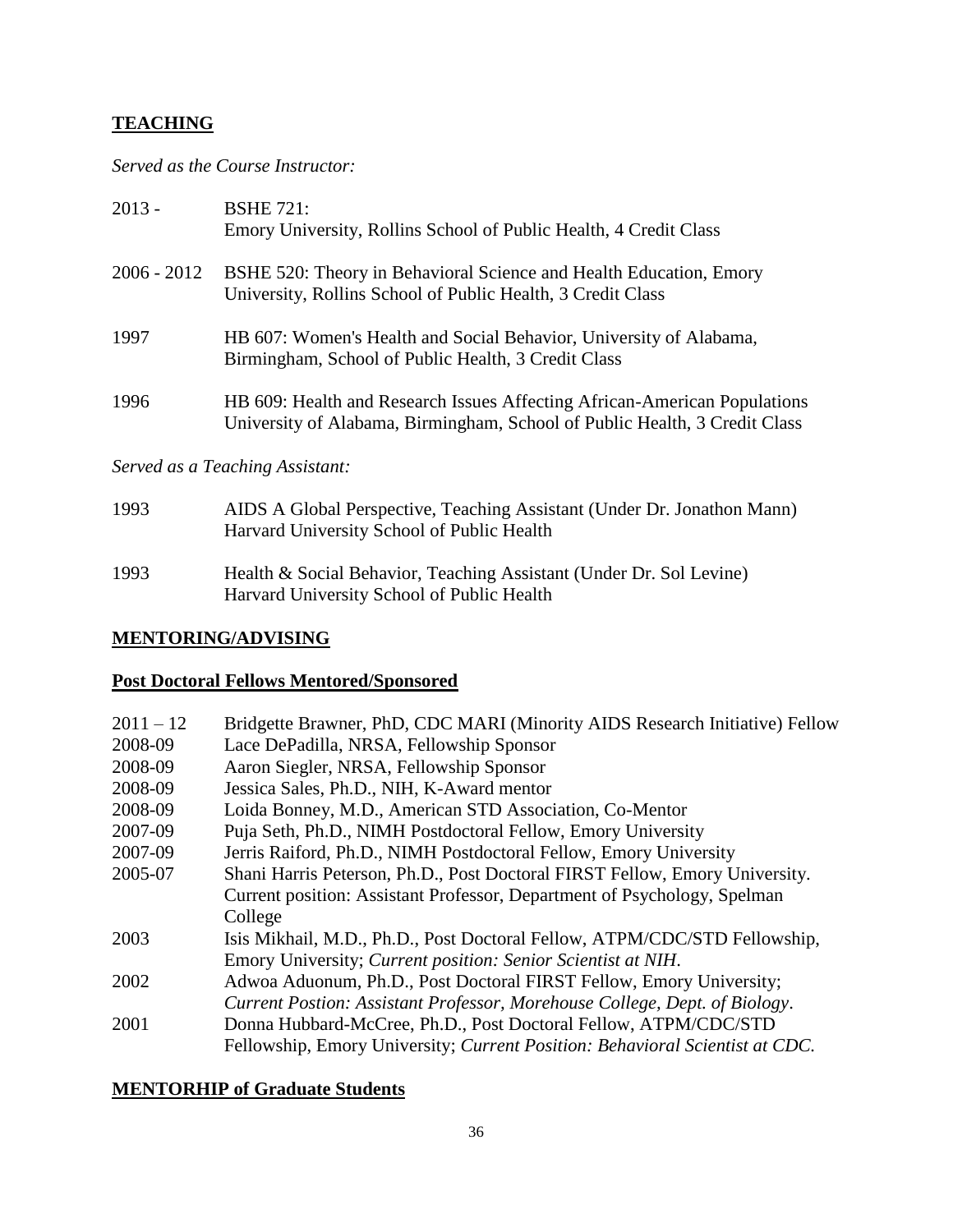### **TEACHING**

*Served as the Course Instructor:*

| $2013 -$      | <b>BSHE 721:</b><br>Emory University, Rollins School of Public Health, 4 Credit Class                                                                   |
|---------------|---------------------------------------------------------------------------------------------------------------------------------------------------------|
| $2006 - 2012$ | BSHE 520: Theory in Behavioral Science and Health Education, Emory<br>University, Rollins School of Public Health, 3 Credit Class                       |
| 1997          | HB 607: Women's Health and Social Behavior, University of Alabama,<br>Birmingham, School of Public Health, 3 Credit Class                               |
| 1996          | HB 609: Health and Research Issues Affecting African-American Populations<br>University of Alabama, Birmingham, School of Public Health, 3 Credit Class |

*Served as a Teaching Assistant:*

| 1993 | AIDS A Global Perspective, Teaching Assistant (Under Dr. Jonathon Mann) |
|------|-------------------------------------------------------------------------|
|      | Harvard University School of Public Health                              |
|      |                                                                         |

1993 Health & Social Behavior, Teaching Assistant (Under Dr. Sol Levine) Harvard University School of Public Health

#### **MENTORING/ADVISING**

### **Post Doctoral Fellows Mentored/Sponsored**

| $2011 - 12$ | Bridgette Brawner, PhD, CDC MARI (Minority AIDS Research Initiative) Fellow  |
|-------------|------------------------------------------------------------------------------|
| 2008-09     | Lace DePadilla, NRSA, Fellowship Sponsor                                     |
| 2008-09     | Aaron Siegler, NRSA, Fellowship Sponsor                                      |
| 2008-09     | Jessica Sales, Ph.D., NIH, K-Award mentor                                    |
| 2008-09     | Loida Bonney, M.D., American STD Association, Co-Mentor                      |
| 2007-09     | Puja Seth, Ph.D., NIMH Postdoctoral Fellow, Emory University                 |
| 2007-09     | Jerris Raiford, Ph.D., NIMH Postdoctoral Fellow, Emory University            |
| 2005-07     | Shani Harris Peterson, Ph.D., Post Doctoral FIRST Fellow, Emory University.  |
|             | Current position: Assistant Professor, Department of Psychology, Spelman     |
|             | College                                                                      |
| 2003        | Isis Mikhail, M.D., Ph.D., Post Doctoral Fellow, ATPM/CDC/STD Fellowship,    |
|             | Emory University; Current position: Senior Scientist at NIH.                 |
| 2002        | Adwoa Aduonum, Ph.D., Post Doctoral FIRST Fellow, Emory University;          |
|             | Current Postion: Assistant Professor, Morehouse College, Dept. of Biology.   |
| 2001        | Donna Hubbard-McCree, Ph.D., Post Doctoral Fellow, ATPM/CDC/STD              |
|             | Fellowship, Emory University; Current Position: Behavioral Scientist at CDC. |
|             |                                                                              |

## **MENTORHIP of Graduate Students**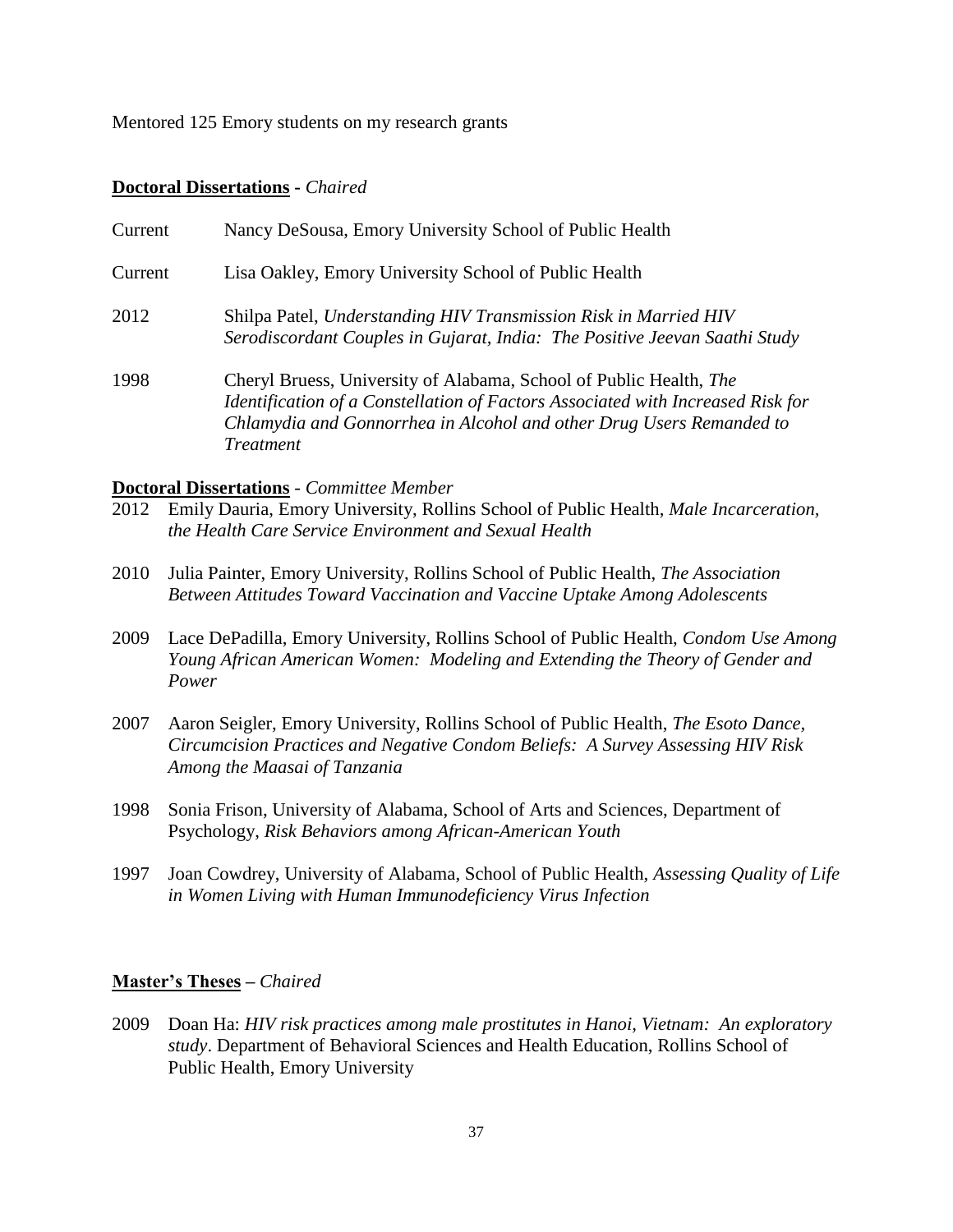Mentored 125 Emory students on my research grants

#### **Doctoral Dissertations -** *Chaired*

| Current | Nancy DeSousa, Emory University School of Public Health                                                                                                                                                                                           |
|---------|---------------------------------------------------------------------------------------------------------------------------------------------------------------------------------------------------------------------------------------------------|
| Current | Lisa Oakley, Emory University School of Public Health                                                                                                                                                                                             |
| 2012    | Shilpa Patel, Understanding HIV Transmission Risk in Married HIV<br>Serodiscordant Couples in Gujarat, India: The Positive Jeevan Saathi Study                                                                                                    |
| 1998    | Cheryl Bruess, University of Alabama, School of Public Health, The<br>Identification of a Constellation of Factors Associated with Increased Risk for<br>Chlamydia and Gonnorrhea in Alcohol and other Drug Users Remanded to<br><i>Treatment</i> |

#### **Doctoral Dissertations** *- Committee Member*

- 2012 Emily Dauria, Emory University, Rollins School of Public Health, *Male Incarceration, the Health Care Service Environment and Sexual Health*
- 2010 Julia Painter, Emory University, Rollins School of Public Health, *The Association Between Attitudes Toward Vaccination and Vaccine Uptake Among Adolescents*
- 2009 Lace DePadilla, Emory University, Rollins School of Public Health, *Condom Use Among Young African American Women: Modeling and Extending the Theory of Gender and Power*
- 2007 Aaron Seigler, Emory University, Rollins School of Public Health, *The Esoto Dance, Circumcision Practices and Negative Condom Beliefs: A Survey Assessing HIV Risk Among the Maasai of Tanzania*
- 1998 Sonia Frison, University of Alabama, School of Arts and Sciences, Department of Psychology, *Risk Behaviors among African-American Youth*
- 1997 Joan Cowdrey, University of Alabama, School of Public Health, *Assessing Quality of Life in Women Living with Human Immunodeficiency Virus Infection*

#### **Master's Theses –** *Chaired*

2009 Doan Ha: *HIV risk practices among male prostitutes in Hanoi, Vietnam: An exploratory study*. Department of Behavioral Sciences and Health Education, Rollins School of Public Health, Emory University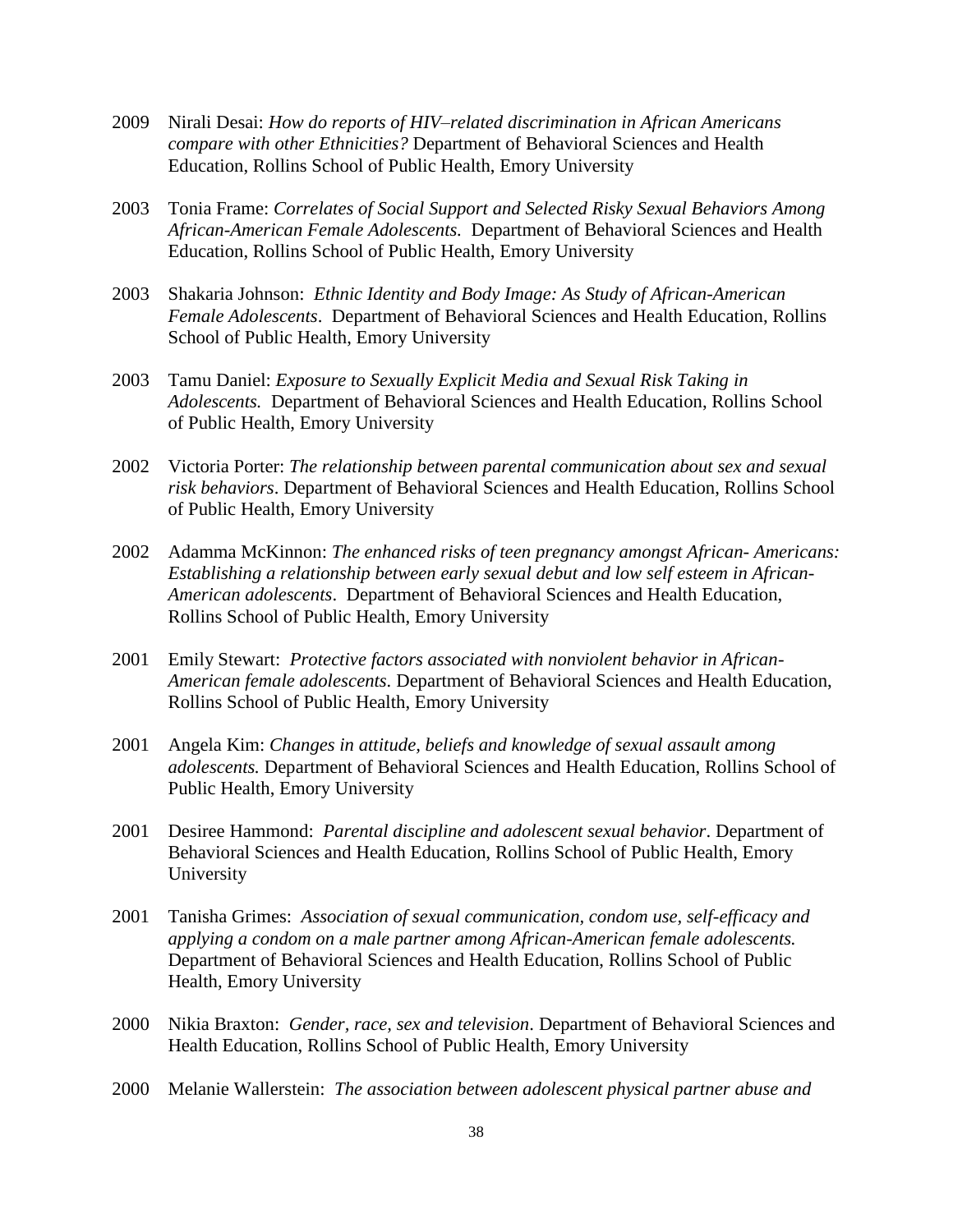- 2009 Nirali Desai: *How do reports of HIV–related discrimination in African Americans compare with other Ethnicities?* Department of Behavioral Sciences and Health Education, Rollins School of Public Health, Emory University
- 2003 Tonia Frame: *Correlates of Social Support and Selected Risky Sexual Behaviors Among African-American Female Adolescents.* Department of Behavioral Sciences and Health Education, Rollins School of Public Health, Emory University
- 2003 Shakaria Johnson: *Ethnic Identity and Body Image: As Study of African-American Female Adolescents*. Department of Behavioral Sciences and Health Education, Rollins School of Public Health, Emory University
- 2003 Tamu Daniel: *Exposure to Sexually Explicit Media and Sexual Risk Taking in Adolescents.* Department of Behavioral Sciences and Health Education, Rollins School of Public Health, Emory University
- 2002 Victoria Porter: *The relationship between parental communication about sex and sexual risk behaviors*. Department of Behavioral Sciences and Health Education, Rollins School of Public Health, Emory University
- 2002 Adamma McKinnon: *The enhanced risks of teen pregnancy amongst African- Americans: Establishing a relationship between early sexual debut and low self esteem in African-American adolescents*. Department of Behavioral Sciences and Health Education, Rollins School of Public Health, Emory University
- 2001 Emily Stewart: *Protective factors associated with nonviolent behavior in African-American female adolescents.* Department of Behavioral Sciences and Health Education, Rollins School of Public Health, Emory University
- 2001 Angela Kim: *Changes in attitude, beliefs and knowledge of sexual assault among adolescents.* Department of Behavioral Sciences and Health Education, Rollins School of Public Health, Emory University
- 2001 Desiree Hammond: *Parental discipline and adolescent sexual behavior*. Department of Behavioral Sciences and Health Education, Rollins School of Public Health, Emory University
- 2001 Tanisha Grimes: *Association of sexual communication, condom use, self-efficacy and applying a condom on a male partner among African-American female adolescents.* Department of Behavioral Sciences and Health Education, Rollins School of Public Health, Emory University
- 2000 Nikia Braxton: *Gender, race, sex and television*. Department of Behavioral Sciences and Health Education, Rollins School of Public Health, Emory University
- 2000 Melanie Wallerstein: *The association between adolescent physical partner abuse and*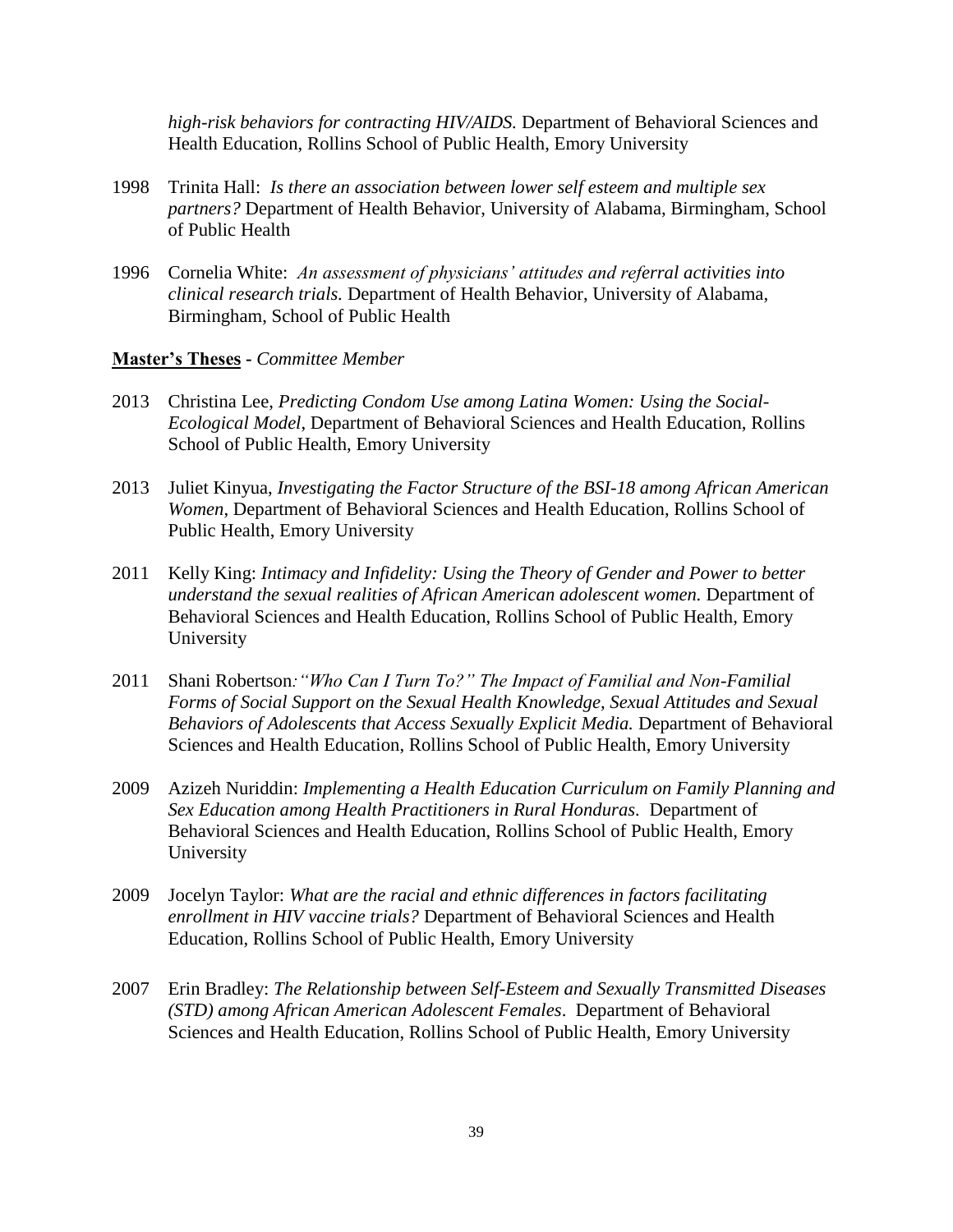*high-risk behaviors for contracting HIV/AIDS.* Department of Behavioral Sciences and Health Education, Rollins School of Public Health, Emory University

- 1998 Trinita Hall: *Is there an association between lower self esteem and multiple sex partners?* Department of Health Behavior, University of Alabama, Birmingham, School of Public Health
- 1996 Cornelia White: *An assessment of physicians' attitudes and referral activities into clinical research trials.* Department of Health Behavior, University of Alabama, Birmingham, School of Public Health

#### **Master's Theses -** *Committee Member*

- 2013 Christina Lee, *Predicting Condom Use among Latina Women: Using the Social-Ecological Model*, Department of Behavioral Sciences and Health Education, Rollins School of Public Health, Emory University
- 2013 Juliet Kinyua, *Investigating the Factor Structure of the BSI-18 among African American Women*, Department of Behavioral Sciences and Health Education, Rollins School of Public Health, Emory University
- 2011 Kelly King: *Intimacy and Infidelity: Using the Theory of Gender and Power to better understand the sexual realities of African American adolescent women.* Department of Behavioral Sciences and Health Education, Rollins School of Public Health, Emory University
- 2011 Shani Robertson*:"Who Can I Turn To?" The Impact of Familial and Non-Familial Forms of Social Support on the Sexual Health Knowledge, Sexual Attitudes and Sexual Behaviors of Adolescents that Access Sexually Explicit Media.* Department of Behavioral Sciences and Health Education, Rollins School of Public Health, Emory University
- 2009 Azizeh Nuriddin: *Implementing a Health Education Curriculum on Family Planning and Sex Education among Health Practitioners in Rural Honduras.* Department of Behavioral Sciences and Health Education, Rollins School of Public Health, Emory University
- 2009 Jocelyn Taylor: *What are the racial and ethnic differences in factors facilitating enrollment in HIV vaccine trials?* Department of Behavioral Sciences and Health Education, Rollins School of Public Health, Emory University
- 2007 Erin Bradley: *The Relationship between Self-Esteem and Sexually Transmitted Diseases (STD) among African American Adolescent Females*. Department of Behavioral Sciences and Health Education, Rollins School of Public Health, Emory University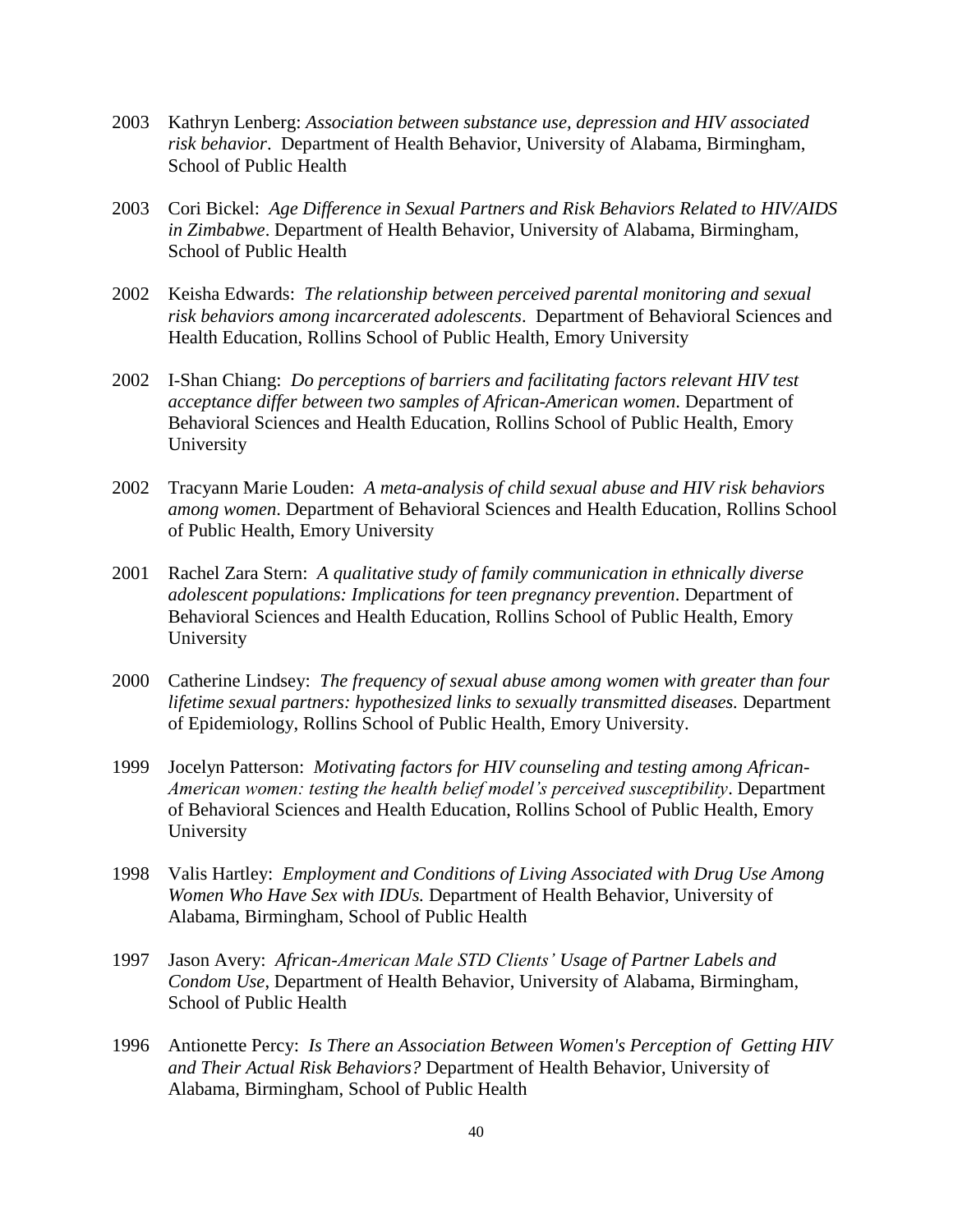- 2003 Kathryn Lenberg: *Association between substance use, depression and HIV associated risk behavior*. Department of Health Behavior, University of Alabama, Birmingham, School of Public Health
- 2003 Cori Bickel: *Age Difference in Sexual Partners and Risk Behaviors Related to HIV/AIDS in Zimbabwe*. Department of Health Behavior, University of Alabama, Birmingham, School of Public Health
- 2002 Keisha Edwards: *The relationship between perceived parental monitoring and sexual risk behaviors among incarcerated adolescents*. Department of Behavioral Sciences and Health Education, Rollins School of Public Health, Emory University
- 2002 I-Shan Chiang: *Do perceptions of barriers and facilitating factors relevant HIV test acceptance differ between two samples of African-American women*. Department of Behavioral Sciences and Health Education, Rollins School of Public Health, Emory University
- 2002 Tracyann Marie Louden: *A meta-analysis of child sexual abuse and HIV risk behaviors among women*. Department of Behavioral Sciences and Health Education, Rollins School of Public Health, Emory University
- 2001 Rachel Zara Stern: *A qualitative study of family communication in ethnically diverse adolescent populations: Implications for teen pregnancy prevention*. Department of Behavioral Sciences and Health Education, Rollins School of Public Health, Emory University
- 2000 Catherine Lindsey: *The frequency of sexual abuse among women with greater than four lifetime sexual partners: hypothesized links to sexually transmitted diseases.* Department of Epidemiology, Rollins School of Public Health, Emory University.
- 1999 Jocelyn Patterson: *Motivating factors for HIV counseling and testing among African-American women: testing the health belief model's perceived susceptibility*. Department of Behavioral Sciences and Health Education, Rollins School of Public Health, Emory University
- 1998 Valis Hartley: *Employment and Conditions of Living Associated with Drug Use Among Women Who Have Sex with IDUs.* Department of Health Behavior, University of Alabama, Birmingham, School of Public Health
- 1997 Jason Avery: *African-American Male STD Clients' Usage of Partner Labels and Condom Use*, Department of Health Behavior, University of Alabama, Birmingham, School of Public Health
- 1996 Antionette Percy: *Is There an Association Between Women's Perception of Getting HIV and Their Actual Risk Behaviors?* Department of Health Behavior, University of Alabama, Birmingham, School of Public Health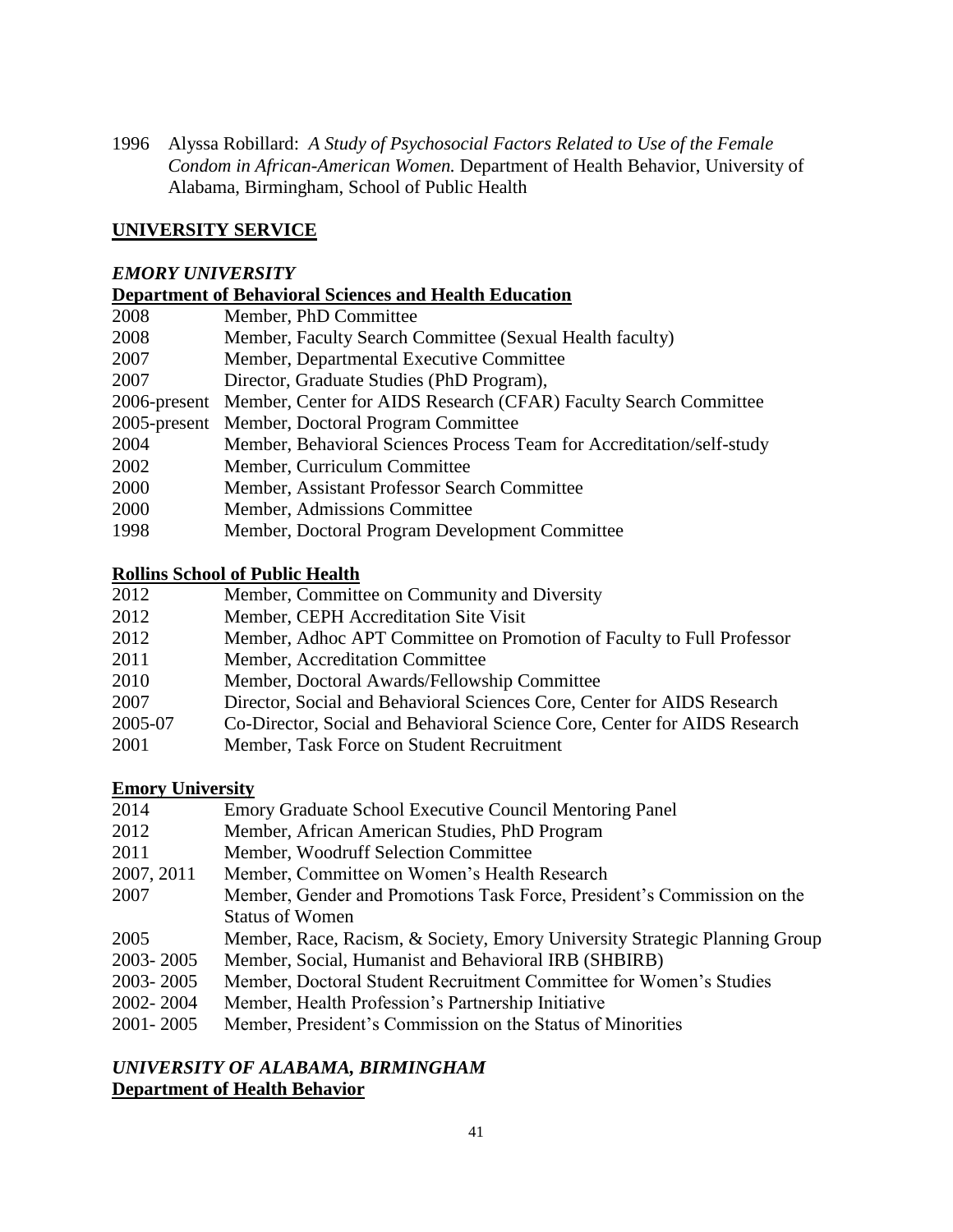1996 Alyssa Robillard: *A Study of Psychosocial Factors Related to Use of the Female Condom in African-American Women.* Department of Health Behavior, University of Alabama, Birmingham, School of Public Health

## **UNIVERSITY SERVICE**

#### *EMORY UNIVERSITY*

# **Department of Behavioral Sciences and Health Education**

| 2008 | Member, PhD Committee                                                         |
|------|-------------------------------------------------------------------------------|
| 2008 | Member, Faculty Search Committee (Sexual Health faculty)                      |
| 2007 | Member, Departmental Executive Committee                                      |
| 2007 | Director, Graduate Studies (PhD Program),                                     |
|      | 2006-present Member, Center for AIDS Research (CFAR) Faculty Search Committee |
|      | 2005-present Member, Doctoral Program Committee                               |
| 2004 | Member, Behavioral Sciences Process Team for Accreditation/self-study         |
| 2002 | Member, Curriculum Committee                                                  |
| 2000 | Member, Assistant Professor Search Committee                                  |
| 2000 | Member, Admissions Committee                                                  |
| 1998 | Member, Doctoral Program Development Committee                                |

### **Rollins School of Public Health**

| 2012    | Member, Committee on Community and Diversity                              |
|---------|---------------------------------------------------------------------------|
| 2012    | Member, CEPH Accreditation Site Visit                                     |
| 2012    | Member, Adhoc APT Committee on Promotion of Faculty to Full Professor     |
| 2011    | Member, Accreditation Committee                                           |
| 2010    | Member, Doctoral Awards/Fellowship Committee                              |
| 2007    | Director, Social and Behavioral Sciences Core, Center for AIDS Research   |
| 2005-07 | Co-Director, Social and Behavioral Science Core, Center for AIDS Research |
| 2001    | Member, Task Force on Student Recruitment                                 |

#### **Emory University**

| 2014       | Emory Graduate School Executive Council Mentoring Panel                    |
|------------|----------------------------------------------------------------------------|
| 2012       | Member, African American Studies, PhD Program                              |
| 2011       | Member, Woodruff Selection Committee                                       |
| 2007, 2011 | Member, Committee on Women's Health Research                               |
| 2007       | Member, Gender and Promotions Task Force, President's Commission on the    |
|            | <b>Status of Women</b>                                                     |
| 2005       | Member, Race, Racism, & Society, Emory University Strategic Planning Group |
| 2003-2005  | Member, Social, Humanist and Behavioral IRB (SHBIRB)                       |
| 2003-2005  | Member, Doctoral Student Recruitment Committee for Women's Studies         |
| 2002-2004  | Member, Health Profession's Partnership Initiative                         |
| 2001-2005  | Member, President's Commission on the Status of Minorities                 |
|            |                                                                            |

# *UNIVERSITY OF ALABAMA, BIRMINGHAM* **Department of Health Behavior**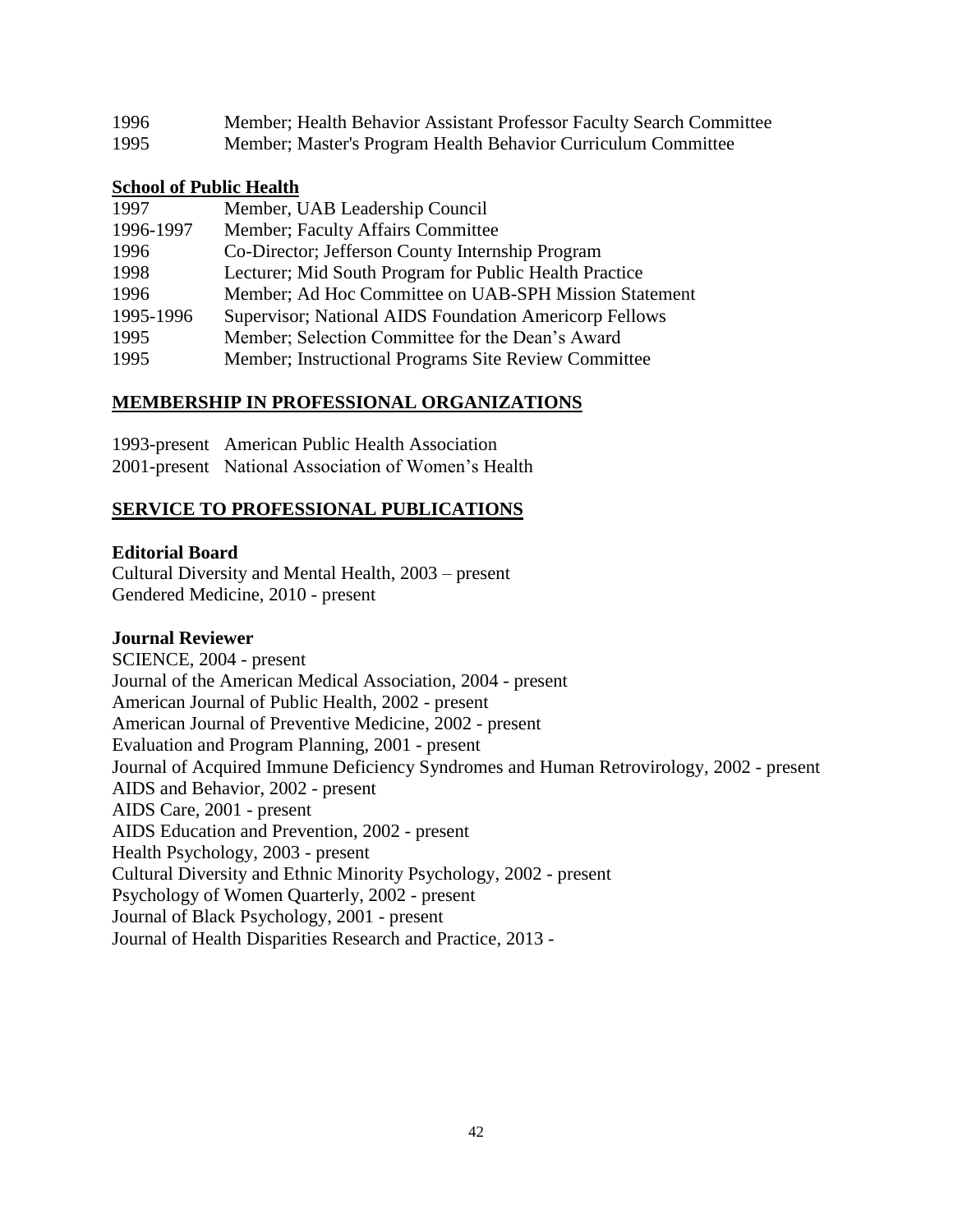| 1996 | Member; Health Behavior Assistant Professor Faculty Search Committee |
|------|----------------------------------------------------------------------|
| 1995 | Member; Master's Program Health Behavior Curriculum Committee        |

#### **School of Public Health**

| 1997      | Member, UAB Leadership Council                                 |
|-----------|----------------------------------------------------------------|
| 1996-1997 | Member; Faculty Affairs Committee                              |
| 1996      | Co-Director; Jefferson County Internship Program               |
| 1998      | Lecturer; Mid South Program for Public Health Practice         |
| 1996      | Member; Ad Hoc Committee on UAB-SPH Mission Statement          |
| 1995-1996 | <b>Supervisor</b> ; National AIDS Foundation Americorp Fellows |
| 1995      | Member; Selection Committee for the Dean's Award               |
| 1995      | Member; Instructional Programs Site Review Committee           |

## **MEMBERSHIP IN PROFESSIONAL ORGANIZATIONS**

1993-present American Public Health Association 2001-present National Association of Women's Health

## **SERVICE TO PROFESSIONAL PUBLICATIONS**

### **Editorial Board**

Cultural Diversity and Mental Health, 2003 – present Gendered Medicine, 2010 - present

## **Journal Reviewer**

SCIENCE, 2004 - present Journal of the American Medical Association, 2004 - present American Journal of Public Health, 2002 - present American Journal of Preventive Medicine, 2002 - present Evaluation and Program Planning, 2001 - present Journal of Acquired Immune Deficiency Syndromes and Human Retrovirology, 2002 - present AIDS and Behavior, 2002 - present AIDS Care, 2001 - present AIDS Education and Prevention, 2002 - present Health Psychology, 2003 - present Cultural Diversity and Ethnic Minority Psychology, 2002 - present Psychology of Women Quarterly, 2002 - present Journal of Black Psychology, 2001 - present Journal of Health Disparities Research and Practice, 2013 -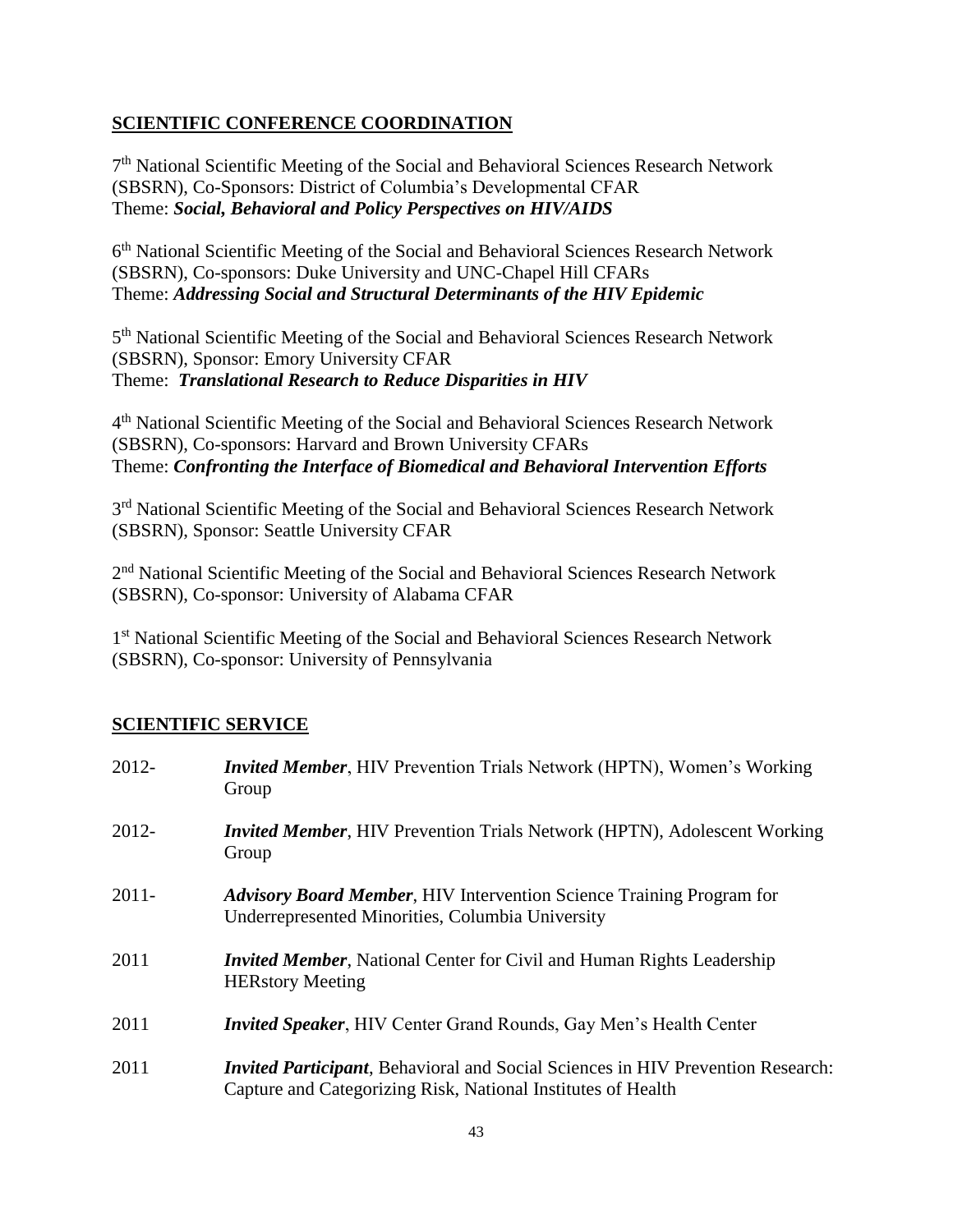# **SCIENTIFIC CONFERENCE COORDINATION**

7<sup>th</sup> National Scientific Meeting of the Social and Behavioral Sciences Research Network (SBSRN), Co-Sponsors: District of Columbia's Developmental CFAR Theme: *Social, Behavioral and Policy Perspectives on HIV/AIDS*

6<sup>th</sup> National Scientific Meeting of the Social and Behavioral Sciences Research Network (SBSRN), Co-sponsors: Duke University and UNC-Chapel Hill CFARs Theme: *Addressing Social and Structural Determinants of the HIV Epidemic*

5<sup>th</sup> National Scientific Meeting of the Social and Behavioral Sciences Research Network (SBSRN), Sponsor: Emory University CFAR Theme: *Translational Research to Reduce Disparities in HIV*

4<sup>th</sup> National Scientific Meeting of the Social and Behavioral Sciences Research Network (SBSRN), Co-sponsors: Harvard and Brown University CFARs Theme: *Confronting the Interface of Biomedical and Behavioral Intervention Efforts*

3<sup>rd</sup> National Scientific Meeting of the Social and Behavioral Sciences Research Network (SBSRN), Sponsor: Seattle University CFAR

2<sup>nd</sup> National Scientific Meeting of the Social and Behavioral Sciences Research Network (SBSRN), Co-sponsor: University of Alabama CFAR

1<sup>st</sup> National Scientific Meeting of the Social and Behavioral Sciences Research Network (SBSRN), Co-sponsor: University of Pennsylvania

# **SCIENTIFIC SERVICE**

| 2012-    | <i>Invited Member</i> , HIV Prevention Trials Network (HPTN), Women's Working<br>Group                                                                  |
|----------|---------------------------------------------------------------------------------------------------------------------------------------------------------|
| 2012-    | <i>Invited Member</i> , HIV Prevention Trials Network (HPTN), Adolescent Working<br>Group                                                               |
| $2011 -$ | <b>Advisory Board Member, HIV Intervention Science Training Program for</b><br>Underrepresented Minorities, Columbia University                         |
| 2011     | <i>Invited Member</i> , National Center for Civil and Human Rights Leadership<br><b>HERstory Meeting</b>                                                |
| 2011     | <b>Invited Speaker</b> , HIV Center Grand Rounds, Gay Men's Health Center                                                                               |
| 2011     | <i>Invited Participant</i> , Behavioral and Social Sciences in HIV Prevention Research:<br>Capture and Categorizing Risk, National Institutes of Health |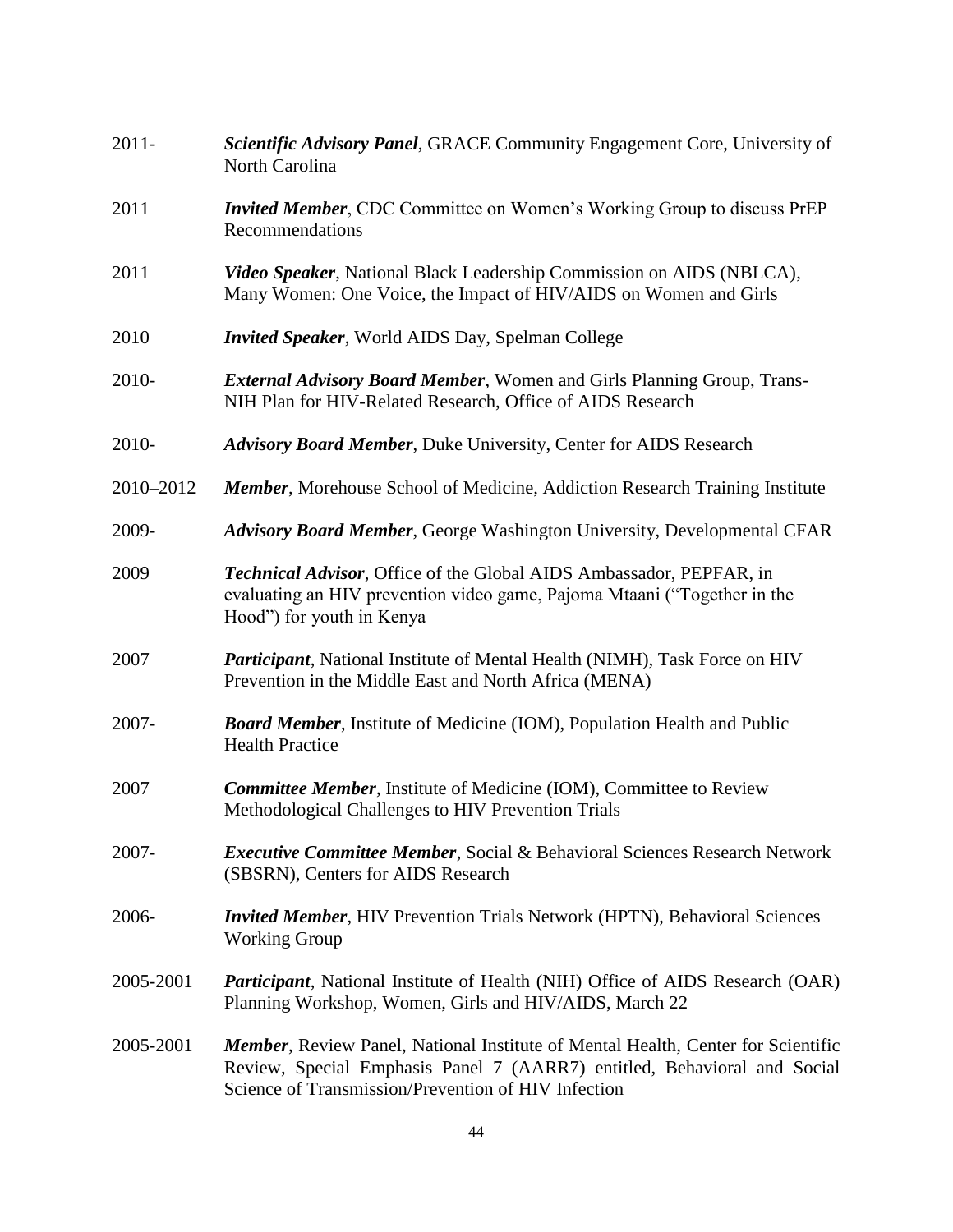| $2011 -$  | Scientific Advisory Panel, GRACE Community Engagement Core, University of<br>North Carolina                                                                                                                                 |
|-----------|-----------------------------------------------------------------------------------------------------------------------------------------------------------------------------------------------------------------------------|
| 2011      | <i>Invited Member</i> , CDC Committee on Women's Working Group to discuss PrEP<br>Recommendations                                                                                                                           |
| 2011      | Video Speaker, National Black Leadership Commission on AIDS (NBLCA),<br>Many Women: One Voice, the Impact of HIV/AIDS on Women and Girls                                                                                    |
| 2010      | <b>Invited Speaker, World AIDS Day, Spelman College</b>                                                                                                                                                                     |
| 2010-     | <b>External Advisory Board Member, Women and Girls Planning Group, Trans-</b><br>NIH Plan for HIV-Related Research, Office of AIDS Research                                                                                 |
| 2010-     | <b>Advisory Board Member, Duke University, Center for AIDS Research</b>                                                                                                                                                     |
| 2010-2012 | <b>Member, Morehouse School of Medicine, Addiction Research Training Institute</b>                                                                                                                                          |
| 2009-     | <b>Advisory Board Member, George Washington University, Developmental CFAR</b>                                                                                                                                              |
| 2009      | Technical Advisor, Office of the Global AIDS Ambassador, PEPFAR, in<br>evaluating an HIV prevention video game, Pajoma Mtaani ("Together in the<br>Hood") for youth in Kenya                                                |
| 2007      | <b>Participant</b> , National Institute of Mental Health (NIMH), Task Force on HIV<br>Prevention in the Middle East and North Africa (MENA)                                                                                 |
| 2007-     | <b>Board Member</b> , Institute of Medicine (IOM), Population Health and Public<br><b>Health Practice</b>                                                                                                                   |
| 2007      | <b>Committee Member, Institute of Medicine (IOM), Committee to Review</b><br>Methodological Challenges to HIV Prevention Trials                                                                                             |
| 2007-     | <i>Executive Committee Member, Social &amp; Behavioral Sciences Research Network</i><br>(SBSRN), Centers for AIDS Research                                                                                                  |
| 2006-     | <b>Invited Member, HIV Prevention Trials Network (HPTN), Behavioral Sciences</b><br><b>Working Group</b>                                                                                                                    |
| 2005-2001 | <b>Participant</b> , National Institute of Health (NIH) Office of AIDS Research (OAR)<br>Planning Workshop, Women, Girls and HIV/AIDS, March 22                                                                             |
| 2005-2001 | <b>Member</b> , Review Panel, National Institute of Mental Health, Center for Scientific<br>Review, Special Emphasis Panel 7 (AARR7) entitled, Behavioral and Social<br>Science of Transmission/Prevention of HIV Infection |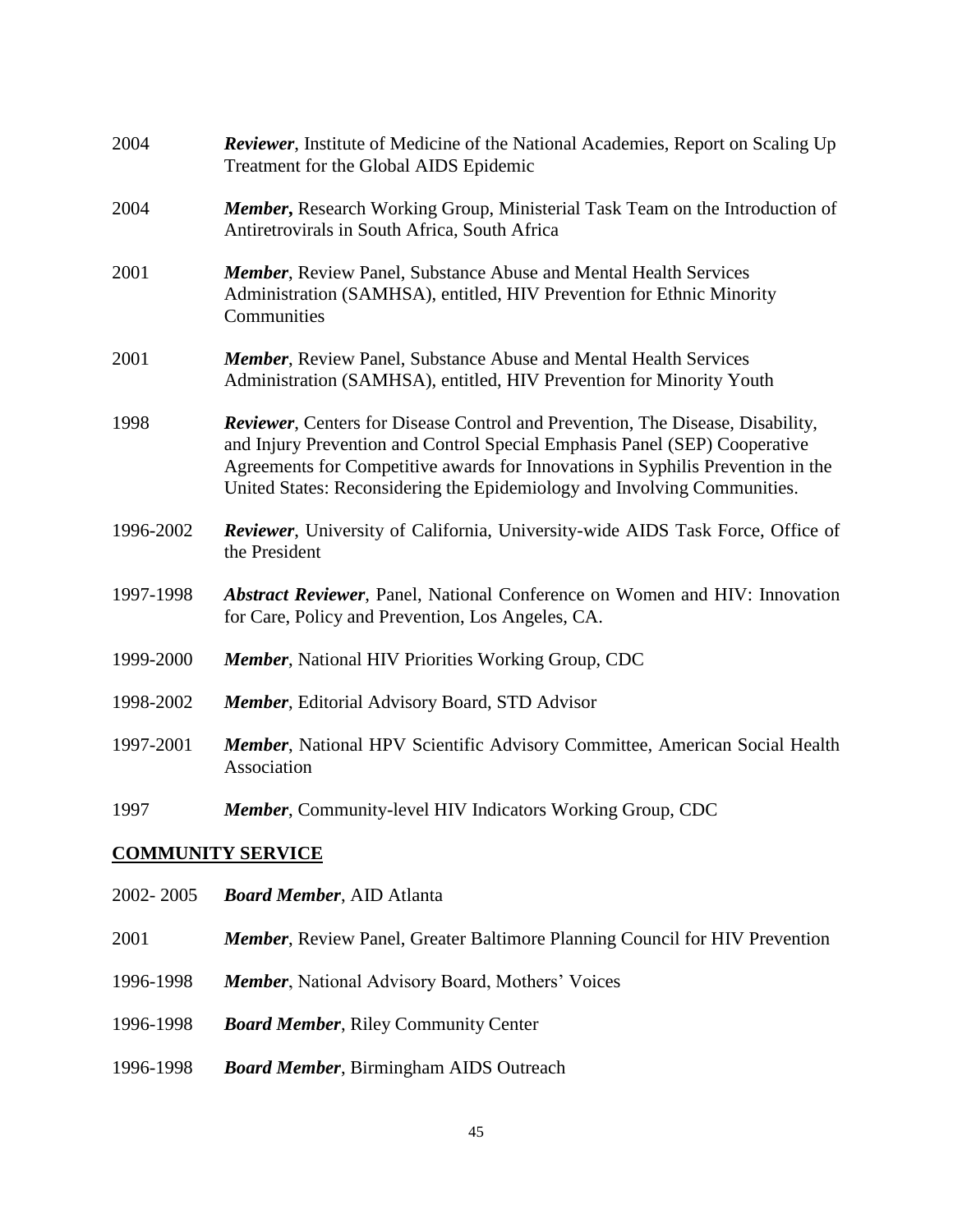| 2004                     | <b>Reviewer</b> , Institute of Medicine of the National Academies, Report on Scaling Up<br>Treatment for the Global AIDS Epidemic                                                                                                                                                                                                  |  |
|--------------------------|------------------------------------------------------------------------------------------------------------------------------------------------------------------------------------------------------------------------------------------------------------------------------------------------------------------------------------|--|
| 2004                     | <b>Member, Research Working Group, Ministerial Task Team on the Introduction of</b><br>Antiretrovirals in South Africa, South Africa                                                                                                                                                                                               |  |
| 2001                     | <b>Member, Review Panel, Substance Abuse and Mental Health Services</b><br>Administration (SAMHSA), entitled, HIV Prevention for Ethnic Minority<br>Communities                                                                                                                                                                    |  |
| 2001                     | <b>Member, Review Panel, Substance Abuse and Mental Health Services</b><br>Administration (SAMHSA), entitled, HIV Prevention for Minority Youth                                                                                                                                                                                    |  |
| 1998                     | <b>Reviewer, Centers for Disease Control and Prevention, The Disease, Disability,</b><br>and Injury Prevention and Control Special Emphasis Panel (SEP) Cooperative<br>Agreements for Competitive awards for Innovations in Syphilis Prevention in the<br>United States: Reconsidering the Epidemiology and Involving Communities. |  |
| 1996-2002                | Reviewer, University of California, University-wide AIDS Task Force, Office of<br>the President                                                                                                                                                                                                                                    |  |
| 1997-1998                | <b>Abstract Reviewer</b> , Panel, National Conference on Women and HIV: Innovation<br>for Care, Policy and Prevention, Los Angeles, CA.                                                                                                                                                                                            |  |
| 1999-2000                | <b>Member, National HIV Priorities Working Group, CDC</b>                                                                                                                                                                                                                                                                          |  |
| 1998-2002                | <b>Member</b> , Editorial Advisory Board, STD Advisor                                                                                                                                                                                                                                                                              |  |
| 1997-2001                | Member, National HPV Scientific Advisory Committee, American Social Health<br>Association                                                                                                                                                                                                                                          |  |
| 1997                     | <b>Member, Community-level HIV Indicators Working Group, CDC</b>                                                                                                                                                                                                                                                                   |  |
| <b>COMMUNITY SERVICE</b> |                                                                                                                                                                                                                                                                                                                                    |  |
| 2002-2005                | <b>Board Member, AID Atlanta</b>                                                                                                                                                                                                                                                                                                   |  |
| 2001                     | <b>Member, Review Panel, Greater Baltimore Planning Council for HIV Prevention</b>                                                                                                                                                                                                                                                 |  |
| 1996-1998                | Member, National Advisory Board, Mothers' Voices                                                                                                                                                                                                                                                                                   |  |

- 1996-1998 *Board Member*, Riley Community Center
- 1996-1998 *Board Member*, Birmingham AIDS Outreach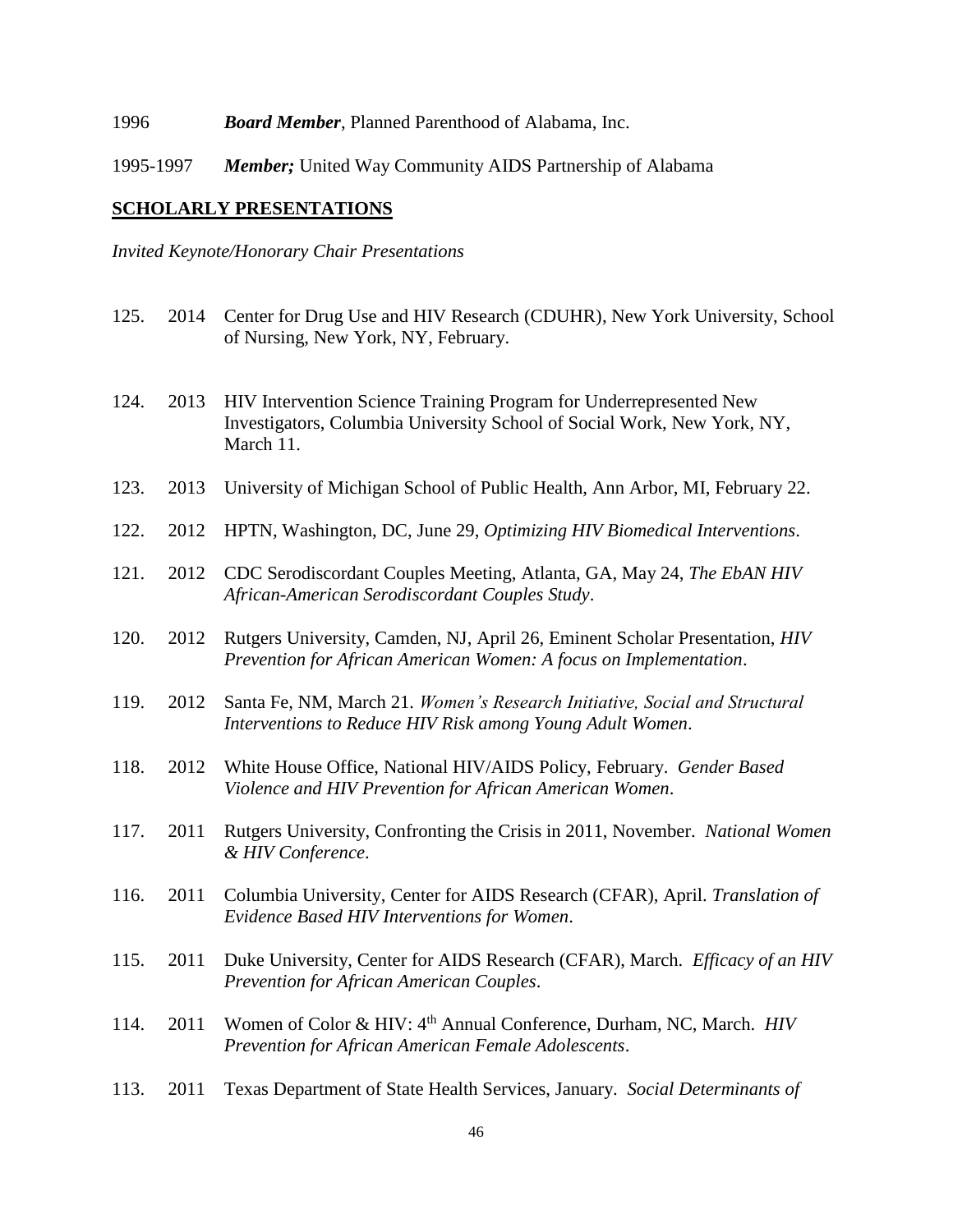1996 *Board Member*, Planned Parenthood of Alabama, Inc.

1995-1997 *Member;* United Way Community AIDS Partnership of Alabama

### **SCHOLARLY PRESENTATIONS**

*Invited Keynote/Honorary Chair Presentations*

- 125. 2014 Center for Drug Use and HIV Research (CDUHR), New York University, School of Nursing, New York, NY, February.
- 124. 2013 HIV Intervention Science Training Program for Underrepresented New Investigators, Columbia University School of Social Work, New York, NY, March 11.
- 123. 2013 University of Michigan School of Public Health, Ann Arbor, MI, February 22.
- 122. 2012 HPTN, Washington, DC, June 29, *Optimizing HIV Biomedical Interventions*.
- 121. 2012 CDC Serodiscordant Couples Meeting, Atlanta, GA, May 24, *The EbAN HIV African-American Serodiscordant Couples Study*.
- 120. 2012 Rutgers University, Camden, NJ, April 26, Eminent Scholar Presentation, *HIV Prevention for African American Women: A focus on Implementation*.
- 119. 2012 Santa Fe, NM, March 21. *Women's Research Initiative, Social and Structural Interventions to Reduce HIV Risk among Young Adult Women*.
- 118. 2012 White House Office, National HIV/AIDS Policy, February. *Gender Based Violence and HIV Prevention for African American Women*.
- 117. 2011 Rutgers University, Confronting the Crisis in 2011, November. *National Women & HIV Conference*.
- 116. 2011 Columbia University, Center for AIDS Research (CFAR), April. *Translation of Evidence Based HIV Interventions for Women*.
- 115. 2011 Duke University, Center for AIDS Research (CFAR), March. *Efficacy of an HIV Prevention for African American Couples*.
- 114. 2011 Women of Color & HIV: 4th Annual Conference, Durham, NC, March. *HIV Prevention for African American Female Adolescents*.
- 113. 2011 Texas Department of State Health Services, January. *Social Determinants of*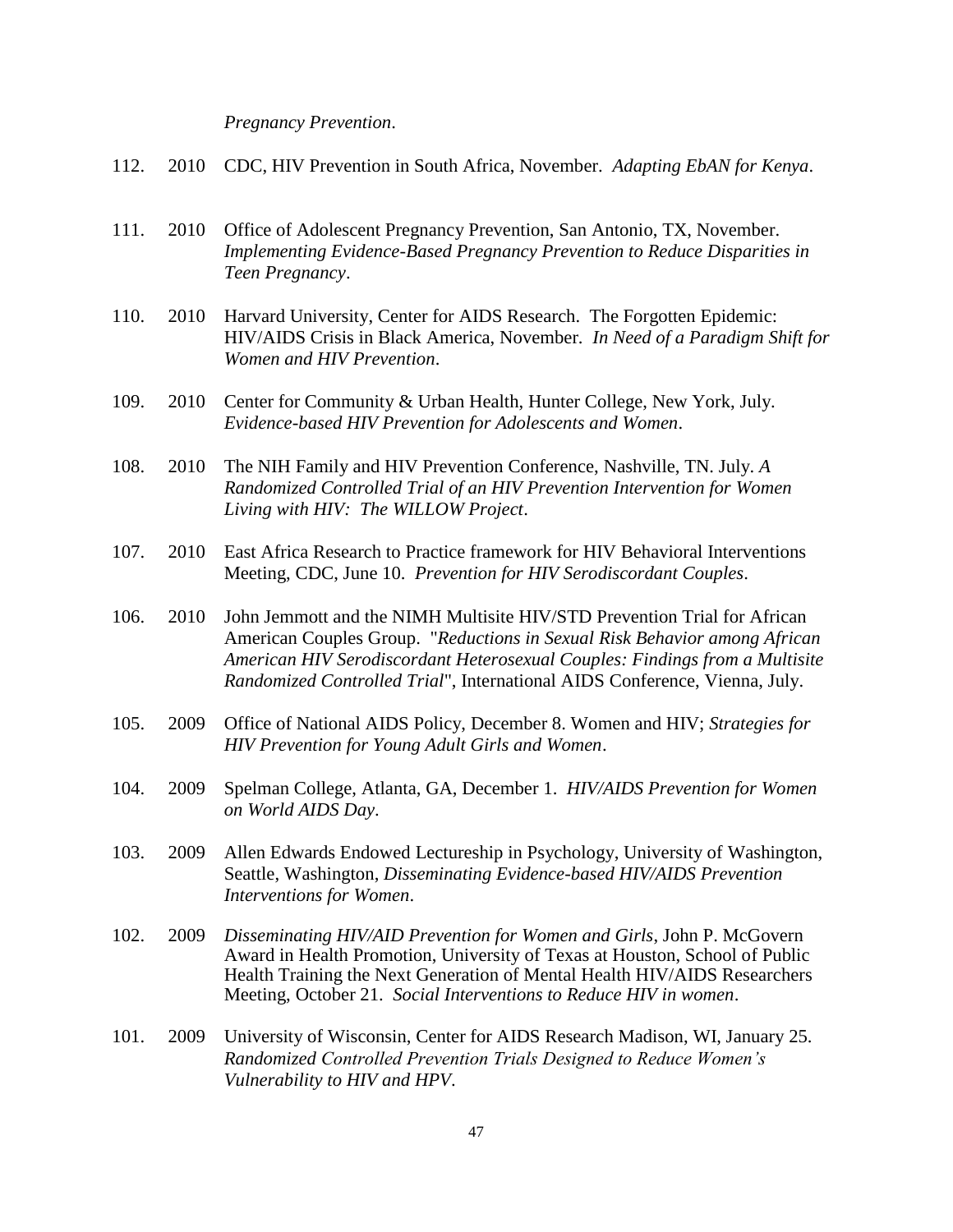*Pregnancy Prevention*.

- 112. 2010 CDC, HIV Prevention in South Africa, November. *Adapting EbAN for Kenya*.
- 111. 2010 Office of Adolescent Pregnancy Prevention, San Antonio, TX, November. *Implementing Evidence-Based Pregnancy Prevention to Reduce Disparities in Teen Pregnancy*.
- 110. 2010 Harvard University, Center for AIDS Research. The Forgotten Epidemic: HIV/AIDS Crisis in Black America, November. *In Need of a Paradigm Shift for Women and HIV Prevention*.
- 109. 2010 Center for Community & Urban Health, Hunter College, New York, July. *Evidence-based HIV Prevention for Adolescents and Women*.
- 108. 2010 The NIH Family and HIV Prevention Conference, Nashville, TN. July. *A Randomized Controlled Trial of an HIV Prevention Intervention for Women Living with HIV: The WILLOW Project*.
- 107. 2010 East Africa Research to Practice framework for HIV Behavioral Interventions Meeting, CDC, June 10. *Prevention for HIV Serodiscordant Couples*.
- 106. 2010 John Jemmott and the NIMH Multisite HIV/STD Prevention Trial for African American Couples Group. "*Reductions in Sexual Risk Behavior among African American HIV Serodiscordant Heterosexual Couples: Findings from a Multisite Randomized Controlled Trial*", International AIDS Conference, Vienna, July.
- 105. 2009 Office of National AIDS Policy, December 8. Women and HIV; *Strategies for HIV Prevention for Young Adult Girls and Women*.
- 104. 2009 Spelman College, Atlanta, GA, December 1. *HIV/AIDS Prevention for Women on World AIDS Day*.
- 103. 2009 Allen Edwards Endowed Lectureship in Psychology, University of Washington, Seattle, Washington, *Disseminating Evidence-based HIV/AIDS Prevention Interventions for Women*.
- 102. 2009 *Disseminating HIV/AID Prevention for Women and Girls*, John P. McGovern Award in Health Promotion, University of Texas at Houston, School of Public Health Training the Next Generation of Mental Health HIV/AIDS Researchers Meeting, October 21. *Social Interventions to Reduce HIV in women*.
- 101. 2009 University of Wisconsin, Center for AIDS Research Madison, WI, January 25. *Randomized Controlled Prevention Trials Designed to Reduce Women's Vulnerability to HIV and HPV*.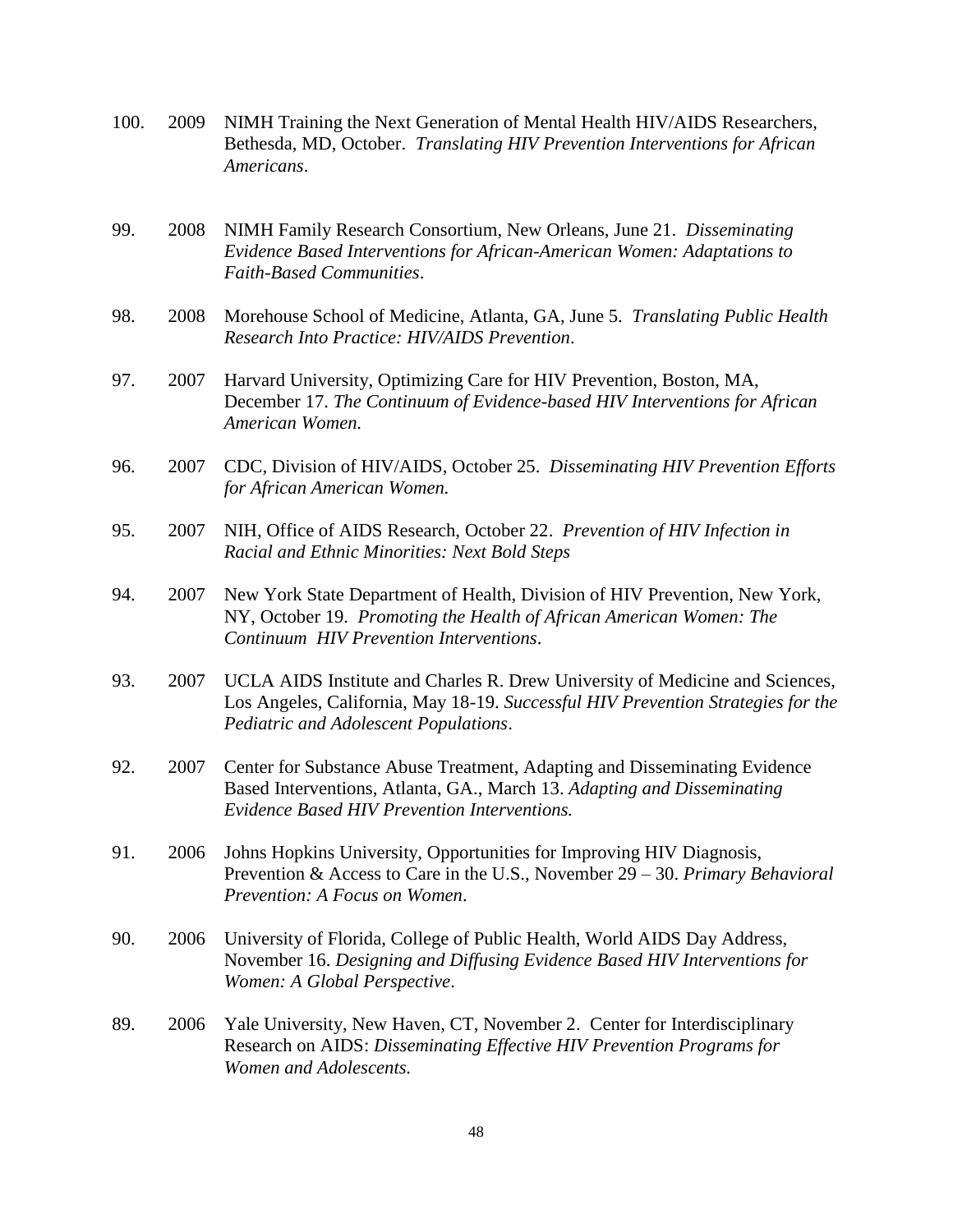- 100. 2009 NIMH Training the Next Generation of Mental Health HIV/AIDS Researchers, Bethesda, MD, October. *Translating HIV Prevention Interventions for African Americans*.
- 99. 2008 NIMH Family Research Consortium, New Orleans, June 21. *Disseminating Evidence Based Interventions for African-American Women: Adaptations to Faith-Based Communities*.
- 98. 2008 Morehouse School of Medicine, Atlanta, GA, June 5. *Translating Public Health Research Into Practice: HIV/AIDS Prevention*.
- 97. 2007 Harvard University, Optimizing Care for HIV Prevention, Boston, MA, December 17. *The Continuum of Evidence-based HIV Interventions for African American Women.*
- 96. 2007 CDC, Division of HIV/AIDS, October 25. *Disseminating HIV Prevention Efforts for African American Women.*
- 95. 2007 NIH, Office of AIDS Research, October 22. *Prevention of HIV Infection in Racial and Ethnic Minorities: Next Bold Steps*
- 94. 2007 New York State Department of Health, Division of HIV Prevention, New York, NY, October 19. *Promoting the Health of African American Women: The Continuum HIV Prevention Interventions*.
- 93. 2007 UCLA AIDS Institute and Charles R. Drew University of Medicine and Sciences, Los Angeles, California, May 18-19. *Successful HIV Prevention Strategies for the Pediatric and Adolescent Populations*.
- 92. 2007 Center for Substance Abuse Treatment, Adapting and Disseminating Evidence Based Interventions, Atlanta, GA., March 13. *Adapting and Disseminating Evidence Based HIV Prevention Interventions.*
- 91. 2006 Johns Hopkins University, Opportunities for Improving HIV Diagnosis, Prevention & Access to Care in the U.S., November 29 – 30. *Primary Behavioral Prevention: A Focus on Women*.
- 90. 2006 University of Florida, College of Public Health, World AIDS Day Address, November 16. *Designing and Diffusing Evidence Based HIV Interventions for Women: A Global Perspective*.
- 89. 2006 Yale University, New Haven, CT, November 2. Center for Interdisciplinary Research on AIDS: *Disseminating Effective HIV Prevention Programs for Women and Adolescents.*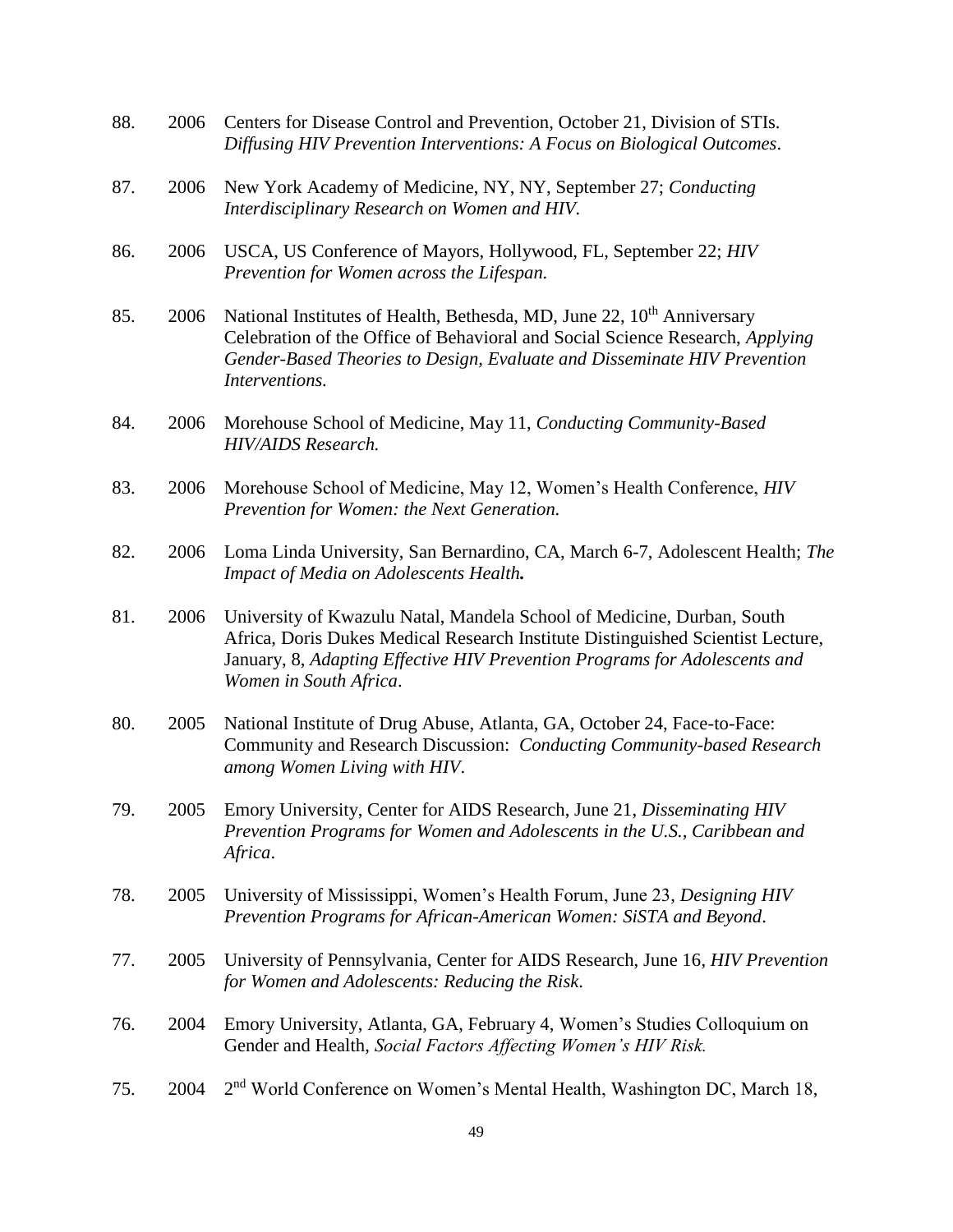| 88. | 2006 | Centers for Disease Control and Prevention, October 21, Division of STIs.<br>Diffusing HIV Prevention Interventions: A Focus on Biological Outcomes.                                                                                                              |
|-----|------|-------------------------------------------------------------------------------------------------------------------------------------------------------------------------------------------------------------------------------------------------------------------|
| 87. | 2006 | New York Academy of Medicine, NY, NY, September 27; Conducting<br>Interdisciplinary Research on Women and HIV.                                                                                                                                                    |
| 86. | 2006 | USCA, US Conference of Mayors, Hollywood, FL, September 22; HIV<br>Prevention for Women across the Lifespan.                                                                                                                                                      |
| 85. | 2006 | National Institutes of Health, Bethesda, MD, June 22, 10 <sup>th</sup> Anniversary<br>Celebration of the Office of Behavioral and Social Science Research, Applying<br>Gender-Based Theories to Design, Evaluate and Disseminate HIV Prevention<br>Interventions. |
| 84. | 2006 | Morehouse School of Medicine, May 11, Conducting Community-Based<br>HIV/AIDS Research.                                                                                                                                                                            |
| 83. | 2006 | Morehouse School of Medicine, May 12, Women's Health Conference, HIV<br>Prevention for Women: the Next Generation.                                                                                                                                                |
| 82. | 2006 | Loma Linda University, San Bernardino, CA, March 6-7, Adolescent Health; The<br>Impact of Media on Adolescents Health.                                                                                                                                            |
| 81. | 2006 | University of Kwazulu Natal, Mandela School of Medicine, Durban, South<br>Africa, Doris Dukes Medical Research Institute Distinguished Scientist Lecture,<br>January, 8, Adapting Effective HIV Prevention Programs for Adolescents and<br>Women in South Africa. |
| 80. | 2005 | National Institute of Drug Abuse, Atlanta, GA, October 24, Face-to-Face:<br>Community and Research Discussion: Conducting Community-based Research<br>among Women Living with HIV.                                                                                |
| 79. | 2005 | Emory University, Center for AIDS Research, June 21, Disseminating HIV<br>Prevention Programs for Women and Adolescents in the U.S., Caribbean and<br>Africa.                                                                                                     |
| 78. | 2005 | University of Mississippi, Women's Health Forum, June 23, Designing HIV<br>Prevention Programs for African-American Women: SiSTA and Beyond.                                                                                                                      |
| 77. | 2005 | University of Pennsylvania, Center for AIDS Research, June 16, HIV Prevention<br>for Women and Adolescents: Reducing the Risk.                                                                                                                                    |
| 76. | 2004 | Emory University, Atlanta, GA, February 4, Women's Studies Colloquium on<br>Gender and Health, Social Factors Affecting Women's HIV Risk.                                                                                                                         |
| 75. | 2004 | 2 <sup>nd</sup> World Conference on Women's Mental Health, Washington DC, March 18,                                                                                                                                                                               |
|     |      |                                                                                                                                                                                                                                                                   |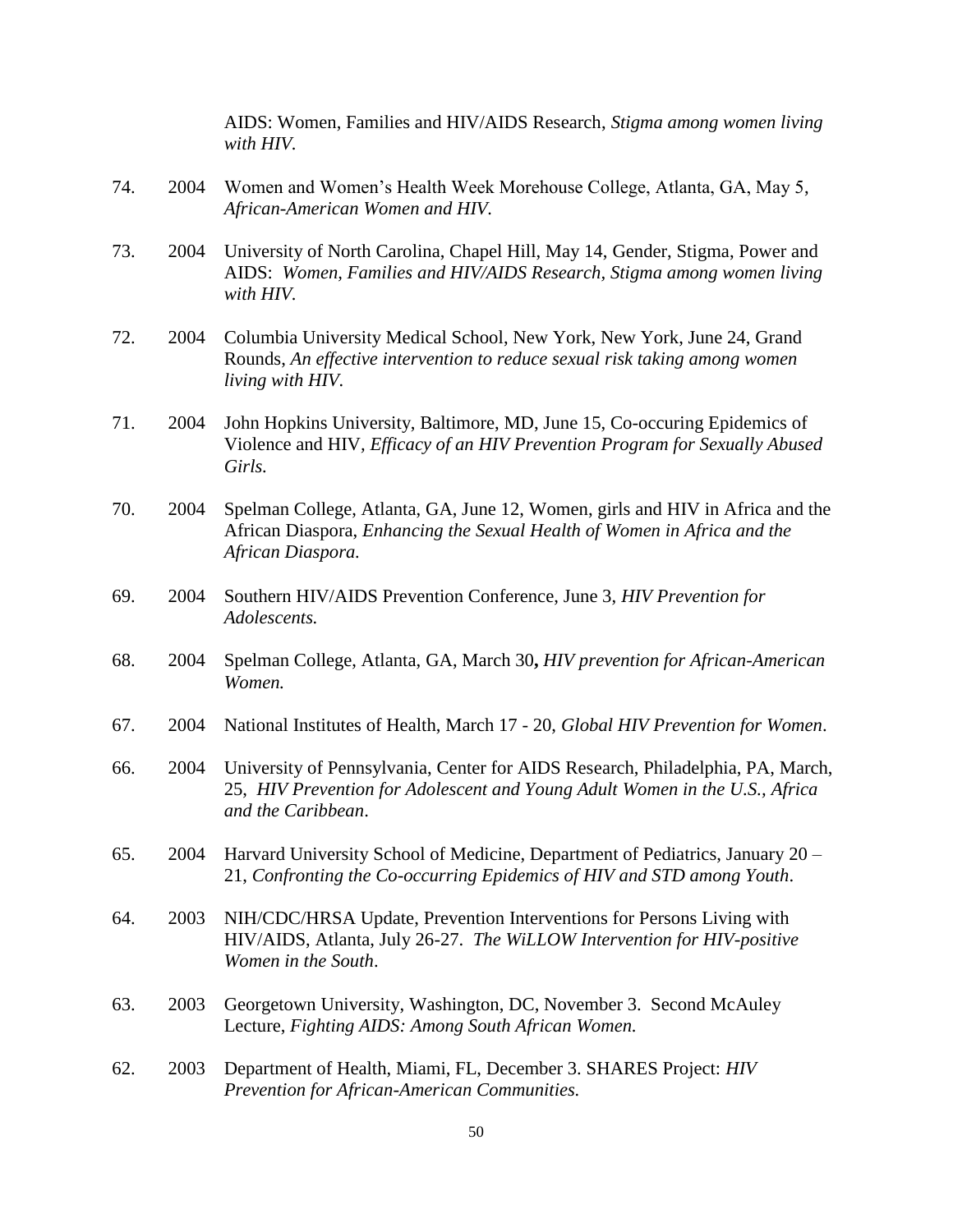AIDS: Women, Families and HIV/AIDS Research, *Stigma among women living with HIV.*

- 74. 2004 Women and Women's Health Week Morehouse College, Atlanta, GA, May 5, *African-American Women and HIV.*
- 73. 2004 University of North Carolina, Chapel Hill, May 14, Gender, Stigma, Power and AIDS: *Women, Families and HIV/AIDS Research, Stigma among women living with HIV.*
- 72. 2004 Columbia University Medical School, New York, New York, June 24, Grand Rounds, *An effective intervention to reduce sexual risk taking among women living with HIV.*
- 71. 2004 John Hopkins University, Baltimore, MD, June 15, Co-occuring Epidemics of Violence and HIV*, Efficacy of an HIV Prevention Program for Sexually Abused Girls.*
- 70. 2004 Spelman College, Atlanta, GA, June 12, Women, girls and HIV in Africa and the African Diaspora, *Enhancing the Sexual Health of Women in Africa and the African Diaspora.*
- 69. 2004 Southern HIV/AIDS Prevention Conference, June 3, *HIV Prevention for Adolescents.*
- 68. 2004 Spelman College, Atlanta, GA, March 30**,** *HIV prevention for African-American Women.*
- 67. 2004 National Institutes of Health, March 17 20, *Global HIV Prevention for Women*.
- 66. 2004 University of Pennsylvania, Center for AIDS Research, Philadelphia, PA, March, 25, *HIV Prevention for Adolescent and Young Adult Women in the U.S., Africa and the Caribbean*.
- 65. 2004 Harvard University School of Medicine, Department of Pediatrics, January 20 21, *Confronting the Co-occurring Epidemics of HIV and STD among Youth*.
- 64. 2003 NIH/CDC/HRSA Update, Prevention Interventions for Persons Living with HIV/AIDS, Atlanta, July 26-27. *The WiLLOW Intervention for HIV-positive Women in the South*.
- 63. 2003 Georgetown University, Washington, DC, November 3. Second McAuley Lecture, *Fighting AIDS: Among South African Women.*
- 62. 2003 Department of Health, Miami, FL, December 3. SHARES Project: *HIV Prevention for African-American Communities.*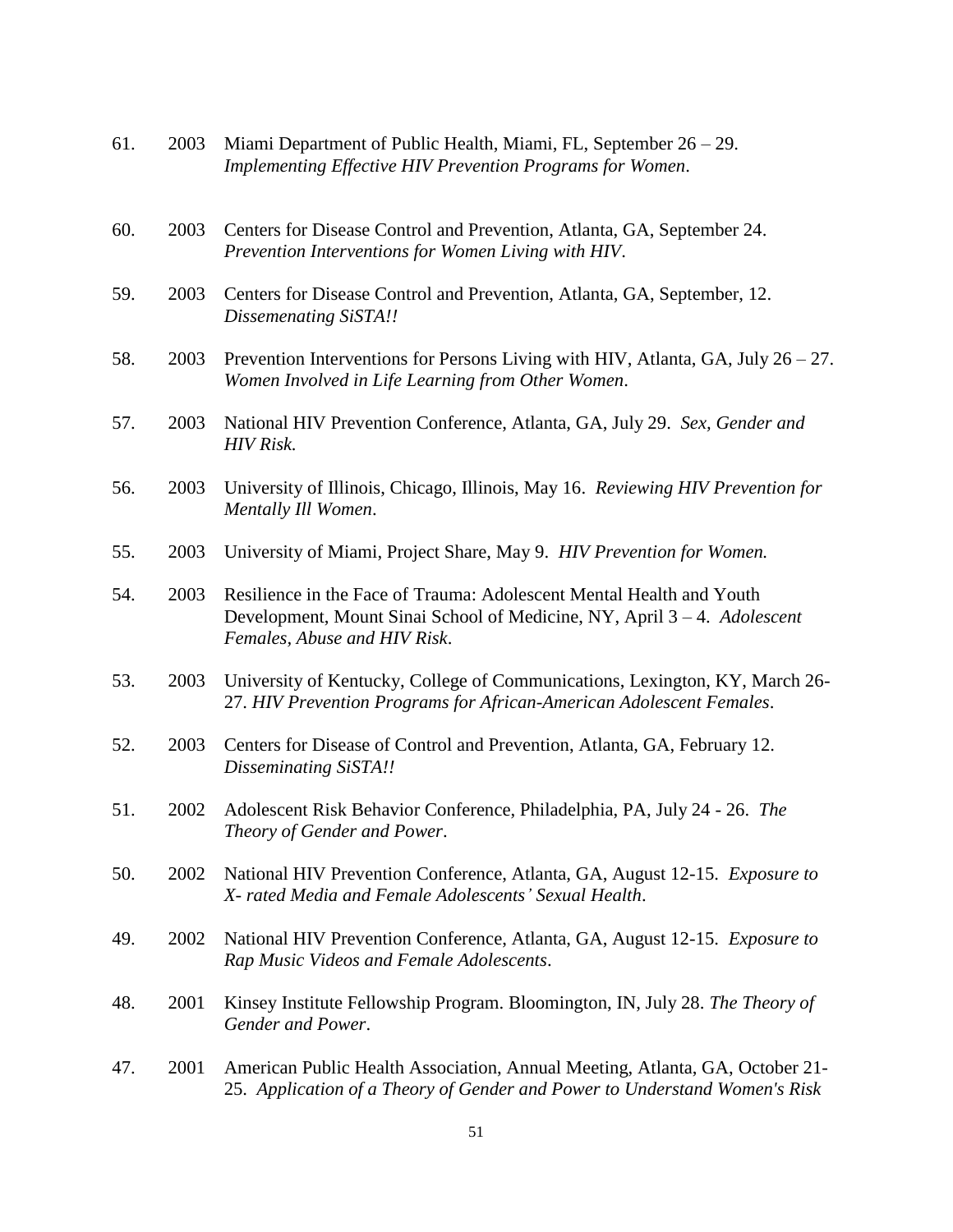| 61. | 2003 | Miami Department of Public Health, Miami, FL, September $26 - 29$ .<br>Implementing Effective HIV Prevention Programs for Women.                                                 |
|-----|------|----------------------------------------------------------------------------------------------------------------------------------------------------------------------------------|
| 60. | 2003 | Centers for Disease Control and Prevention, Atlanta, GA, September 24.<br>Prevention Interventions for Women Living with HIV.                                                    |
| 59. | 2003 | Centers for Disease Control and Prevention, Atlanta, GA, September, 12.<br>Dissemenating SiSTA!!                                                                                 |
| 58. | 2003 | Prevention Interventions for Persons Living with HIV, Atlanta, GA, July $26 - 27$ .<br>Women Involved in Life Learning from Other Women.                                         |
| 57. | 2003 | National HIV Prevention Conference, Atlanta, GA, July 29. Sex, Gender and<br><b>HIV</b> Risk.                                                                                    |
| 56. | 2003 | University of Illinois, Chicago, Illinois, May 16. Reviewing HIV Prevention for<br>Mentally Ill Women.                                                                           |
| 55. | 2003 | University of Miami, Project Share, May 9. HIV Prevention for Women.                                                                                                             |
| 54. | 2003 | Resilience in the Face of Trauma: Adolescent Mental Health and Youth<br>Development, Mount Sinai School of Medicine, NY, April 3 – 4. Adolescent<br>Females, Abuse and HIV Risk. |
| 53. | 2003 | University of Kentucky, College of Communications, Lexington, KY, March 26-<br>27. HIV Prevention Programs for African-American Adolescent Females.                              |
| 52. | 2003 | Centers for Disease of Control and Prevention, Atlanta, GA, February 12.<br>Disseminating SiSTA!!                                                                                |
| 51. | 2002 | Adolescent Risk Behavior Conference, Philadelphia, PA, July 24 - 26. The<br>Theory of Gender and Power.                                                                          |
| 50. | 2002 | National HIV Prevention Conference, Atlanta, GA, August 12-15. Exposure to<br>X- rated Media and Female Adolescents' Sexual Health.                                              |
| 49. | 2002 | National HIV Prevention Conference, Atlanta, GA, August 12-15. Exposure to<br>Rap Music Videos and Female Adolescents.                                                           |
| 48. | 2001 | Kinsey Institute Fellowship Program. Bloomington, IN, July 28. The Theory of<br>Gender and Power.                                                                                |
| 47. | 2001 | American Public Health Association, Annual Meeting, Atlanta, GA, October 21-<br>25. Application of a Theory of Gender and Power to Understand Women's Risk                       |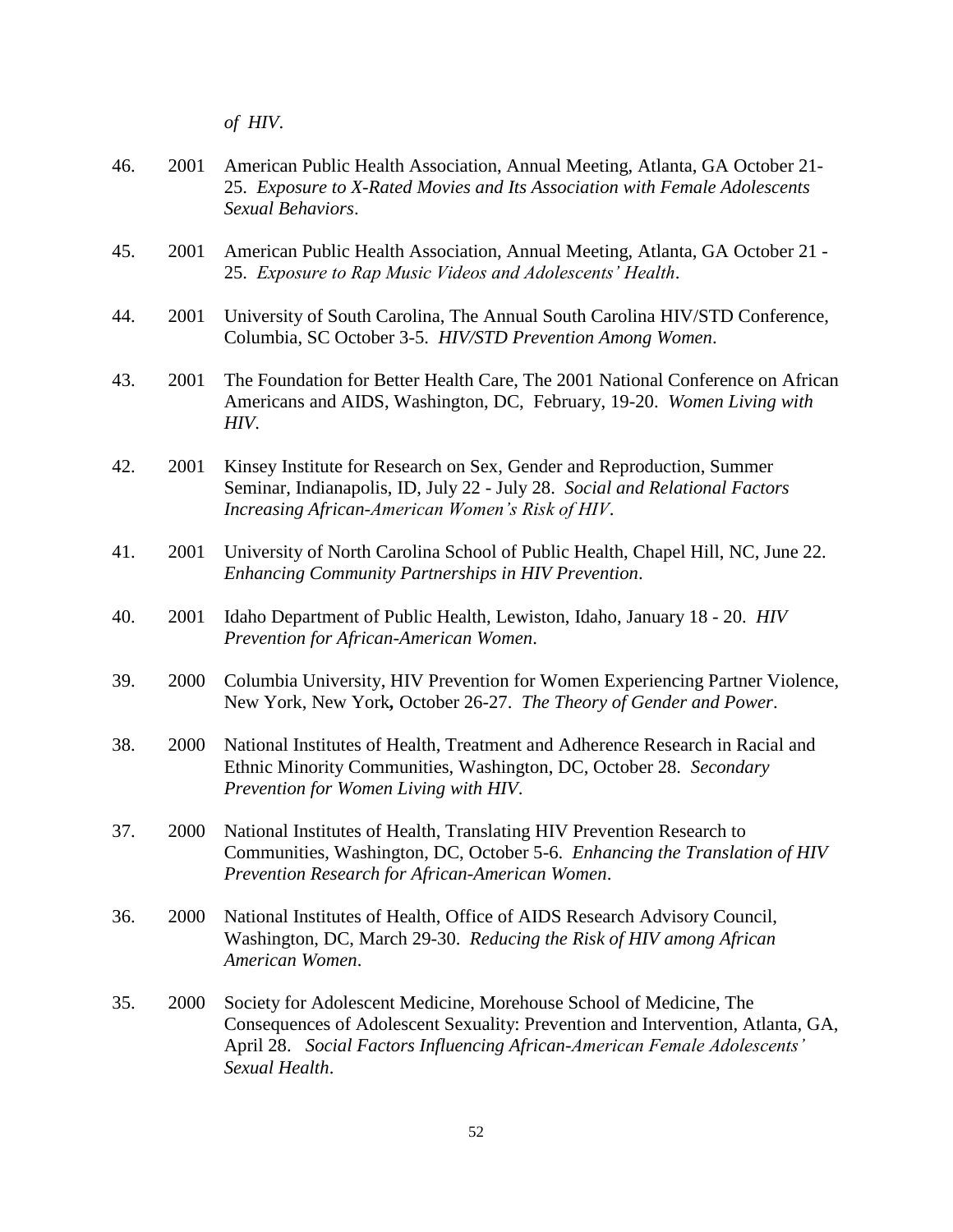*of HIV*.

- 46. 2001 American Public Health Association, Annual Meeting, Atlanta, GA October 21- 25. *Exposure to X-Rated Movies and Its Association with Female Adolescents Sexual Behaviors*.
- 45. 2001 American Public Health Association, Annual Meeting, Atlanta, GA October 21 25. *Exposure to Rap Music Videos and Adolescents' Health*.
- 44. 2001 University of South Carolina, The Annual South Carolina HIV/STD Conference, Columbia, SC October 3-5. *HIV/STD Prevention Among Women*.
- 43. 2001 The Foundation for Better Health Care, The 2001 National Conference on African Americans and AIDS, Washington, DC, February, 19-20. *Women Living with HIV*.
- 42. 2001 Kinsey Institute for Research on Sex, Gender and Reproduction, Summer Seminar, Indianapolis, ID, July 22 - July 28. *Social and Relational Factors Increasing African-American Women's Risk of HIV*.
- 41. 2001 University of North Carolina School of Public Health, Chapel Hill, NC, June 22. *Enhancing Community Partnerships in HIV Prevention*.
- 40. 2001 Idaho Department of Public Health, Lewiston, Idaho, January 18 20. *HIV Prevention for African-American Women*.
- 39. 2000 Columbia University, HIV Prevention for Women Experiencing Partner Violence, New York, New York*,* October 26-27. *The Theory of Gender and Power*.
- 38. 2000 National Institutes of Health, Treatment and Adherence Research in Racial and Ethnic Minority Communities, Washington, DC, October 28. *Secondary Prevention for Women Living with HIV*.
- 37. 2000 National Institutes of Health, Translating HIV Prevention Research to Communities, Washington, DC, October 5-6. *Enhancing the Translation of HIV Prevention Research for African-American Women*.
- 36. 2000 National Institutes of Health, Office of AIDS Research Advisory Council, Washington, DC, March 29-30. *Reducing the Risk of HIV among African American Women*.
- 35. 2000 Society for Adolescent Medicine, Morehouse School of Medicine, The Consequences of Adolescent Sexuality: Prevention and Intervention, Atlanta, GA, April 28. *Social Factors Influencing African-American Female Adolescents' Sexual Health*.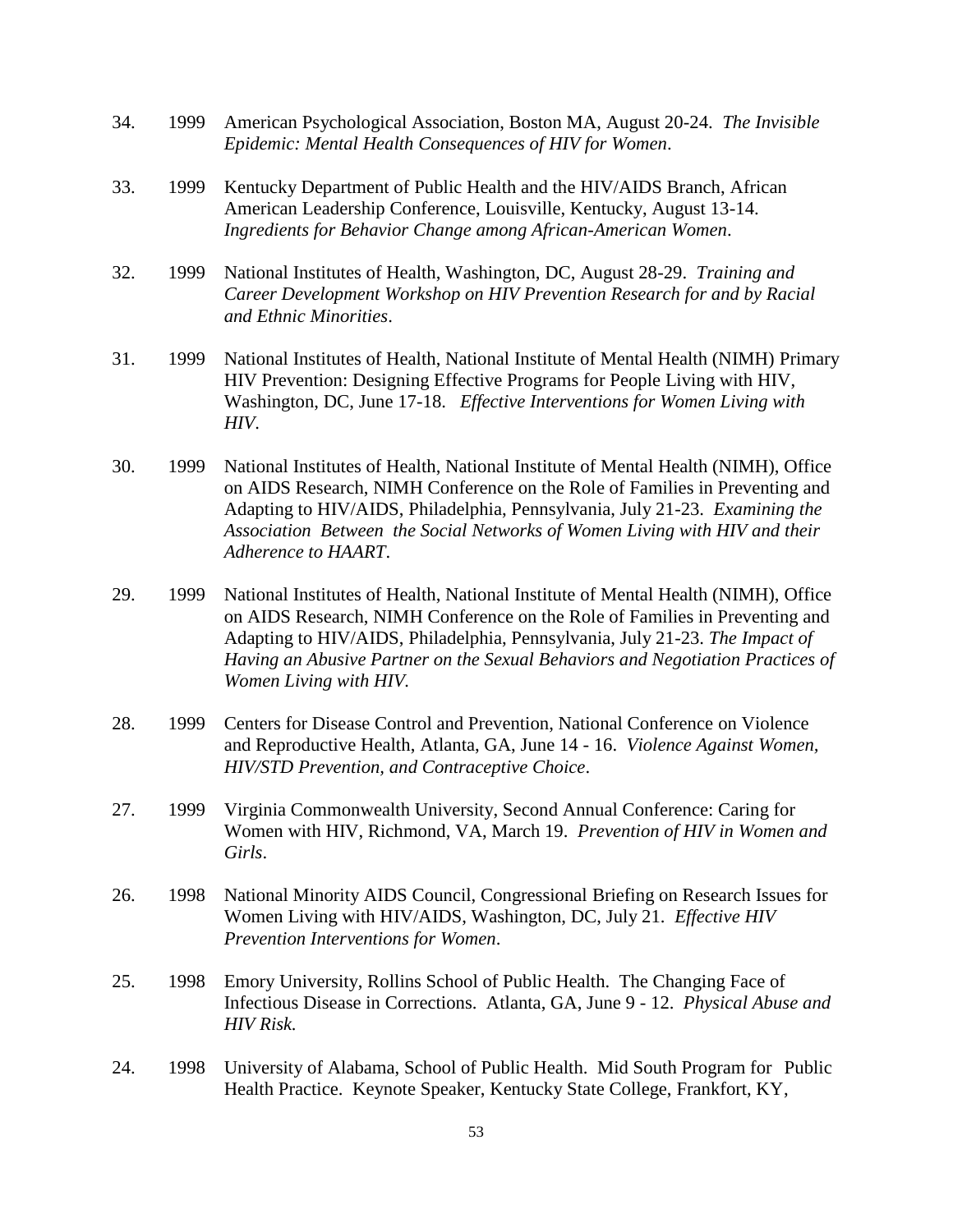- 34. 1999 American Psychological Association, Boston MA, August 20-24. *The Invisible Epidemic: Mental Health Consequences of HIV for Women*.
- 33. 1999 Kentucky Department of Public Health and the HIV/AIDS Branch, African American Leadership Conference, Louisville, Kentucky, August 13-14. *Ingredients for Behavior Change among African-American Women*.
- 32. 1999 National Institutes of Health, Washington, DC, August 28-29. *Training and Career Development Workshop on HIV Prevention Research for and by Racial and Ethnic Minorities*.
- 31. 1999 National Institutes of Health, National Institute of Mental Health (NIMH) Primary HIV Prevention: Designing Effective Programs for People Living with HIV, Washington, DC, June 17-18. *Effective Interventions for Women Living with HIV*.
- 30. 1999 National Institutes of Health, National Institute of Mental Health (NIMH), Office on AIDS Research, NIMH Conference on the Role of Families in Preventing and Adapting to HIV/AIDS, Philadelphia, Pennsylvania, July 21-23. *Examining the Association Between the Social Networks of Women Living with HIV and their Adherence to HAART*.
- 29. 1999 National Institutes of Health, National Institute of Mental Health (NIMH), Office on AIDS Research, NIMH Conference on the Role of Families in Preventing and Adapting to HIV/AIDS, Philadelphia, Pennsylvania, July 21-23. *The Impact of Having an Abusive Partner on the Sexual Behaviors and Negotiation Practices of Women Living with HIV.*
- 28. 1999 Centers for Disease Control and Prevention, National Conference on Violence and Reproductive Health, Atlanta, GA, June 14 - 16. *Violence Against Women, HIV/STD Prevention, and Contraceptive Choice*.
- 27. 1999 Virginia Commonwealth University, Second Annual Conference: Caring for Women with HIV, Richmond, VA, March 19. *Prevention of HIV in Women and Girls*.
- 26. 1998 National Minority AIDS Council, Congressional Briefing on Research Issues for Women Living with HIV/AIDS, Washington, DC, July 21. *Effective HIV Prevention Interventions for Women*.
- 25. 1998 Emory University, Rollins School of Public Health. The Changing Face of Infectious Disease in Corrections. Atlanta, GA, June 9 - 12. *Physical Abuse and HIV Risk.*
- 24. 1998 University of Alabama, School of Public Health. Mid South Program for Public Health Practice. Keynote Speaker, Kentucky State College, Frankfort, KY,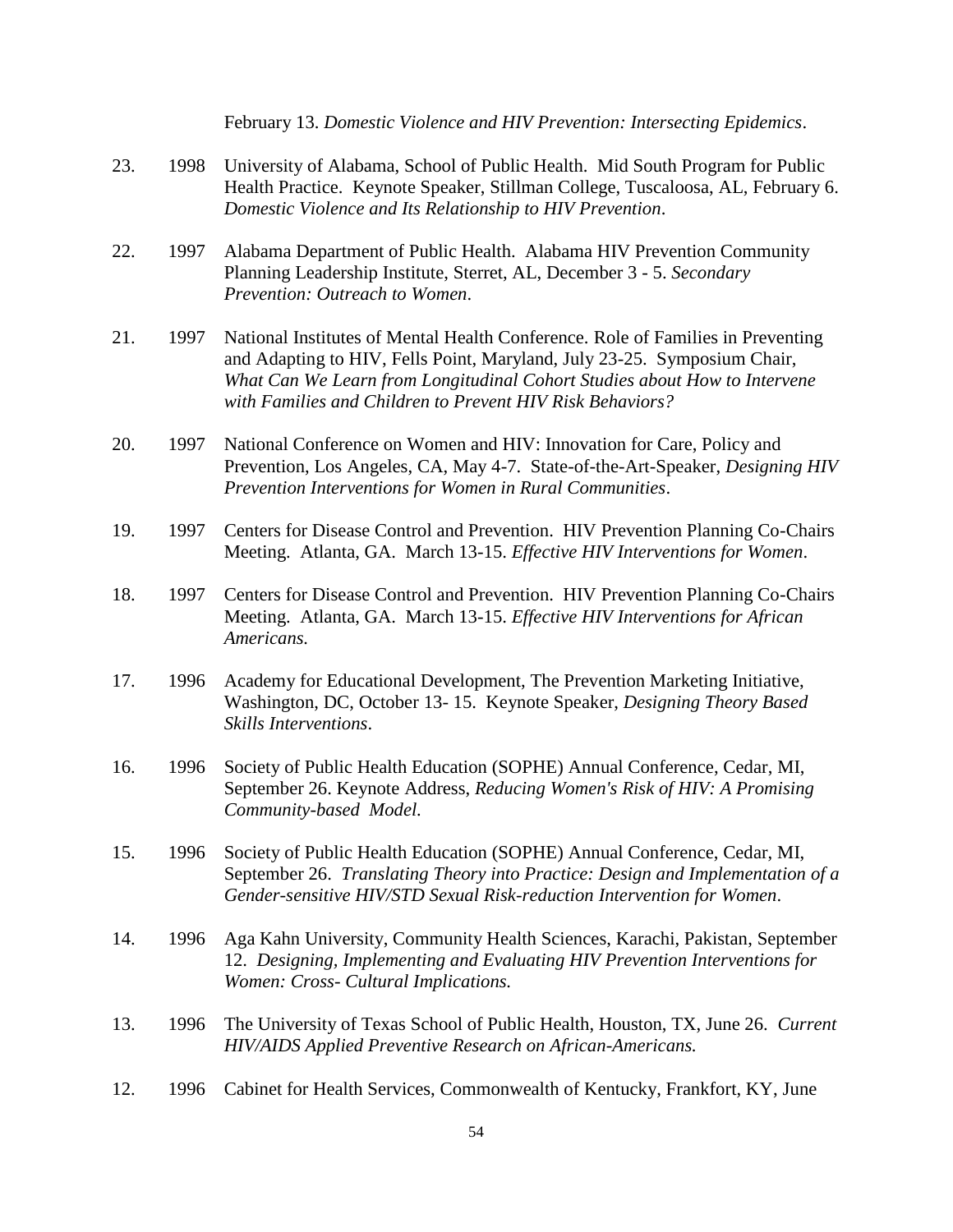|     |      | February 13. Domestic Violence and HIV Prevention: Intersecting Epidemics.                                                                                                                                                                                                                            |
|-----|------|-------------------------------------------------------------------------------------------------------------------------------------------------------------------------------------------------------------------------------------------------------------------------------------------------------|
| 23. | 1998 | University of Alabama, School of Public Health. Mid South Program for Public<br>Health Practice. Keynote Speaker, Stillman College, Tuscaloosa, AL, February 6.<br>Domestic Violence and Its Relationship to HIV Prevention.                                                                          |
| 22. | 1997 | Alabama Department of Public Health. Alabama HIV Prevention Community<br>Planning Leadership Institute, Sterret, AL, December 3 - 5. Secondary<br>Prevention: Outreach to Women.                                                                                                                      |
| 21. | 1997 | National Institutes of Mental Health Conference. Role of Families in Preventing<br>and Adapting to HIV, Fells Point, Maryland, July 23-25. Symposium Chair,<br>What Can We Learn from Longitudinal Cohort Studies about How to Intervene<br>with Families and Children to Prevent HIV Risk Behaviors? |
| 20. | 1997 | National Conference on Women and HIV: Innovation for Care, Policy and<br>Prevention, Los Angeles, CA, May 4-7. State-of-the-Art-Speaker, Designing HIV<br>Prevention Interventions for Women in Rural Communities.                                                                                    |
| 19. | 1997 | Centers for Disease Control and Prevention. HIV Prevention Planning Co-Chairs<br>Meeting. Atlanta, GA. March 13-15. Effective HIV Interventions for Women.                                                                                                                                            |
| 18. | 1997 | Centers for Disease Control and Prevention. HIV Prevention Planning Co-Chairs<br>Meeting. Atlanta, GA. March 13-15. Effective HIV Interventions for African<br>Americans.                                                                                                                             |
| 17. | 1996 | Academy for Educational Development, The Prevention Marketing Initiative,<br>Washington, DC, October 13-15. Keynote Speaker, Designing Theory Based<br>Skills Interventions.                                                                                                                          |
| 16. | 1996 | Society of Public Health Education (SOPHE) Annual Conference, Cedar, MI,<br>September 26. Keynote Address, Reducing Women's Risk of HIV: A Promising<br>Community-based Model.                                                                                                                        |
| 15. | 1996 | Society of Public Health Education (SOPHE) Annual Conference, Cedar, MI,<br>September 26. Translating Theory into Practice: Design and Implementation of a<br>Gender-sensitive HIV/STD Sexual Risk-reduction Intervention for Women.                                                                  |
| 14. | 1996 | Aga Kahn University, Community Health Sciences, Karachi, Pakistan, September<br>12. Designing, Implementing and Evaluating HIV Prevention Interventions for<br>Women: Cross- Cultural Implications.                                                                                                   |
| 13. | 1996 | The University of Texas School of Public Health, Houston, TX, June 26. Current<br>HIV/AIDS Applied Preventive Research on African-Americans.                                                                                                                                                          |
| 12. | 1996 | Cabinet for Health Services, Commonwealth of Kentucky, Frankfort, KY, June                                                                                                                                                                                                                            |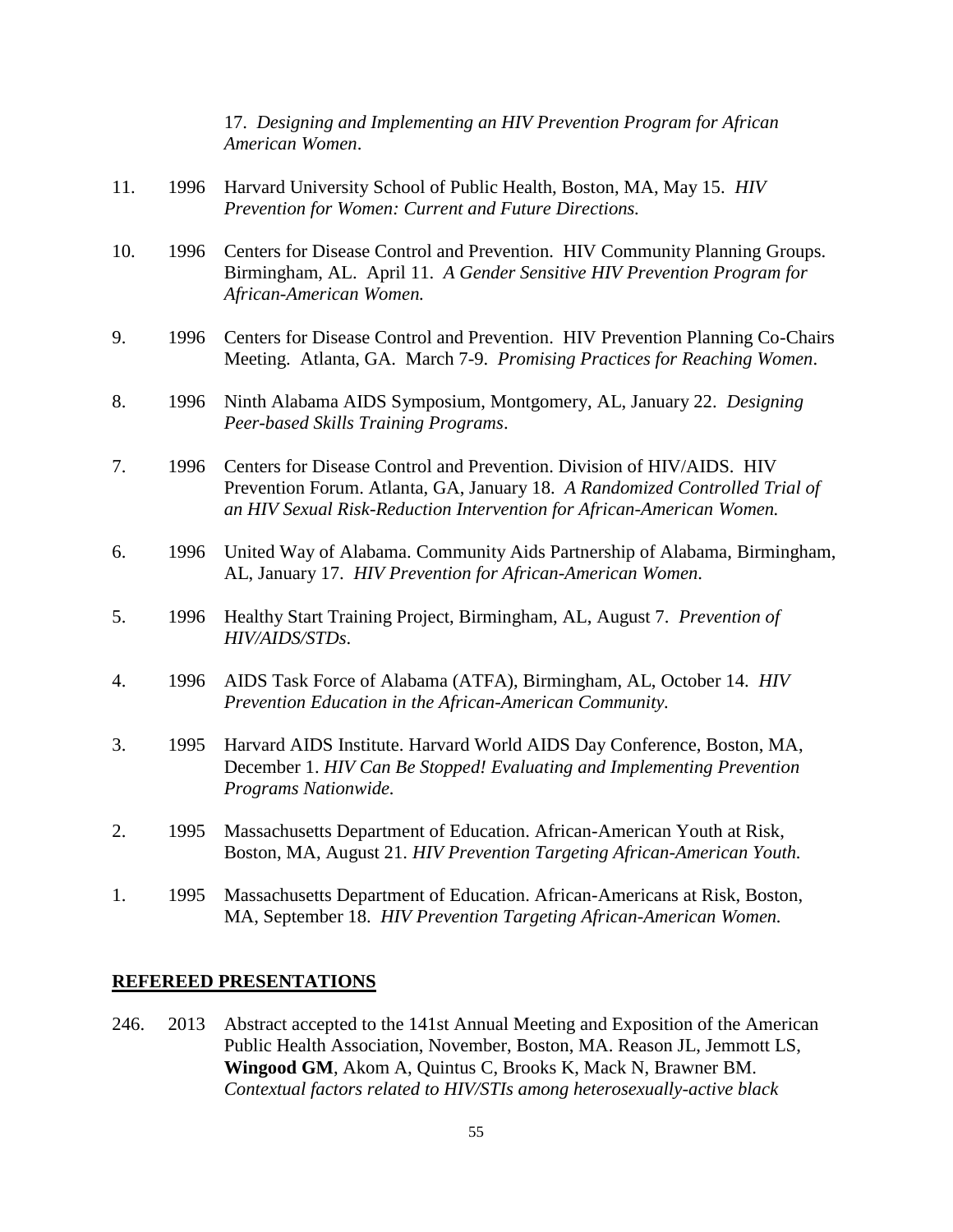17. *Designing and Implementing an HIV Prevention Program for African American Women*.

- 11. 1996 Harvard University School of Public Health, Boston, MA, May 15. *HIV Prevention for Women: Current and Future Directions.*
- 10. 1996 Centers for Disease Control and Prevention. HIV Community Planning Groups. Birmingham, AL. April 11. *A Gender Sensitive HIV Prevention Program for African-American Women.*
- 9. 1996 Centers for Disease Control and Prevention. HIV Prevention Planning Co-Chairs Meeting. Atlanta, GA. March 7-9. *Promising Practices for Reaching Women*.
- 8. 1996 Ninth Alabama AIDS Symposium, Montgomery, AL, January 22. *Designing Peer-based Skills Training Programs*.
- 7. 1996 Centers for Disease Control and Prevention. Division of HIV/AIDS. HIV Prevention Forum. Atlanta, GA, January 18. *A Randomized Controlled Trial of an HIV Sexual Risk-Reduction Intervention for African-American Women.*
- 6. 1996 United Way of Alabama. Community Aids Partnership of Alabama, Birmingham, AL, January 17. *HIV Prevention for African-American Women*.
- 5. 1996 Healthy Start Training Project, Birmingham, AL, August 7. *Prevention of HIV/AIDS/STDs*.
- 4. 1996 AIDS Task Force of Alabama (ATFA), Birmingham, AL, October 14. *HIV Prevention Education in the African-American Community.*
- 3. 1995 Harvard AIDS Institute. Harvard World AIDS Day Conference, Boston, MA, December 1. *HIV Can Be Stopped! Evaluating and Implementing Prevention Programs Nationwide.*
- 2. 1995 Massachusetts Department of Education. African-American Youth at Risk, Boston, MA, August 21. *HIV Prevention Targeting African-American Youth.*
- 1. 1995 Massachusetts Department of Education. African-Americans at Risk, Boston, MA, September 18. *HIV Prevention Targeting African-American Women.*

#### **REFEREED PRESENTATIONS**

246. 2013 Abstract accepted to the 141st Annual Meeting and Exposition of the American Public Health Association, November, Boston, MA. Reason JL, Jemmott LS, **Wingood GM**, Akom A, Quintus C, Brooks K, Mack N, Brawner BM. *Contextual factors related to HIV/STIs among heterosexually-active black*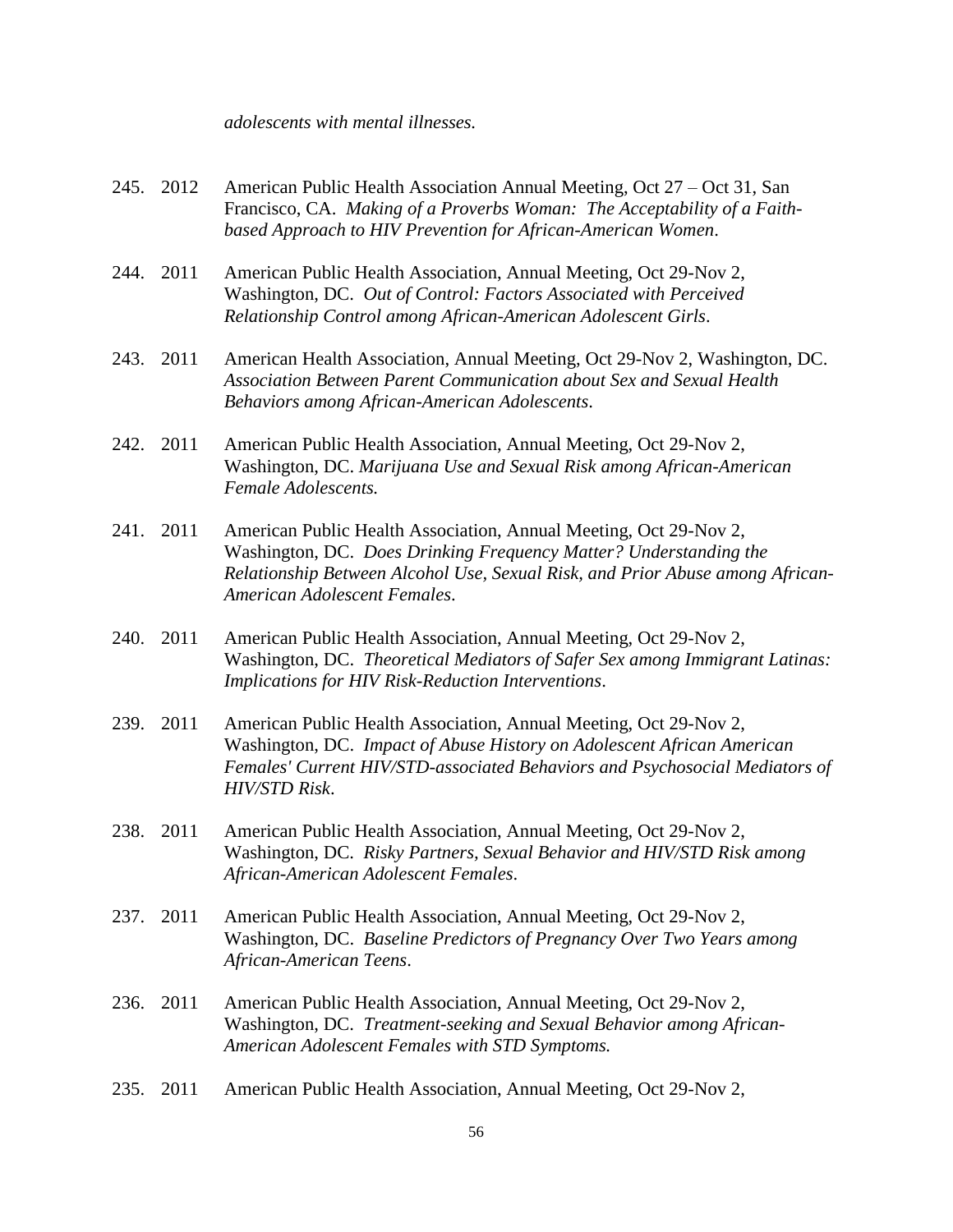#### *adolescents with mental illnesses.*

- 245. 2012 American Public Health Association Annual Meeting, Oct 27 Oct 31, San Francisco, CA. *Making of a Proverbs Woman: The Acceptability of a Faithbased Approach to HIV Prevention for African-American Women*.
- 244. 2011 American Public Health Association, Annual Meeting, Oct 29-Nov 2, Washington, DC. *Out of Control: Factors Associated with Perceived Relationship Control among African-American Adolescent Girls*.
- 243. 2011 American Health Association, Annual Meeting, Oct 29-Nov 2, Washington, DC. *Association Between Parent Communication about Sex and Sexual Health Behaviors among African-American Adolescents*.
- 242. 2011 American Public Health Association, Annual Meeting, Oct 29-Nov 2, Washington, DC. *Marijuana Use and Sexual Risk among African-American Female Adolescents.*
- 241. 2011 American Public Health Association, Annual Meeting, Oct 29-Nov 2, Washington, DC. *Does Drinking Frequency Matter? Understanding the Relationship Between Alcohol Use, Sexual Risk, and Prior Abuse among African-American Adolescent Females*.
- 240. 2011 American Public Health Association, Annual Meeting, Oct 29-Nov 2, Washington, DC. *Theoretical Mediators of Safer Sex among Immigrant Latinas: Implications for HIV Risk-Reduction Interventions*.
- 239. 2011 American Public Health Association, Annual Meeting, Oct 29-Nov 2, Washington, DC. *Impact of Abuse History on Adolescent African American Females' Current HIV/STD-associated Behaviors and Psychosocial Mediators of HIV/STD Risk*.
- 238. 2011 American Public Health Association, Annual Meeting, Oct 29-Nov 2, Washington, DC. *Risky Partners, Sexual Behavior and HIV/STD Risk among African-American Adolescent Females*.
- 237. 2011 American Public Health Association, Annual Meeting, Oct 29-Nov 2, Washington, DC. *Baseline Predictors of Pregnancy Over Two Years among African-American Teens*.
- 236. 2011 American Public Health Association, Annual Meeting, Oct 29-Nov 2, Washington, DC. *Treatment-seeking and Sexual Behavior among African-American Adolescent Females with STD Symptoms.*
- 235. 2011 American Public Health Association, Annual Meeting, Oct 29-Nov 2,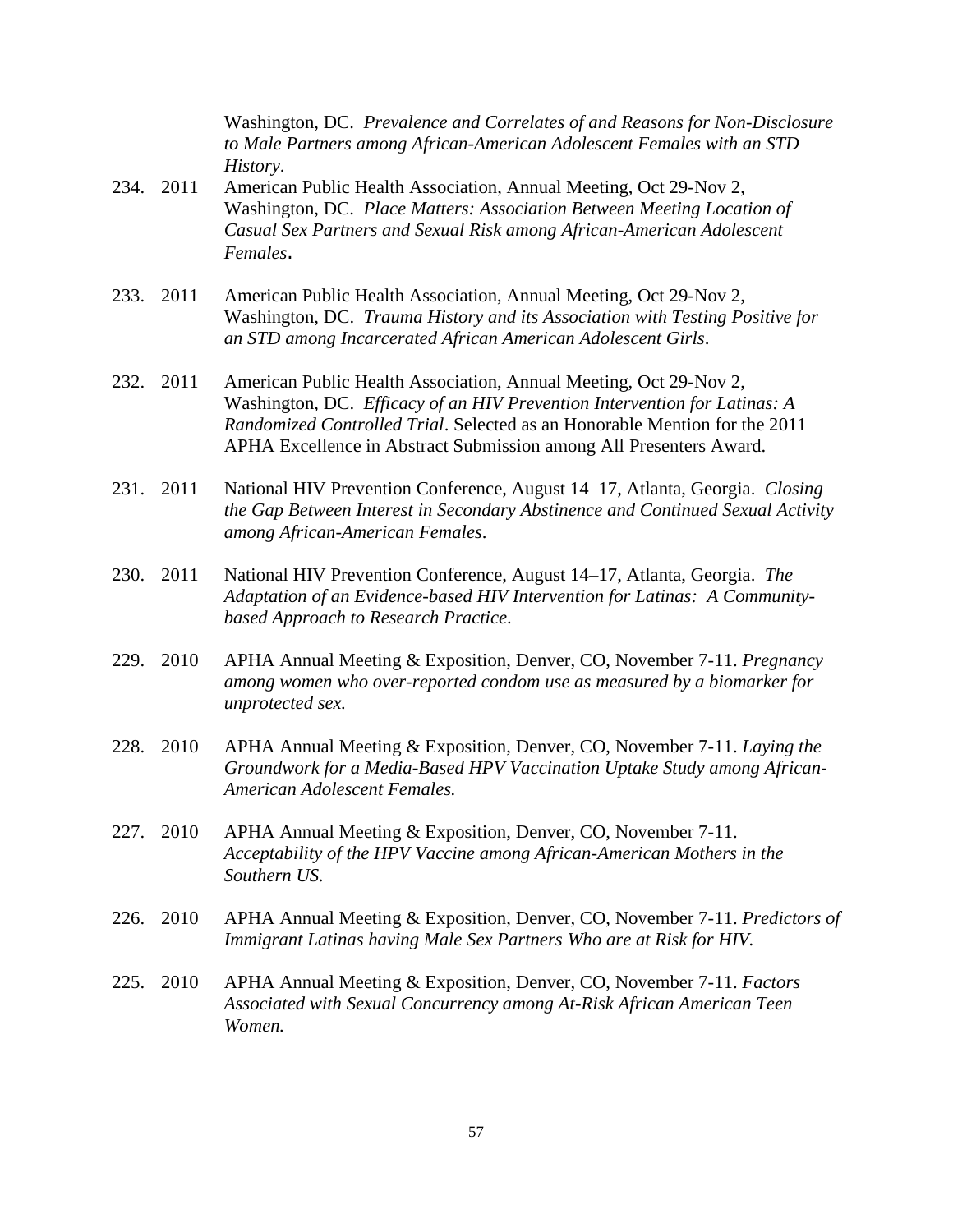Washington, DC. *Prevalence and Correlates of and Reasons for Non-Disclosure to Male Partners among African-American Adolescent Females with an STD History*.

- 234. 2011 American Public Health Association, Annual Meeting, Oct 29-Nov 2, Washington, DC. *[Place Matters: Association Between Meeting Location of](http://apha.confex.com/apha/139am/webprogram/Paper243071.html)  [Casual Sex Partners and Sexual Risk among African-American Adolescent](http://apha.confex.com/apha/139am/webprogram/Paper243071.html)  [Females](http://apha.confex.com/apha/139am/webprogram/Paper243071.html)*.
- 233. 2011 American Public Health Association, Annual Meeting, Oct 29-Nov 2, Washington, DC. *Trauma History and its Association with Testing Positive for an STD among Incarcerated African American Adolescent Girls*.
- 232. 2011 American Public Health Association, Annual Meeting, Oct 29-Nov 2, Washington, DC. *Efficacy of an HIV Prevention Intervention for Latinas: A Randomized Controlled Trial*. Selected as an Honorable Mention for the 2011 APHA Excellence in Abstract Submission among All Presenters Award.
- 231. 2011 National HIV Prevention Conference, August 14–17, Atlanta, Georgia. *Closing the Gap Between Interest in Secondary Abstinence and Continued Sexual Activity among African-American Females*.
- 230. 2011 National HIV Prevention Conference, August 14–17, Atlanta, Georgia. *The Adaptation of an Evidence-based HIV Intervention for Latinas: A Communitybased Approach to Research Practice*.
- 229. 2010 APHA Annual Meeting & Exposition, Denver, CO, November 7-11. *Pregnancy among women who over-reported condom use as measured by a biomarker for unprotected sex.*
- 228. 2010 APHA Annual Meeting & Exposition, Denver, CO, November 7-11. *Laying the Groundwork for a Media-Based HPV Vaccination Uptake Study among African-American Adolescent Females.*
- 227. 2010 APHA Annual Meeting & Exposition, Denver, CO, November 7-11. *Acceptability of the HPV Vaccine among African-American Mothers in the Southern US.*
- 226. 2010 APHA Annual Meeting & Exposition, Denver, CO, November 7-11. *Predictors of Immigrant Latinas having Male Sex Partners Who are at Risk for HIV.*
- 225. 2010 APHA Annual Meeting & Exposition, Denver, CO, November 7-11. *Factors Associated with Sexual Concurrency among At-Risk African American Teen Women.*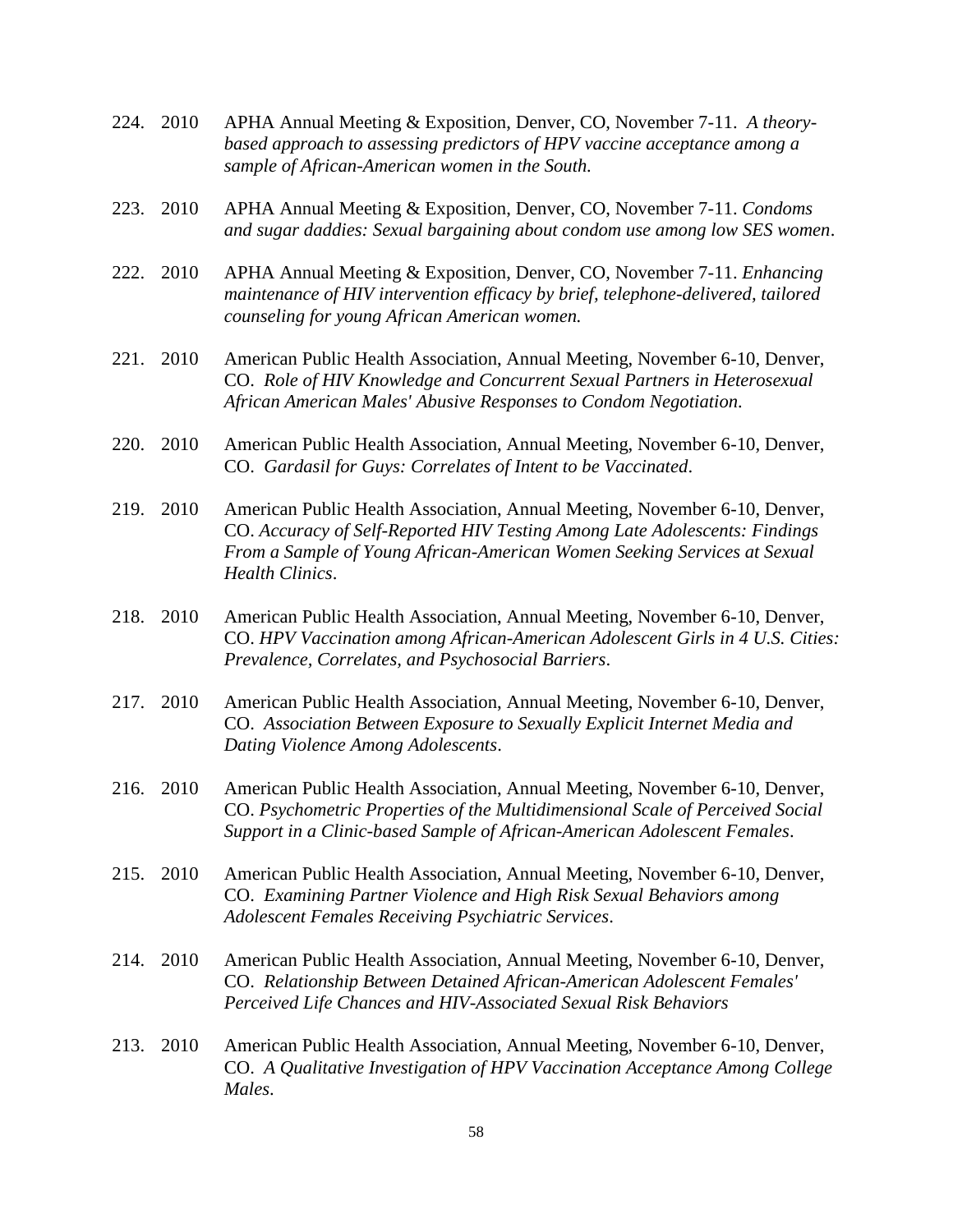- 224. 2010 APHA Annual Meeting & Exposition, Denver, CO, November 7-11. *A theorybased approach to assessing predictors of HPV vaccine acceptance among a sample of African-American women in the South.*
- 223. 2010 APHA Annual Meeting & Exposition, Denver, CO, November 7-11. *Condoms and sugar daddies: Sexual bargaining about condom use among low SES women*.
- 222. 2010 APHA Annual Meeting & Exposition, Denver, CO, November 7-11. *Enhancing maintenance of HIV intervention efficacy by brief, telephone-delivered, tailored counseling for young African American women.*
- 221. 2010 American Public Health Association, Annual Meeting, November 6-10, Denver, CO. *[Role of HIV Knowledge and Concurrent Sexual Partners in Heterosexual](http://apha.confex.com/apha/138am/webprogram/Paper215440.html)  [African American Males' Abusive Responses to Condom Negotiation.](http://apha.confex.com/apha/138am/webprogram/Paper215440.html)*
- 220. 2010 American Public Health Association, Annual Meeting, November 6-10, Denver, CO. *Gardasil [for Guys: Correlates of Intent to be Vaccinated](http://apha.confex.com/apha/138am/webprogram/Paper224317.html)*.
- 219. 2010 American Public Health Association, Annual Meeting, November 6-10, Denver, CO. *[Accuracy of Self-Reported HIV Testing Among Late Adolescents: Findings](http://apha.confex.com/apha/138am/webprogram/Paper222993.html)  [From a Sample of Young African-American Women Seeking Services at Sexual](http://apha.confex.com/apha/138am/webprogram/Paper222993.html)  [Health Clinics](http://apha.confex.com/apha/138am/webprogram/Paper222993.html)*.
- 218. 2010 American Public Health Association, Annual Meeting, November 6-10, Denver, CO. *[HPV Vaccination among African-American Adolescent Girls in 4 U.S. Cities:](http://apha.confex.com/apha/138am/webprogram/Paper219150.html)  [Prevalence, Correlates, and Psychosocial Barriers](http://apha.confex.com/apha/138am/webprogram/Paper219150.html)*.
- 217. 2010 American Public Health Association, Annual Meeting, November 6-10, Denver, CO. *[Association Between Exposure to Sexually Explicit Internet Media and](http://apha.confex.com/apha/138am/webprogram/Paper219713.html)  [Dating Violence Among Adolescents](http://apha.confex.com/apha/138am/webprogram/Paper219713.html)*.
- 216. 2010 American Public Health Association, Annual Meeting, November 6-10, Denver, CO. *[Psychometric Properties of the Multidimensional Scale of Perceived Social](http://apha.confex.com/apha/138am/webprogram/Paper217703.html)  [Support in a Clinic-based Sample of African-American Adolescent Females](http://apha.confex.com/apha/138am/webprogram/Paper217703.html)*.
- 215. 2010 American Public Health Association, Annual Meeting, November 6-10, Denver, CO. *[Examining Partner Violence and High Risk Sexual Behaviors among](http://apha.confex.com/apha/138am/webprogram/Paper228824.html)  [Adolescent Females Receiving Psychiatric Services](http://apha.confex.com/apha/138am/webprogram/Paper228824.html)*.
- 214. 2010 American Public Health Association, Annual Meeting, November 6-10, Denver, CO. *[Relationship Between Detained African-American Adolescent Females'](http://apha.confex.com/apha/138am/webprogram/Paper229646.html)  [Perceived Life Chances and HIV-Associated Sexual Risk Behaviors](http://apha.confex.com/apha/138am/webprogram/Paper229646.html)*
- 213. 2010 American Public Health Association, Annual Meeting, November 6-10, Denver, CO. *[A Qualitative Investigation of HPV Vaccination Acceptance Among College](http://apha.confex.com/apha/138am/webprogram/Paper222985.html)  [Males](http://apha.confex.com/apha/138am/webprogram/Paper222985.html)*.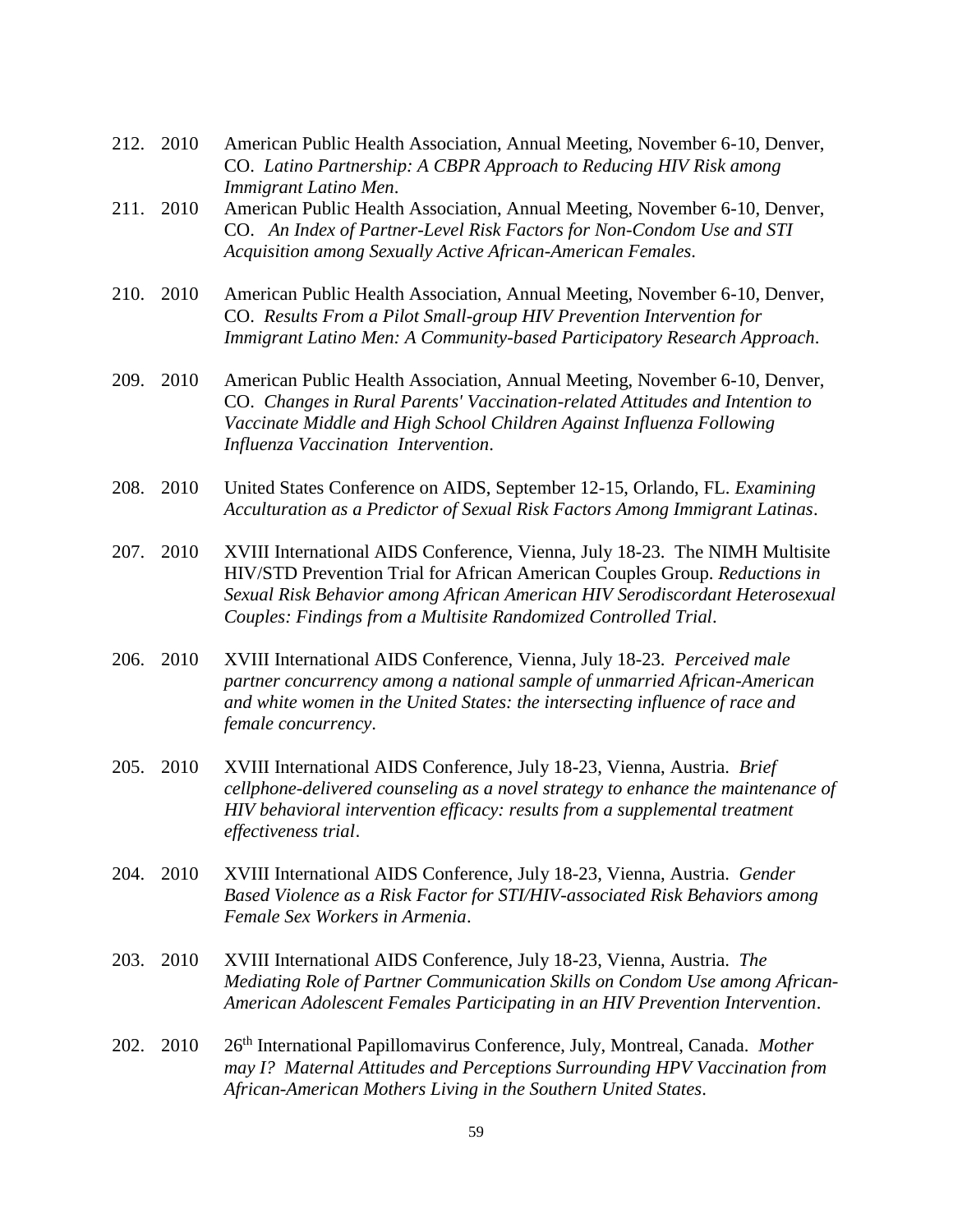- 212. 2010 American Public Health Association, Annual Meeting, November 6-10, Denver, CO. *[Latino Partnership: A CBPR Approach to Reducing HIV Risk among](http://apha.confex.com/apha/138am/webprogram/Paper230210.html)  [Immigrant Latino Men](http://apha.confex.com/apha/138am/webprogram/Paper230210.html)*.
- 211. 2010 American Public Health Association, Annual Meeting, November 6-10, Denver, CO. *[An Index of Partner-Level Risk Factors for Non-Condom Use and STI](http://apha.confex.com/apha/138am/webprogram/Paper219897.html)  [Acquisition among Sexually Active African-American Females](http://apha.confex.com/apha/138am/webprogram/Paper219897.html)*.
- 210. 2010 American Public Health Association, Annual Meeting, November 6-10, Denver, CO. *[Results From a Pilot Small-group HIV Prevention Intervention for](http://apha.confex.com/apha/138am/webprogram/Paper230172.html)  [Immigrant Latino Men: A Community-based Participatory Research Approach](http://apha.confex.com/apha/138am/webprogram/Paper230172.html)*.
- 209. 2010 American Public Health Association, Annual Meeting, November 6-10, Denver, CO. *[Changes in Rural Parents' Vaccination-related Attitudes and Intention to](http://apha.confex.com/apha/138am/webprogram/Paper224862.html)  [Vaccinate Middle and High School Children Against Influenza Following](http://apha.confex.com/apha/138am/webprogram/Paper224862.html)  [Influenza Vaccination Intervention](http://apha.confex.com/apha/138am/webprogram/Paper224862.html)*.
- 208. 2010 United States Conference on AIDS, September 12-15, Orlando, FL. *Examining Acculturation as a Predictor of Sexual Risk Factors Among Immigrant Latinas*.
- 207. 2010 XVIII International AIDS Conference, Vienna, July 18-23. The NIMH Multisite HIV/STD Prevention Trial for African American Couples Group. *Reductions in Sexual Risk Behavior among African American HIV Serodiscordant Heterosexual Couples: Findings from a Multisite Randomized Controlled Trial*.
- 206. 2010 XVIII International AIDS Conference, Vienna, July 18-23. *Perceived male partner concurrency among a national sample of unmarried African-American and white women in the United States: the intersecting influence of race and female concurrency*.
- 205. 2010 XVIII International AIDS Conference, July 18-23, Vienna, Austria. *Brief cellphone-delivered counseling as a novel strategy to enhance the maintenance of HIV behavioral intervention efficacy: results from a supplemental treatment effectiveness trial*.
- 204. 2010 XVIII International AIDS Conference, July 18-23, Vienna, Austria. *Gender Based Violence as a Risk Factor for STI/HIV-associated Risk Behaviors among Female Sex Workers in Armenia*.
- 203. 2010 XVIII International AIDS Conference, July 18-23, Vienna, Austria. *The Mediating Role of Partner Communication Skills on Condom Use among African-American Adolescent Females Participating in an HIV Prevention Intervention*.
- 202. 2010 26<sup>th</sup> International Papillomavirus Conference, July, Montreal, Canada. *Mother may I? Maternal Attitudes and Perceptions Surrounding HPV Vaccination from African-American Mothers Living in the Southern United States*.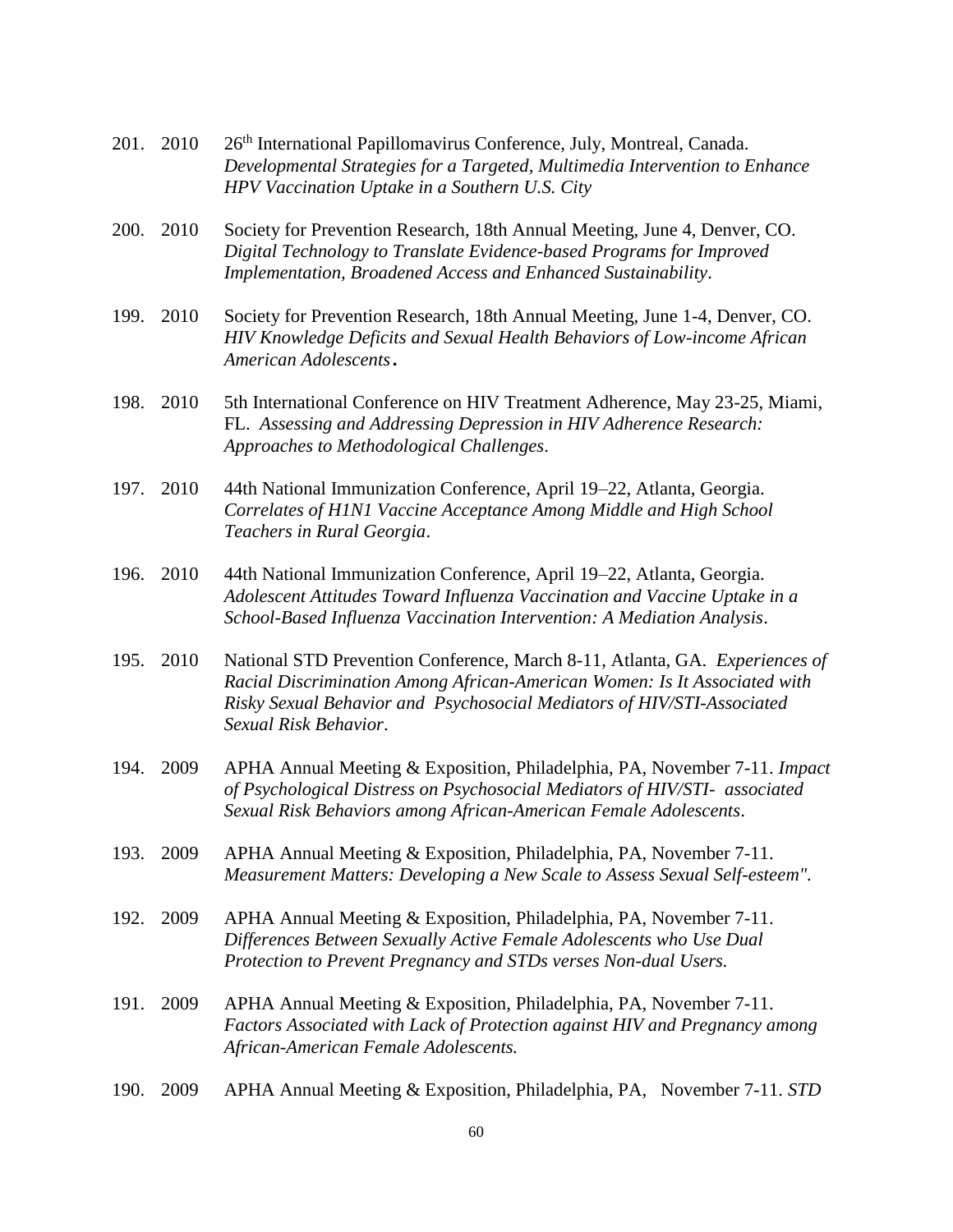- 201. 2010 26<sup>th</sup> International Papillomavirus Conference, July, Montreal, Canada. *Developmental Strategies for a Targeted, Multimedia Intervention to Enhance HPV Vaccination Uptake in a Southern U.S. City*
- 200. 2010 Society for Prevention Research, 18th Annual Meeting, June 4, Denver, CO. *Digital Technology to Translate Evidence-based Programs for Improved Implementation, Broadened Access and Enhanced Sustainability*.
- 199. 2010 Society for Prevention Research, 18th Annual Meeting, June 1-4, Denver, CO. *HIV Knowledge Deficits and Sexual Health Behaviors of Low-income African American Adolescents.*
- 198. 2010 5th International Conference on HIV Treatment Adherence, May 23-25, Miami, FL. *Assessing and Addressing Depression in HIV Adherence Research: Approaches to Methodological Challenges*.
- 197. 2010 44th National Immunization Conference, April 19–22, Atlanta, Georgia. *Correlates of H1N1 Vaccine Acceptance Among Middle and High School Teachers in Rural Georgia*.
- 196. 2010 44th National Immunization Conference, April 19–22, Atlanta, Georgia. *Adolescent Attitudes Toward Influenza Vaccination and Vaccine Uptake in a School-Based Influenza Vaccination Intervention: A Mediation Analysis*.
- 195. 2010 National STD Prevention Conference, March 8-11, Atlanta, GA. *Experiences of Racial Discrimination Among African-American Women: Is It Associated with Risky Sexual Behavior and Psychosocial Mediators of HIV/STI-Associated Sexual Risk Behavior*.
- 194. 2009 APHA Annual Meeting & Exposition, Philadelphia, PA, November 7-11. *Impact of Psychological Distress on Psychosocial Mediators of HIV/STI- associated Sexual Risk Behaviors among African-American Female Adolescents*.
- 193. 2009 APHA Annual Meeting & Exposition, Philadelphia, PA, November 7-11. *Measurement Matters: Developing a New Scale to Assess Sexual Self-esteem".*
- 192. 2009 APHA Annual Meeting & Exposition, Philadelphia, PA, November 7-11. *Differences Between Sexually Active Female Adolescents who Use Dual Protection to Prevent Pregnancy and STDs verses Non-dual Users.*
- 191. 2009 APHA Annual Meeting & Exposition, Philadelphia, PA, November 7-11. *Factors Associated with Lack of Protection against HIV and Pregnancy among African-American Female Adolescents.*
- 190. 2009 APHA Annual Meeting & Exposition, Philadelphia, PA, November 7-11. *STD*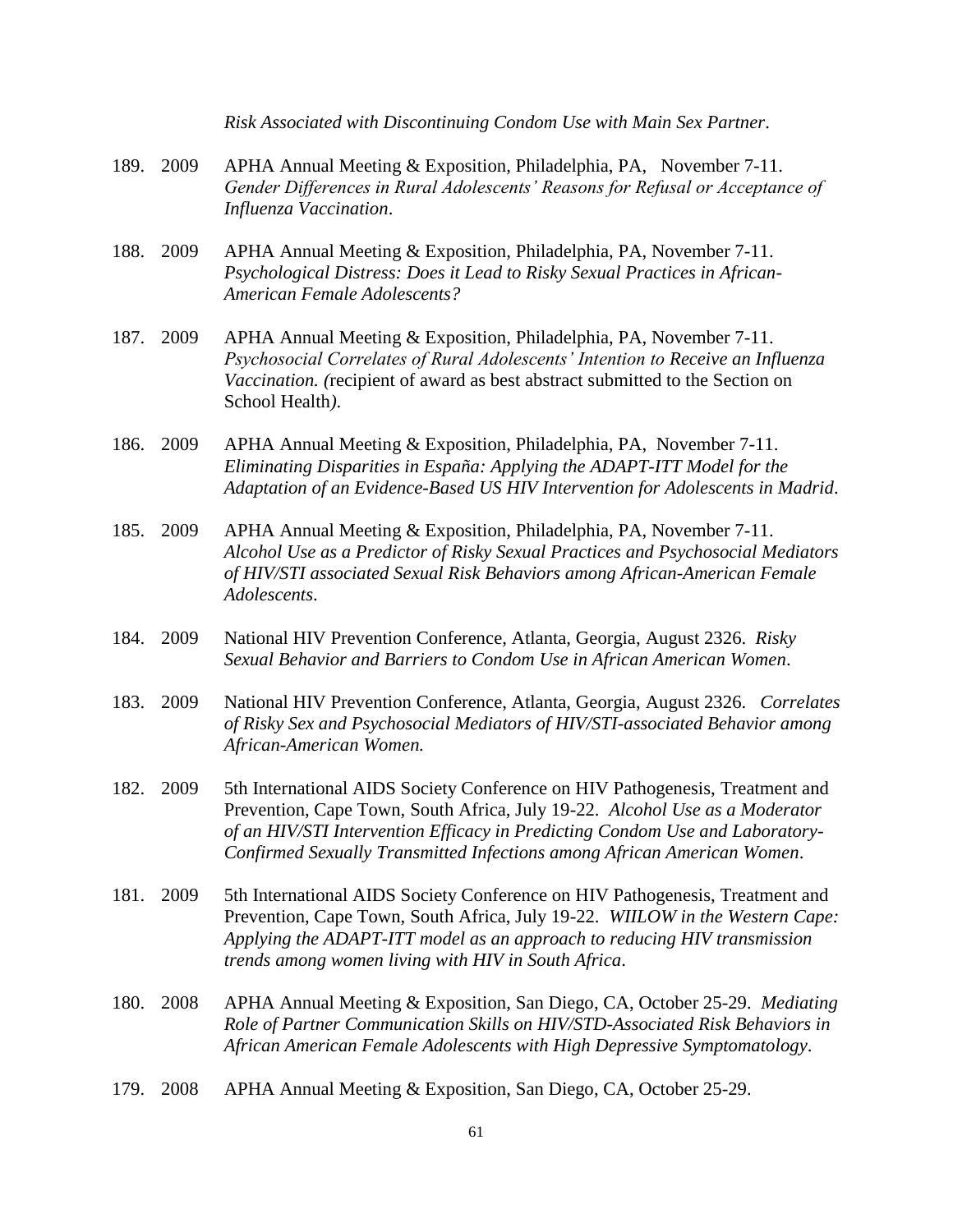|      |      | Risk Associated with Discontinuing Condom Use with Main Sex Partner.                                                                                                                                                                                                                                                   |
|------|------|------------------------------------------------------------------------------------------------------------------------------------------------------------------------------------------------------------------------------------------------------------------------------------------------------------------------|
| 189. | 2009 | APHA Annual Meeting & Exposition, Philadelphia, PA, November 7-11.<br>Gender Differences in Rural Adolescents' Reasons for Refusal or Acceptance of<br>Influenza Vaccination.                                                                                                                                          |
| 188. | 2009 | APHA Annual Meeting & Exposition, Philadelphia, PA, November 7-11.<br>Psychological Distress: Does it Lead to Risky Sexual Practices in African-<br><b>American Female Adolescents?</b>                                                                                                                                |
| 187. | 2009 | APHA Annual Meeting & Exposition, Philadelphia, PA, November 7-11.<br>Psychosocial Correlates of Rural Adolescents' Intention to Receive an Influenza<br>Vaccination. (recipient of award as best abstract submitted to the Section on<br>School Health).                                                              |
| 186. | 2009 | APHA Annual Meeting & Exposition, Philadelphia, PA, November 7-11.<br>Eliminating Disparities in España: Applying the ADAPT-ITT Model for the<br>Adaptation of an Evidence-Based US HIV Intervention for Adolescents in Madrid.                                                                                        |
| 185. | 2009 | APHA Annual Meeting & Exposition, Philadelphia, PA, November 7-11.<br>Alcohol Use as a Predictor of Risky Sexual Practices and Psychosocial Mediators<br>of HIV/STI associated Sexual Risk Behaviors among African-American Female<br>Adolescents.                                                                     |
| 184. | 2009 | National HIV Prevention Conference, Atlanta, Georgia, August 2326. Risky<br>Sexual Behavior and Barriers to Condom Use in African American Women.                                                                                                                                                                      |
| 183. | 2009 | National HIV Prevention Conference, Atlanta, Georgia, August 2326. Correlates<br>of Risky Sex and Psychosocial Mediators of HIV/STI-associated Behavior among<br>African-American Women.                                                                                                                               |
| 182. | 2009 | 5th International AIDS Society Conference on HIV Pathogenesis, Treatment and<br>Prevention, Cape Town, South Africa, July 19-22. Alcohol Use as a Moderator<br>of an HIV/STI Intervention Efficacy in Predicting Condom Use and Laboratory-<br>Confirmed Sexually Transmitted Infections among African American Women. |
| 181. | 2009 | 5th International AIDS Society Conference on HIV Pathogenesis, Treatment and<br>Prevention, Cape Town, South Africa, July 19-22. WIILOW in the Western Cape:<br>Applying the ADAPT-ITT model as an approach to reducing HIV transmission<br>trends among women living with HIV in South Africa.                        |
| 180. | 2008 | APHA Annual Meeting & Exposition, San Diego, CA, October 25-29. Mediating<br>Role of Partner Communication Skills on HIV/STD-Associated Risk Behaviors in<br>African American Female Adolescents with High Depressive Symptomatology.                                                                                  |
| 179. | 2008 | APHA Annual Meeting & Exposition, San Diego, CA, October 25-29.                                                                                                                                                                                                                                                        |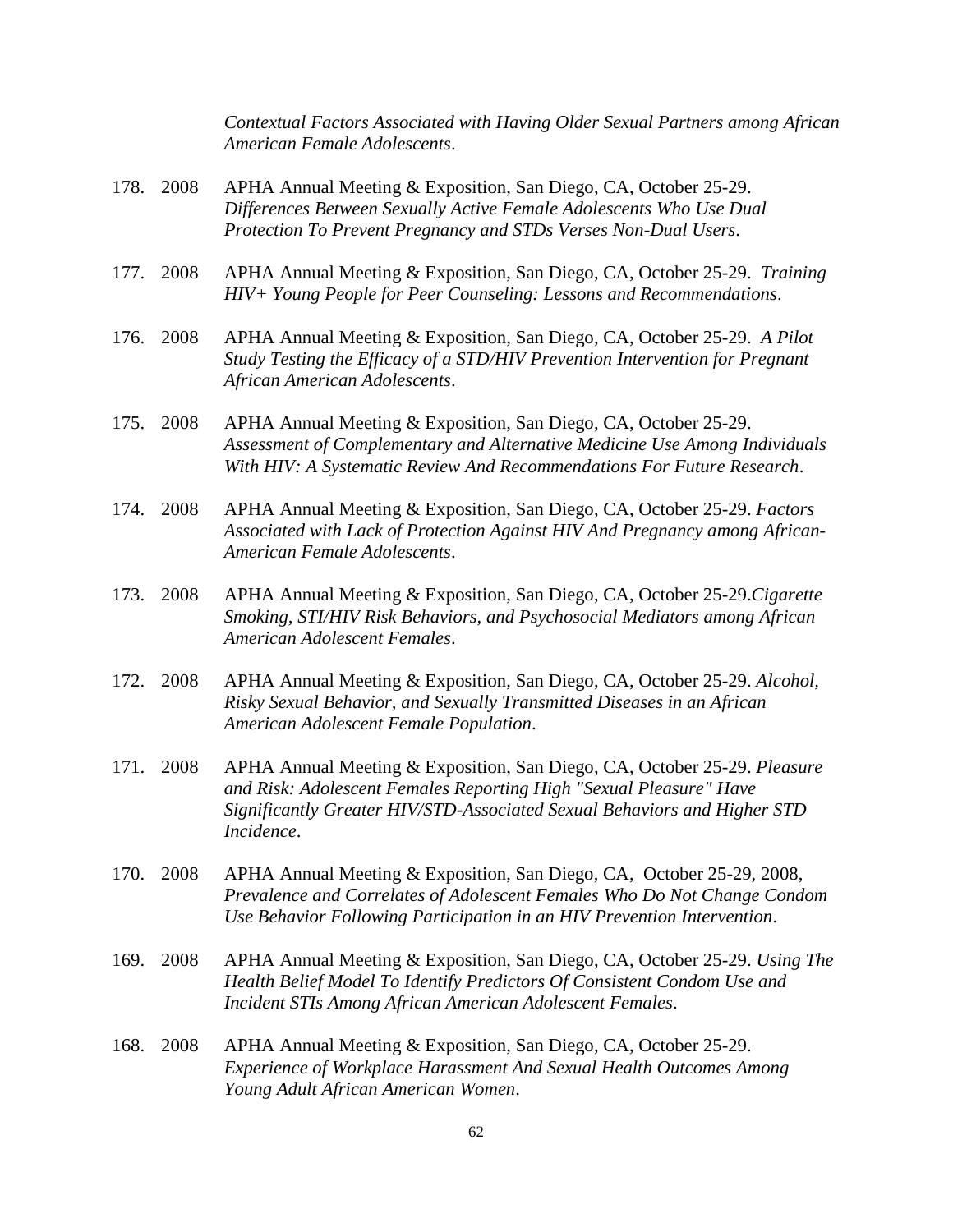*Contextual Factors Associated with Having Older Sexual Partners among African American Female Adolescents*.

- 178. 2008 APHA Annual Meeting & Exposition, San Diego, CA, October 25-29. *Differences Between Sexually Active Female Adolescents Who Use Dual Protection To Prevent Pregnancy and STDs Verses Non-Dual Users*.
- 177. 2008 APHA Annual Meeting & Exposition, San Diego, CA, October 25-29. *Training HIV+ Young People for Peer Counseling: Lessons and Recommendations*.
- 176. 2008 APHA Annual Meeting & Exposition, San Diego, CA, October 25-29. *A Pilot Study Testing the Efficacy of a STD/HIV Prevention Intervention for Pregnant African American Adolescents*.
- 175. 2008 APHA Annual Meeting & Exposition, San Diego, CA, October 25-29. *Assessment of Complementary and Alternative Medicine Use Among Individuals With HIV: A Systematic Review And Recommendations For Future Research*.
- 174. 2008 APHA Annual Meeting & Exposition, San Diego, CA, October 25-29. *Factors Associated with Lack of Protection Against HIV And Pregnancy among African-American Female Adolescents*.
- 173. 2008 APHA Annual Meeting & Exposition, San Diego, CA, October 25-29.*Cigarette Smoking, STI/HIV Risk Behaviors, and Psychosocial Mediators among African American Adolescent Females*.
- 172. 2008 APHA Annual Meeting & Exposition, San Diego, CA, October 25-29. *Alcohol, Risky Sexual Behavior, and Sexually Transmitted Diseases in an African American Adolescent Female Population*.
- 171. 2008 APHA Annual Meeting & Exposition, San Diego, CA, October 25-29. *Pleasure and Risk: Adolescent Females Reporting High "Sexual Pleasure" Have Significantly Greater HIV/STD-Associated Sexual Behaviors and Higher STD Incidence*.
- 170. 2008 APHA Annual Meeting & Exposition, San Diego, CA, October 25-29, 2008, *Prevalence and Correlates of Adolescent Females Who Do Not Change Condom Use Behavior Following Participation in an HIV Prevention Intervention*.
- 169. 2008 APHA Annual Meeting & Exposition, San Diego, CA, October 25-29. *Using The Health Belief Model To Identify Predictors Of Consistent Condom Use and Incident STIs Among African American Adolescent Females*.
- 168. 2008 APHA Annual Meeting & Exposition, San Diego, CA, October 25-29. *Experience of Workplace Harassment And Sexual Health Outcomes Among Young Adult African American Women*.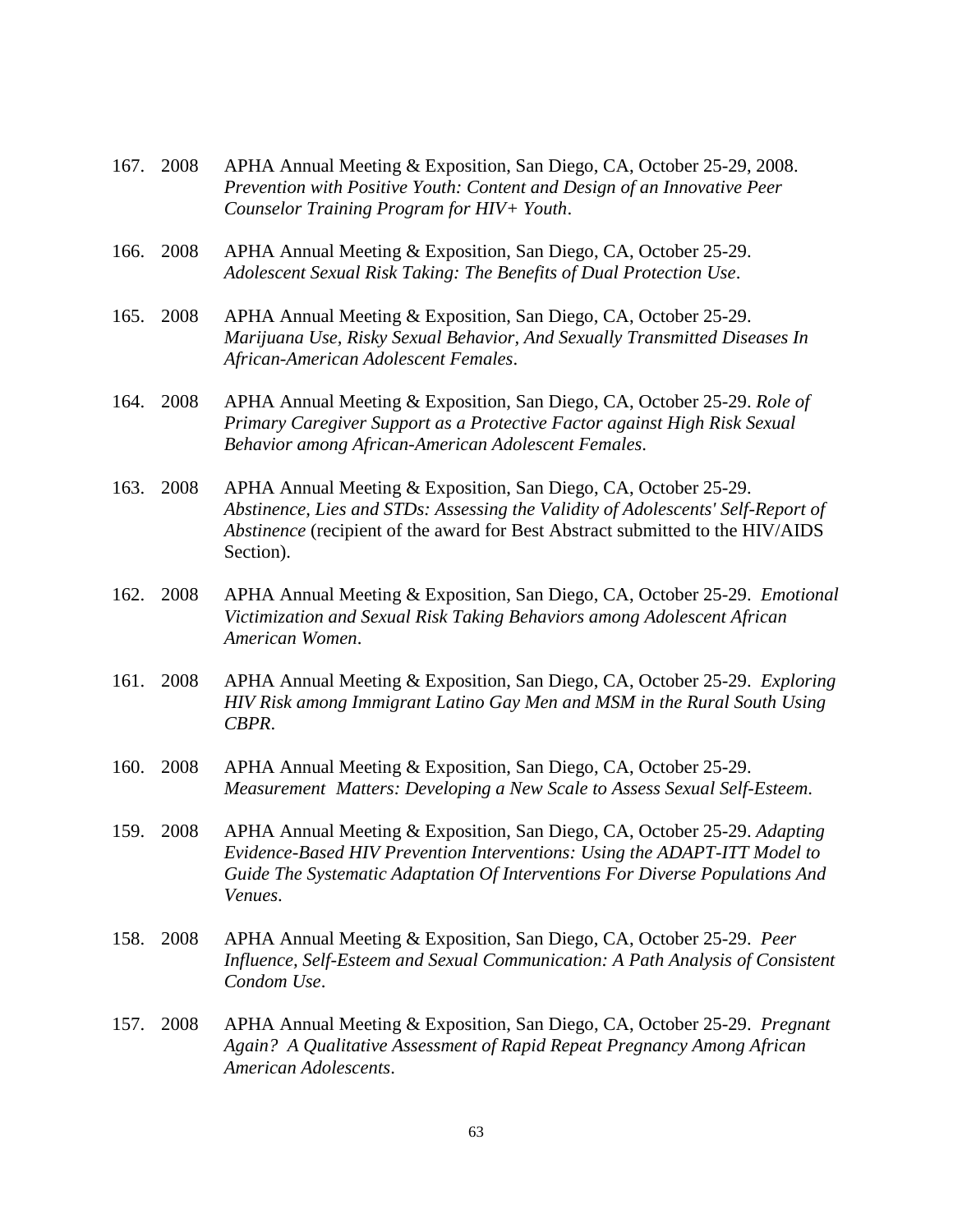| 167. | 2008 | APHA Annual Meeting & Exposition, San Diego, CA, October 25-29, 2008.<br>Prevention with Positive Youth: Content and Design of an Innovative Peer<br>Counselor Training Program for HIV+ Youth.                                                    |
|------|------|----------------------------------------------------------------------------------------------------------------------------------------------------------------------------------------------------------------------------------------------------|
| 166. | 2008 | APHA Annual Meeting & Exposition, San Diego, CA, October 25-29.<br>Adolescent Sexual Risk Taking: The Benefits of Dual Protection Use.                                                                                                             |
| 165. | 2008 | APHA Annual Meeting & Exposition, San Diego, CA, October 25-29.<br>Marijuana Use, Risky Sexual Behavior, And Sexually Transmitted Diseases In<br>African-American Adolescent Females.                                                              |
| 164. | 2008 | APHA Annual Meeting & Exposition, San Diego, CA, October 25-29. Role of<br>Primary Caregiver Support as a Protective Factor against High Risk Sexual<br>Behavior among African-American Adolescent Females.                                        |
| 163. | 2008 | APHA Annual Meeting & Exposition, San Diego, CA, October 25-29.<br>Abstinence, Lies and STDs: Assessing the Validity of Adolescents' Self-Report of<br>Abstinence (recipient of the award for Best Abstract submitted to the HIV/AIDS<br>Section). |
| 162. | 2008 | APHA Annual Meeting & Exposition, San Diego, CA, October 25-29. Emotional<br>Victimization and Sexual Risk Taking Behaviors among Adolescent African<br>American Women.                                                                            |
| 161. | 2008 | APHA Annual Meeting & Exposition, San Diego, CA, October 25-29. Exploring<br>HIV Risk among Immigrant Latino Gay Men and MSM in the Rural South Using<br>CBPR.                                                                                     |
| 160. | 2008 | APHA Annual Meeting & Exposition, San Diego, CA, October 25-29.<br>Measurement Matters: Developing a New Scale to Assess Sexual Self-Esteem.                                                                                                       |
| 159. | 2008 | APHA Annual Meeting & Exposition, San Diego, CA, October 25-29. Adapting<br>Evidence-Based HIV Prevention Interventions: Using the ADAPT-ITT Model to<br>Guide The Systematic Adaptation Of Interventions For Diverse Populations And<br>Venues.   |
| 158. | 2008 | APHA Annual Meeting & Exposition, San Diego, CA, October 25-29. Peer<br>Influence, Self-Esteem and Sexual Communication: A Path Analysis of Consistent<br>Condom Use.                                                                              |
| 157. | 2008 | APHA Annual Meeting & Exposition, San Diego, CA, October 25-29. Pregnant<br>Again? A Qualitative Assessment of Rapid Repeat Pregnancy Among African<br>American Adolescents.                                                                       |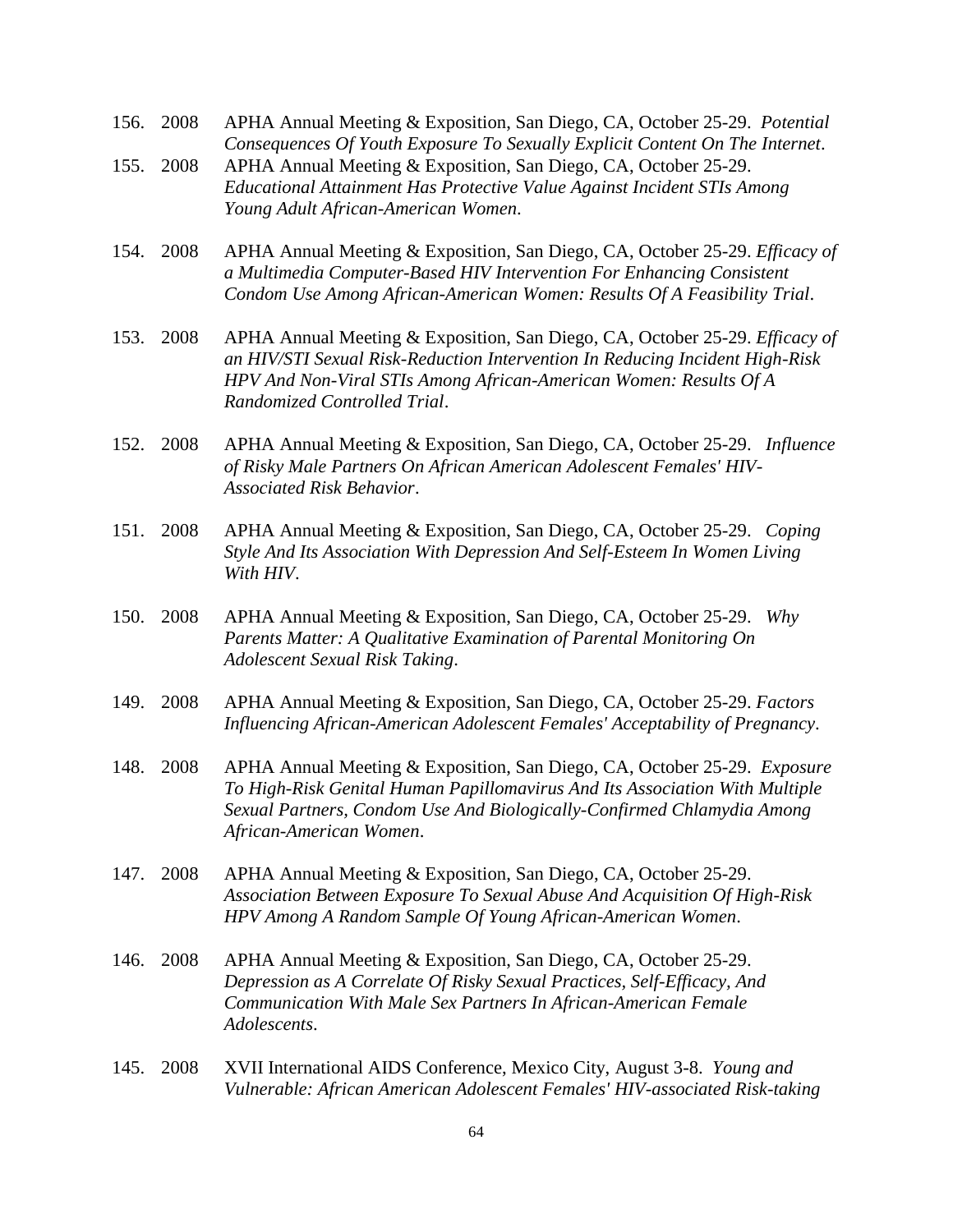- 156. 2008 APHA Annual Meeting & Exposition, San Diego, CA, October 25-29. *Potential Consequences Of Youth Exposure To Sexually Explicit Content On The Internet*. 155. 2008 APHA Annual Meeting & Exposition, San Diego, CA, October 25-29. *Educational Attainment Has Protective Value Against Incident STIs Among Young Adult African-American Women*. 154. 2008 APHA Annual Meeting & Exposition, San Diego, CA, October 25-29. *Efficacy of a Multimedia Computer-Based HIV Intervention For Enhancing Consistent Condom Use Among African-American Women: Results Of A Feasibility Trial*.
- 153. 2008 APHA Annual Meeting & Exposition, San Diego, CA, October 25-29. *Efficacy of an HIV/STI Sexual Risk-Reduction Intervention In Reducing Incident High-Risk HPV And Non-Viral STIs Among African-American Women: Results Of A Randomized Controlled Trial*.
- 152. 2008 APHA Annual Meeting & Exposition, San Diego, CA, October 25-29. *Influence of Risky Male Partners On African American Adolescent Females' HIV-Associated Risk Behavior*.
- 151. 2008 APHA Annual Meeting & Exposition, San Diego, CA, October 25-29. *Coping Style And Its Association With Depression And Self-Esteem In Women Living With HIV*.
- 150. 2008 APHA Annual Meeting & Exposition, San Diego, CA, October 25-29. *Why Parents Matter: A Qualitative Examination of Parental Monitoring On Adolescent Sexual Risk Taking*.
- 149. 2008 APHA Annual Meeting & Exposition, San Diego, CA, October 25-29. *Factors Influencing African-American Adolescent Females' Acceptability of Pregnancy*.
- 148. 2008 APHA Annual Meeting & Exposition, San Diego, CA, October 25-29. *Exposure To High-Risk Genital Human Papillomavirus And Its Association With Multiple Sexual Partners, Condom Use And Biologically-Confirmed Chlamydia Among African-American Women*.
- 147. 2008 APHA Annual Meeting & Exposition, San Diego, CA, October 25-29. *Association Between Exposure To Sexual Abuse And Acquisition Of High-Risk HPV Among A Random Sample Of Young African-American Women*.
- 146. 2008 APHA Annual Meeting & Exposition, San Diego, CA, October 25-29. *Depression as A Correlate Of Risky Sexual Practices, Self-Efficacy, And Communication With Male Sex Partners In African-American Female Adolescents*.
- 145. 2008 XVII International AIDS Conference, Mexico City, August 3-8. *Young and Vulnerable: African American Adolescent Females' HIV-associated Risk-taking*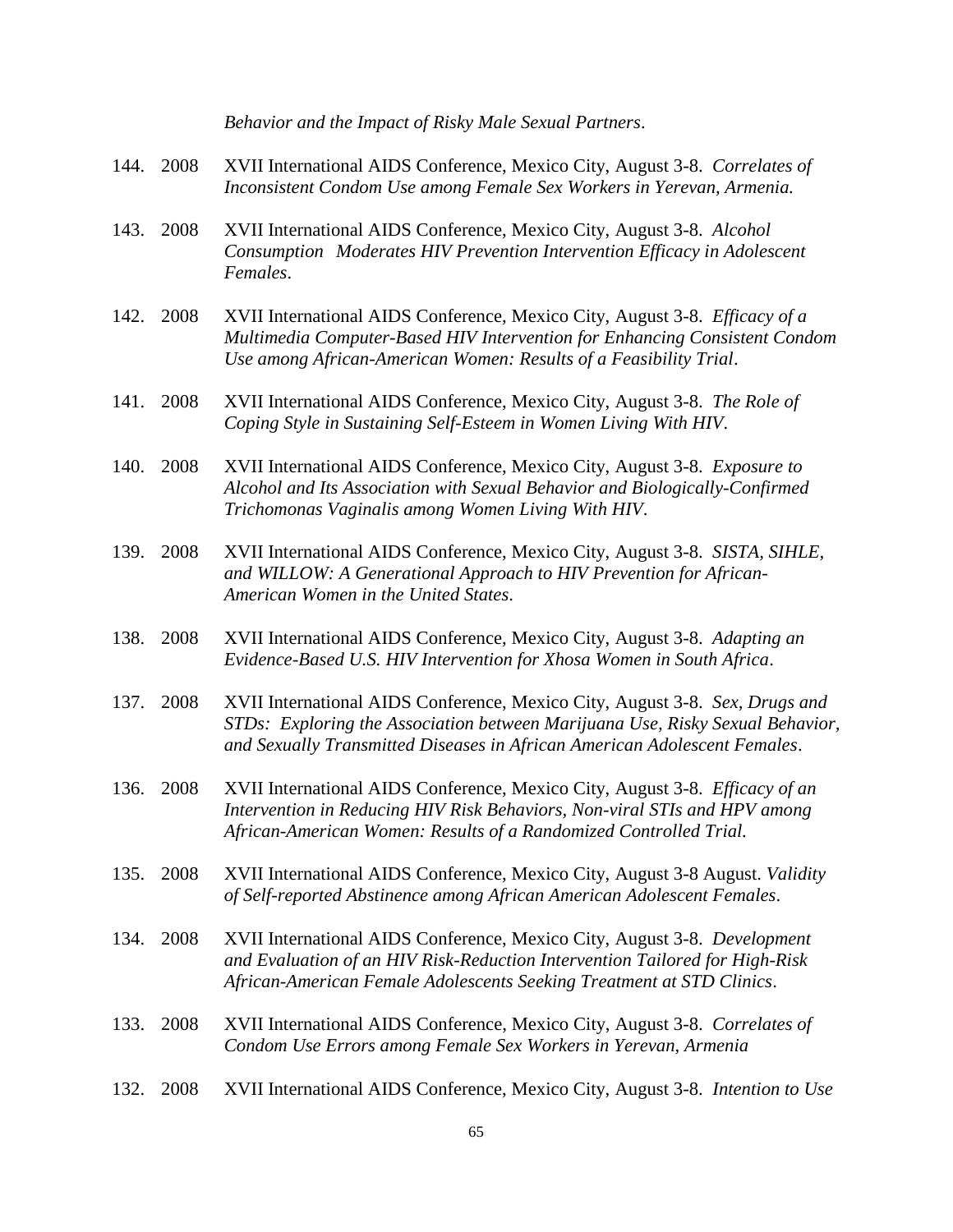|      |           | Behavior and the Impact of Risky Male Sexual Partners.                                                                                                                                                                                    |
|------|-----------|-------------------------------------------------------------------------------------------------------------------------------------------------------------------------------------------------------------------------------------------|
|      | 144. 2008 | XVII International AIDS Conference, Mexico City, August 3-8. Correlates of<br>Inconsistent Condom Use among Female Sex Workers in Yerevan, Armenia.                                                                                       |
| 143. | 2008      | XVII International AIDS Conference, Mexico City, August 3-8. Alcohol<br>Consumption Moderates HIV Prevention Intervention Efficacy in Adolescent<br>Females.                                                                              |
| 142. | 2008      | XVII International AIDS Conference, Mexico City, August 3-8. Efficacy of a<br>Multimedia Computer-Based HIV Intervention for Enhancing Consistent Condom<br>Use among African-American Women: Results of a Feasibility Trial.             |
| 141. | 2008      | XVII International AIDS Conference, Mexico City, August 3-8. The Role of<br>Coping Style in Sustaining Self-Esteem in Women Living With HIV.                                                                                              |
| 140. | 2008      | XVII International AIDS Conference, Mexico City, August 3-8. Exposure to<br>Alcohol and Its Association with Sexual Behavior and Biologically-Confirmed<br>Trichomonas Vaginalis among Women Living With HIV.                             |
| 139. | 2008      | XVII International AIDS Conference, Mexico City, August 3-8. SISTA, SIHLE,<br>and WILLOW: A Generational Approach to HIV Prevention for African-<br>American Women in the United States.                                                  |
| 138. | 2008      | XVII International AIDS Conference, Mexico City, August 3-8. Adapting an<br>Evidence-Based U.S. HIV Intervention for Xhosa Women in South Africa.                                                                                         |
| 137. | 2008      | XVII International AIDS Conference, Mexico City, August 3-8. Sex, Drugs and<br>STDs: Exploring the Association between Marijuana Use, Risky Sexual Behavior,<br>and Sexually Transmitted Diseases in African American Adolescent Females. |
| 136. | 2008      | XVII International AIDS Conference, Mexico City, August 3-8. Efficacy of an<br>Intervention in Reducing HIV Risk Behaviors, Non-viral STIs and HPV among<br>African-American Women: Results of a Randomized Controlled Trial.             |
| 135. | 2008      | XVII International AIDS Conference, Mexico City, August 3-8 August. Validity<br>of Self-reported Abstinence among African American Adolescent Females.                                                                                    |
| 134. | 2008      | XVII International AIDS Conference, Mexico City, August 3-8. Development<br>and Evaluation of an HIV Risk-Reduction Intervention Tailored for High-Risk<br>African-American Female Adolescents Seeking Treatment at STD Clinics.          |
| 133. | 2008      | XVII International AIDS Conference, Mexico City, August 3-8. Correlates of<br>Condom Use Errors among Female Sex Workers in Yerevan, Armenia                                                                                              |
| 132. | 2008      | XVII International AIDS Conference, Mexico City, August 3-8. Intention to Use                                                                                                                                                             |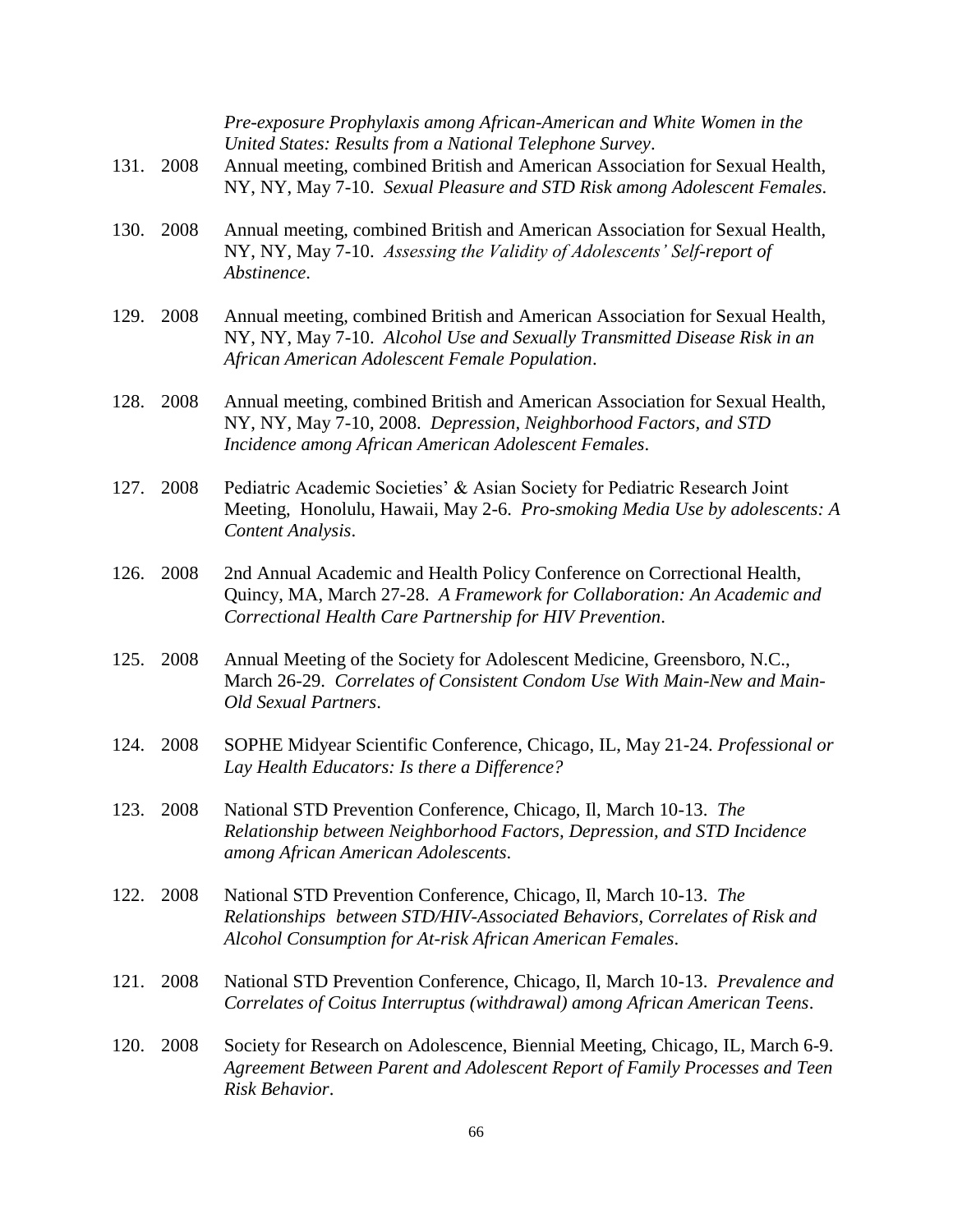| 131. | 2008      | Pre-exposure Prophylaxis among African-American and White Women in the<br>United States: Results from a National Telephone Survey.<br>Annual meeting, combined British and American Association for Sexual Health,<br>NY, NY, May 7-10. Sexual Pleasure and STD Risk among Adolescent Females. |
|------|-----------|------------------------------------------------------------------------------------------------------------------------------------------------------------------------------------------------------------------------------------------------------------------------------------------------|
| 130. | 2008      | Annual meeting, combined British and American Association for Sexual Health,<br>NY, NY, May 7-10. Assessing the Validity of Adolescents' Self-report of<br>Abstinence.                                                                                                                         |
| 129. | 2008      | Annual meeting, combined British and American Association for Sexual Health,<br>NY, NY, May 7-10. Alcohol Use and Sexually Transmitted Disease Risk in an<br>African American Adolescent Female Population.                                                                                    |
| 128. | 2008      | Annual meeting, combined British and American Association for Sexual Health,<br>NY, NY, May 7-10, 2008. Depression, Neighborhood Factors, and STD<br>Incidence among African American Adolescent Females.                                                                                      |
| 127. | 2008      | Pediatric Academic Societies' & Asian Society for Pediatric Research Joint<br>Meeting, Honolulu, Hawaii, May 2-6. Pro-smoking Media Use by adolescents: A<br>Content Analysis.                                                                                                                 |
| 126. | 2008      | 2nd Annual Academic and Health Policy Conference on Correctional Health,<br>Quincy, MA, March 27-28. A Framework for Collaboration: An Academic and<br>Correctional Health Care Partnership for HIV Prevention.                                                                                |
| 125. | 2008      | Annual Meeting of the Society for Adolescent Medicine, Greensboro, N.C.,<br>March 26-29. Correlates of Consistent Condom Use With Main-New and Main-<br>Old Sexual Partners.                                                                                                                   |
| 124. | 2008      | SOPHE Midyear Scientific Conference, Chicago, IL, May 21-24. Professional or<br>Lay Health Educators: Is there a Difference?                                                                                                                                                                   |
|      | 123. 2008 | National STD Prevention Conference, Chicago, Il, March 10-13. The<br>Relationship between Neighborhood Factors, Depression, and STD Incidence<br>among African American Adolescents.                                                                                                           |
| 122. | 2008      | National STD Prevention Conference, Chicago, Il, March 10-13. The<br>Relationships between STD/HIV-Associated Behaviors, Correlates of Risk and<br>Alcohol Consumption for At-risk African American Females.                                                                                   |
| 121. | 2008      | National STD Prevention Conference, Chicago, Il, March 10-13. Prevalence and<br>Correlates of Coitus Interruptus (withdrawal) among African American Teens.                                                                                                                                    |
| 120. | 2008      | Society for Research on Adolescence, Biennial Meeting, Chicago, IL, March 6-9.<br>Agreement Between Parent and Adolescent Report of Family Processes and Teen<br>Risk Behavior.                                                                                                                |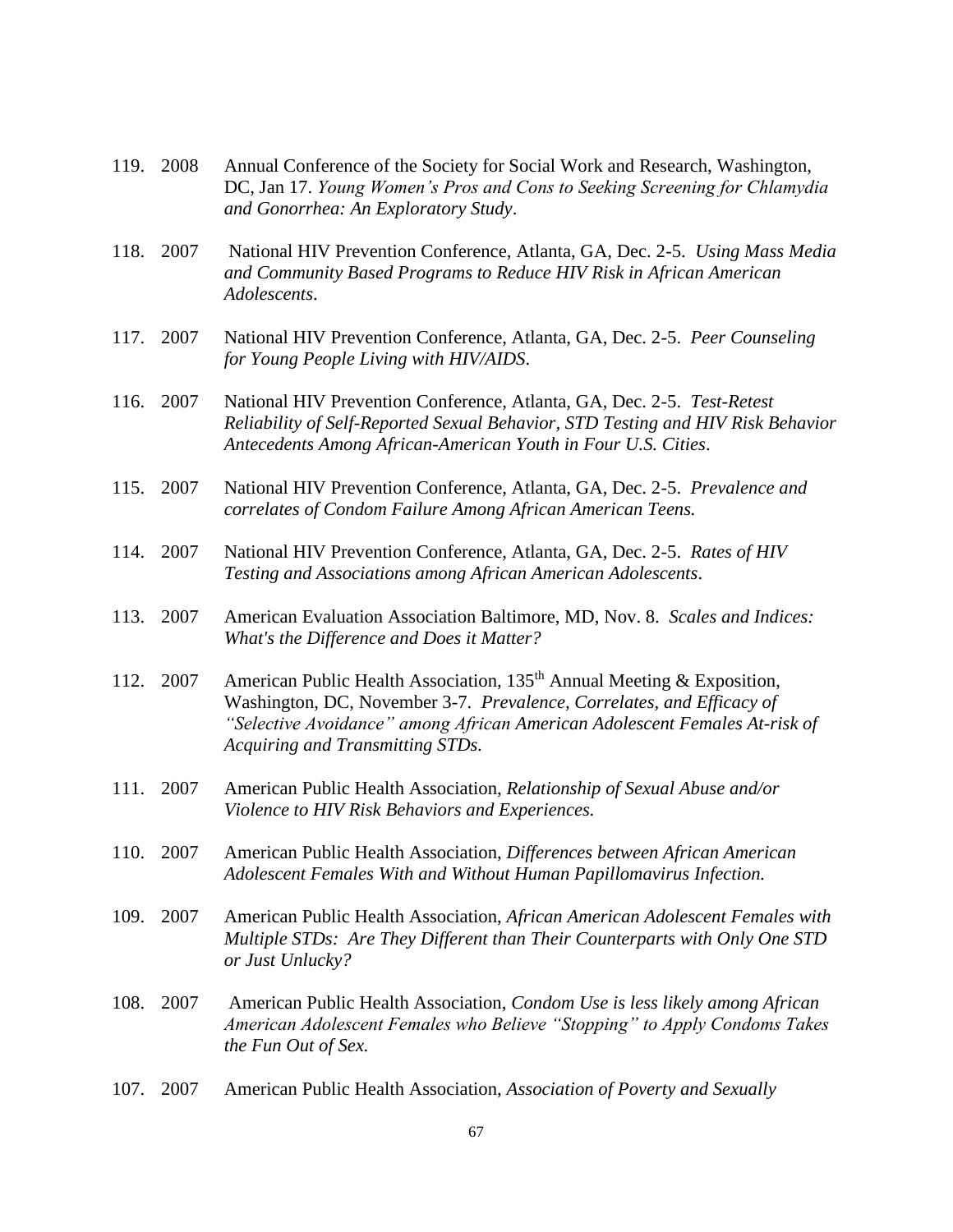- 119. 2008 Annual Conference of the Society for Social Work and Research, Washington, DC, Jan 17. *Young Women's Pros and Cons to Seeking Screening for Chlamydia and Gonorrhea: An Exploratory Study*.
- 118. 2007 National HIV Prevention Conference, Atlanta, GA, Dec. 2-5. *Using Mass Media and Community Based Programs to Reduce HIV Risk in African American Adolescents*.
- 117. 2007 National HIV Prevention Conference, Atlanta, GA, Dec. 2-5. *Peer Counseling for Young People Living with HIV/AIDS*.
- 116. 2007 National HIV Prevention Conference, Atlanta, GA, Dec. 2-5. *Test-Retest Reliability of Self-Reported Sexual Behavior, STD Testing and HIV Risk Behavior Antecedents Among African-American Youth in Four U.S. Cities*.
- 115. 2007 National HIV Prevention Conference, Atlanta, GA, Dec. 2-5. *Prevalence and correlates of Condom Failure Among African American Teens.*
- 114. 2007 National HIV Prevention Conference, Atlanta, GA, Dec. 2-5. *Rates of HIV Testing and Associations among African American Adolescents*.
- 113. 2007 American Evaluation Association Baltimore, MD, Nov. 8. *Scales and Indices: What's the Difference and Does it Matter?*
- 112. 2007 American Public Health Association, 135<sup>th</sup> Annual Meeting & Exposition, Washington, DC, November 3-7. *Prevalence, Correlates, and Efficacy of "Selective Avoidance" among African American Adolescent Females At-risk of Acquiring and Transmitting STDs.*
- 111. 2007 American Public Health Association, *Relationship of Sexual Abuse and/or Violence to HIV Risk Behaviors and Experiences.*
- 110. 2007 American Public Health Association, *Differences between African American Adolescent Females With and Without Human Papillomavirus Infection.*
- 109. 2007 American Public Health Association, *African American Adolescent Females with Multiple STDs: Are They Different than Their Counterparts with Only One STD or Just Unlucky?*
- 108. 2007 American Public Health Association, *Condom Use is less likely among African American Adolescent Females who Believe "Stopping" to Apply Condoms Takes the Fun Out of Sex.*
- 107. 2007 American Public Health Association, *Association of Poverty and Sexually*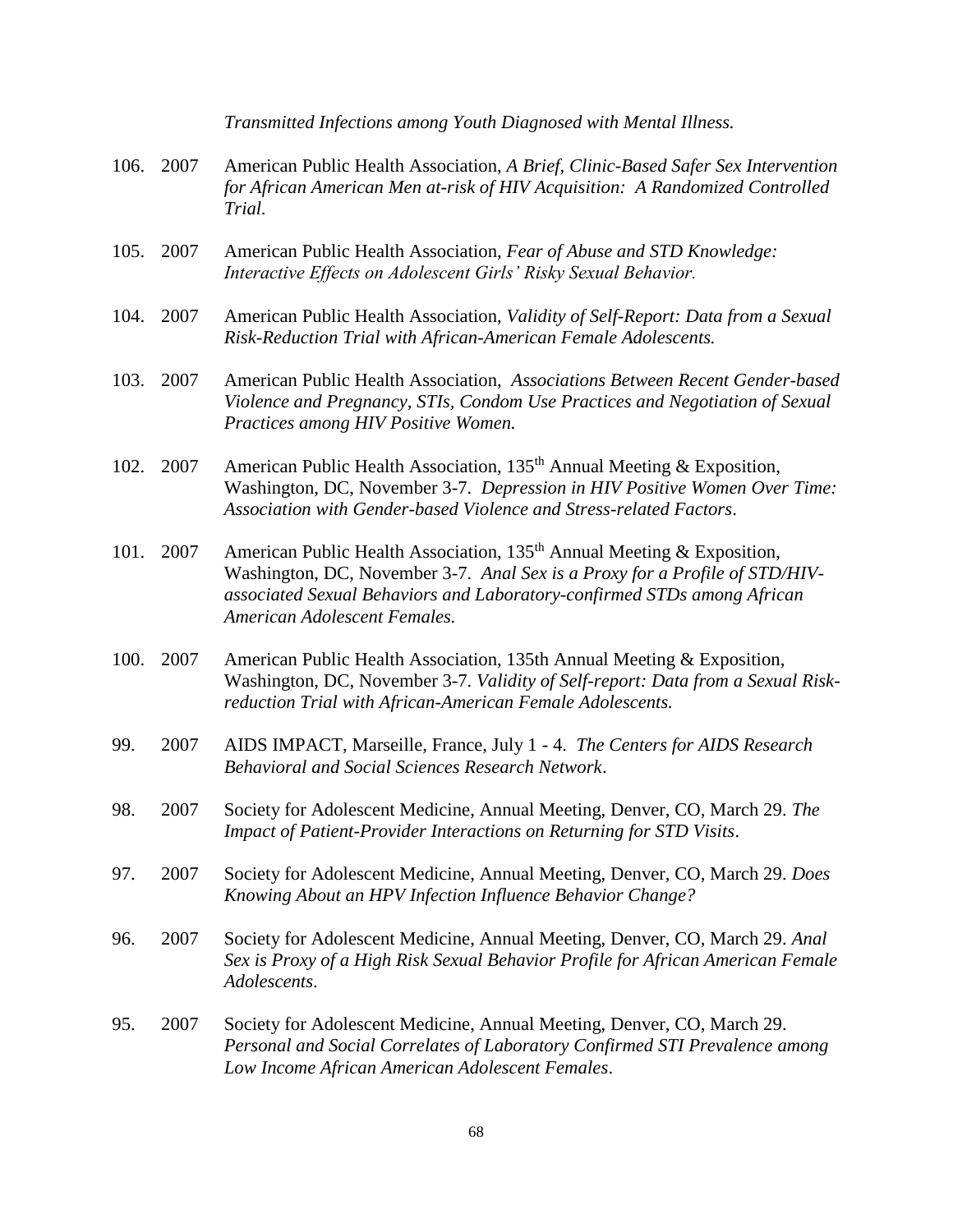|      |      | Transmitted Infections among Youth Diagnosed with Mental Illness.                                                                                                                                                                                                            |
|------|------|------------------------------------------------------------------------------------------------------------------------------------------------------------------------------------------------------------------------------------------------------------------------------|
| 106. | 2007 | American Public Health Association, A Brief, Clinic-Based Safer Sex Intervention<br>for African American Men at-risk of HIV Acquisition: A Randomized Controlled<br>Trial.                                                                                                   |
| 105. | 2007 | American Public Health Association, Fear of Abuse and STD Knowledge:<br>Interactive Effects on Adolescent Girls' Risky Sexual Behavior.                                                                                                                                      |
| 104. | 2007 | American Public Health Association, Validity of Self-Report: Data from a Sexual<br>Risk-Reduction Trial with African-American Female Adolescents.                                                                                                                            |
| 103. | 2007 | American Public Health Association, Associations Between Recent Gender-based<br>Violence and Pregnancy, STIs, Condom Use Practices and Negotiation of Sexual<br>Practices among HIV Positive Women.                                                                          |
| 102. | 2007 | American Public Health Association, 135 <sup>th</sup> Annual Meeting & Exposition,<br>Washington, DC, November 3-7. Depression in HIV Positive Women Over Time:<br>Association with Gender-based Violence and Stress-related Factors.                                        |
| 101. | 2007 | American Public Health Association, 135 <sup>th</sup> Annual Meeting & Exposition,<br>Washington, DC, November 3-7. Anal Sex is a Proxy for a Profile of STD/HIV-<br>associated Sexual Behaviors and Laboratory-confirmed STDs among African<br>American Adolescent Females. |
| 100. | 2007 | American Public Health Association, 135th Annual Meeting & Exposition,<br>Washington, DC, November 3-7. Validity of Self-report: Data from a Sexual Risk-<br>reduction Trial with African-American Female Adolescents.                                                       |
| 99.  | 2007 | AIDS IMPACT, Marseille, France, July 1 - 4. The Centers for AIDS Research<br>Behavioral and Social Sciences Research Network.                                                                                                                                                |
| 98.  | 2007 | Society for Adolescent Medicine, Annual Meeting, Denver, CO, March 29. The<br>Impact of Patient-Provider Interactions on Returning for STD Visits.                                                                                                                           |
| 97.  | 2007 | Society for Adolescent Medicine, Annual Meeting, Denver, CO, March 29. Does<br>Knowing About an HPV Infection Influence Behavior Change?                                                                                                                                     |
| 96.  | 2007 | Society for Adolescent Medicine, Annual Meeting, Denver, CO, March 29. Anal<br>Sex is Proxy of a High Risk Sexual Behavior Profile for African American Female<br>Adolescents.                                                                                               |
| 95.  | 2007 | Society for Adolescent Medicine, Annual Meeting, Denver, CO, March 29.<br>Personal and Social Correlates of Laboratory Confirmed STI Prevalence among<br>Low Income African American Adolescent Females.                                                                     |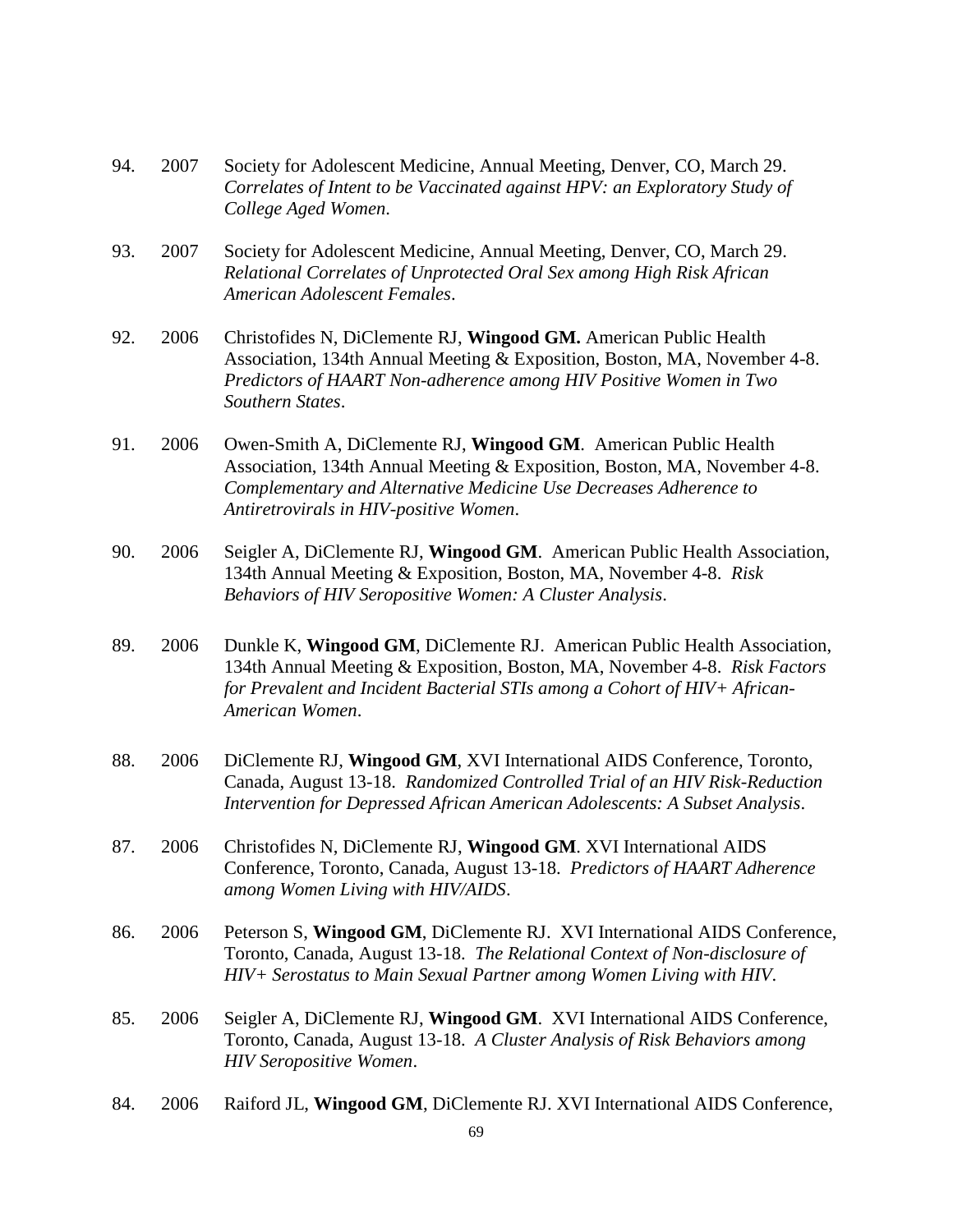- 94. 2007 Society for Adolescent Medicine, Annual Meeting, Denver, CO, March 29. *Correlates of Intent to be Vaccinated against HPV: an Exploratory Study of College Aged Women*.
- 93. 2007 Society for Adolescent Medicine, Annual Meeting, Denver, CO, March 29. *Relational Correlates of Unprotected Oral Sex among High Risk African American Adolescent Females*.
- 92. 2006 Christofides N, DiClemente RJ, **Wingood GM.** American Public Health Association, 134th Annual Meeting & Exposition, Boston, MA, November 4-8. *Predictors of HAART Non-adherence among HIV Positive Women in Two Southern States*.
- 91. 2006 Owen-Smith A, DiClemente RJ, **Wingood GM**. American Public Health Association, 134th Annual Meeting & Exposition, Boston, MA, November 4-8. *Complementary and Alternative Medicine Use Decreases Adherence to Antiretrovirals in HIV-positive Women*.
- 90. 2006 Seigler A, DiClemente RJ, **Wingood GM**. American Public Health Association, 134th Annual Meeting & Exposition, Boston, MA, November 4-8. *Risk Behaviors of HIV Seropositive Women: A Cluster Analysis*.
- 89. 2006 Dunkle K, **Wingood GM**, DiClemente RJ. American Public Health Association, 134th Annual Meeting & Exposition, Boston, MA, November 4-8. *Risk Factors for Prevalent and Incident Bacterial STIs among a Cohort of HIV+ African-American Women*.
- 88. 2006 DiClemente RJ, **Wingood GM**, XVI International AIDS Conference, Toronto, Canada, August 13-18. *Randomized Controlled Trial of an HIV Risk-Reduction Intervention for Depressed African American Adolescents: A Subset Analysis*.
- 87. 2006 Christofides N, DiClemente RJ, **Wingood GM**. XVI International AIDS Conference, Toronto, Canada, August 13-18. *Predictors of HAART Adherence among Women Living with HIV/AIDS*.
- 86. 2006 Peterson S, **Wingood GM**, DiClemente RJ. XVI International AIDS Conference, Toronto, Canada, August 13-18. *The Relational Context of Non-disclosure of HIV+ Serostatus to Main Sexual Partner among Women Living with HIV*.
- 85. 2006 Seigler A, DiClemente RJ, **Wingood GM**. XVI International AIDS Conference, Toronto, Canada, August 13-18. *A Cluster Analysis of Risk Behaviors among HIV Seropositive Women*.
- 84. 2006 Raiford JL, **Wingood GM**, DiClemente RJ. XVI International AIDS Conference,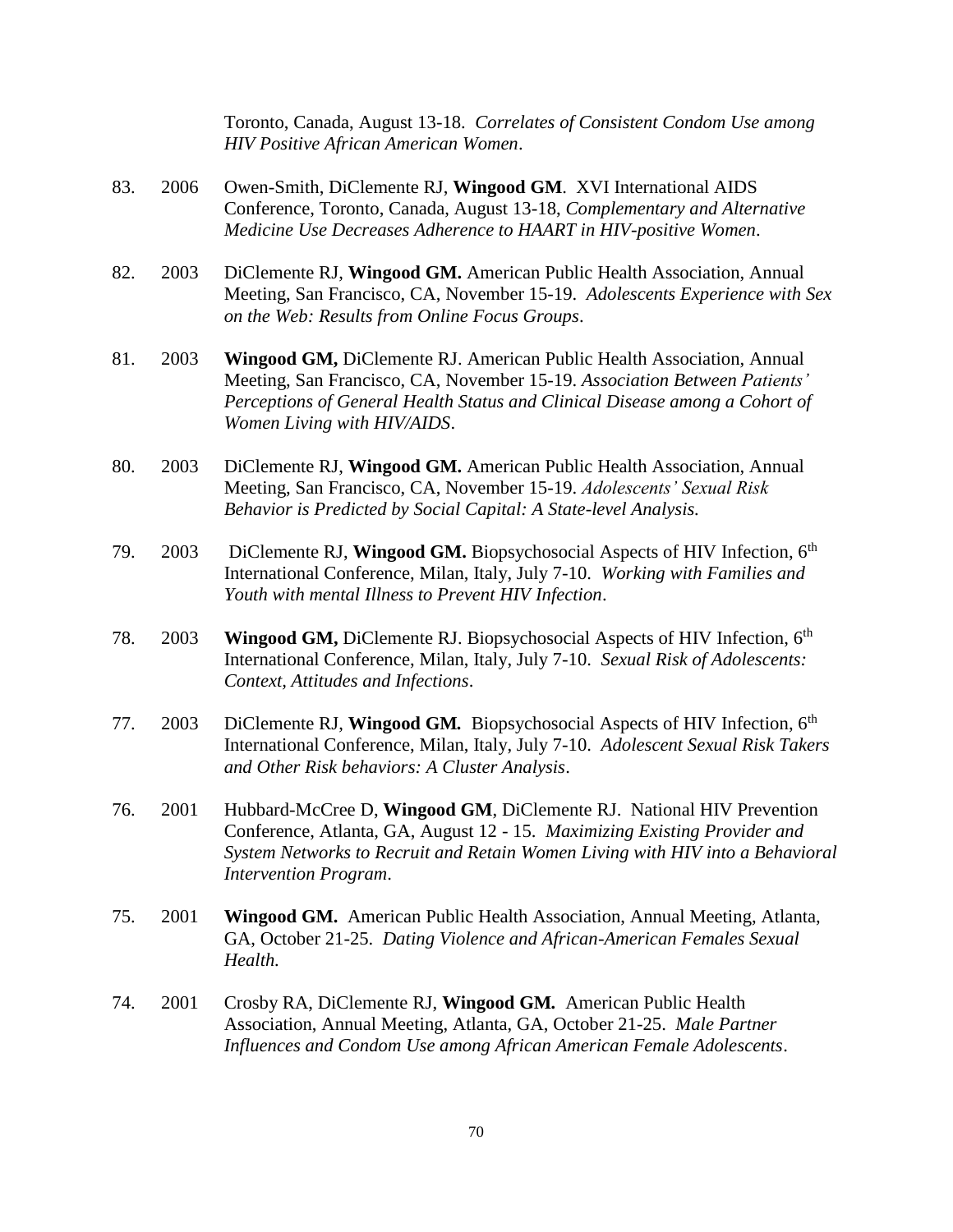Toronto, Canada, August 13-18. *Correlates of Consistent Condom Use among HIV Positive African American Women*.

- 83. 2006 Owen-Smith, DiClemente RJ, **Wingood GM**. XVI International AIDS Conference, Toronto, Canada, August 13-18, *Complementary and Alternative Medicine Use Decreases Adherence to HAART in HIV-positive Women*.
- 82. 2003 DiClemente RJ, **Wingood GM.** American Public Health Association, Annual Meeting, San Francisco, CA, November 15-19. *Adolescents Experience with Sex on the Web: Results from Online Focus Groups*.
- 81. 2003 **Wingood GM,** DiClemente RJ. American Public Health Association, Annual Meeting, San Francisco, CA, November 15-19. *Association Between Patients' Perceptions of General Health Status and Clinical Disease among a Cohort of Women Living with HIV/AIDS*.
- 80. 2003 DiClemente RJ, **Wingood GM.** American Public Health Association, Annual Meeting, San Francisco, CA, November 15-19. *Adolescents' Sexual Risk Behavior is Predicted by Social Capital: A State-level Analysis.*
- 79. 2003 DiClemente RJ, **Wingood GM.** Biopsychosocial Aspects of HIV Infection, 6th International Conference, Milan, Italy, July 7-10. *Working with Families and Youth with mental Illness to Prevent HIV Infection*.
- 78. 2003 **Wingood GM,** DiClemente RJ. Biopsychosocial Aspects of HIV Infection, 6th International Conference, Milan, Italy, July 7-10. *Sexual Risk of Adolescents: Context, Attitudes and Infections*.
- 77. 2003 DiClemente RJ, **Wingood GM***.* Biopsychosocial Aspects of HIV Infection, 6th International Conference, Milan, Italy, July 7-10. *Adolescent Sexual Risk Takers and Other Risk behaviors: A Cluster Analysis*.
- 76. 2001 Hubbard-McCree D, **Wingood GM**, DiClemente RJ. National HIV Prevention Conference, Atlanta, GA, August 12 - 15. *Maximizing Existing Provider and System Networks to Recruit and Retain Women Living with HIV into a Behavioral Intervention Program*.
- 75. 2001 **Wingood GM.** American Public Health Association, Annual Meeting, Atlanta, GA, October 21-25. *Dating Violence and African-American Females Sexual Health.*
- 74. 2001 Crosby RA, DiClemente RJ, **Wingood GM***.* American Public Health Association, Annual Meeting, Atlanta, GA, October 21-25. *Male Partner Influences and Condom Use among African American Female Adolescents*.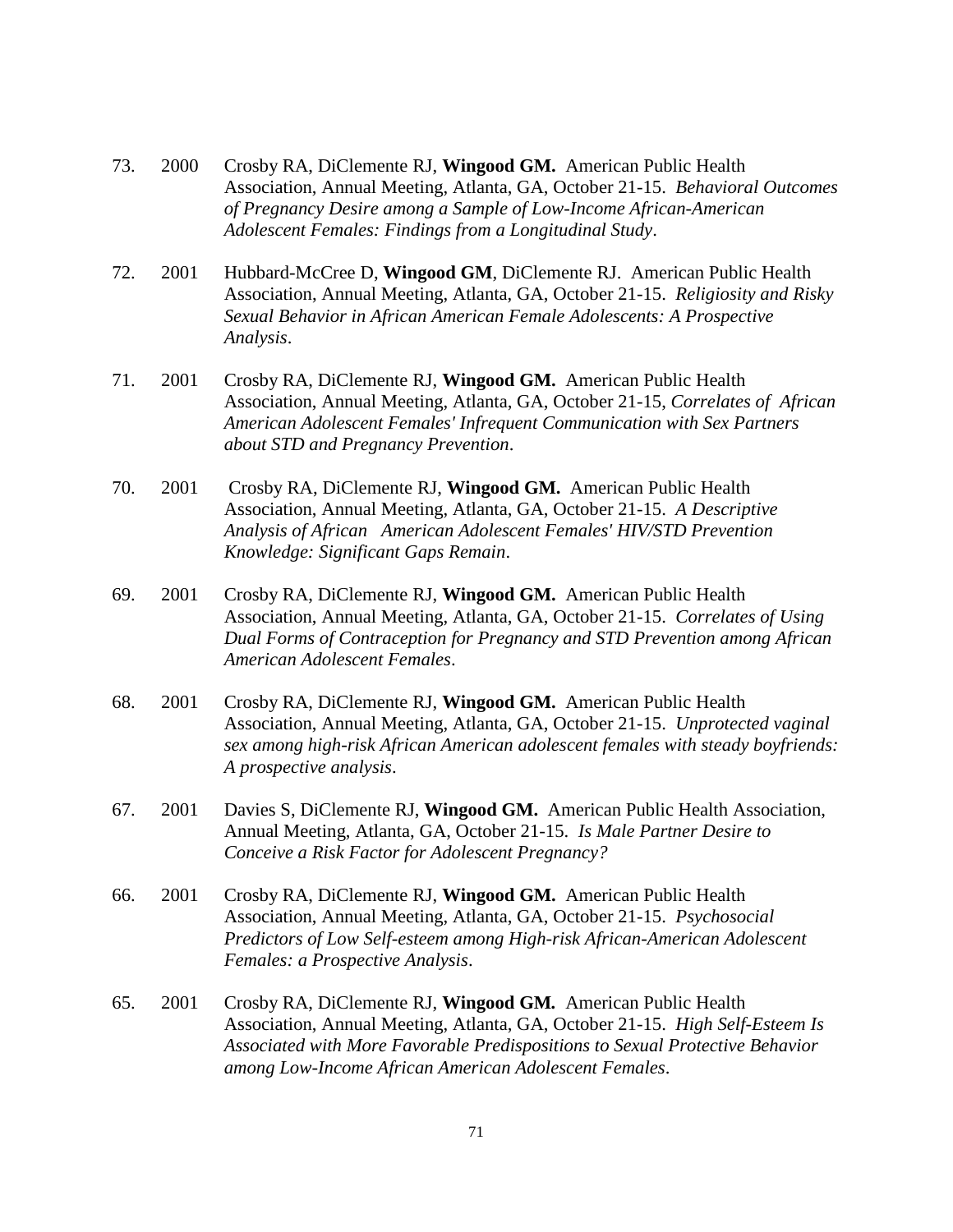- 73. 2000 Crosby RA, DiClemente RJ, **Wingood GM.** American Public Health Association, Annual Meeting, Atlanta, GA, October 21-15. *Behavioral Outcomes of Pregnancy Desire among a Sample of Low-Income African-American Adolescent Females: Findings from a Longitudinal Study*.
- 72. 2001 Hubbard-McCree D, **Wingood GM**, DiClemente RJ. American Public Health Association, Annual Meeting, Atlanta, GA, October 21-15. *Religiosity and Risky Sexual Behavior in African American Female Adolescents: A Prospective Analysis*.
- 71. 2001 Crosby RA, DiClemente RJ, **Wingood GM.** American Public Health Association, Annual Meeting, Atlanta, GA, October 21-15, *Correlates of African American Adolescent Females' Infrequent Communication with Sex Partners about STD and Pregnancy Prevention*.
- 70. 2001 Crosby RA, DiClemente RJ, **Wingood GM.** American Public Health Association, Annual Meeting, Atlanta, GA, October 21-15. *A Descriptive Analysis of African American Adolescent Females' HIV/STD Prevention Knowledge: Significant Gaps Remain*.
- 69. 2001 Crosby RA, DiClemente RJ, **Wingood GM.** American Public Health Association, Annual Meeting, Atlanta, GA, October 21-15. *Correlates of Using Dual Forms of Contraception for Pregnancy and STD Prevention among African American Adolescent Females*.
- 68. 2001 Crosby RA, DiClemente RJ, **Wingood GM.** American Public Health Association, Annual Meeting, Atlanta, GA, October 21-15. *Unprotected vaginal sex among high-risk African American adolescent females with steady boyfriends: A prospective analysis*.
- 67. 2001 Davies S, DiClemente RJ, **Wingood GM.** American Public Health Association, Annual Meeting, Atlanta, GA, October 21-15. *Is Male Partner Desire to Conceive a Risk Factor for Adolescent Pregnancy?*
- 66. 2001 Crosby RA, DiClemente RJ, **Wingood GM.** American Public Health Association, Annual Meeting, Atlanta, GA, October 21-15. *Psychosocial Predictors of Low Self-esteem among High-risk African-American Adolescent Females: a Prospective Analysis*.
- 65. 2001 Crosby RA, DiClemente RJ, **Wingood GM***.* American Public Health Association, Annual Meeting, Atlanta, GA, October 21-15. *High Self-Esteem Is Associated with More Favorable Predispositions to Sexual Protective Behavior among Low-Income African American Adolescent Females*.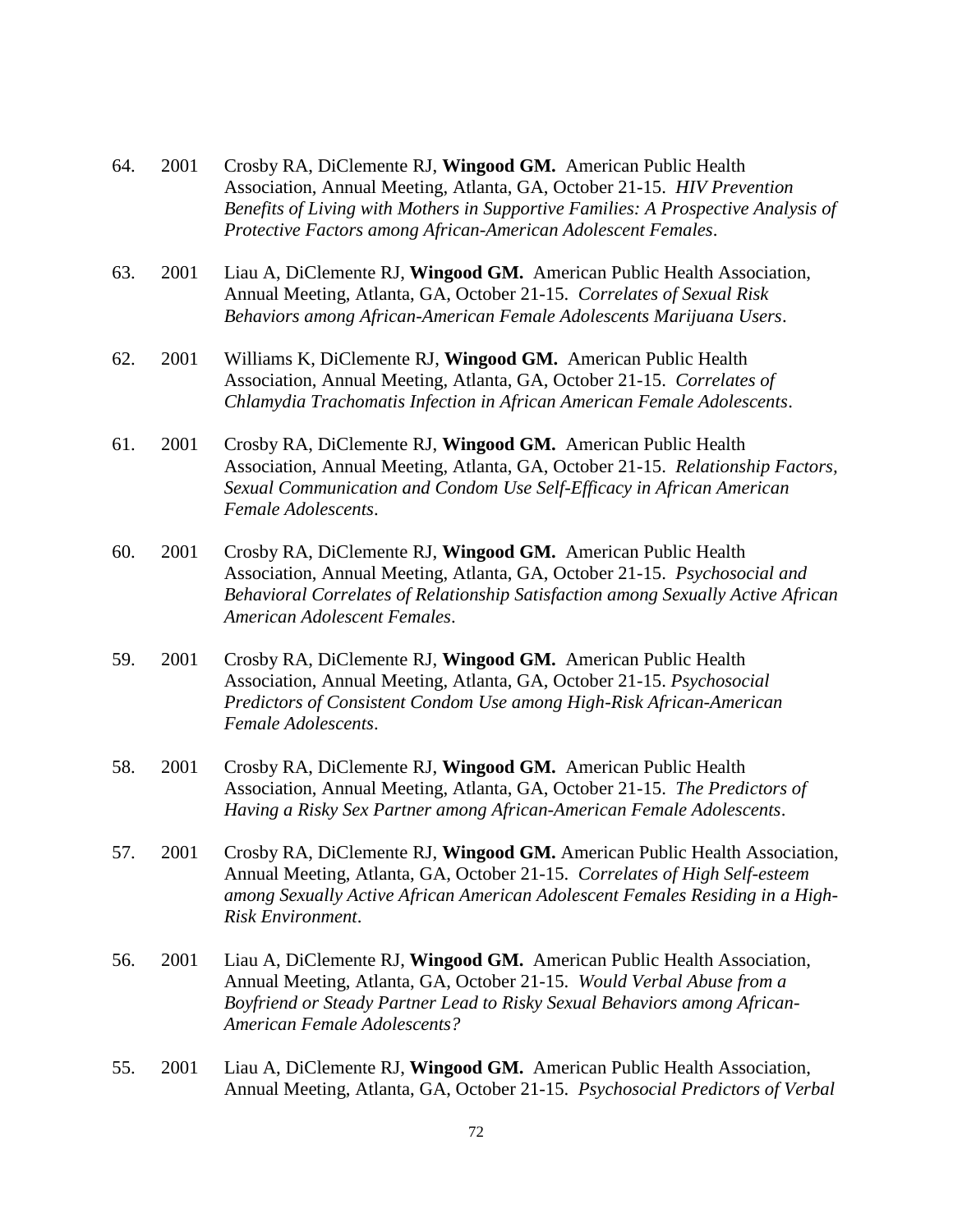- 64. 2001 Crosby RA, DiClemente RJ, **Wingood GM.** American Public Health Association, Annual Meeting, Atlanta, GA, October 21-15. *HIV Prevention Benefits of Living with Mothers in Supportive Families: A Prospective Analysis of Protective Factors among African-American Adolescent Females*.
- 63. 2001 Liau A, DiClemente RJ, **Wingood GM.** American Public Health Association, Annual Meeting, Atlanta, GA, October 21-15. *Correlates of Sexual Risk Behaviors among African-American Female Adolescents Marijuana Users*.
- 62. 2001 Williams K, DiClemente RJ, **Wingood GM.** American Public Health Association, Annual Meeting, Atlanta, GA, October 21-15. *Correlates of Chlamydia Trachomatis Infection in African American Female Adolescents*.
- 61. 2001 Crosby RA, DiClemente RJ, **Wingood GM.** American Public Health Association, Annual Meeting, Atlanta, GA, October 21-15. *Relationship Factors, Sexual Communication and Condom Use Self-Efficacy in African American Female Adolescents*.
- 60. 2001 Crosby RA, DiClemente RJ, **Wingood GM.** American Public Health Association, Annual Meeting, Atlanta, GA, October 21-15. *Psychosocial and Behavioral Correlates of Relationship Satisfaction among Sexually Active African American Adolescent Females*.
- 59. 2001 Crosby RA, DiClemente RJ, **Wingood GM.** American Public Health Association, Annual Meeting, Atlanta, GA, October 21-15. *Psychosocial Predictors of Consistent Condom Use among High-Risk African-American Female Adolescents*.
- 58. 2001 Crosby RA, DiClemente RJ, **Wingood GM.** American Public Health Association, Annual Meeting, Atlanta, GA, October 21-15. *The Predictors of Having a Risky Sex Partner among African-American Female Adolescents*.
- 57. 2001 Crosby RA, DiClemente RJ, **Wingood GM.** American Public Health Association, Annual Meeting, Atlanta, GA, October 21-15. *Correlates of High Self-esteem among Sexually Active African American Adolescent Females Residing in a High-Risk Environment*.
- 56. 2001 Liau A, DiClemente RJ, **Wingood GM.** American Public Health Association, Annual Meeting, Atlanta, GA, October 21-15. *Would Verbal Abuse from a Boyfriend or Steady Partner Lead to Risky Sexual Behaviors among African-American Female Adolescents?*
- 55. 2001 Liau A, DiClemente RJ, **Wingood GM.** American Public Health Association, Annual Meeting, Atlanta, GA, October 21-15. *Psychosocial Predictors of Verbal*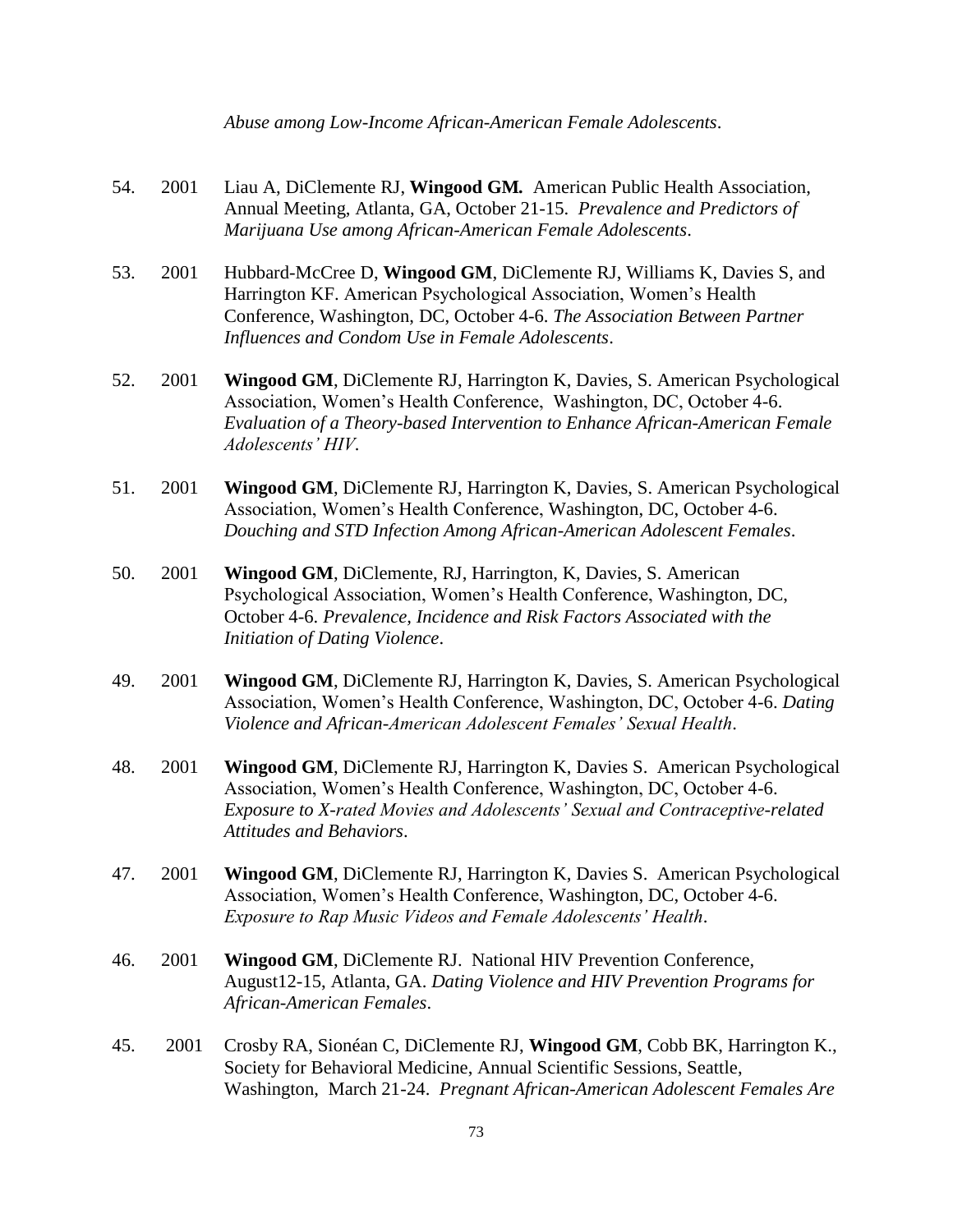*Abuse among Low-Income African-American Female Adolescents*.

- 54. 2001 Liau A, DiClemente RJ, **Wingood GM***.* American Public Health Association, Annual Meeting, Atlanta, GA, October 21-15. *Prevalence and Predictors of Marijuana Use among African-American Female Adolescents*.
- 53. 2001 Hubbard-McCree D, **Wingood GM**, DiClemente RJ, Williams K, Davies S, and Harrington KF. American Psychological Association, Women's Health Conference, Washington, DC, October 4-6. *The Association Between Partner Influences and Condom Use in Female Adolescents*.
- 52. 2001 **Wingood GM**, DiClemente RJ, Harrington K, Davies, S. American Psychological Association, Women's Health Conference, Washington, DC, October 4-6. *Evaluation of a Theory-based Intervention to Enhance African-American Female Adolescents' HIV.*
- 51. 2001 **Wingood GM**, DiClemente RJ, Harrington K, Davies, S. American Psychological Association, Women's Health Conference, Washington, DC, October 4-6. *Douching and STD Infection Among African-American Adolescent Females*.
- 50. 2001 **Wingood GM**, DiClemente, RJ, Harrington, K, Davies, S. American Psychological Association, Women's Health Conference, Washington, DC, October 4-6. *Prevalence, Incidence and Risk Factors Associated with the Initiation of Dating Violence*.
- 49. 2001 **Wingood GM**, DiClemente RJ, Harrington K, Davies, S. American Psychological Association, Women's Health Conference, Washington, DC, October 4-6. *Dating Violence and African-American Adolescent Females' Sexual Health*.
- 48. 2001 **Wingood GM**, DiClemente RJ, Harrington K, Davies S. American Psychological Association, Women's Health Conference, Washington, DC, October 4-6. *Exposure to X-rated Movies and Adolescents' Sexual and Contraceptive-related Attitudes and Behaviors*.
- 47. 2001 **Wingood GM**, DiClemente RJ, Harrington K, Davies S. American Psychological Association, Women's Health Conference, Washington, DC, October 4-6. *Exposure to Rap Music Videos and Female Adolescents' Health*.
- 46. 2001 **Wingood GM**, DiClemente RJ. National HIV Prevention Conference, August12-15, Atlanta, GA. *Dating Violence and HIV Prevention Programs for African-American Females*.
- 45. 2001 Crosby RA, Sionéan C, DiClemente RJ, **Wingood GM**, Cobb BK, Harrington K., Society for Behavioral Medicine, Annual Scientific Sessions, Seattle, Washington, March 21-24. *Pregnant African-American Adolescent Females Are*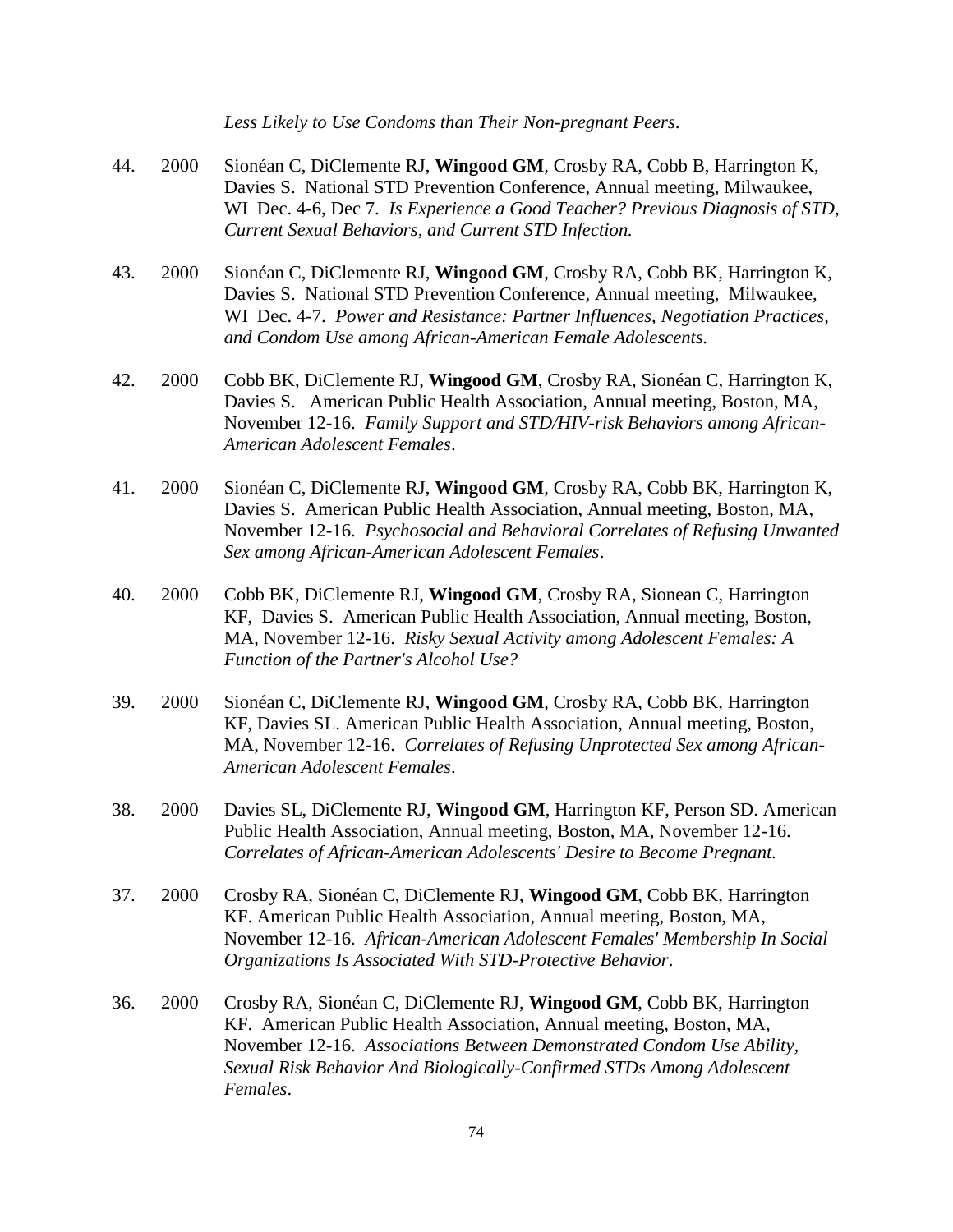*Less Likely to Use Condoms than Their Non-pregnant Peers*.

- 44. 2000 Sionéan C, DiClemente RJ, **Wingood GM**, Crosby RA, Cobb B, Harrington K, Davies S. National STD Prevention Conference, Annual meeting, Milwaukee, WI Dec. 4-6, Dec 7. *Is Experience a Good Teacher? Previous Diagnosis of STD, Current Sexual Behaviors, and Current STD Infection.*
- 43. 2000 Sionéan C, DiClemente RJ, **Wingood GM**, Crosby RA, Cobb BK, Harrington K, Davies S. National STD Prevention Conference, Annual meeting, Milwaukee, WI Dec. 4-7. *Power and Resistance: Partner Influences, Negotiation Practices, and Condom Use among African-American Female Adolescents.*
- 42. 2000 Cobb BK, DiClemente RJ, **Wingood GM**, Crosby RA, Sionéan C, Harrington K, Davies S. American Public Health Association, Annual meeting, Boston, MA, November 12-16. *Family Support and STD/HIV-risk Behaviors among African-American Adolescent Females*.
- 41. 2000 Sionéan C, DiClemente RJ, **Wingood GM**, Crosby RA, Cobb BK, Harrington K, Davies S. American Public Health Association, Annual meeting, Boston, MA, November 12-16. *Psychosocial and Behavioral Correlates of Refusing Unwanted Sex among African-American Adolescent Females*.
- 40. 2000 Cobb BK, DiClemente RJ, **Wingood GM**, Crosby RA, Sionean C, Harrington KF, Davies S. American Public Health Association, Annual meeting, Boston, MA, November 12-16. *Risky Sexual Activity among Adolescent Females: A Function of the Partner's Alcohol Use?*
- 39. 2000 Sionéan C, DiClemente RJ, **Wingood GM**, Crosby RA, Cobb BK, Harrington KF, Davies SL. American Public Health Association, Annual meeting, Boston, MA, November 12-16. *Correlates of Refusing Unprotected Sex among African-American Adolescent Females*.
- 38. 2000 Davies SL, DiClemente RJ, **Wingood GM**, Harrington KF, Person SD. American Public Health Association, Annual meeting, Boston, MA, November 12-16. *Correlates of African-American Adolescents' Desire to Become Pregnant.*
- 37. 2000 Crosby RA, Sionéan C, DiClemente RJ, **Wingood GM**, Cobb BK, Harrington KF. American Public Health Association, Annual meeting, Boston, MA, November 12-16. *African-American Adolescent Females' Membership In Social Organizations Is Associated With STD-Protective Behavior*.
- 36. 2000 Crosby RA, Sionéan C, DiClemente RJ, **Wingood GM**, Cobb BK, Harrington KF. American Public Health Association, Annual meeting, Boston, MA, November 12-16. *Associations Between Demonstrated Condom Use Ability, Sexual Risk Behavior And Biologically-Confirmed STDs Among Adolescent Females*.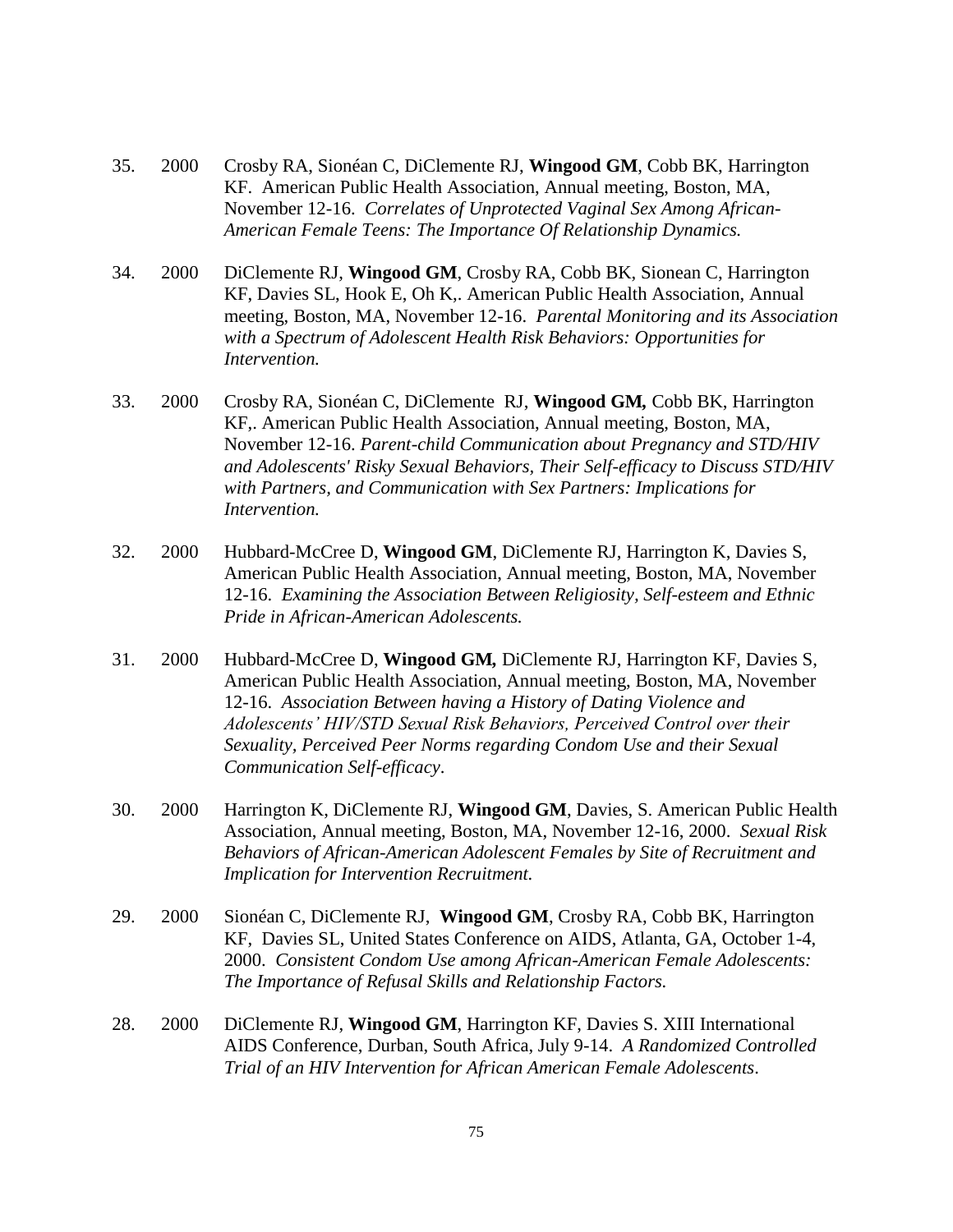- 35. 2000 Crosby RA, Sionéan C, DiClemente RJ, **Wingood GM**, Cobb BK, Harrington KF. American Public Health Association, Annual meeting, Boston, MA, November 12-16. *Correlates of Unprotected Vaginal Sex Among African-American Female Teens: The Importance Of Relationship Dynamics.*
- 34. 2000 DiClemente RJ, **Wingood GM**, Crosby RA, Cobb BK, Sionean C, Harrington KF, Davies SL, Hook E, Oh K,. American Public Health Association, Annual meeting, Boston, MA, November 12-16. *Parental Monitoring and its Association with a Spectrum of Adolescent Health Risk Behaviors: Opportunities for Intervention.*
- 33. 2000 Crosby RA, Sionéan C, DiClemente RJ, **Wingood GM***,* Cobb BK, Harrington KF,. American Public Health Association, Annual meeting, Boston, MA, November 12-16. *Parent-child Communication about Pregnancy and STD/HIV and Adolescents' Risky Sexual Behaviors, Their Self-efficacy to Discuss STD/HIV with Partners, and Communication with Sex Partners: Implications for Intervention.*
- 32. 2000 Hubbard-McCree D, **Wingood GM**, DiClemente RJ, Harrington K, Davies S, American Public Health Association, Annual meeting, Boston, MA, November 12-16. *Examining the Association Between Religiosity, Self-esteem and Ethnic Pride in African-American Adolescents.*
- 31. 2000 Hubbard-McCree D, **Wingood GM***,* DiClemente RJ, Harrington KF, Davies S, American Public Health Association, Annual meeting, Boston, MA, November 12-16. *Association Between having a History of Dating Violence and Adolescents' HIV/STD Sexual Risk Behaviors, Perceived Control over their Sexuality, Perceived Peer Norms regarding Condom Use and their Sexual Communication Self-efficacy*.
- 30. 2000 Harrington K, DiClemente RJ, **Wingood GM**, Davies, S. American Public Health Association, Annual meeting, Boston, MA, November 12-16, 2000. *Sexual Risk Behaviors of African-American Adolescent Females by Site of Recruitment and Implication for Intervention Recruitment.*
- 29. 2000 Sionéan C, DiClemente RJ, **Wingood GM**, Crosby RA, Cobb BK, Harrington KF, Davies SL, United States Conference on AIDS, Atlanta, GA, October 1-4, 2000. *Consistent Condom Use among African-American Female Adolescents: The Importance of Refusal Skills and Relationship Factors.*
- 28. 2000 DiClemente RJ, **Wingood GM**, Harrington KF, Davies S. XIII International AIDS Conference, Durban, South Africa, July 9-14. *A Randomized Controlled Trial of an HIV Intervention for African American Female Adolescents*.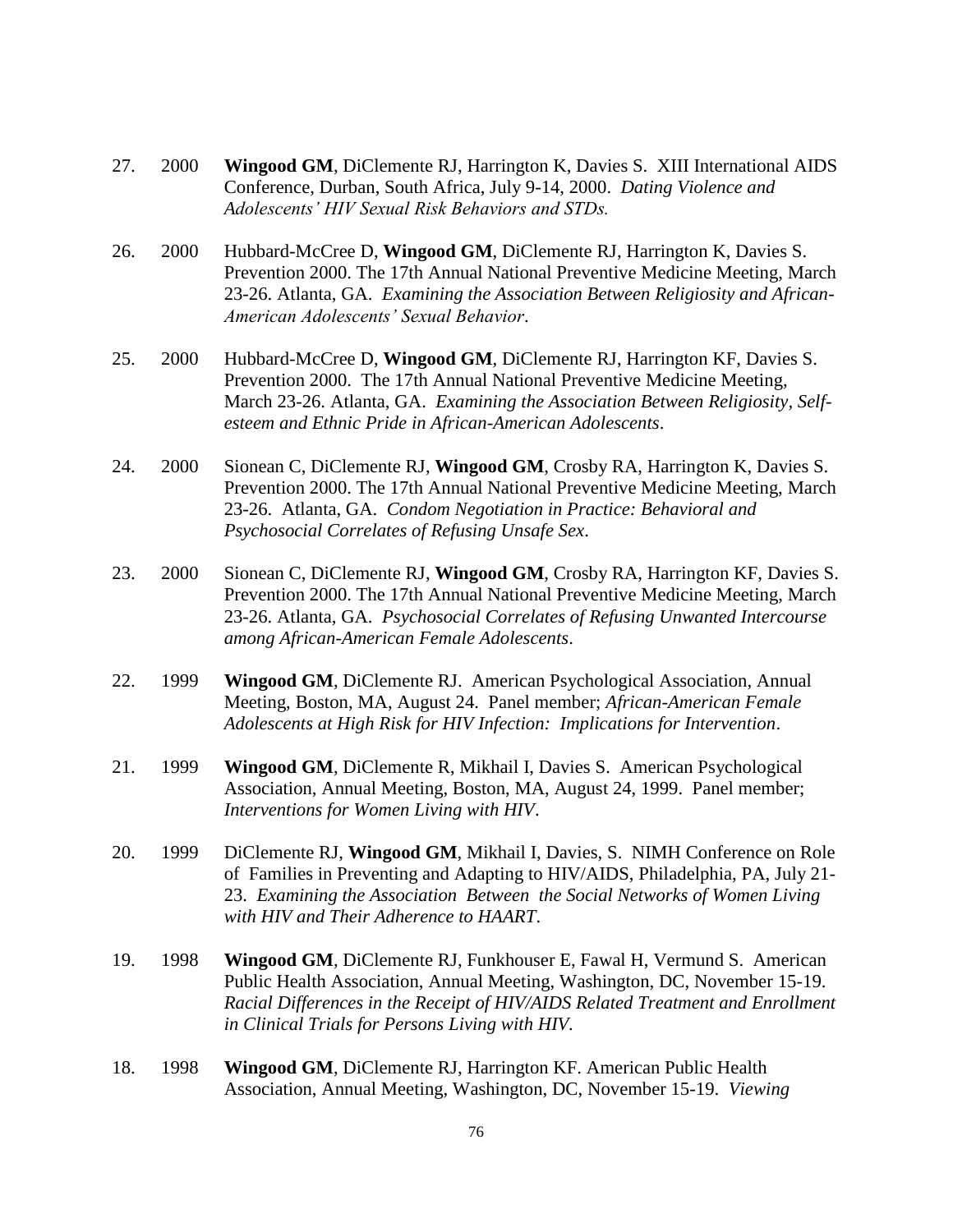- 27. 2000 **Wingood GM**, DiClemente RJ, Harrington K, Davies S. XIII International AIDS Conference, Durban, South Africa, July 9-14, 2000. *Dating Violence and Adolescents' HIV Sexual Risk Behaviors and STDs.*
- 26. 2000 Hubbard-McCree D, **Wingood GM**, DiClemente RJ, Harrington K, Davies S. Prevention 2000. The 17th Annual National Preventive Medicine Meeting, March 23-26. Atlanta, GA. *Examining the Association Between Religiosity and African-American Adolescents' Sexual Behavior*.
- 25. 2000 Hubbard-McCree D, **Wingood GM**, DiClemente RJ, Harrington KF, Davies S. Prevention 2000. The 17th Annual National Preventive Medicine Meeting, March 23-26. Atlanta, GA. *Examining the Association Between Religiosity, Selfesteem and Ethnic Pride in African-American Adolescents*.
- 24. 2000 Sionean C, DiClemente RJ, **Wingood GM**, Crosby RA, Harrington K, Davies S. Prevention 2000. The 17th Annual National Preventive Medicine Meeting, March 23-26. Atlanta, GA. *Condom Negotiation in Practice: Behavioral and Psychosocial Correlates of Refusing Unsafe Sex*.
- 23. 2000 Sionean C, DiClemente RJ, **Wingood GM**, Crosby RA, Harrington KF, Davies S. Prevention 2000. The 17th Annual National Preventive Medicine Meeting, March 23-26. Atlanta, GA. *Psychosocial Correlates of Refusing Unwanted Intercourse among African-American Female Adolescents*.
- 22. 1999 **Wingood GM**, DiClemente RJ. American Psychological Association, Annual Meeting, Boston, MA, August 24. Panel member; *African-American Female Adolescents at High Risk for HIV Infection: Implications for Intervention*.
- 21. 1999 **Wingood GM**, DiClemente R, Mikhail I, Davies S. American Psychological Association, Annual Meeting, Boston, MA, August 24, 1999. Panel member; *Interventions for Women Living with HIV*.
- 20. 1999 DiClemente RJ, **Wingood GM**, Mikhail I, Davies, S. NIMH Conference on Role of Families in Preventing and Adapting to HIV/AIDS, Philadelphia, PA, July 21- 23. *Examining the Association Between the Social Networks of Women Living with HIV and Their Adherence to HAART*.
- 19. 1998 **Wingood GM**, DiClemente RJ, Funkhouser E, Fawal H, Vermund S. American Public Health Association, Annual Meeting, Washington, DC, November 15-19. *Racial Differences in the Receipt of HIV/AIDS Related Treatment and Enrollment in Clinical Trials for Persons Living with HIV.*
- 18. 1998 **Wingood GM**, DiClemente RJ, Harrington KF. American Public Health Association, Annual Meeting, Washington, DC, November 15-19. *Viewing*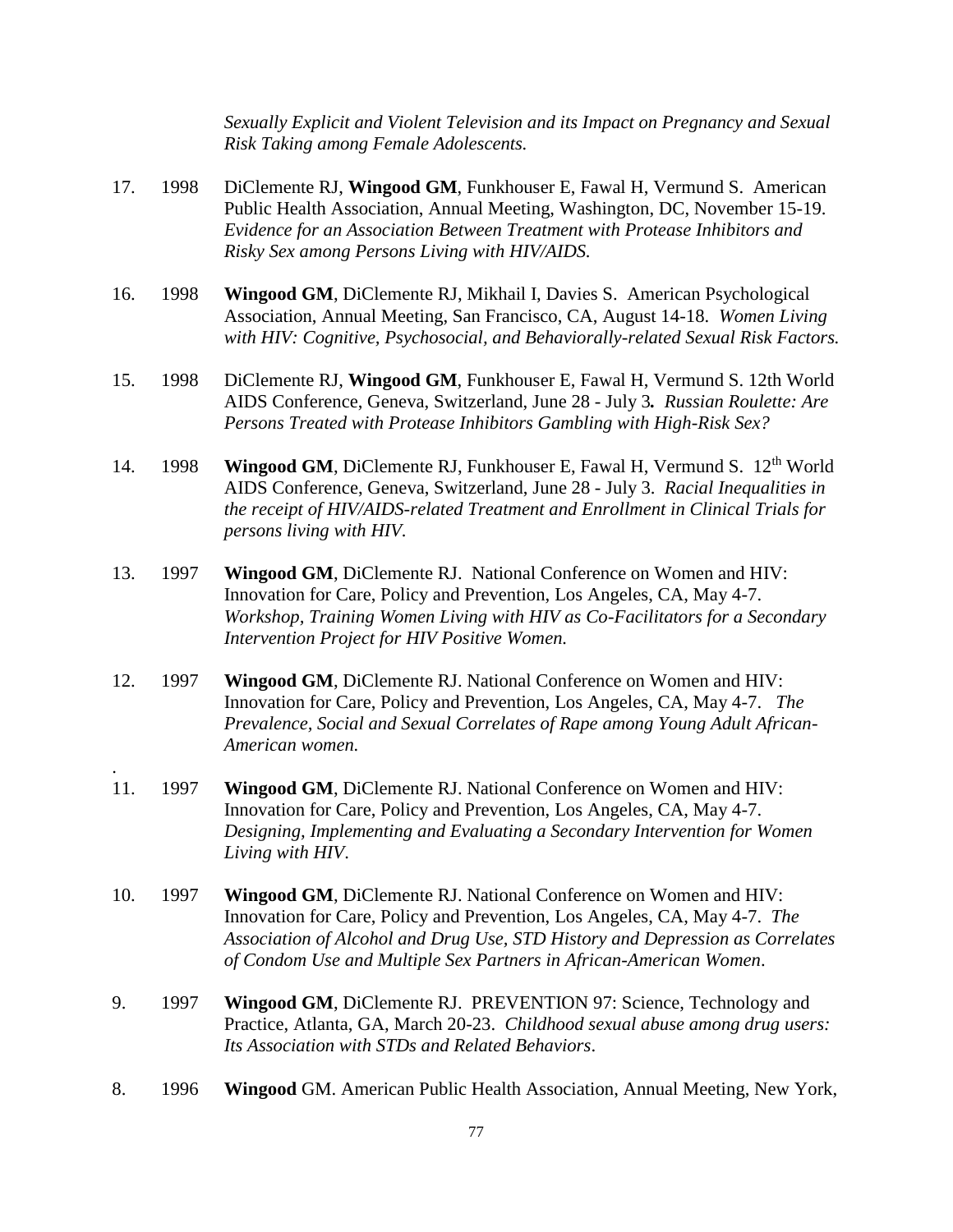*Sexually Explicit and Violent Television and its Impact on Pregnancy and Sexual Risk Taking among Female Adolescents.*

- 17. 1998 DiClemente RJ, **Wingood GM**, Funkhouser E, Fawal H, Vermund S. American Public Health Association, Annual Meeting, Washington, DC, November 15-19. *Evidence for an Association Between Treatment with Protease Inhibitors and Risky Sex among Persons Living with HIV/AIDS.*
- 16. 1998 **Wingood GM**, DiClemente RJ, Mikhail I, Davies S. American Psychological Association, Annual Meeting, San Francisco, CA, August 14-18. *Women Living with HIV: Cognitive, Psychosocial, and Behaviorally-related Sexual Risk Factors.*
- 15. 1998 DiClemente RJ, **Wingood GM**, Funkhouser E, Fawal H, Vermund S. 12th World AIDS Conference, Geneva, Switzerland, June 28 - July 3*. Russian Roulette: Are Persons Treated with Protease Inhibitors Gambling with High-Risk Sex?*
- 14. 1998 **Wingood GM, DiClemente RJ, Funkhouser E, Fawal H, Vermund S. 12<sup>th</sup> World** AIDS Conference, Geneva, Switzerland, June 28 - July 3. *Racial Inequalities in the receipt of HIV/AIDS-related Treatment and Enrollment in Clinical Trials for persons living with HIV.*
- 13. 1997 **Wingood GM**, DiClemente RJ. National Conference on Women and HIV: Innovation for Care, Policy and Prevention, Los Angeles, CA, May 4-7. *Workshop, Training Women Living with HIV as Co-Facilitators for a Secondary Intervention Project for HIV Positive Women.*
- 12. 1997 **Wingood GM**, DiClemente RJ. National Conference on Women and HIV: Innovation for Care, Policy and Prevention, Los Angeles, CA, May 4-7. *The Prevalence, Social and Sexual Correlates of Rape among Young Adult African-American women.*
- 11. 1997 **Wingood GM**, DiClemente RJ. National Conference on Women and HIV: Innovation for Care, Policy and Prevention, Los Angeles, CA, May 4-7. *Designing, Implementing and Evaluating a Secondary Intervention for Women Living with HIV*.

.

- 10. 1997 **Wingood GM**, DiClemente RJ. National Conference on Women and HIV: Innovation for Care, Policy and Prevention, Los Angeles, CA, May 4-7. *The Association of Alcohol and Drug Use, STD History and Depression as Correlates of Condom Use and Multiple Sex Partners in African-American Women*.
- 9. 1997 **Wingood GM**, DiClemente RJ. PREVENTION 97: Science, Technology and Practice, Atlanta, GA, March 20-23. *Childhood sexual abuse among drug users: Its Association with STDs and Related Behaviors*.
- 8. 1996 **Wingood** GM. American Public Health Association, Annual Meeting, New York,